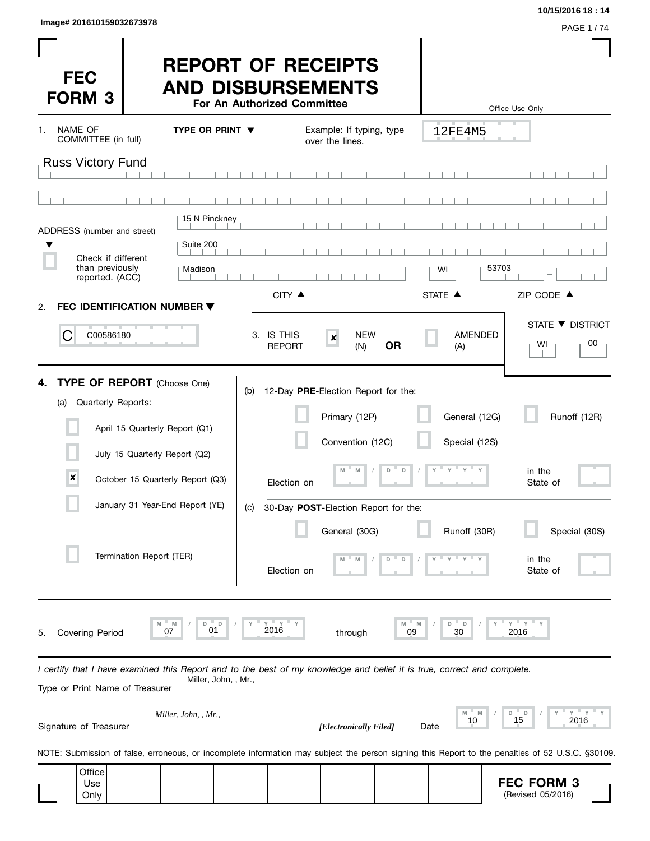| Image# 201610159032673978 |                  |
|---------------------------|------------------|
|                           | <b>PAGE 1/74</b> |

**10/15/2016 18 : 14**

| <b>FEC</b><br><b>FORM 3</b>                                                                                                                                |                                                                                                                                        | <b>REPORT OF RECEIPTS</b><br><b>AND DISBURSEMENTS</b> | For An Authorized Committee |                                                                                                                                             |                  |                                                                                            | Office Use Only                                                                                                                                  |
|------------------------------------------------------------------------------------------------------------------------------------------------------------|----------------------------------------------------------------------------------------------------------------------------------------|-------------------------------------------------------|-----------------------------|---------------------------------------------------------------------------------------------------------------------------------------------|------------------|--------------------------------------------------------------------------------------------|--------------------------------------------------------------------------------------------------------------------------------------------------|
| NAME OF<br>1.<br>COMMITTEE (in full)                                                                                                                       |                                                                                                                                        | TYPE OR PRINT $\blacktriangledown$                    |                             | Example: If typing, type<br>over the lines.                                                                                                 |                  | 12FE4M5                                                                                    |                                                                                                                                                  |
| <b>Russ Victory Fund</b>                                                                                                                                   |                                                                                                                                        |                                                       |                             |                                                                                                                                             |                  |                                                                                            |                                                                                                                                                  |
|                                                                                                                                                            |                                                                                                                                        |                                                       |                             |                                                                                                                                             |                  |                                                                                            |                                                                                                                                                  |
| ADDRESS (number and street)                                                                                                                                |                                                                                                                                        | 15 N Pinckney                                         |                             |                                                                                                                                             |                  |                                                                                            |                                                                                                                                                  |
|                                                                                                                                                            |                                                                                                                                        | Suite 200                                             |                             |                                                                                                                                             |                  |                                                                                            |                                                                                                                                                  |
| Check if different<br>than previously<br>reported. (ACC)                                                                                                   |                                                                                                                                        | Madison                                               |                             |                                                                                                                                             |                  | WI                                                                                         | 53703                                                                                                                                            |
| FEC IDENTIFICATION NUMBER ▼<br>2.                                                                                                                          |                                                                                                                                        |                                                       | CITY ▲                      |                                                                                                                                             |                  | STATE A                                                                                    | ZIP CODE ▲                                                                                                                                       |
| С<br>C00586180                                                                                                                                             |                                                                                                                                        |                                                       | 3. IS THIS<br><b>REPORT</b> | <b>NEW</b><br>$\pmb{\times}$<br>(N)                                                                                                         | <b>OR</b>        | <b>AMENDED</b><br>(A)                                                                      | STATE ▼ DISTRICT<br>00<br>WI                                                                                                                     |
| <b>TYPE OF REPORT</b> (Choose One)<br>4.<br>Quarterly Reports:<br>(a)<br>$\boldsymbol{x}$                                                                  | April 15 Quarterly Report (Q1)<br>July 15 Quarterly Report (Q2)<br>October 15 Quarterly Report (Q3)<br>January 31 Year-End Report (YE) | (b)<br>(C)                                            | Election on                 | 12-Day PRE-Election Report for the:<br>Primary (12P)<br>Convention (12C)<br>M<br>M<br>30-Day POST-Election Report for the:<br>General (30G) | D<br>$\mathsf D$ | General (12G)<br>Special (12S)<br>$Y = Y - Y$<br>$\mathbb{F}$ $\mathbb{Y}$<br>Runoff (30R) | Runoff (12R)<br>in the<br>State of<br>Special (30S)                                                                                              |
|                                                                                                                                                            | Termination Report (TER)                                                                                                               |                                                       | Election on                 |                                                                                                                                             |                  |                                                                                            | in the<br>State of                                                                                                                               |
| <b>Covering Period</b><br>5.                                                                                                                               | M<br>07                                                                                                                                | D<br>01                                               | $Y$ $Y$<br>2016             | through                                                                                                                                     | M<br>09          | D<br>D<br>30                                                                               | $Y$ $Y$<br>2016                                                                                                                                  |
| I certify that I have examined this Report and to the best of my knowledge and belief it is true, correct and complete.<br>Type or Print Name of Treasurer |                                                                                                                                        | Miller, John, , Mr.,                                  |                             |                                                                                                                                             |                  |                                                                                            |                                                                                                                                                  |
| Signature of Treasurer                                                                                                                                     |                                                                                                                                        | Miller, John, , Mr.,                                  |                             | [Electronically Filed]                                                                                                                      |                  | $-M$<br>M<br>10<br>Date                                                                    | $Y = Y$<br>D<br>D<br>15<br>2016                                                                                                                  |
|                                                                                                                                                            |                                                                                                                                        |                                                       |                             |                                                                                                                                             |                  |                                                                                            | NOTE: Submission of false, erroneous, or incomplete information may subject the person signing this Report to the penalties of 52 U.S.C. §30109. |
| Office<br>Use<br>Only                                                                                                                                      |                                                                                                                                        |                                                       |                             |                                                                                                                                             |                  |                                                                                            | <b>FEC FORM 3</b><br>(Revised 05/2016)                                                                                                           |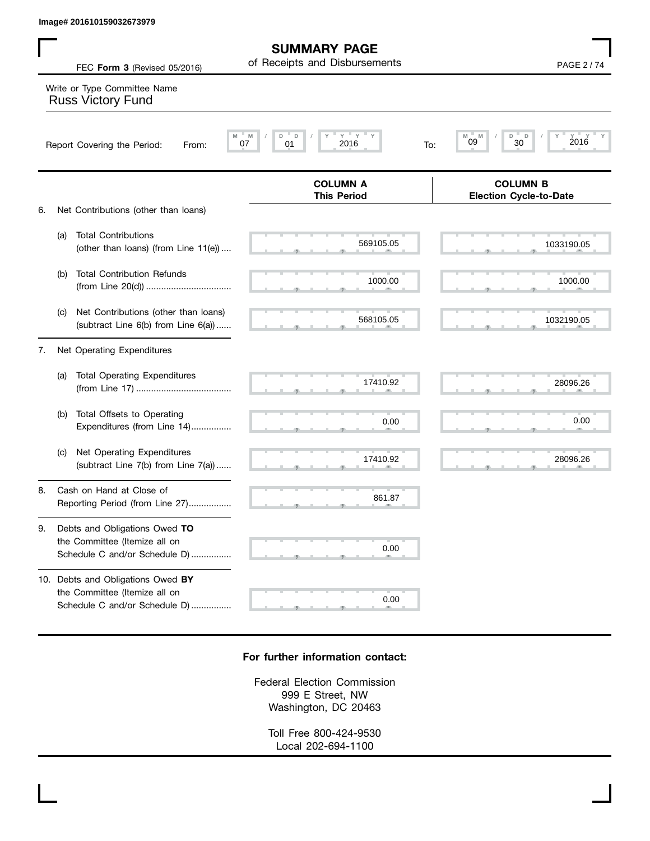the Committee (Itemize all on

Schedule C and/or Schedule D)................

| Image# 201610159032673979                                                                             |                                                      |                                                  |
|-------------------------------------------------------------------------------------------------------|------------------------------------------------------|--------------------------------------------------|
| FEC Form 3 (Revised 05/2016)                                                                          | <b>SUMMARY PAGE</b><br>of Receipts and Disbursements | <b>PAGE 2/74</b>                                 |
| Write or Type Committee Name<br><b>Russ Victory Fund</b>                                              |                                                      |                                                  |
| Report Covering the Period:<br>From:                                                                  | $Y$ $Y$<br>M<br>D<br>D<br>2016<br>07<br>01<br>To:    | $Y =$<br>D<br>M<br>M<br>D<br>2016<br>09<br>30    |
|                                                                                                       | <b>COLUMN A</b><br><b>This Period</b>                | <b>COLUMN B</b><br><b>Election Cycle-to-Date</b> |
| Net Contributions (other than loans)<br>6.                                                            |                                                      |                                                  |
| <b>Total Contributions</b><br>(a)<br>(other than loans) (from Line 11(e))                             | 569105.05                                            | 1033190.05                                       |
| <b>Total Contribution Refunds</b><br>(b)                                                              | 1000.00                                              | 1000.00                                          |
| Net Contributions (other than loans)<br>(C)<br>(subtract Line 6(b) from Line 6(a))                    | 568105.05                                            | 1032190.05                                       |
| Net Operating Expenditures<br>7.                                                                      |                                                      |                                                  |
| <b>Total Operating Expenditures</b><br>(a)                                                            | 17410.92                                             | 28096.26                                         |
| Total Offsets to Operating<br>(b)<br>Expenditures (from Line 14)                                      | 0.00                                                 | 0.00                                             |
| Net Operating Expenditures<br>(C)<br>(subtract Line 7(b) from Line 7(a))                              | 17410.92                                             | 28096.26                                         |
| Cash on Hand at Close of<br>8.<br>Reporting Period (from Line 27)                                     | 861.87                                               |                                                  |
| Debts and Obligations Owed TO<br>9.<br>the Committee (Itemize all on<br>Schedule C and/or Schedule D) | 0.00                                                 |                                                  |
| 10. Debts and Obligations Owed BY                                                                     |                                                      |                                                  |

## **For further information contact:**

 $\sim$  0.0

0.00

Federal Election Commission 999 E Street, NW Washington, DC 20463

> Toll Free 800-424-9530 Local 202-694-1100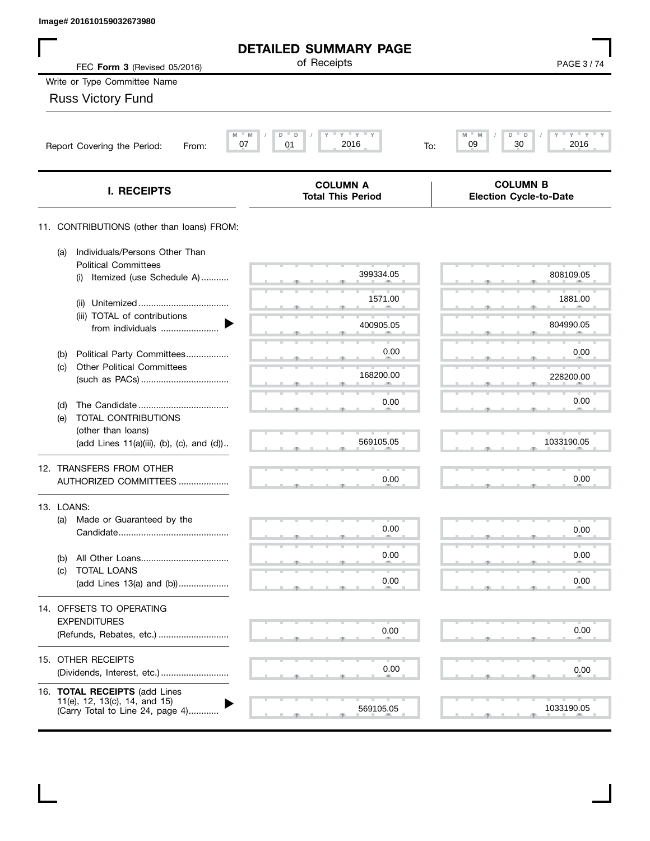| Image# 201610159032673980                                                                          |                                             |                                                  |
|----------------------------------------------------------------------------------------------------|---------------------------------------------|--------------------------------------------------|
|                                                                                                    | <b>DETAILED SUMMARY PAGE</b><br>of Receipts |                                                  |
| FEC Form 3 (Revised 05/2016)                                                                       |                                             | PAGE 3/74                                        |
| Write or Type Committee Name                                                                       |                                             |                                                  |
| <b>Russ Victory Fund</b>                                                                           |                                             |                                                  |
| M<br>07<br>Report Covering the Period:<br>From:                                                    | $Y$ $Y$ $Y$<br>D<br>D<br>2016<br>01<br>To:  | $Y'$ Y<br>M<br>M<br>D<br>D<br>30<br>2016<br>09   |
| I. RECEIPTS                                                                                        | <b>COLUMN A</b><br><b>Total This Period</b> | <b>COLUMN B</b><br><b>Election Cycle-to-Date</b> |
| 11. CONTRIBUTIONS (other than loans) FROM:                                                         |                                             |                                                  |
| Individuals/Persons Other Than<br>(a)<br><b>Political Committees</b>                               |                                             |                                                  |
| Itemized (use Schedule A)<br>(i)                                                                   | 399334.05                                   | 808109.05                                        |
| (ii)                                                                                               | 1571.00                                     | 1881.00                                          |
| (iii) TOTAL of contributions<br>from individuals                                                   | 400905.05                                   | 804990.05                                        |
| Political Party Committees<br>(b)                                                                  | 0.00                                        | 0.00                                             |
| <b>Other Political Committees</b><br>(c)                                                           | 168200.00                                   | 228200.00                                        |
| (d)                                                                                                | 0.00                                        | 0.00                                             |
| TOTAL CONTRIBUTIONS<br>(e)                                                                         |                                             |                                                  |
| (other than loans)<br>(add Lines 11(a)(iii), (b), (c), and (d))                                    | 569105.05                                   | 1033190.05                                       |
| 12. TRANSFERS FROM OTHER<br>AUTHORIZED COMMITTEES                                                  | 0.00                                        | 0.00                                             |
| 13. LOANS:                                                                                         |                                             |                                                  |
| Made or Guaranteed by the<br>(a)                                                                   | 0.00                                        | 0.00                                             |
|                                                                                                    |                                             |                                                  |
| (b)<br>TOTAL LOANS<br>(c)                                                                          | 0.00                                        | 0.00                                             |
| (add Lines 13(a) and (b))                                                                          | 0.00                                        | 0.00                                             |
| 14. OFFSETS TO OPERATING                                                                           |                                             |                                                  |
| <b>EXPENDITURES</b><br>(Refunds, Rebates, etc.)                                                    | 0.00                                        | 0.00                                             |
| 15. OTHER RECEIPTS<br>(Dividends, Interest, etc.)                                                  | 0.00                                        | 0.00                                             |
| 16. TOTAL RECEIPTS (add Lines<br>11(e), 12, 13(c), 14, and 15)<br>(Carry Total to Line 24, page 4) | 569105.05                                   | 1033190.05                                       |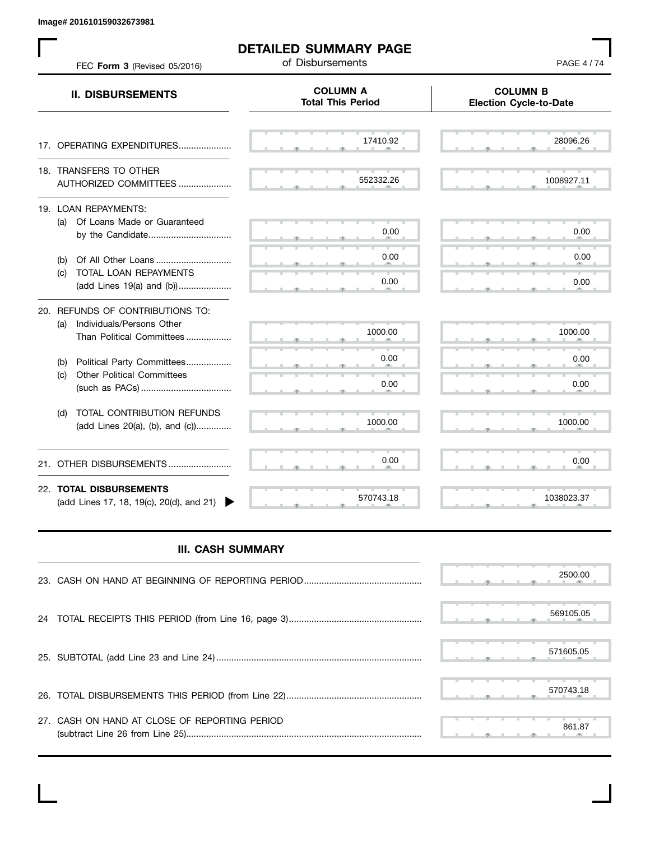**Image# 201610159032673981**

 $\mathbf{L}$ 

|            | FEC Form 3 (Revised 05/2016)                                                               | <b>DETAILED SUMMARY PAGE</b><br>of Disbursements | <b>PAGE 4/74</b>                                 |
|------------|--------------------------------------------------------------------------------------------|--------------------------------------------------|--------------------------------------------------|
|            | <b>II. DISBURSEMENTS</b>                                                                   | <b>COLUMN A</b><br><b>Total This Period</b>      | <b>COLUMN B</b><br><b>Election Cycle-to-Date</b> |
|            | 17. OPERATING EXPENDITURES                                                                 | 17410.92                                         | 28096.26                                         |
|            | 18. TRANSFERS TO OTHER<br>AUTHORIZED COMMITTEES                                            | 552332.26                                        | 1008927.11                                       |
|            | 19. LOAN REPAYMENTS:<br>(a) Of Loans Made or Guaranteed<br>by the Candidate                | 0.00                                             | 0.00                                             |
| (b)        | (c) TOTAL LOAN REPAYMENTS<br>(add Lines 19(a) and (b))                                     | 0.00<br>0.00                                     | 0.00<br>0.00                                     |
| (a)        | 20. REFUNDS OF CONTRIBUTIONS TO:<br>Individuals/Persons Other<br>Than Political Committees | 1000.00                                          | 1000.00                                          |
| (b)<br>(c) | Political Party Committees<br><b>Other Political Committees</b>                            | 0.00<br>0.00                                     | 0.00<br>0.00                                     |
| (d)        | TOTAL CONTRIBUTION REFUNDS<br>(add Lines 20(a), (b), and (c))                              | 1000.00                                          | 1000.00                                          |
|            | 21. OTHER DISBURSEMENTS                                                                    | 0.00                                             | 0.00                                             |
|            | 22. TOTAL DISBURSEMENTS<br>(add Lines 17, 18, 19(c), 20(d), and 21)                        | 570743.18                                        | 1038023.37                                       |

## **III. CASH SUMMARY**

|                                               | 2500.00   |
|-----------------------------------------------|-----------|
|                                               | 569105.05 |
|                                               | 571605.05 |
|                                               | 570743.18 |
| 27. CASH ON HAND AT CLOSE OF REPORTING PERIOD | 861.87    |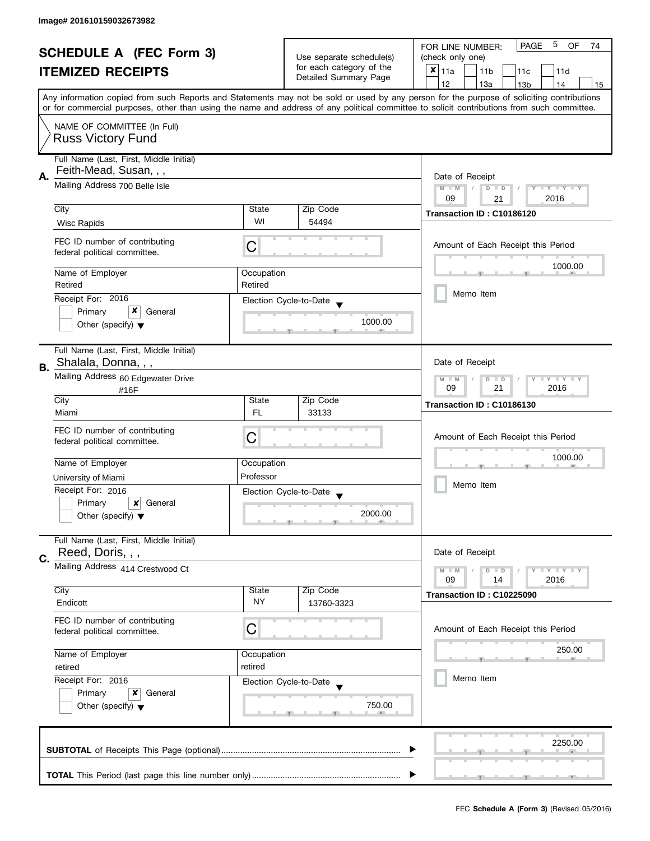| <b>SCHEDULE A (FEC Form 3)</b><br><b>ITEMIZED RECEIPTS</b> |                                                                   |                                                                                                | 5<br><b>PAGE</b><br>OF<br>FOR LINE NUMBER:<br>74        |                                                                                                                                                                                                                                                                                         |  |
|------------------------------------------------------------|-------------------------------------------------------------------|------------------------------------------------------------------------------------------------|---------------------------------------------------------|-----------------------------------------------------------------------------------------------------------------------------------------------------------------------------------------------------------------------------------------------------------------------------------------|--|
|                                                            |                                                                   | Use separate schedule(s)                                                                       | (check only one)                                        |                                                                                                                                                                                                                                                                                         |  |
|                                                            |                                                                   | for each category of the<br>Detailed Summary Page                                              | $x _{11a}$<br>11 <sub>b</sub><br>11 <sub>c</sub><br>11d |                                                                                                                                                                                                                                                                                         |  |
|                                                            |                                                                   |                                                                                                |                                                         | 12<br>13a<br>13 <sub>b</sub><br>14<br>15                                                                                                                                                                                                                                                |  |
|                                                            |                                                                   |                                                                                                |                                                         | Any information copied from such Reports and Statements may not be sold or used by any person for the purpose of soliciting contributions<br>or for commercial purposes, other than using the name and address of any political committee to solicit contributions from such committee. |  |
|                                                            | NAME OF COMMITTEE (In Full)<br><b>Russ Victory Fund</b>           |                                                                                                |                                                         |                                                                                                                                                                                                                                                                                         |  |
|                                                            | Full Name (Last, First, Middle Initial)<br>Feith-Mead, Susan, , , |                                                                                                |                                                         |                                                                                                                                                                                                                                                                                         |  |
| А.                                                         | Mailing Address 700 Belle Isle                                    | Date of Receipt<br>$M - M$<br>$D$ $D$<br>$Y - Y - Y - Y - Y$<br>$\sqrt{2}$<br>09<br>2016<br>21 |                                                         |                                                                                                                                                                                                                                                                                         |  |
|                                                            | City                                                              | State                                                                                          | Zip Code                                                | Transaction ID: C10186120                                                                                                                                                                                                                                                               |  |
|                                                            | Wisc Rapids                                                       | WI                                                                                             | 54494                                                   |                                                                                                                                                                                                                                                                                         |  |
|                                                            | FEC ID number of contributing<br>federal political committee.     | C                                                                                              |                                                         | Amount of Each Receipt this Period                                                                                                                                                                                                                                                      |  |
|                                                            | Name of Employer<br>Retired                                       | Occupation<br>Retired                                                                          |                                                         | 1000.00                                                                                                                                                                                                                                                                                 |  |
|                                                            | Receipt For: 2016                                                 |                                                                                                |                                                         | Memo Item                                                                                                                                                                                                                                                                               |  |
|                                                            | x<br>Primary<br>General                                           |                                                                                                | Election Cycle-to-Date                                  |                                                                                                                                                                                                                                                                                         |  |
|                                                            | Other (specify) $\blacktriangledown$                              |                                                                                                | 1000.00                                                 |                                                                                                                                                                                                                                                                                         |  |
| В.                                                         | Full Name (Last, First, Middle Initial)<br>Shalala, Donna, , ,    |                                                                                                |                                                         | Date of Receipt                                                                                                                                                                                                                                                                         |  |
|                                                            | Mailing Address 60 Edgewater Drive<br>#16F                        |                                                                                                |                                                         | $Y = Y + Y$<br>$M - M$<br>$D$ $D$<br>09<br>21<br>2016                                                                                                                                                                                                                                   |  |
|                                                            | City<br>Miami                                                     | State<br><b>FL</b>                                                                             | Zip Code<br>33133                                       | Transaction ID: C10186130                                                                                                                                                                                                                                                               |  |
|                                                            | FEC ID number of contributing<br>federal political committee.     | C                                                                                              |                                                         | Amount of Each Receipt this Period                                                                                                                                                                                                                                                      |  |
|                                                            | Name of Employer                                                  | Occupation                                                                                     |                                                         | 1000.00                                                                                                                                                                                                                                                                                 |  |
|                                                            | University of Miami                                               | Professor                                                                                      |                                                         |                                                                                                                                                                                                                                                                                         |  |
|                                                            | Receipt For: 2016                                                 |                                                                                                | Election Cycle-to-Date                                  | Memo Item                                                                                                                                                                                                                                                                               |  |
|                                                            | Primary<br>General<br>x                                           |                                                                                                |                                                         |                                                                                                                                                                                                                                                                                         |  |
|                                                            | Other (specify) $\blacktriangledown$                              |                                                                                                | 2000.00                                                 |                                                                                                                                                                                                                                                                                         |  |
|                                                            | Full Name (Last, First, Middle Initial)<br>Reed, Doris, , ,       |                                                                                                |                                                         | Date of Receipt                                                                                                                                                                                                                                                                         |  |
| C.                                                         | Mailing Address 414 Crestwood Ct                                  |                                                                                                |                                                         | $M - M$<br>$Y - Y - Y$<br>D<br>$\Box$                                                                                                                                                                                                                                                   |  |
|                                                            |                                                                   |                                                                                                |                                                         | 2016<br>09<br>14                                                                                                                                                                                                                                                                        |  |
|                                                            | City<br>Endicott                                                  | State<br><b>NY</b>                                                                             | Zip Code<br>13760-3323                                  | Transaction ID: C10225090                                                                                                                                                                                                                                                               |  |
|                                                            | FEC ID number of contributing<br>federal political committee.     | С                                                                                              |                                                         | Amount of Each Receipt this Period                                                                                                                                                                                                                                                      |  |
|                                                            | Name of Employer<br>Occupation                                    |                                                                                                |                                                         | 250.00                                                                                                                                                                                                                                                                                  |  |
|                                                            | retired                                                           | retired                                                                                        |                                                         | Memo Item                                                                                                                                                                                                                                                                               |  |
|                                                            | Receipt For: 2016                                                 |                                                                                                | Election Cycle-to-Date                                  |                                                                                                                                                                                                                                                                                         |  |
|                                                            | Primary<br>General<br>x<br>Other (specify) $\blacktriangledown$   |                                                                                                | 750.00                                                  |                                                                                                                                                                                                                                                                                         |  |
|                                                            |                                                                   |                                                                                                |                                                         | 2250.00                                                                                                                                                                                                                                                                                 |  |
|                                                            |                                                                   |                                                                                                |                                                         |                                                                                                                                                                                                                                                                                         |  |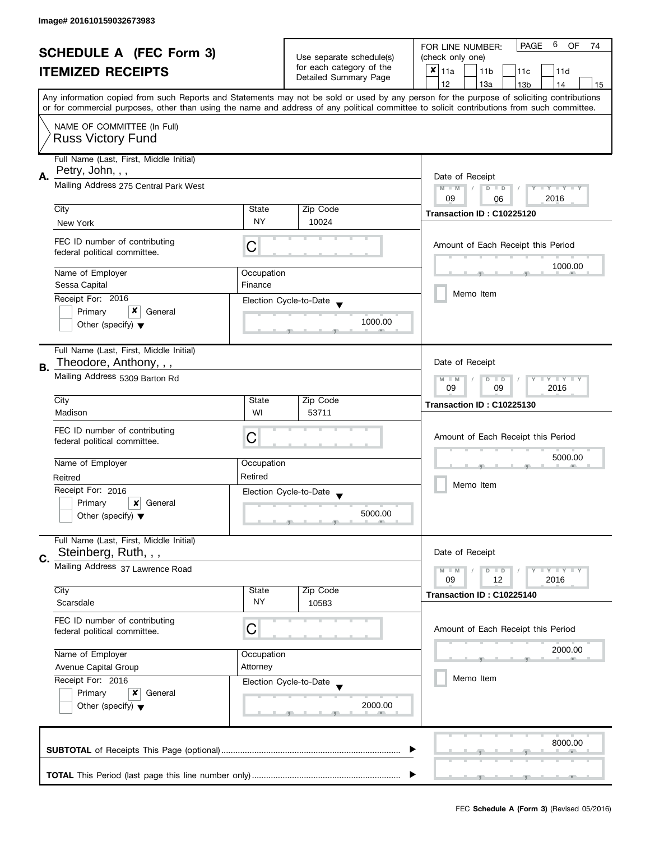| <b>SCHEDULE A (FEC Form 3)</b>                                     |                                                               | Use separate schedule(s) | 6<br><b>PAGE</b><br><b>OF</b><br>FOR LINE NUMBER:<br>74 |                                                                                                                                            |  |  |
|--------------------------------------------------------------------|---------------------------------------------------------------|--------------------------|---------------------------------------------------------|--------------------------------------------------------------------------------------------------------------------------------------------|--|--|
|                                                                    |                                                               |                          | (check only one)                                        |                                                                                                                                            |  |  |
|                                                                    | <b>ITEMIZED RECEIPTS</b>                                      |                          | for each category of the<br>Detailed Summary Page       | $x _{11a}$<br>11 <sub>b</sub><br>11 <sub>c</sub><br>11d                                                                                    |  |  |
|                                                                    |                                                               |                          |                                                         | 12<br>13a<br>13 <sub>b</sub><br>14<br>15                                                                                                   |  |  |
|                                                                    |                                                               |                          |                                                         | Any information copied from such Reports and Statements may not be sold or used by any person for the purpose of soliciting contributions  |  |  |
|                                                                    |                                                               |                          |                                                         | or for commercial purposes, other than using the name and address of any political committee to solicit contributions from such committee. |  |  |
|                                                                    | NAME OF COMMITTEE (In Full)                                   |                          |                                                         |                                                                                                                                            |  |  |
|                                                                    | <b>Russ Victory Fund</b>                                      |                          |                                                         |                                                                                                                                            |  |  |
|                                                                    |                                                               |                          |                                                         |                                                                                                                                            |  |  |
|                                                                    | Full Name (Last, First, Middle Initial)                       |                          |                                                         |                                                                                                                                            |  |  |
| А.                                                                 | Petry, John, , ,                                              |                          |                                                         | Date of Receipt                                                                                                                            |  |  |
|                                                                    | Mailing Address 275 Central Park West                         |                          |                                                         | $M - M$<br>$D$ $D$<br>Y I Y I Y I Y<br>$\sqrt{2}$                                                                                          |  |  |
|                                                                    |                                                               |                          |                                                         | 09<br>2016<br>06                                                                                                                           |  |  |
|                                                                    | City                                                          | State                    | Zip Code                                                | Transaction ID: C10225120                                                                                                                  |  |  |
|                                                                    | New York                                                      | NY.                      | 10024                                                   |                                                                                                                                            |  |  |
|                                                                    |                                                               |                          |                                                         |                                                                                                                                            |  |  |
|                                                                    | FEC ID number of contributing<br>federal political committee. | С                        |                                                         | Amount of Each Receipt this Period                                                                                                         |  |  |
|                                                                    |                                                               |                          |                                                         |                                                                                                                                            |  |  |
|                                                                    | Name of Employer                                              | Occupation               |                                                         | 1000.00                                                                                                                                    |  |  |
|                                                                    | Sessa Capital                                                 | Finance                  |                                                         |                                                                                                                                            |  |  |
|                                                                    | Receipt For: 2016                                             |                          | Election Cycle-to-Date                                  | Memo Item                                                                                                                                  |  |  |
|                                                                    | x<br>Primary<br>General                                       |                          |                                                         |                                                                                                                                            |  |  |
|                                                                    | Other (specify) $\blacktriangledown$                          |                          | 1000.00                                                 |                                                                                                                                            |  |  |
|                                                                    |                                                               |                          |                                                         |                                                                                                                                            |  |  |
|                                                                    | Full Name (Last, First, Middle Initial)                       |                          |                                                         |                                                                                                                                            |  |  |
| В.                                                                 | Theodore, Anthony, , ,                                        |                          |                                                         | Date of Receipt                                                                                                                            |  |  |
|                                                                    | Mailing Address 5309 Barton Rd                                |                          |                                                         | Y LLY LL<br>$M - M$<br>D<br>$\Box$                                                                                                         |  |  |
|                                                                    |                                                               |                          |                                                         | 2016<br>09<br>09                                                                                                                           |  |  |
|                                                                    | City                                                          | State                    | Zip Code                                                | Transaction ID: C10225130                                                                                                                  |  |  |
|                                                                    | Madison                                                       | WI                       | 53711                                                   |                                                                                                                                            |  |  |
|                                                                    | FEC ID number of contributing                                 |                          |                                                         |                                                                                                                                            |  |  |
|                                                                    | federal political committee.                                  | C                        |                                                         | Amount of Each Receipt this Period                                                                                                         |  |  |
|                                                                    |                                                               |                          |                                                         |                                                                                                                                            |  |  |
|                                                                    | Name of Employer                                              | Occupation               |                                                         | 5000.00                                                                                                                                    |  |  |
|                                                                    | Reitred                                                       | Retired                  |                                                         |                                                                                                                                            |  |  |
|                                                                    | Receipt For: 2016                                             |                          | Election Cycle-to-Date                                  | Memo Item                                                                                                                                  |  |  |
|                                                                    | Primary<br>$\boldsymbol{x}$<br>General                        |                          |                                                         |                                                                                                                                            |  |  |
|                                                                    | Other (specify) $\blacktriangledown$                          |                          | 5000.00                                                 |                                                                                                                                            |  |  |
|                                                                    |                                                               |                          |                                                         |                                                                                                                                            |  |  |
|                                                                    | Full Name (Last, First, Middle Initial)                       |                          |                                                         |                                                                                                                                            |  |  |
| C.                                                                 | Steinberg, Ruth, , ,                                          |                          |                                                         | Date of Receipt                                                                                                                            |  |  |
|                                                                    | Mailing Address 37 Lawrence Road                              |                          |                                                         | $M - M$<br>$Y - Y - Y$<br>D<br>$\blacksquare$                                                                                              |  |  |
|                                                                    |                                                               |                          |                                                         | 09<br>12<br>2016                                                                                                                           |  |  |
|                                                                    | City                                                          | State                    | Zip Code                                                | Transaction ID: C10225140                                                                                                                  |  |  |
|                                                                    | Scarsdale                                                     | <b>NY</b>                | 10583                                                   |                                                                                                                                            |  |  |
|                                                                    | FEC ID number of contributing                                 |                          |                                                         |                                                                                                                                            |  |  |
|                                                                    | federal political committee.                                  | C                        |                                                         | Amount of Each Receipt this Period                                                                                                         |  |  |
|                                                                    |                                                               |                          |                                                         | 2000.00                                                                                                                                    |  |  |
| Name of Employer<br>Occupation<br>Avenue Capital Group<br>Attorney |                                                               |                          |                                                         |                                                                                                                                            |  |  |
|                                                                    |                                                               |                          |                                                         |                                                                                                                                            |  |  |
|                                                                    | Receipt For: 2016                                             |                          | Election Cycle-to-Date                                  | Memo Item                                                                                                                                  |  |  |
| Primary<br>x<br>General                                            |                                                               |                          |                                                         |                                                                                                                                            |  |  |
|                                                                    | Other (specify) $\blacktriangledown$                          |                          | 2000.00                                                 |                                                                                                                                            |  |  |
|                                                                    |                                                               |                          |                                                         |                                                                                                                                            |  |  |
|                                                                    |                                                               |                          |                                                         |                                                                                                                                            |  |  |
|                                                                    |                                                               |                          |                                                         | 8000.00                                                                                                                                    |  |  |
|                                                                    |                                                               |                          |                                                         |                                                                                                                                            |  |  |
|                                                                    |                                                               |                          |                                                         |                                                                                                                                            |  |  |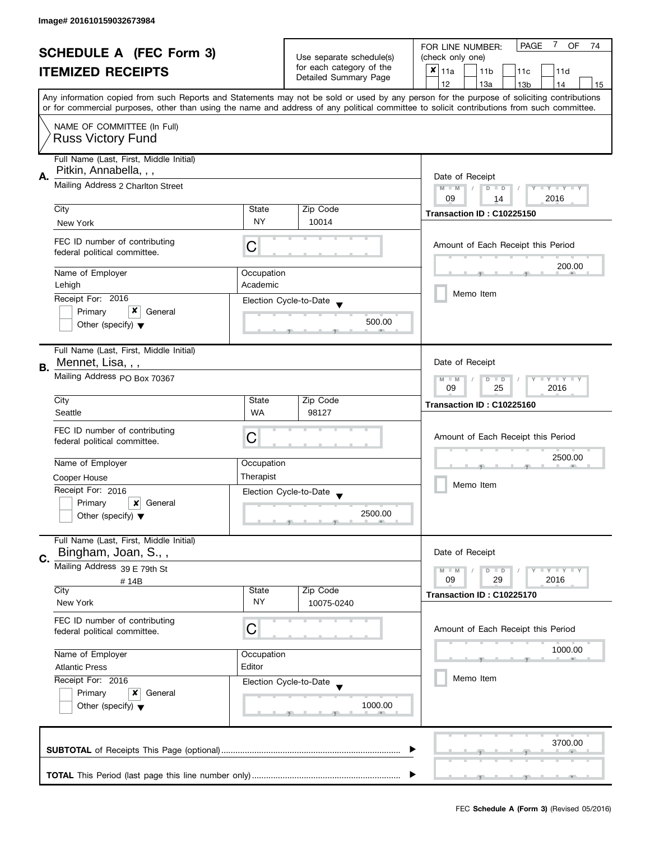| <b>SCHEDULE A (FEC Form 3)</b> |                                                               |                                                           | 7<br><b>PAGE</b><br>OF<br>FOR LINE NUMBER:<br>74 |                                                                                                                                            |  |  |
|--------------------------------|---------------------------------------------------------------|-----------------------------------------------------------|--------------------------------------------------|--------------------------------------------------------------------------------------------------------------------------------------------|--|--|
|                                |                                                               | Use separate schedule(s)<br>for each category of the      | (check only one)                                 |                                                                                                                                            |  |  |
|                                | <b>ITEMIZED RECEIPTS</b>                                      |                                                           | Detailed Summary Page                            | $x _{11a}$<br>11 <sub>b</sub><br>11c<br>11d                                                                                                |  |  |
|                                |                                                               |                                                           |                                                  | 12<br>13a<br>13 <sub>b</sub><br>15<br>14                                                                                                   |  |  |
|                                |                                                               |                                                           |                                                  | Any information copied from such Reports and Statements may not be sold or used by any person for the purpose of soliciting contributions  |  |  |
|                                |                                                               |                                                           |                                                  | or for commercial purposes, other than using the name and address of any political committee to solicit contributions from such committee. |  |  |
|                                | NAME OF COMMITTEE (In Full)                                   |                                                           |                                                  |                                                                                                                                            |  |  |
|                                | <b>Russ Victory Fund</b>                                      |                                                           |                                                  |                                                                                                                                            |  |  |
|                                |                                                               |                                                           |                                                  |                                                                                                                                            |  |  |
|                                | Full Name (Last, First, Middle Initial)                       |                                                           |                                                  |                                                                                                                                            |  |  |
| А.                             | Pitkin, Annabella, , ,                                        | Date of Receipt                                           |                                                  |                                                                                                                                            |  |  |
|                                | Mailing Address 2 Charlton Street                             | $M - M$<br>Y I Y I Y I Y<br>$\sqrt{2}$<br>$D$ $D$         |                                                  |                                                                                                                                            |  |  |
|                                |                                                               | 09<br>2016<br>14                                          |                                                  |                                                                                                                                            |  |  |
|                                | City                                                          | State                                                     | Zip Code                                         | Transaction ID: C10225150                                                                                                                  |  |  |
|                                | New York                                                      | <b>NY</b>                                                 | 10014                                            |                                                                                                                                            |  |  |
|                                |                                                               |                                                           |                                                  |                                                                                                                                            |  |  |
|                                | FEC ID number of contributing                                 | C                                                         |                                                  | Amount of Each Receipt this Period                                                                                                         |  |  |
|                                | federal political committee.                                  |                                                           |                                                  |                                                                                                                                            |  |  |
|                                | Name of Employer                                              | Occupation                                                |                                                  | 200.00                                                                                                                                     |  |  |
|                                | Lehigh                                                        | Academic                                                  |                                                  |                                                                                                                                            |  |  |
|                                | Receipt For: 2016                                             |                                                           | Election Cycle-to-Date                           | Memo Item                                                                                                                                  |  |  |
|                                | x<br>Primary<br>General                                       |                                                           |                                                  |                                                                                                                                            |  |  |
|                                | Other (specify) $\blacktriangledown$                          |                                                           | 500.00                                           |                                                                                                                                            |  |  |
|                                |                                                               |                                                           |                                                  |                                                                                                                                            |  |  |
|                                | Full Name (Last, First, Middle Initial)                       |                                                           |                                                  |                                                                                                                                            |  |  |
|                                | Mennet, Lisa, , ,                                             |                                                           |                                                  | Date of Receipt                                                                                                                            |  |  |
| В.                             | Mailing Address PO Box 70367                                  |                                                           |                                                  |                                                                                                                                            |  |  |
|                                |                                                               | $Y = Y + Y$<br>$M - M$<br>D<br>$\Box$<br>09<br>2016<br>25 |                                                  |                                                                                                                                            |  |  |
|                                | City                                                          | State                                                     | Zip Code                                         |                                                                                                                                            |  |  |
|                                | Seattle                                                       | <b>WA</b>                                                 | 98127                                            | Transaction ID: C10225160                                                                                                                  |  |  |
|                                |                                                               |                                                           |                                                  |                                                                                                                                            |  |  |
|                                | FEC ID number of contributing<br>federal political committee. | C                                                         | Amount of Each Receipt this Period               |                                                                                                                                            |  |  |
|                                |                                                               |                                                           |                                                  |                                                                                                                                            |  |  |
|                                | Name of Employer                                              | Occupation                                                |                                                  | 2500.00                                                                                                                                    |  |  |
|                                | Cooper House                                                  | Therapist                                                 |                                                  |                                                                                                                                            |  |  |
|                                | Receipt For: 2016                                             |                                                           | Election Cycle-to-Date                           | Memo Item                                                                                                                                  |  |  |
|                                | Primary<br>General<br>x                                       |                                                           |                                                  |                                                                                                                                            |  |  |
|                                | Other (specify) $\blacktriangledown$                          |                                                           | 2500.00                                          |                                                                                                                                            |  |  |
|                                |                                                               |                                                           |                                                  |                                                                                                                                            |  |  |
|                                | Full Name (Last, First, Middle Initial)                       |                                                           |                                                  |                                                                                                                                            |  |  |
| C.                             | Bingham, Joan, S.,,                                           |                                                           |                                                  | Date of Receipt                                                                                                                            |  |  |
|                                | Mailing Address 39 E 79th St                                  |                                                           |                                                  | $M - M$<br>$Y = Y + Y$<br>$D$ $D$                                                                                                          |  |  |
|                                | #14B                                                          |                                                           |                                                  | 09<br>2016<br>29                                                                                                                           |  |  |
|                                | City                                                          | State                                                     | Zip Code                                         | Transaction ID: C10225170                                                                                                                  |  |  |
|                                | New York                                                      | <b>NY</b>                                                 | 10075-0240                                       |                                                                                                                                            |  |  |
|                                | FEC ID number of contributing                                 |                                                           |                                                  |                                                                                                                                            |  |  |
|                                | federal political committee.                                  | С                                                         |                                                  | Amount of Each Receipt this Period                                                                                                         |  |  |
|                                |                                                               |                                                           |                                                  | 1000.00                                                                                                                                    |  |  |
| Name of Employer               |                                                               | Occupation                                                |                                                  |                                                                                                                                            |  |  |
|                                | <b>Atlantic Press</b>                                         | Editor                                                    |                                                  | Memo Item                                                                                                                                  |  |  |
|                                | Receipt For: 2016                                             |                                                           | Election Cycle-to-Date                           |                                                                                                                                            |  |  |
|                                | Primary<br>General<br>x                                       |                                                           |                                                  |                                                                                                                                            |  |  |
|                                | Other (specify) $\blacktriangledown$                          |                                                           | 1000.00                                          |                                                                                                                                            |  |  |
|                                |                                                               |                                                           |                                                  |                                                                                                                                            |  |  |
|                                |                                                               |                                                           |                                                  | 3700.00                                                                                                                                    |  |  |
|                                |                                                               |                                                           |                                                  |                                                                                                                                            |  |  |
|                                |                                                               |                                                           |                                                  |                                                                                                                                            |  |  |
|                                |                                                               |                                                           |                                                  |                                                                                                                                            |  |  |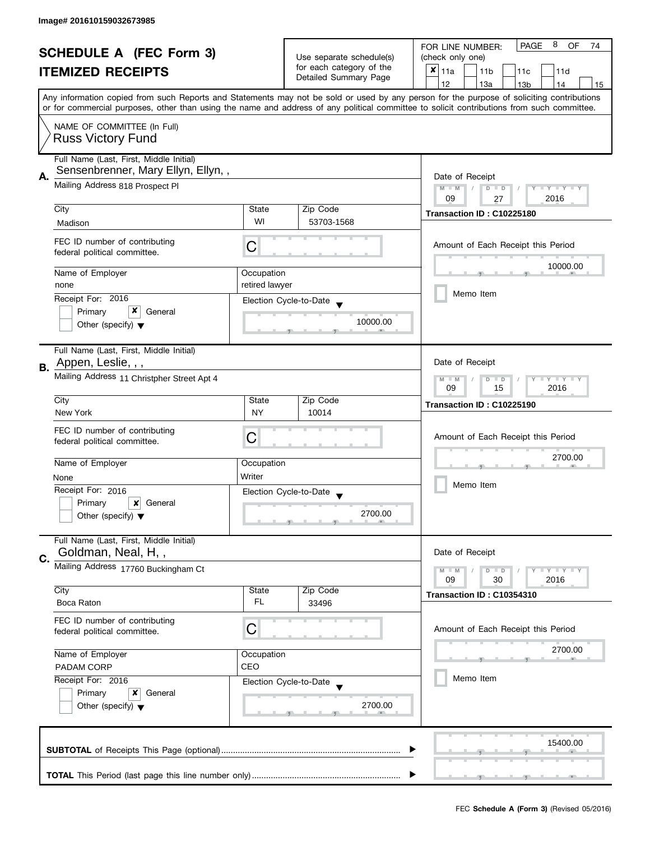| <b>SCHEDULE A (FEC Form 3)</b> |                                                               | Use separate schedule(s)<br>for each category of the                  | 8<br><b>PAGE</b><br><b>OF</b><br>FOR LINE NUMBER:<br>74<br>(check only one) |                                                                                                                                                                                                                                                                                         |  |
|--------------------------------|---------------------------------------------------------------|-----------------------------------------------------------------------|-----------------------------------------------------------------------------|-----------------------------------------------------------------------------------------------------------------------------------------------------------------------------------------------------------------------------------------------------------------------------------------|--|
|                                |                                                               |                                                                       |                                                                             |                                                                                                                                                                                                                                                                                         |  |
|                                | <b>ITEMIZED RECEIPTS</b>                                      |                                                                       | Detailed Summary Page                                                       | $x _{11a}$<br>11 <sub>b</sub><br>11c<br>11d                                                                                                                                                                                                                                             |  |
|                                |                                                               |                                                                       |                                                                             | 12<br>13a<br>13 <sub>b</sub><br>14<br>15                                                                                                                                                                                                                                                |  |
|                                |                                                               |                                                                       |                                                                             | Any information copied from such Reports and Statements may not be sold or used by any person for the purpose of soliciting contributions<br>or for commercial purposes, other than using the name and address of any political committee to solicit contributions from such committee. |  |
|                                |                                                               |                                                                       |                                                                             |                                                                                                                                                                                                                                                                                         |  |
|                                | NAME OF COMMITTEE (In Full)<br><b>Russ Victory Fund</b>       |                                                                       |                                                                             |                                                                                                                                                                                                                                                                                         |  |
|                                | Full Name (Last, First, Middle Initial)                       |                                                                       |                                                                             |                                                                                                                                                                                                                                                                                         |  |
| А.                             | Sensenbrenner, Mary Ellyn, Ellyn,,                            | Date of Receipt                                                       |                                                                             |                                                                                                                                                                                                                                                                                         |  |
|                                | Mailing Address 818 Prospect Pl                               | $M - M$<br>$\sqrt{2}$<br>$D$ $D$<br>Y I Y I Y I Y<br>09<br>2016<br>27 |                                                                             |                                                                                                                                                                                                                                                                                         |  |
|                                | City                                                          | State                                                                 | Zip Code                                                                    |                                                                                                                                                                                                                                                                                         |  |
|                                | Madison                                                       | WI                                                                    | 53703-1568                                                                  | Transaction ID: C10225180                                                                                                                                                                                                                                                               |  |
|                                |                                                               |                                                                       |                                                                             |                                                                                                                                                                                                                                                                                         |  |
|                                | FEC ID number of contributing<br>federal political committee. | С                                                                     |                                                                             | Amount of Each Receipt this Period                                                                                                                                                                                                                                                      |  |
|                                | Name of Employer                                              | Occupation                                                            |                                                                             | 10000.00                                                                                                                                                                                                                                                                                |  |
|                                | none                                                          | retired lawyer                                                        |                                                                             |                                                                                                                                                                                                                                                                                         |  |
|                                | Receipt For: 2016                                             |                                                                       | Election Cycle-to-Date                                                      | Memo Item                                                                                                                                                                                                                                                                               |  |
|                                | x<br>Primary<br>General                                       |                                                                       |                                                                             |                                                                                                                                                                                                                                                                                         |  |
|                                | Other (specify) $\blacktriangledown$                          |                                                                       | 10000.00                                                                    |                                                                                                                                                                                                                                                                                         |  |
|                                | Full Name (Last, First, Middle Initial)                       |                                                                       |                                                                             |                                                                                                                                                                                                                                                                                         |  |
| В.                             | Appen, Leslie, , ,                                            |                                                                       |                                                                             | Date of Receipt                                                                                                                                                                                                                                                                         |  |
|                                | Mailing Address 11 Christpher Street Apt 4                    | $Y = Y + Y$<br>$M - M$<br>D<br>$\Box$<br>2016<br>09<br>15             |                                                                             |                                                                                                                                                                                                                                                                                         |  |
|                                | City                                                          | State                                                                 | Zip Code                                                                    | Transaction ID: C10225190                                                                                                                                                                                                                                                               |  |
|                                | New York                                                      | <b>NY</b>                                                             | 10014                                                                       |                                                                                                                                                                                                                                                                                         |  |
|                                | FEC ID number of contributing                                 |                                                                       |                                                                             |                                                                                                                                                                                                                                                                                         |  |
|                                | federal political committee.                                  | С                                                                     |                                                                             | Amount of Each Receipt this Period                                                                                                                                                                                                                                                      |  |
|                                |                                                               |                                                                       |                                                                             | 2700.00                                                                                                                                                                                                                                                                                 |  |
|                                | Name of Employer                                              | Occupation                                                            |                                                                             |                                                                                                                                                                                                                                                                                         |  |
|                                | None                                                          | Writer                                                                |                                                                             |                                                                                                                                                                                                                                                                                         |  |
|                                | Receipt For: 2016                                             |                                                                       | Election Cycle-to-Date                                                      | Memo Item                                                                                                                                                                                                                                                                               |  |
|                                | Primary<br>×<br>General                                       |                                                                       |                                                                             |                                                                                                                                                                                                                                                                                         |  |
|                                | Other (specify) $\blacktriangledown$                          |                                                                       | 2700.00                                                                     |                                                                                                                                                                                                                                                                                         |  |
|                                | Full Name (Last, First, Middle Initial)<br>Goldman, Neal, H,, |                                                                       |                                                                             | Date of Receipt                                                                                                                                                                                                                                                                         |  |
| C.                             | Mailing Address 17760 Buckingham Ct                           |                                                                       |                                                                             |                                                                                                                                                                                                                                                                                         |  |
|                                |                                                               |                                                                       |                                                                             | $M - M$<br>$Y + Y + Y$<br>$D$ $D$<br>09<br>30<br>2016                                                                                                                                                                                                                                   |  |
|                                | City                                                          | State                                                                 | Zip Code                                                                    | Transaction ID: C10354310                                                                                                                                                                                                                                                               |  |
|                                | Boca Raton                                                    | FL.                                                                   | 33496                                                                       |                                                                                                                                                                                                                                                                                         |  |
|                                | FEC ID number of contributing<br>federal political committee. | C                                                                     |                                                                             | Amount of Each Receipt this Period                                                                                                                                                                                                                                                      |  |
|                                |                                                               |                                                                       |                                                                             | 2700.00                                                                                                                                                                                                                                                                                 |  |
| Name of Employer               |                                                               | Occupation                                                            |                                                                             |                                                                                                                                                                                                                                                                                         |  |
|                                | CEO<br><b>PADAM CORP</b>                                      |                                                                       |                                                                             |                                                                                                                                                                                                                                                                                         |  |
| Receipt For: 2016              |                                                               | Election Cycle-to-Date                                                | Memo Item                                                                   |                                                                                                                                                                                                                                                                                         |  |
|                                | Primary<br>x<br>General                                       |                                                                       |                                                                             |                                                                                                                                                                                                                                                                                         |  |
|                                | Other (specify) $\blacktriangledown$                          |                                                                       | 2700.00                                                                     |                                                                                                                                                                                                                                                                                         |  |
|                                |                                                               |                                                                       |                                                                             | 15400.00                                                                                                                                                                                                                                                                                |  |
|                                |                                                               |                                                                       |                                                                             |                                                                                                                                                                                                                                                                                         |  |
|                                |                                                               |                                                                       |                                                                             |                                                                                                                                                                                                                                                                                         |  |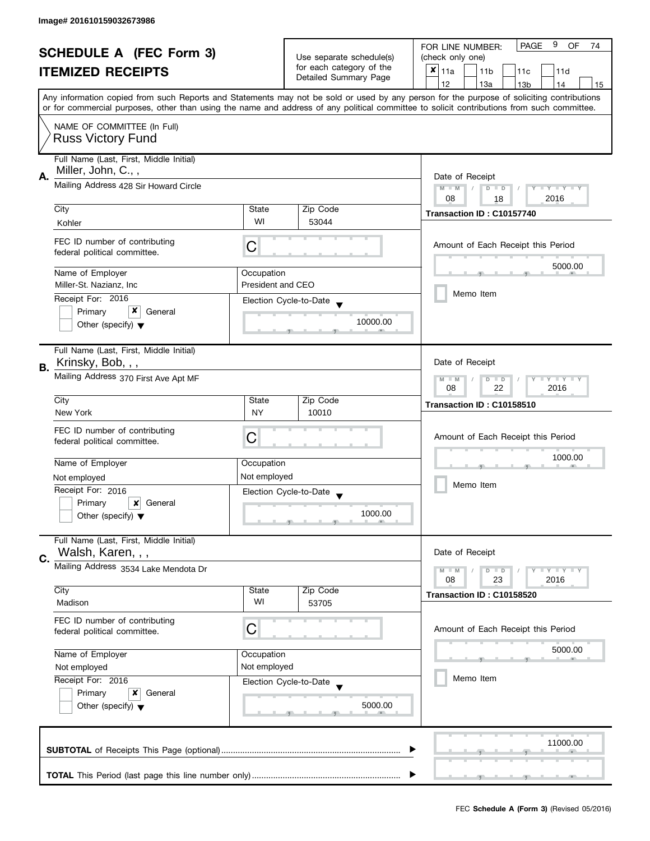| <b>SCHEDULE A (FEC Form 3)</b><br><b>ITEMIZED RECEIPTS</b> |                                                                                     | Use separate schedule(s)                                  | 9<br><b>PAGE</b><br><b>OF</b><br>FOR LINE NUMBER:<br>74 |                                                                                                                                            |  |  |
|------------------------------------------------------------|-------------------------------------------------------------------------------------|-----------------------------------------------------------|---------------------------------------------------------|--------------------------------------------------------------------------------------------------------------------------------------------|--|--|
|                                                            |                                                                                     |                                                           | (check only one)                                        |                                                                                                                                            |  |  |
|                                                            |                                                                                     | for each category of the<br>Detailed Summary Page         | $x _{11a}$<br>11 <sub>b</sub><br>11c<br>11d             |                                                                                                                                            |  |  |
|                                                            |                                                                                     |                                                           |                                                         | 12<br>13a<br>13 <sub>b</sub><br>14<br>15                                                                                                   |  |  |
|                                                            |                                                                                     |                                                           |                                                         | Any information copied from such Reports and Statements may not be sold or used by any person for the purpose of soliciting contributions  |  |  |
|                                                            |                                                                                     |                                                           |                                                         | or for commercial purposes, other than using the name and address of any political committee to solicit contributions from such committee. |  |  |
|                                                            | NAME OF COMMITTEE (In Full)                                                         |                                                           |                                                         |                                                                                                                                            |  |  |
|                                                            | <b>Russ Victory Fund</b>                                                            |                                                           |                                                         |                                                                                                                                            |  |  |
|                                                            |                                                                                     |                                                           |                                                         |                                                                                                                                            |  |  |
|                                                            | Full Name (Last, First, Middle Initial)                                             |                                                           |                                                         |                                                                                                                                            |  |  |
| А.                                                         | Miller, John, C.,,                                                                  |                                                           |                                                         | Date of Receipt                                                                                                                            |  |  |
|                                                            | Mailing Address 428 Sir Howard Circle                                               | $M - M$<br>$\sqrt{2}$<br>$D$ $D$<br>Y I Y I Y I Y         |                                                         |                                                                                                                                            |  |  |
|                                                            |                                                                                     | 08<br>2016<br>18                                          |                                                         |                                                                                                                                            |  |  |
|                                                            | City                                                                                | State<br>WI                                               | Zip Code                                                | Transaction ID: C10157740                                                                                                                  |  |  |
|                                                            | Kohler                                                                              |                                                           | 53044                                                   |                                                                                                                                            |  |  |
|                                                            | FEC ID number of contributing                                                       |                                                           |                                                         | Amount of Each Receipt this Period                                                                                                         |  |  |
|                                                            | federal political committee.                                                        | С                                                         |                                                         |                                                                                                                                            |  |  |
|                                                            |                                                                                     |                                                           |                                                         | 5000.00                                                                                                                                    |  |  |
|                                                            | Name of Employer<br>Miller-St. Nazianz. Inc.                                        | Occupation<br><b>President and CEO</b>                    |                                                         |                                                                                                                                            |  |  |
|                                                            |                                                                                     |                                                           |                                                         | Memo Item                                                                                                                                  |  |  |
|                                                            | Receipt For: 2016<br>x                                                              |                                                           | Election Cycle-to-Date                                  |                                                                                                                                            |  |  |
|                                                            | Primary<br>General<br>Other (specify) $\blacktriangledown$                          |                                                           | 10000.00                                                |                                                                                                                                            |  |  |
|                                                            |                                                                                     |                                                           |                                                         |                                                                                                                                            |  |  |
|                                                            | Full Name (Last, First, Middle Initial)                                             |                                                           |                                                         |                                                                                                                                            |  |  |
|                                                            | Krinsky, Bob, , ,                                                                   |                                                           |                                                         | Date of Receipt                                                                                                                            |  |  |
| В.                                                         |                                                                                     |                                                           |                                                         |                                                                                                                                            |  |  |
|                                                            | Mailing Address 370 First Ave Apt MF                                                | $Y = Y + Y$<br>$M - M$<br>D<br>$\Box$<br>2016<br>08<br>22 |                                                         |                                                                                                                                            |  |  |
|                                                            | City                                                                                | Zip Code<br>State                                         |                                                         |                                                                                                                                            |  |  |
|                                                            | New York                                                                            | <b>NY</b>                                                 | 10010                                                   | Transaction ID: C10158510                                                                                                                  |  |  |
|                                                            |                                                                                     |                                                           |                                                         |                                                                                                                                            |  |  |
|                                                            | FEC ID number of contributing<br>federal political committee.                       | С                                                         |                                                         | Amount of Each Receipt this Period                                                                                                         |  |  |
|                                                            |                                                                                     |                                                           |                                                         |                                                                                                                                            |  |  |
|                                                            | Name of Employer                                                                    | Occupation                                                |                                                         | 1000.00                                                                                                                                    |  |  |
|                                                            | Not employed                                                                        | Not employed                                              |                                                         |                                                                                                                                            |  |  |
|                                                            | Receipt For: 2016                                                                   |                                                           | Election Cycle-to-Date                                  | Memo Item                                                                                                                                  |  |  |
|                                                            | Primary<br>×<br>General                                                             |                                                           |                                                         |                                                                                                                                            |  |  |
|                                                            | Other (specify) $\blacktriangledown$                                                |                                                           | 1000.00                                                 |                                                                                                                                            |  |  |
|                                                            |                                                                                     |                                                           |                                                         |                                                                                                                                            |  |  |
|                                                            | Full Name (Last, First, Middle Initial)                                             |                                                           |                                                         |                                                                                                                                            |  |  |
| C.                                                         | Walsh, Karen, , ,                                                                   |                                                           |                                                         | Date of Receipt                                                                                                                            |  |  |
|                                                            | Mailing Address 3534 Lake Mendota Dr                                                |                                                           |                                                         | $M - M$<br>$\bot$ $\gamma$ $\bot$ $\gamma$ $\bot$ $\gamma$<br>D<br>$\blacksquare$                                                          |  |  |
|                                                            |                                                                                     |                                                           |                                                         | 08<br>23<br>2016                                                                                                                           |  |  |
|                                                            | City<br>Madison                                                                     | State<br>WI                                               | Zip Code<br>53705                                       | Transaction ID: C10158520                                                                                                                  |  |  |
|                                                            |                                                                                     |                                                           |                                                         |                                                                                                                                            |  |  |
|                                                            | FEC ID number of contributing                                                       | C                                                         |                                                         | Amount of Each Receipt this Period                                                                                                         |  |  |
|                                                            | federal political committee.                                                        |                                                           |                                                         |                                                                                                                                            |  |  |
|                                                            | Name of Employer<br>Occupation<br>Not employed<br>Not employed<br>Receipt For: 2016 |                                                           |                                                         | 5000.00                                                                                                                                    |  |  |
|                                                            |                                                                                     |                                                           |                                                         |                                                                                                                                            |  |  |
|                                                            |                                                                                     |                                                           | Election Cycle-to-Date                                  | Memo Item                                                                                                                                  |  |  |
|                                                            | Primary<br>x<br>General                                                             |                                                           |                                                         |                                                                                                                                            |  |  |
|                                                            | Other (specify) $\blacktriangledown$                                                |                                                           | 5000.00                                                 |                                                                                                                                            |  |  |
|                                                            |                                                                                     |                                                           |                                                         |                                                                                                                                            |  |  |
|                                                            |                                                                                     |                                                           |                                                         |                                                                                                                                            |  |  |
|                                                            |                                                                                     |                                                           |                                                         | 11000.00                                                                                                                                   |  |  |
|                                                            |                                                                                     |                                                           |                                                         |                                                                                                                                            |  |  |
|                                                            |                                                                                     |                                                           |                                                         |                                                                                                                                            |  |  |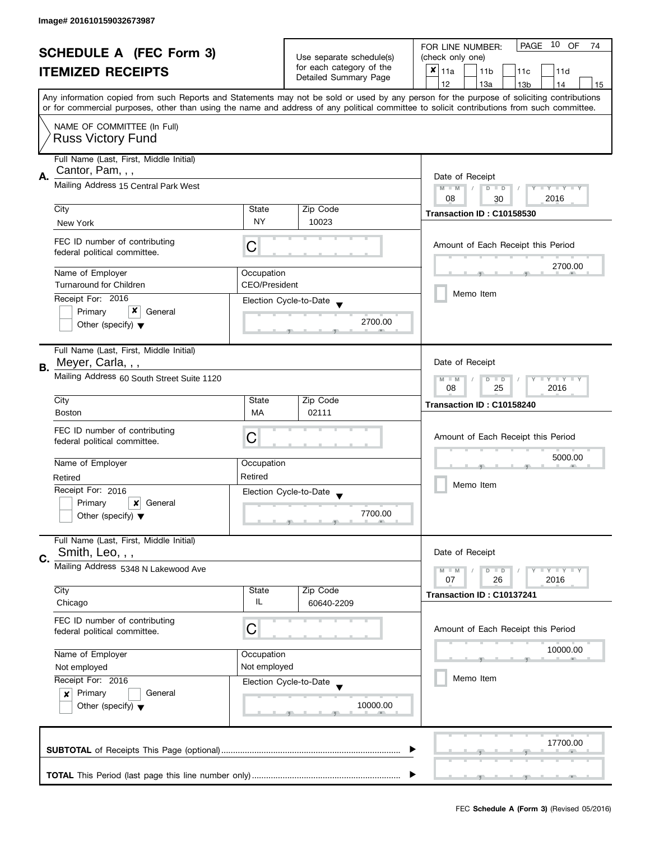| <b>SCHEDULE A (FEC Form 3)</b> |                                                                                |                                    |                          | PAGE 10 OF<br>FOR LINE NUMBER:<br>74                                                                                                       |  |  |
|--------------------------------|--------------------------------------------------------------------------------|------------------------------------|--------------------------|--------------------------------------------------------------------------------------------------------------------------------------------|--|--|
| <b>ITEMIZED RECEIPTS</b>       |                                                                                | Use separate schedule(s)           | (check only one)         |                                                                                                                                            |  |  |
|                                |                                                                                |                                    | for each category of the | $x _{11a}$<br>11 <sub>b</sub><br>11c<br>11d                                                                                                |  |  |
|                                |                                                                                |                                    | Detailed Summary Page    | 12<br>13a<br>14<br>13 <sub>b</sub><br>15                                                                                                   |  |  |
|                                |                                                                                |                                    |                          | Any information copied from such Reports and Statements may not be sold or used by any person for the purpose of soliciting contributions  |  |  |
|                                |                                                                                |                                    |                          | or for commercial purposes, other than using the name and address of any political committee to solicit contributions from such committee. |  |  |
|                                | NAME OF COMMITTEE (In Full)                                                    |                                    |                          |                                                                                                                                            |  |  |
|                                | <b>Russ Victory Fund</b>                                                       |                                    |                          |                                                                                                                                            |  |  |
|                                | Full Name (Last, First, Middle Initial)                                        |                                    |                          |                                                                                                                                            |  |  |
|                                | Cantor, Pam, , ,                                                               |                                    |                          |                                                                                                                                            |  |  |
| А.                             | Mailing Address 15 Central Park West                                           |                                    |                          | Date of Receipt<br>$M - M$<br>$D$ $D$<br>Y I Y I Y I Y                                                                                     |  |  |
|                                |                                                                                |                                    |                          | 08<br>2016<br>30                                                                                                                           |  |  |
|                                | City                                                                           | State                              | Zip Code                 | Transaction ID: C10158530                                                                                                                  |  |  |
|                                | New York                                                                       | <b>NY</b>                          | 10023                    |                                                                                                                                            |  |  |
|                                | FEC ID number of contributing                                                  |                                    |                          |                                                                                                                                            |  |  |
|                                | federal political committee.                                                   | C                                  |                          | Amount of Each Receipt this Period                                                                                                         |  |  |
|                                |                                                                                |                                    |                          | 2700.00                                                                                                                                    |  |  |
|                                | Name of Employer<br><b>Turnaround for Children</b>                             | Occupation<br><b>CEO/President</b> |                          |                                                                                                                                            |  |  |
|                                |                                                                                |                                    |                          | Memo Item                                                                                                                                  |  |  |
|                                | Receipt For: 2016<br>x<br>Primary<br>General                                   |                                    | Election Cycle-to-Date   |                                                                                                                                            |  |  |
|                                | Other (specify) $\blacktriangledown$                                           |                                    | 2700.00                  |                                                                                                                                            |  |  |
|                                |                                                                                |                                    |                          |                                                                                                                                            |  |  |
|                                | Full Name (Last, First, Middle Initial)                                        |                                    |                          |                                                                                                                                            |  |  |
| В.                             | Meyer, Carla, , ,                                                              |                                    |                          | Date of Receipt                                                                                                                            |  |  |
|                                | Mailing Address 60 South Street Suite 1120                                     |                                    |                          | Y LY LY<br>$M - M$<br>$D$ $D$                                                                                                              |  |  |
|                                |                                                                                | 25<br>2016<br>08                   |                          |                                                                                                                                            |  |  |
|                                | City                                                                           | State                              | Zip Code                 | Transaction ID: C10158240                                                                                                                  |  |  |
|                                | <b>Boston</b>                                                                  | <b>MA</b>                          | 02111                    |                                                                                                                                            |  |  |
|                                | FEC ID number of contributing                                                  |                                    |                          | Amount of Each Receipt this Period                                                                                                         |  |  |
|                                | federal political committee.                                                   | С                                  |                          |                                                                                                                                            |  |  |
|                                | Name of Employer                                                               | Occupation                         |                          | 5000.00                                                                                                                                    |  |  |
|                                | Retired                                                                        | Retired                            |                          |                                                                                                                                            |  |  |
|                                | Receipt For: 2016                                                              |                                    | Election Cycle-to-Date   | Memo Item                                                                                                                                  |  |  |
|                                | Primary<br>×<br>General                                                        |                                    |                          |                                                                                                                                            |  |  |
|                                | Other (specify) $\blacktriangledown$                                           |                                    | 7700.00                  |                                                                                                                                            |  |  |
|                                |                                                                                |                                    |                          |                                                                                                                                            |  |  |
|                                | Full Name (Last, First, Middle Initial)                                        |                                    |                          |                                                                                                                                            |  |  |
| C.                             | Smith, Leo, , ,                                                                |                                    |                          | Date of Receipt                                                                                                                            |  |  |
|                                | Mailing Address 5348 N Lakewood Ave                                            |                                    |                          | $M - M$<br>$Y \perp Y \perp Y$<br>$D$ $D$<br>07<br>26<br>2016                                                                              |  |  |
|                                | City                                                                           | State                              | Zip Code                 |                                                                                                                                            |  |  |
|                                | Chicago                                                                        | IL                                 | 60640-2209               | Transaction ID: C10137241                                                                                                                  |  |  |
|                                | FEC ID number of contributing                                                  |                                    |                          |                                                                                                                                            |  |  |
|                                | federal political committee.                                                   | C                                  |                          | Amount of Each Receipt this Period                                                                                                         |  |  |
|                                |                                                                                |                                    |                          | 10000.00                                                                                                                                   |  |  |
|                                | Name of Employer                                                               | Occupation                         |                          |                                                                                                                                            |  |  |
|                                | Not employed                                                                   | Not employed                       |                          | Memo Item                                                                                                                                  |  |  |
|                                | Receipt For: 2016                                                              |                                    | Election Cycle-to-Date   |                                                                                                                                            |  |  |
|                                | Primary<br>General<br>$\boldsymbol{x}$<br>Other (specify) $\blacktriangledown$ |                                    | 10000.00                 |                                                                                                                                            |  |  |
|                                |                                                                                |                                    |                          |                                                                                                                                            |  |  |
|                                |                                                                                |                                    |                          |                                                                                                                                            |  |  |
|                                |                                                                                |                                    |                          | 17700.00                                                                                                                                   |  |  |
|                                |                                                                                |                                    |                          |                                                                                                                                            |  |  |
|                                |                                                                                |                                    |                          |                                                                                                                                            |  |  |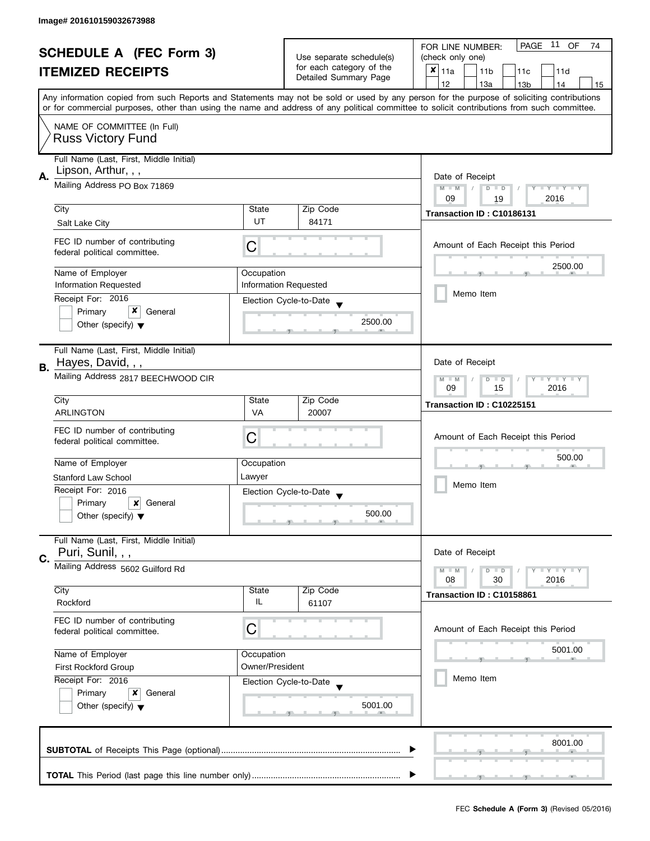| <b>SCHEDULE A (FEC Form 3)</b> |                                                                |                                                         |                                                   | 11 OF<br>PAGE<br>FOR LINE NUMBER:<br>74                                                                                                                                                                                                                                                 |  |  |
|--------------------------------|----------------------------------------------------------------|---------------------------------------------------------|---------------------------------------------------|-----------------------------------------------------------------------------------------------------------------------------------------------------------------------------------------------------------------------------------------------------------------------------------------|--|--|
| <b>ITEMIZED RECEIPTS</b>       |                                                                | Use separate schedule(s)                                | (check only one)                                  |                                                                                                                                                                                                                                                                                         |  |  |
|                                |                                                                |                                                         | for each category of the<br>Detailed Summary Page | $\boldsymbol{x}$<br>11a<br>11 <sub>b</sub><br>11c<br>11d                                                                                                                                                                                                                                |  |  |
|                                |                                                                |                                                         |                                                   | 12<br>13a<br>13 <sub>b</sub><br>14<br>15                                                                                                                                                                                                                                                |  |  |
|                                |                                                                |                                                         |                                                   | Any information copied from such Reports and Statements may not be sold or used by any person for the purpose of soliciting contributions<br>or for commercial purposes, other than using the name and address of any political committee to solicit contributions from such committee. |  |  |
|                                |                                                                |                                                         |                                                   |                                                                                                                                                                                                                                                                                         |  |  |
|                                | NAME OF COMMITTEE (In Full)<br><b>Russ Victory Fund</b>        |                                                         |                                                   |                                                                                                                                                                                                                                                                                         |  |  |
|                                | Full Name (Last, First, Middle Initial)<br>Lipson, Arthur, , , |                                                         |                                                   |                                                                                                                                                                                                                                                                                         |  |  |
| А.                             | Mailing Address PO Box 71869                                   |                                                         |                                                   | Date of Receipt                                                                                                                                                                                                                                                                         |  |  |
|                                |                                                                |                                                         |                                                   | $M - M$<br>Y I Y I Y I Y<br>$D$ $D$<br>2016<br>09<br>19                                                                                                                                                                                                                                 |  |  |
|                                | City                                                           | State                                                   | Zip Code                                          |                                                                                                                                                                                                                                                                                         |  |  |
|                                | Salt Lake City                                                 | UT                                                      | 84171                                             | Transaction ID: C10186131                                                                                                                                                                                                                                                               |  |  |
|                                |                                                                |                                                         |                                                   |                                                                                                                                                                                                                                                                                         |  |  |
|                                | FEC ID number of contributing<br>federal political committee.  | C                                                       |                                                   | Amount of Each Receipt this Period                                                                                                                                                                                                                                                      |  |  |
|                                | Name of Employer                                               | Occupation                                              |                                                   | 2500.00                                                                                                                                                                                                                                                                                 |  |  |
|                                | <b>Information Requested</b>                                   | <b>Information Requested</b>                            |                                                   |                                                                                                                                                                                                                                                                                         |  |  |
|                                | Receipt For: 2016                                              |                                                         | Election Cycle-to-Date                            | Memo Item                                                                                                                                                                                                                                                                               |  |  |
|                                | x<br>Primary<br>General                                        |                                                         |                                                   |                                                                                                                                                                                                                                                                                         |  |  |
|                                | Other (specify) $\blacktriangledown$                           |                                                         | 2500.00                                           |                                                                                                                                                                                                                                                                                         |  |  |
|                                | Full Name (Last, First, Middle Initial)                        |                                                         |                                                   |                                                                                                                                                                                                                                                                                         |  |  |
| В.                             | Hayes, David, , ,                                              |                                                         |                                                   | Date of Receipt                                                                                                                                                                                                                                                                         |  |  |
|                                | Mailing Address 2817 BEECHWOOD CIR                             | <b>LYLYLY</b><br>$M - M$<br>$D$ $D$<br>15<br>2016<br>09 |                                                   |                                                                                                                                                                                                                                                                                         |  |  |
|                                | City                                                           | State                                                   | Zip Code                                          | Transaction ID: C10225151                                                                                                                                                                                                                                                               |  |  |
|                                | <b>ARLINGTON</b>                                               | VA                                                      | 20007                                             |                                                                                                                                                                                                                                                                                         |  |  |
|                                | FEC ID number of contributing                                  |                                                         |                                                   |                                                                                                                                                                                                                                                                                         |  |  |
|                                | federal political committee.                                   | C                                                       |                                                   | Amount of Each Receipt this Period                                                                                                                                                                                                                                                      |  |  |
|                                |                                                                |                                                         |                                                   | 500.00                                                                                                                                                                                                                                                                                  |  |  |
|                                | Name of Employer                                               | Occupation                                              |                                                   |                                                                                                                                                                                                                                                                                         |  |  |
|                                | <b>Stanford Law School</b>                                     | Lawyer                                                  |                                                   | Memo Item                                                                                                                                                                                                                                                                               |  |  |
|                                | Receipt For: 2016                                              |                                                         | Election Cycle-to-Date<br>$\overline{\mathbf{v}}$ |                                                                                                                                                                                                                                                                                         |  |  |
|                                | Primary<br>×<br>General                                        |                                                         | 500.00                                            |                                                                                                                                                                                                                                                                                         |  |  |
|                                | Other (specify) $\blacktriangledown$                           |                                                         |                                                   |                                                                                                                                                                                                                                                                                         |  |  |
|                                | Full Name (Last, First, Middle Initial)                        |                                                         |                                                   |                                                                                                                                                                                                                                                                                         |  |  |
| C.                             | Puri, Sunil, , ,                                               |                                                         |                                                   | Date of Receipt                                                                                                                                                                                                                                                                         |  |  |
|                                | Mailing Address 5602 Guilford Rd                               |                                                         |                                                   | <b>LYLYLY</b><br>$M - M$<br>$D$ $D$                                                                                                                                                                                                                                                     |  |  |
|                                | City                                                           | State                                                   | Zip Code                                          | 08<br>30<br>2016                                                                                                                                                                                                                                                                        |  |  |
|                                | Rockford                                                       | IL                                                      | 61107                                             | Transaction ID: C10158861                                                                                                                                                                                                                                                               |  |  |
|                                | FEC ID number of contributing                                  |                                                         |                                                   |                                                                                                                                                                                                                                                                                         |  |  |
|                                | federal political committee.                                   | C                                                       |                                                   | Amount of Each Receipt this Period                                                                                                                                                                                                                                                      |  |  |
|                                | Name of Employer                                               | Occupation                                              |                                                   | 5001.00                                                                                                                                                                                                                                                                                 |  |  |
|                                | <b>First Rockford Group</b>                                    | Owner/President                                         |                                                   |                                                                                                                                                                                                                                                                                         |  |  |
|                                | Receipt For: 2016                                              |                                                         | Election Cycle-to-Date                            | Memo Item                                                                                                                                                                                                                                                                               |  |  |
|                                | Primary<br>x<br>General                                        |                                                         |                                                   |                                                                                                                                                                                                                                                                                         |  |  |
|                                | Other (specify) $\blacktriangledown$                           |                                                         | 5001.00                                           |                                                                                                                                                                                                                                                                                         |  |  |
|                                |                                                                |                                                         |                                                   |                                                                                                                                                                                                                                                                                         |  |  |
|                                |                                                                |                                                         |                                                   | 8001.00                                                                                                                                                                                                                                                                                 |  |  |
|                                |                                                                |                                                         |                                                   |                                                                                                                                                                                                                                                                                         |  |  |
|                                |                                                                |                                                         |                                                   |                                                                                                                                                                                                                                                                                         |  |  |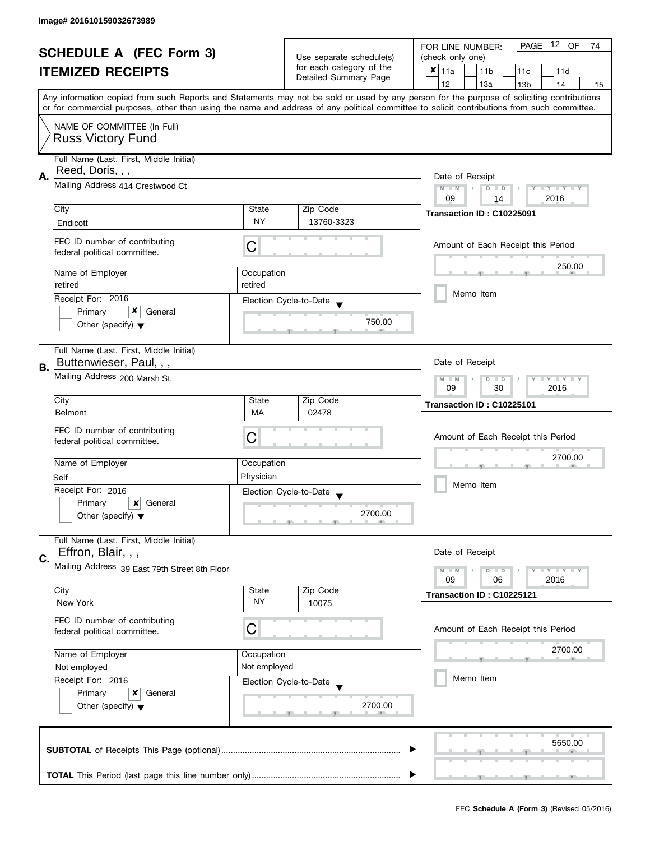| <b>SCHEDULE A (FEC Form 3)</b> |                                                                 |                                                      |                        | 12 OF<br>PAGE<br>FOR LINE NUMBER:<br>74                                                                                                                                                                                                                                                 |  |  |
|--------------------------------|-----------------------------------------------------------------|------------------------------------------------------|------------------------|-----------------------------------------------------------------------------------------------------------------------------------------------------------------------------------------------------------------------------------------------------------------------------------------|--|--|
| <b>ITEMIZED RECEIPTS</b>       |                                                                 | Use separate schedule(s)<br>for each category of the | (check only one)       |                                                                                                                                                                                                                                                                                         |  |  |
|                                |                                                                 |                                                      | Detailed Summary Page  | $x _{11a}$<br>11 <sub>b</sub><br>11 <sub>c</sub><br>11d                                                                                                                                                                                                                                 |  |  |
|                                |                                                                 |                                                      |                        | 12<br>13a<br>13 <sub>b</sub><br>14<br>15                                                                                                                                                                                                                                                |  |  |
|                                |                                                                 |                                                      |                        | Any information copied from such Reports and Statements may not be sold or used by any person for the purpose of soliciting contributions<br>or for commercial purposes, other than using the name and address of any political committee to solicit contributions from such committee. |  |  |
|                                | NAME OF COMMITTEE (In Full)<br><b>Russ Victory Fund</b>         |                                                      |                        |                                                                                                                                                                                                                                                                                         |  |  |
|                                |                                                                 |                                                      |                        |                                                                                                                                                                                                                                                                                         |  |  |
|                                | Full Name (Last, First, Middle Initial)<br>Reed, Doris, , ,     |                                                      |                        |                                                                                                                                                                                                                                                                                         |  |  |
| Α.                             | Mailing Address 414 Crestwood Ct                                |                                                      |                        | Date of Receipt                                                                                                                                                                                                                                                                         |  |  |
|                                |                                                                 |                                                      |                        | $M - M$<br>$Y - Y - Y - Y - Y$<br>$D$ $D$<br>09<br>2016<br>14                                                                                                                                                                                                                           |  |  |
|                                | City                                                            | State                                                | Zip Code               | Transaction ID: C10225091                                                                                                                                                                                                                                                               |  |  |
|                                | Endicott                                                        | <b>NY</b>                                            | 13760-3323             |                                                                                                                                                                                                                                                                                         |  |  |
|                                |                                                                 |                                                      |                        |                                                                                                                                                                                                                                                                                         |  |  |
|                                | FEC ID number of contributing<br>federal political committee.   | C                                                    |                        | Amount of Each Receipt this Period                                                                                                                                                                                                                                                      |  |  |
|                                | Name of Employer                                                | Occupation                                           |                        | 250.00                                                                                                                                                                                                                                                                                  |  |  |
|                                | retired                                                         | retired                                              |                        | Memo Item                                                                                                                                                                                                                                                                               |  |  |
|                                | Receipt For: 2016                                               |                                                      | Election Cycle-to-Date |                                                                                                                                                                                                                                                                                         |  |  |
|                                | x<br>Primary<br>General                                         |                                                      | 750.00                 |                                                                                                                                                                                                                                                                                         |  |  |
|                                | Other (specify) $\blacktriangledown$                            |                                                      |                        |                                                                                                                                                                                                                                                                                         |  |  |
|                                | Full Name (Last, First, Middle Initial)                         |                                                      |                        |                                                                                                                                                                                                                                                                                         |  |  |
| В.                             | Buttenwieser, Paul, , ,                                         |                                                      |                        | Date of Receipt                                                                                                                                                                                                                                                                         |  |  |
|                                | Mailing Address 200 Marsh St.                                   |                                                      |                        | $Y = Y + Y$<br>$M - M$<br>$D$ $D$<br>09<br>30<br>2016                                                                                                                                                                                                                                   |  |  |
|                                | City                                                            | State                                                | Zip Code               | Transaction ID: C10225101                                                                                                                                                                                                                                                               |  |  |
|                                | <b>Belmont</b>                                                  | MA                                                   | 02478                  |                                                                                                                                                                                                                                                                                         |  |  |
|                                | FEC ID number of contributing                                   |                                                      |                        |                                                                                                                                                                                                                                                                                         |  |  |
|                                | federal political committee.                                    | C                                                    |                        | Amount of Each Receipt this Period                                                                                                                                                                                                                                                      |  |  |
|                                | Name of Employer                                                | Occupation                                           |                        | 2700.00                                                                                                                                                                                                                                                                                 |  |  |
|                                | Self                                                            | Physician                                            |                        |                                                                                                                                                                                                                                                                                         |  |  |
|                                | Receipt For: 2016                                               |                                                      | Election Cycle-to-Date | Memo Item                                                                                                                                                                                                                                                                               |  |  |
|                                | Primary<br>x<br>General                                         |                                                      |                        |                                                                                                                                                                                                                                                                                         |  |  |
|                                | Other (specify) $\blacktriangledown$                            |                                                      | 2700.00                |                                                                                                                                                                                                                                                                                         |  |  |
|                                | Full Name (Last, First, Middle Initial)                         |                                                      |                        |                                                                                                                                                                                                                                                                                         |  |  |
| C.                             | Effron, Blair, , ,                                              |                                                      |                        | Date of Receipt                                                                                                                                                                                                                                                                         |  |  |
|                                | Mailing Address 39 East 79th Street 8th Floor                   |                                                      |                        | $Y \perp Y \perp Y$<br>$M - M$<br>$D$ $D$                                                                                                                                                                                                                                               |  |  |
|                                |                                                                 |                                                      |                        | 09<br>2016<br>06                                                                                                                                                                                                                                                                        |  |  |
|                                | City<br>New York                                                | State<br><b>NY</b>                                   | Zip Code<br>10075      | Transaction ID: C10225121                                                                                                                                                                                                                                                               |  |  |
|                                | FEC ID number of contributing                                   |                                                      |                        |                                                                                                                                                                                                                                                                                         |  |  |
|                                | federal political committee.                                    | С                                                    |                        | Amount of Each Receipt this Period                                                                                                                                                                                                                                                      |  |  |
|                                |                                                                 |                                                      |                        |                                                                                                                                                                                                                                                                                         |  |  |
|                                | Name of Employer                                                | Occupation                                           |                        | 2700.00                                                                                                                                                                                                                                                                                 |  |  |
|                                | Not employed                                                    | Not employed                                         |                        | Memo Item                                                                                                                                                                                                                                                                               |  |  |
|                                | Receipt For: 2016                                               |                                                      | Election Cycle-to-Date |                                                                                                                                                                                                                                                                                         |  |  |
|                                | Primary<br>x<br>General<br>Other (specify) $\blacktriangledown$ |                                                      | 2700.00                |                                                                                                                                                                                                                                                                                         |  |  |
|                                |                                                                 |                                                      |                        |                                                                                                                                                                                                                                                                                         |  |  |
|                                |                                                                 |                                                      |                        |                                                                                                                                                                                                                                                                                         |  |  |
|                                |                                                                 |                                                      |                        | 5650.00                                                                                                                                                                                                                                                                                 |  |  |
|                                |                                                                 |                                                      |                        |                                                                                                                                                                                                                                                                                         |  |  |
|                                |                                                                 |                                                      |                        |                                                                                                                                                                                                                                                                                         |  |  |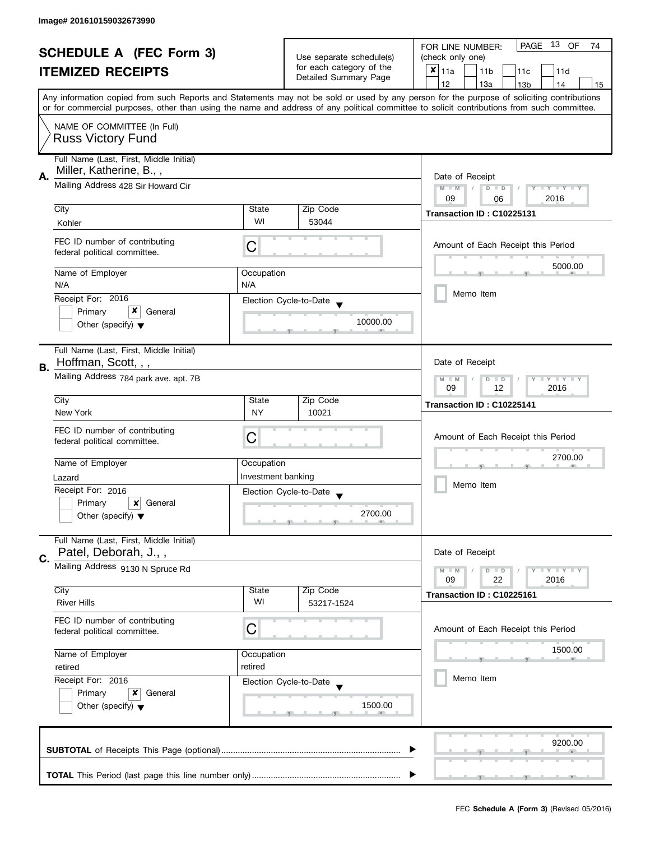|                                                            |                                                                    |                                                      |                        | 13 OF<br><b>PAGE</b><br>FOR LINE NUMBER:<br>74                                                                                                                                                                                                                                          |  |
|------------------------------------------------------------|--------------------------------------------------------------------|------------------------------------------------------|------------------------|-----------------------------------------------------------------------------------------------------------------------------------------------------------------------------------------------------------------------------------------------------------------------------------------|--|
| <b>SCHEDULE A (FEC Form 3)</b><br><b>ITEMIZED RECEIPTS</b> |                                                                    | Use separate schedule(s)<br>for each category of the | (check only one)       |                                                                                                                                                                                                                                                                                         |  |
|                                                            |                                                                    |                                                      | Detailed Summary Page  | $x _{11a}$<br>11 <sub>b</sub><br>11 <sub>c</sub><br>11d                                                                                                                                                                                                                                 |  |
|                                                            |                                                                    |                                                      |                        | 12<br>13a<br>13 <sub>b</sub><br>14<br>15                                                                                                                                                                                                                                                |  |
|                                                            |                                                                    |                                                      |                        | Any information copied from such Reports and Statements may not be sold or used by any person for the purpose of soliciting contributions<br>or for commercial purposes, other than using the name and address of any political committee to solicit contributions from such committee. |  |
|                                                            | NAME OF COMMITTEE (In Full)<br><b>Russ Victory Fund</b>            |                                                      |                        |                                                                                                                                                                                                                                                                                         |  |
|                                                            | Full Name (Last, First, Middle Initial)<br>Miller, Katherine, B.,, |                                                      |                        |                                                                                                                                                                                                                                                                                         |  |
| А.                                                         | Mailing Address 428 Sir Howard Cir                                 |                                                      |                        | Date of Receipt<br>$M - M$<br>$D$ $D$<br>$Y - Y - Y - Y - Y$<br>09<br>2016                                                                                                                                                                                                              |  |
|                                                            | City                                                               | State                                                | Zip Code               | 06                                                                                                                                                                                                                                                                                      |  |
|                                                            | Kohler                                                             | WI                                                   | 53044                  | Transaction ID: C10225131                                                                                                                                                                                                                                                               |  |
|                                                            | FEC ID number of contributing<br>federal political committee.      | C                                                    |                        | Amount of Each Receipt this Period                                                                                                                                                                                                                                                      |  |
|                                                            | Name of Employer                                                   | Occupation                                           |                        | 5000.00                                                                                                                                                                                                                                                                                 |  |
|                                                            | N/A<br>Receipt For: 2016                                           | N/A                                                  | Election Cycle-to-Date | Memo Item                                                                                                                                                                                                                                                                               |  |
|                                                            | x<br>General<br>Primary                                            |                                                      |                        |                                                                                                                                                                                                                                                                                         |  |
|                                                            | Other (specify) $\blacktriangledown$                               |                                                      | 10000.00               |                                                                                                                                                                                                                                                                                         |  |
| В.                                                         | Full Name (Last, First, Middle Initial)<br>Hoffman, Scott, , ,     |                                                      |                        | Date of Receipt                                                                                                                                                                                                                                                                         |  |
|                                                            | Mailing Address 784 park ave. apt. 7B                              |                                                      |                        | $Y = Y + Y$<br>$D$ $D$<br>$M - M$<br>09<br>12<br>2016                                                                                                                                                                                                                                   |  |
|                                                            | City                                                               | State                                                | Zip Code               | Transaction ID: C10225141                                                                                                                                                                                                                                                               |  |
|                                                            | New York                                                           | <b>NY</b>                                            | 10021                  |                                                                                                                                                                                                                                                                                         |  |
|                                                            | FEC ID number of contributing<br>federal political committee.      | С                                                    |                        | Amount of Each Receipt this Period                                                                                                                                                                                                                                                      |  |
|                                                            | Name of Employer                                                   | Occupation                                           |                        | 2700.00                                                                                                                                                                                                                                                                                 |  |
|                                                            | Lazard                                                             | Investment banking                                   |                        |                                                                                                                                                                                                                                                                                         |  |
|                                                            | Receipt For: 2016                                                  |                                                      | Election Cycle-to-Date | Memo Item                                                                                                                                                                                                                                                                               |  |
|                                                            | Primary<br>General<br>x                                            |                                                      |                        |                                                                                                                                                                                                                                                                                         |  |
|                                                            | Other (specify) $\blacktriangledown$                               |                                                      | 2700.00                |                                                                                                                                                                                                                                                                                         |  |
|                                                            | Full Name (Last, First, Middle Initial)<br>Patel, Deborah, J.,,    |                                                      |                        | Date of Receipt                                                                                                                                                                                                                                                                         |  |
| C.                                                         | Mailing Address 9130 N Spruce Rd                                   |                                                      |                        | $Y = Y + Y$<br>$M - M$<br>$D$ $D$                                                                                                                                                                                                                                                       |  |
|                                                            | City                                                               | State                                                | Zip Code               | 22<br>2016<br>09                                                                                                                                                                                                                                                                        |  |
|                                                            | <b>River Hills</b>                                                 | WI                                                   | 53217-1524             | Transaction ID: C10225161                                                                                                                                                                                                                                                               |  |
|                                                            | FEC ID number of contributing<br>federal political committee.      | C                                                    |                        | Amount of Each Receipt this Period                                                                                                                                                                                                                                                      |  |
|                                                            | Name of Employer                                                   | Occupation                                           |                        | 1500.00                                                                                                                                                                                                                                                                                 |  |
|                                                            | retired                                                            | retired                                              |                        |                                                                                                                                                                                                                                                                                         |  |
|                                                            | Receipt For: 2016                                                  |                                                      | Election Cycle-to-Date | Memo Item                                                                                                                                                                                                                                                                               |  |
|                                                            | Primary<br>x<br>General                                            |                                                      |                        |                                                                                                                                                                                                                                                                                         |  |
|                                                            | Other (specify) $\blacktriangledown$                               |                                                      | 1500.00                |                                                                                                                                                                                                                                                                                         |  |
|                                                            |                                                                    |                                                      |                        | 9200.00                                                                                                                                                                                                                                                                                 |  |
|                                                            |                                                                    |                                                      |                        |                                                                                                                                                                                                                                                                                         |  |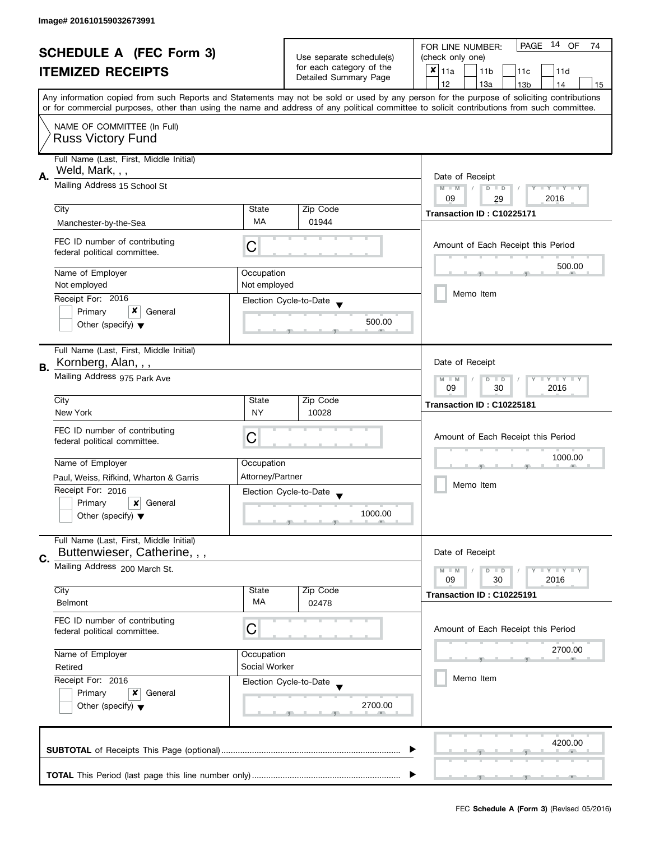|    | <b>SCHEDULE A (FEC Form 3)</b>          |                                                           |                                                   | 14 OF<br>PAGE<br>FOR LINE NUMBER:<br>74                                                                                                    |  |
|----|-----------------------------------------|-----------------------------------------------------------|---------------------------------------------------|--------------------------------------------------------------------------------------------------------------------------------------------|--|
|    |                                         | Use separate schedule(s)                                  | (check only one)                                  |                                                                                                                                            |  |
|    | <b>ITEMIZED RECEIPTS</b>                |                                                           | for each category of the<br>Detailed Summary Page | $x _{11a}$<br>11 <sub>b</sub><br>11c<br>11d                                                                                                |  |
|    |                                         |                                                           |                                                   | 12<br>13a<br>14<br>13 <sub>b</sub><br>15                                                                                                   |  |
|    |                                         |                                                           |                                                   | Any information copied from such Reports and Statements may not be sold or used by any person for the purpose of soliciting contributions  |  |
|    |                                         |                                                           |                                                   | or for commercial purposes, other than using the name and address of any political committee to solicit contributions from such committee. |  |
|    | NAME OF COMMITTEE (In Full)             |                                                           |                                                   |                                                                                                                                            |  |
|    | <b>Russ Victory Fund</b>                |                                                           |                                                   |                                                                                                                                            |  |
|    |                                         |                                                           |                                                   |                                                                                                                                            |  |
|    | Full Name (Last, First, Middle Initial) |                                                           |                                                   |                                                                                                                                            |  |
| А. | Weld, Mark, , ,                         |                                                           |                                                   | Date of Receipt                                                                                                                            |  |
|    | Mailing Address 15 School St            |                                                           |                                                   | $M - M$<br>$\sqrt{2}$<br>$D$ $D$<br>$Y - Y - Y - Y - Y$                                                                                    |  |
|    |                                         |                                                           |                                                   | 09<br>2016<br>29                                                                                                                           |  |
|    | City                                    | State                                                     | Zip Code                                          | Transaction ID: C10225171                                                                                                                  |  |
|    | Manchester-by-the-Sea                   | MA                                                        | 01944                                             |                                                                                                                                            |  |
|    | FEC ID number of contributing           |                                                           |                                                   | Amount of Each Receipt this Period                                                                                                         |  |
|    | federal political committee.            | С                                                         |                                                   |                                                                                                                                            |  |
|    |                                         |                                                           |                                                   | 500.00                                                                                                                                     |  |
|    | Name of Employer<br>Not employed        | Occupation<br>Not employed                                |                                                   |                                                                                                                                            |  |
|    |                                         |                                                           |                                                   | Memo Item                                                                                                                                  |  |
|    | Receipt For: 2016<br>x                  |                                                           | Election Cycle-to-Date                            |                                                                                                                                            |  |
|    | Primary<br>General                      |                                                           | 500.00                                            |                                                                                                                                            |  |
|    | Other (specify) $\blacktriangledown$    |                                                           |                                                   |                                                                                                                                            |  |
|    | Full Name (Last, First, Middle Initial) |                                                           |                                                   |                                                                                                                                            |  |
|    | Kornberg, Alan, , ,                     |                                                           |                                                   | Date of Receipt                                                                                                                            |  |
| В. |                                         |                                                           |                                                   |                                                                                                                                            |  |
|    | Mailing Address 975 Park Ave            | $Y = Y + Y$<br>$M - M$<br>D<br>$\Box$<br>09<br>30<br>2016 |                                                   |                                                                                                                                            |  |
|    | City                                    | State                                                     | Zip Code                                          |                                                                                                                                            |  |
|    | New York                                | <b>NY</b>                                                 | 10028                                             | Transaction ID: C10225181                                                                                                                  |  |
|    |                                         |                                                           |                                                   |                                                                                                                                            |  |
|    | FEC ID number of contributing           | С                                                         |                                                   | Amount of Each Receipt this Period                                                                                                         |  |
|    | federal political committee.            |                                                           |                                                   |                                                                                                                                            |  |
|    | Name of Employer                        | Occupation                                                |                                                   | 1000.00                                                                                                                                    |  |
|    | Paul, Weiss, Rifkind, Wharton & Garris  | Attorney/Partner                                          |                                                   |                                                                                                                                            |  |
|    | Receipt For: 2016                       |                                                           | Election Cycle-to-Date                            | Memo Item                                                                                                                                  |  |
|    | Primary<br>$x$ General                  |                                                           | $\overline{\phantom{a}}$                          |                                                                                                                                            |  |
|    | Other (specify) $\blacktriangledown$    |                                                           | 1000.00                                           |                                                                                                                                            |  |
|    |                                         |                                                           |                                                   |                                                                                                                                            |  |
|    | Full Name (Last, First, Middle Initial) |                                                           |                                                   |                                                                                                                                            |  |
| C. | Buttenwieser, Catherine, , ,            |                                                           |                                                   | Date of Receipt                                                                                                                            |  |
|    | Mailing Address 200 March St.           |                                                           |                                                   | $Y = Y = Y$<br>$M - M$<br>$D$ $D$                                                                                                          |  |
|    |                                         |                                                           |                                                   | 09<br>30<br>2016                                                                                                                           |  |
|    | City                                    | State                                                     | Zip Code                                          | Transaction ID: C10225191                                                                                                                  |  |
|    | <b>Belmont</b>                          | МA                                                        | 02478                                             |                                                                                                                                            |  |
|    | FEC ID number of contributing           |                                                           |                                                   |                                                                                                                                            |  |
|    | federal political committee.            | С                                                         |                                                   | Amount of Each Receipt this Period                                                                                                         |  |
|    |                                         |                                                           |                                                   | 2700.00                                                                                                                                    |  |
|    | Name of Employer                        | Occupation                                                |                                                   |                                                                                                                                            |  |
|    | Retired                                 | Social Worker                                             |                                                   |                                                                                                                                            |  |
|    | Receipt For: 2016                       |                                                           | Election Cycle-to-Date                            | Memo Item                                                                                                                                  |  |
|    | Primary<br>x<br>General                 |                                                           |                                                   |                                                                                                                                            |  |
|    | Other (specify) $\blacktriangledown$    |                                                           | 2700.00                                           |                                                                                                                                            |  |
|    |                                         |                                                           |                                                   |                                                                                                                                            |  |
|    |                                         |                                                           |                                                   |                                                                                                                                            |  |
|    |                                         |                                                           |                                                   | 4200.00                                                                                                                                    |  |
|    |                                         |                                                           |                                                   |                                                                                                                                            |  |
|    |                                         |                                                           |                                                   |                                                                                                                                            |  |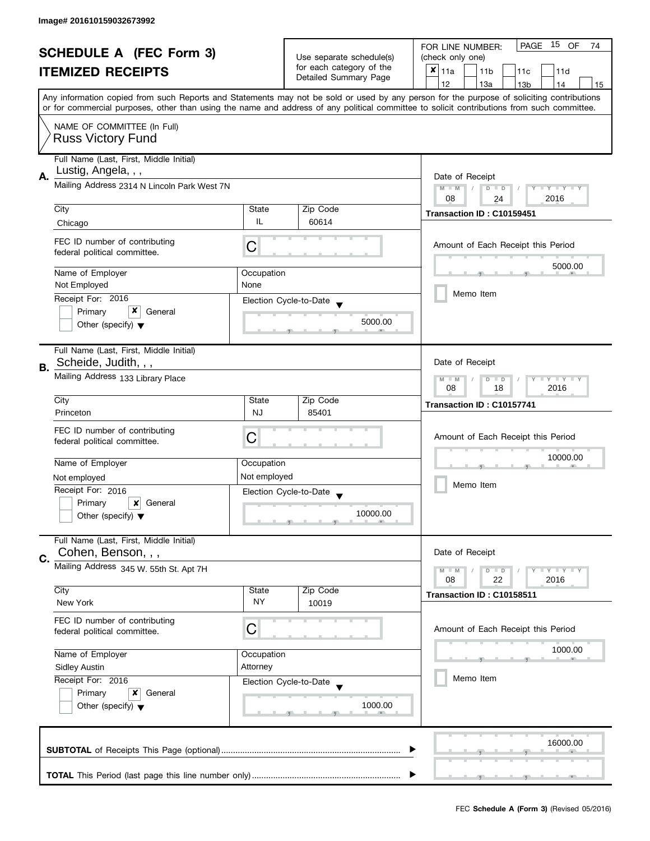| <b>SCHEDULE A (FEC Form 3)</b> |                                                                    |                          |                                                   | PAGE 15 OF<br>FOR LINE NUMBER:<br>74                                                                                                                                                                                                                                                    |  |  |
|--------------------------------|--------------------------------------------------------------------|--------------------------|---------------------------------------------------|-----------------------------------------------------------------------------------------------------------------------------------------------------------------------------------------------------------------------------------------------------------------------------------------|--|--|
| <b>ITEMIZED RECEIPTS</b>       |                                                                    | Use separate schedule(s) | (check only one)                                  |                                                                                                                                                                                                                                                                                         |  |  |
|                                |                                                                    |                          | for each category of the<br>Detailed Summary Page | $x _{11a}$<br>11 <sub>b</sub><br>11d<br>11 <sub>c</sub>                                                                                                                                                                                                                                 |  |  |
|                                |                                                                    |                          |                                                   | 12<br>13a<br>13 <sub>b</sub><br>14<br>15                                                                                                                                                                                                                                                |  |  |
|                                |                                                                    |                          |                                                   | Any information copied from such Reports and Statements may not be sold or used by any person for the purpose of soliciting contributions<br>or for commercial purposes, other than using the name and address of any political committee to solicit contributions from such committee. |  |  |
|                                | NAME OF COMMITTEE (In Full)                                        |                          |                                                   |                                                                                                                                                                                                                                                                                         |  |  |
|                                | <b>Russ Victory Fund</b>                                           |                          |                                                   |                                                                                                                                                                                                                                                                                         |  |  |
|                                | Full Name (Last, First, Middle Initial)                            |                          |                                                   |                                                                                                                                                                                                                                                                                         |  |  |
| А.                             | Lustig, Angela, , ,<br>Mailing Address 2314 N Lincoln Park West 7N |                          |                                                   | Date of Receipt                                                                                                                                                                                                                                                                         |  |  |
|                                |                                                                    |                          |                                                   | $M - M$<br>$D$ $D$<br>Y TY TY TY<br>08<br>2016<br>24                                                                                                                                                                                                                                    |  |  |
|                                | City                                                               | State                    | Zip Code                                          | Transaction ID: C10159451                                                                                                                                                                                                                                                               |  |  |
|                                | Chicago                                                            | IL                       | 60614                                             |                                                                                                                                                                                                                                                                                         |  |  |
|                                | FEC ID number of contributing                                      |                          |                                                   |                                                                                                                                                                                                                                                                                         |  |  |
|                                | federal political committee.                                       | C                        |                                                   | Amount of Each Receipt this Period                                                                                                                                                                                                                                                      |  |  |
|                                |                                                                    |                          |                                                   | 5000.00                                                                                                                                                                                                                                                                                 |  |  |
|                                | Name of Employer<br>Not Employed                                   | Occupation<br>None       |                                                   |                                                                                                                                                                                                                                                                                         |  |  |
|                                | Receipt For: 2016                                                  |                          | Election Cycle-to-Date                            | Memo Item                                                                                                                                                                                                                                                                               |  |  |
|                                | x<br>Primary<br>General                                            |                          |                                                   |                                                                                                                                                                                                                                                                                         |  |  |
|                                | Other (specify) $\blacktriangledown$                               |                          | 5000.00                                           |                                                                                                                                                                                                                                                                                         |  |  |
|                                |                                                                    |                          |                                                   |                                                                                                                                                                                                                                                                                         |  |  |
|                                | Full Name (Last, First, Middle Initial)<br>Scheide, Judith, , ,    |                          |                                                   | Date of Receipt                                                                                                                                                                                                                                                                         |  |  |
| В.                             | Mailing Address 133 Library Place                                  |                          |                                                   |                                                                                                                                                                                                                                                                                         |  |  |
|                                |                                                                    |                          |                                                   | Y LY LY<br>$M - M$<br>$D$ $D$<br>18<br>2016<br>08                                                                                                                                                                                                                                       |  |  |
|                                | City                                                               | State                    | Zip Code                                          | Transaction ID: C10157741                                                                                                                                                                                                                                                               |  |  |
|                                | Princeton                                                          | <b>NJ</b>                | 85401                                             |                                                                                                                                                                                                                                                                                         |  |  |
|                                | FEC ID number of contributing                                      | C                        |                                                   | Amount of Each Receipt this Period                                                                                                                                                                                                                                                      |  |  |
|                                | federal political committee.                                       |                          |                                                   |                                                                                                                                                                                                                                                                                         |  |  |
|                                | Name of Employer                                                   | Occupation               |                                                   | 10000.00                                                                                                                                                                                                                                                                                |  |  |
|                                | Not employed                                                       | Not employed             |                                                   |                                                                                                                                                                                                                                                                                         |  |  |
|                                | Receipt For: 2016                                                  |                          | Election Cycle-to-Date                            | Memo Item                                                                                                                                                                                                                                                                               |  |  |
|                                | Primary<br>$\boldsymbol{\mathsf{x}}$<br>General                    |                          |                                                   |                                                                                                                                                                                                                                                                                         |  |  |
|                                | Other (specify) $\blacktriangledown$                               |                          | 10000.00                                          |                                                                                                                                                                                                                                                                                         |  |  |
|                                | Full Name (Last, First, Middle Initial)                            |                          |                                                   |                                                                                                                                                                                                                                                                                         |  |  |
| C.                             | Cohen, Benson, , ,                                                 |                          |                                                   | Date of Receipt                                                                                                                                                                                                                                                                         |  |  |
|                                | Mailing Address 345 W. 55th St. Apt 7H                             |                          |                                                   | $M - M$<br>$Y \perp Y \perp Y$<br>$D$ $D$                                                                                                                                                                                                                                               |  |  |
|                                |                                                                    |                          |                                                   | 22<br>08<br>2016                                                                                                                                                                                                                                                                        |  |  |
|                                | City<br>New York                                                   | State<br>NY.             | Zip Code<br>10019                                 | Transaction ID: C10158511                                                                                                                                                                                                                                                               |  |  |
|                                |                                                                    |                          |                                                   |                                                                                                                                                                                                                                                                                         |  |  |
|                                | FEC ID number of contributing<br>federal political committee.      | С                        |                                                   | Amount of Each Receipt this Period                                                                                                                                                                                                                                                      |  |  |
|                                |                                                                    |                          |                                                   |                                                                                                                                                                                                                                                                                         |  |  |
|                                | Name of Employer                                                   | Occupation               |                                                   | 1000.00                                                                                                                                                                                                                                                                                 |  |  |
|                                | <b>Sidley Austin</b><br>Receipt For: 2016                          | Attorney                 |                                                   | Memo Item                                                                                                                                                                                                                                                                               |  |  |
|                                | Primary<br>x<br>General                                            |                          | Election Cycle-to-Date                            |                                                                                                                                                                                                                                                                                         |  |  |
|                                | Other (specify) $\blacktriangledown$                               |                          | 1000.00                                           |                                                                                                                                                                                                                                                                                         |  |  |
|                                |                                                                    |                          |                                                   |                                                                                                                                                                                                                                                                                         |  |  |
|                                |                                                                    |                          |                                                   |                                                                                                                                                                                                                                                                                         |  |  |
|                                |                                                                    |                          |                                                   | 16000.00                                                                                                                                                                                                                                                                                |  |  |
|                                |                                                                    |                          |                                                   |                                                                                                                                                                                                                                                                                         |  |  |
|                                |                                                                    |                          |                                                   |                                                                                                                                                                                                                                                                                         |  |  |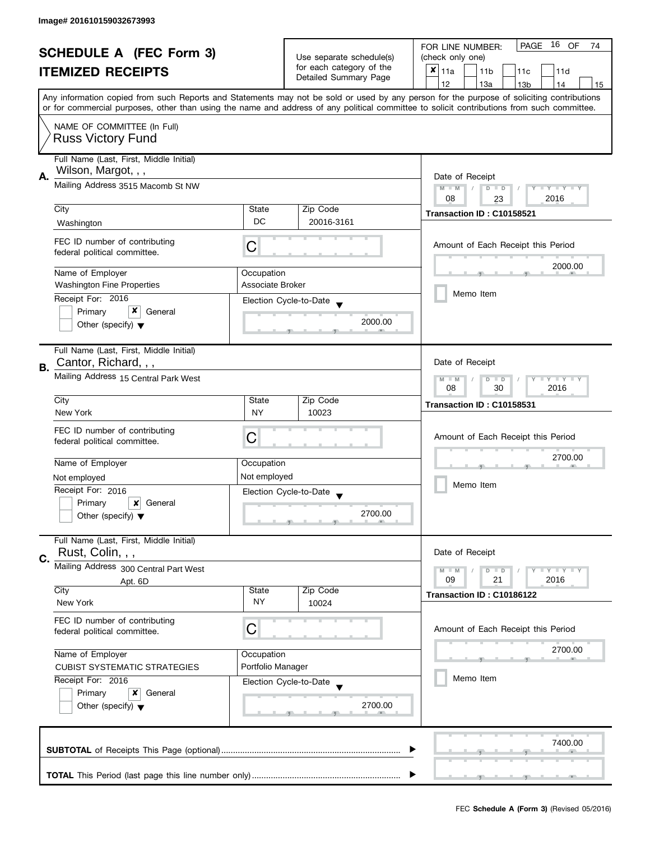|    | <b>SCHEDULE A (FEC Form 3)</b>                                 |                                                   |                                                                               | PAGE<br>16 OF<br>FOR LINE NUMBER:<br>74                                                                                                    |  |  |
|----|----------------------------------------------------------------|---------------------------------------------------|-------------------------------------------------------------------------------|--------------------------------------------------------------------------------------------------------------------------------------------|--|--|
|    |                                                                |                                                   | Use separate schedule(s)<br>for each category of the<br>Detailed Summary Page | (check only one)                                                                                                                           |  |  |
|    | <b>ITEMIZED RECEIPTS</b>                                       |                                                   |                                                                               | $x _{11a}$<br>11 <sub>b</sub><br>11c<br>11d                                                                                                |  |  |
|    |                                                                |                                                   |                                                                               | 12<br>13a<br>14<br>13 <sub>b</sub><br>15                                                                                                   |  |  |
|    |                                                                |                                                   |                                                                               | Any information copied from such Reports and Statements may not be sold or used by any person for the purpose of soliciting contributions  |  |  |
|    |                                                                |                                                   |                                                                               | or for commercial purposes, other than using the name and address of any political committee to solicit contributions from such committee. |  |  |
|    | NAME OF COMMITTEE (In Full)                                    |                                                   |                                                                               |                                                                                                                                            |  |  |
|    | <b>Russ Victory Fund</b>                                       |                                                   |                                                                               |                                                                                                                                            |  |  |
|    |                                                                |                                                   |                                                                               |                                                                                                                                            |  |  |
|    | Full Name (Last, First, Middle Initial)<br>Wilson, Margot, , , |                                                   |                                                                               |                                                                                                                                            |  |  |
| А. | Mailing Address 3515 Macomb St NW                              |                                                   |                                                                               | Date of Receipt                                                                                                                            |  |  |
|    |                                                                |                                                   |                                                                               | $M - M$<br>Y I Y I Y I Y<br>$D$ $D$                                                                                                        |  |  |
|    | City                                                           | State                                             | Zip Code                                                                      | 08<br>2016<br>23                                                                                                                           |  |  |
|    |                                                                | DC                                                | 20016-3161                                                                    | Transaction ID: C10158521                                                                                                                  |  |  |
|    | Washington                                                     |                                                   |                                                                               |                                                                                                                                            |  |  |
|    | FEC ID number of contributing                                  | С                                                 |                                                                               | Amount of Each Receipt this Period                                                                                                         |  |  |
|    | federal political committee.                                   |                                                   |                                                                               |                                                                                                                                            |  |  |
|    | Name of Employer                                               | Occupation                                        |                                                                               | 2000.00                                                                                                                                    |  |  |
|    | <b>Washington Fine Properties</b>                              | Associate Broker                                  |                                                                               |                                                                                                                                            |  |  |
|    | Receipt For: 2016                                              |                                                   |                                                                               | Memo Item                                                                                                                                  |  |  |
|    | x<br>Primary<br>General                                        |                                                   | Election Cycle-to-Date                                                        |                                                                                                                                            |  |  |
|    | Other (specify) $\blacktriangledown$                           |                                                   | 2000.00                                                                       |                                                                                                                                            |  |  |
|    |                                                                |                                                   |                                                                               |                                                                                                                                            |  |  |
|    | Full Name (Last, First, Middle Initial)                        |                                                   |                                                                               |                                                                                                                                            |  |  |
|    | Cantor, Richard, , ,                                           |                                                   |                                                                               | Date of Receipt                                                                                                                            |  |  |
| В. | Mailing Address 15 Central Park West                           |                                                   |                                                                               |                                                                                                                                            |  |  |
|    |                                                                | Y LY LY<br>$M - M$<br>$D$ $D$<br>2016<br>08<br>30 |                                                                               |                                                                                                                                            |  |  |
|    | City                                                           | State                                             | Zip Code                                                                      |                                                                                                                                            |  |  |
|    | New York                                                       | <b>NY</b>                                         | 10023                                                                         | Transaction ID: C10158531                                                                                                                  |  |  |
|    |                                                                |                                                   |                                                                               |                                                                                                                                            |  |  |
|    | FEC ID number of contributing                                  | C                                                 |                                                                               | Amount of Each Receipt this Period                                                                                                         |  |  |
|    | federal political committee.                                   |                                                   |                                                                               |                                                                                                                                            |  |  |
|    | Name of Employer                                               | Occupation                                        |                                                                               | 2700.00                                                                                                                                    |  |  |
|    | Not employed                                                   | Not employed                                      |                                                                               |                                                                                                                                            |  |  |
|    | Receipt For: 2016                                              |                                                   | Election Cycle-to-Date                                                        | Memo Item                                                                                                                                  |  |  |
|    | Primary<br>General<br>x                                        |                                                   |                                                                               |                                                                                                                                            |  |  |
|    | Other (specify) $\blacktriangledown$                           |                                                   | 2700.00                                                                       |                                                                                                                                            |  |  |
|    |                                                                |                                                   |                                                                               |                                                                                                                                            |  |  |
|    | Full Name (Last, First, Middle Initial)                        |                                                   |                                                                               |                                                                                                                                            |  |  |
|    | Rust, Colin, , ,                                               |                                                   |                                                                               | Date of Receipt                                                                                                                            |  |  |
| C. | Mailing Address 300 Central Part West                          |                                                   |                                                                               | $M - M$<br>$Y \perp Y \perp Y$<br>$D$ $D$                                                                                                  |  |  |
|    | Apt. 6D                                                        |                                                   |                                                                               | 09<br>21<br>2016                                                                                                                           |  |  |
|    | City                                                           | State                                             | Zip Code                                                                      | Transaction ID: C10186122                                                                                                                  |  |  |
|    | New York                                                       | NY                                                | 10024                                                                         |                                                                                                                                            |  |  |
|    | FEC ID number of contributing                                  |                                                   |                                                                               |                                                                                                                                            |  |  |
|    | federal political committee.                                   | С                                                 |                                                                               | Amount of Each Receipt this Period                                                                                                         |  |  |
|    |                                                                |                                                   |                                                                               |                                                                                                                                            |  |  |
|    | Name of Employer                                               | Occupation                                        |                                                                               | 2700.00                                                                                                                                    |  |  |
|    | <b>CUBIST SYSTEMATIC STRATEGIES</b>                            | Portfolio Manager                                 |                                                                               |                                                                                                                                            |  |  |
|    | Receipt For: 2016                                              |                                                   | Election Cycle-to-Date                                                        | Memo Item                                                                                                                                  |  |  |
|    | Primary<br>x<br>General                                        |                                                   |                                                                               |                                                                                                                                            |  |  |
|    | Other (specify) $\blacktriangledown$                           |                                                   | 2700.00                                                                       |                                                                                                                                            |  |  |
|    |                                                                |                                                   |                                                                               |                                                                                                                                            |  |  |
|    |                                                                |                                                   |                                                                               |                                                                                                                                            |  |  |
|    |                                                                |                                                   |                                                                               | 7400.00                                                                                                                                    |  |  |
|    |                                                                |                                                   |                                                                               |                                                                                                                                            |  |  |
|    |                                                                |                                                   |                                                                               |                                                                                                                                            |  |  |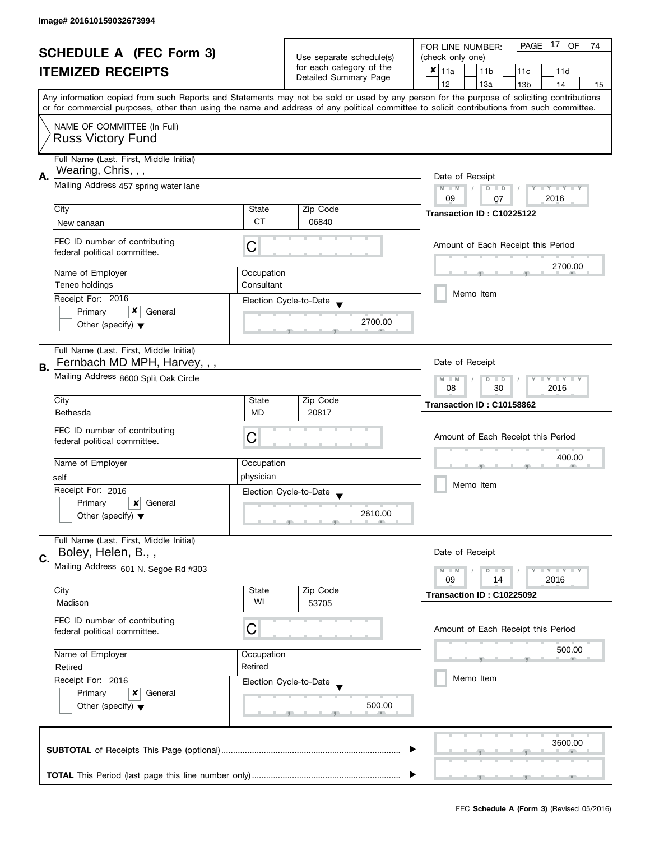| <b>SCHEDULE A (FEC Form 3)</b><br><b>ITEMIZED RECEIPTS</b> |                                         | Use separate schedule(s) | PAGE 17 OF<br>FOR LINE NUMBER:<br>74              |                                                                                                                                            |  |  |  |
|------------------------------------------------------------|-----------------------------------------|--------------------------|---------------------------------------------------|--------------------------------------------------------------------------------------------------------------------------------------------|--|--|--|
|                                                            |                                         |                          | (check only one)                                  |                                                                                                                                            |  |  |  |
|                                                            |                                         |                          | for each category of the<br>Detailed Summary Page | $x _{11a}$<br>11 <sub>b</sub><br>11 <sub>c</sub><br>11d                                                                                    |  |  |  |
|                                                            |                                         |                          |                                                   | 12<br>13a<br>13 <sub>b</sub><br>14<br>15                                                                                                   |  |  |  |
|                                                            |                                         |                          |                                                   | Any information copied from such Reports and Statements may not be sold or used by any person for the purpose of soliciting contributions  |  |  |  |
|                                                            |                                         |                          |                                                   | or for commercial purposes, other than using the name and address of any political committee to solicit contributions from such committee. |  |  |  |
|                                                            | NAME OF COMMITTEE (In Full)             |                          |                                                   |                                                                                                                                            |  |  |  |
|                                                            | <b>Russ Victory Fund</b>                |                          |                                                   |                                                                                                                                            |  |  |  |
|                                                            |                                         |                          |                                                   |                                                                                                                                            |  |  |  |
|                                                            | Full Name (Last, First, Middle Initial) |                          |                                                   |                                                                                                                                            |  |  |  |
| А.                                                         | Wearing, Chris, , ,                     |                          |                                                   | Date of Receipt                                                                                                                            |  |  |  |
|                                                            | Mailing Address 457 spring water lane   |                          |                                                   | $M - M$<br>$D$ $D$<br>Y I Y I Y I Y<br>$\sqrt{2}$                                                                                          |  |  |  |
|                                                            |                                         |                          |                                                   | 09<br>2016<br>07                                                                                                                           |  |  |  |
|                                                            | City                                    | State                    | Zip Code                                          | Transaction ID: C10225122                                                                                                                  |  |  |  |
|                                                            | New canaan                              | <b>CT</b>                | 06840                                             |                                                                                                                                            |  |  |  |
|                                                            |                                         |                          |                                                   |                                                                                                                                            |  |  |  |
|                                                            | FEC ID number of contributing           | С                        |                                                   | Amount of Each Receipt this Period                                                                                                         |  |  |  |
|                                                            | federal political committee.            |                          |                                                   |                                                                                                                                            |  |  |  |
|                                                            | Name of Employer                        | Occupation               |                                                   | 2700.00                                                                                                                                    |  |  |  |
|                                                            | Teneo holdinas                          | Consultant               |                                                   |                                                                                                                                            |  |  |  |
|                                                            | Receipt For: 2016                       |                          | Election Cycle-to-Date                            | Memo Item                                                                                                                                  |  |  |  |
|                                                            | x<br>Primary<br>General                 |                          |                                                   |                                                                                                                                            |  |  |  |
|                                                            | Other (specify) $\blacktriangledown$    |                          | 2700.00                                           |                                                                                                                                            |  |  |  |
|                                                            |                                         |                          |                                                   |                                                                                                                                            |  |  |  |
|                                                            | Full Name (Last, First, Middle Initial) |                          |                                                   |                                                                                                                                            |  |  |  |
|                                                            | Fernbach MD MPH, Harvey, , ,            |                          |                                                   | Date of Receipt                                                                                                                            |  |  |  |
| В.                                                         |                                         |                          |                                                   |                                                                                                                                            |  |  |  |
|                                                            | Mailing Address 8600 Split Oak Circle   |                          |                                                   | $M - M$<br>Y LY L<br>D<br>$\Box$<br>08<br>30<br>2016                                                                                       |  |  |  |
|                                                            | City                                    | State                    | Zip Code                                          |                                                                                                                                            |  |  |  |
|                                                            | <b>Bethesda</b>                         | <b>MD</b>                | 20817                                             | Transaction ID: C10158862                                                                                                                  |  |  |  |
|                                                            |                                         |                          |                                                   |                                                                                                                                            |  |  |  |
|                                                            | FEC ID number of contributing           | С                        |                                                   | Amount of Each Receipt this Period                                                                                                         |  |  |  |
|                                                            | federal political committee.            |                          |                                                   |                                                                                                                                            |  |  |  |
|                                                            | Name of Employer                        | Occupation               |                                                   | 400.00                                                                                                                                     |  |  |  |
|                                                            | self                                    | physician                |                                                   |                                                                                                                                            |  |  |  |
|                                                            | Receipt For: 2016                       |                          | Election Cycle-to-Date                            | Memo Item                                                                                                                                  |  |  |  |
|                                                            | Primary<br>×<br>General                 |                          |                                                   |                                                                                                                                            |  |  |  |
|                                                            | Other (specify) $\blacktriangledown$    |                          | 2610.00                                           |                                                                                                                                            |  |  |  |
|                                                            |                                         |                          |                                                   |                                                                                                                                            |  |  |  |
|                                                            | Full Name (Last, First, Middle Initial) |                          |                                                   |                                                                                                                                            |  |  |  |
|                                                            | Boley, Helen, B.,,                      |                          |                                                   | Date of Receipt                                                                                                                            |  |  |  |
| C.                                                         | Mailing Address 601 N. Segoe Rd #303    |                          |                                                   | $Y = Y = Y$<br>$M - M$<br>$\blacksquare$                                                                                                   |  |  |  |
|                                                            |                                         |                          |                                                   | 09<br>2016<br>14                                                                                                                           |  |  |  |
|                                                            | City                                    | State                    | Zip Code                                          | Transaction ID: C10225092                                                                                                                  |  |  |  |
|                                                            | Madison                                 | WI                       | 53705                                             |                                                                                                                                            |  |  |  |
|                                                            | FEC ID number of contributing           |                          |                                                   |                                                                                                                                            |  |  |  |
|                                                            | federal political committee.            | C                        |                                                   | Amount of Each Receipt this Period                                                                                                         |  |  |  |
|                                                            |                                         |                          |                                                   |                                                                                                                                            |  |  |  |
|                                                            | Name of Employer                        | Occupation               |                                                   | 500.00                                                                                                                                     |  |  |  |
|                                                            | Retired                                 | Retired                  |                                                   |                                                                                                                                            |  |  |  |
|                                                            | Receipt For: 2016                       |                          | Election Cycle-to-Date                            | Memo Item                                                                                                                                  |  |  |  |
|                                                            | Primary<br>x<br>General                 |                          |                                                   |                                                                                                                                            |  |  |  |
|                                                            | Other (specify) $\blacktriangledown$    |                          | 500.00                                            |                                                                                                                                            |  |  |  |
|                                                            |                                         |                          |                                                   |                                                                                                                                            |  |  |  |
|                                                            |                                         |                          |                                                   |                                                                                                                                            |  |  |  |
|                                                            |                                         |                          |                                                   | 3600.00                                                                                                                                    |  |  |  |
|                                                            |                                         |                          |                                                   |                                                                                                                                            |  |  |  |
|                                                            |                                         |                          |                                                   |                                                                                                                                            |  |  |  |
|                                                            |                                         |                          |                                                   |                                                                                                                                            |  |  |  |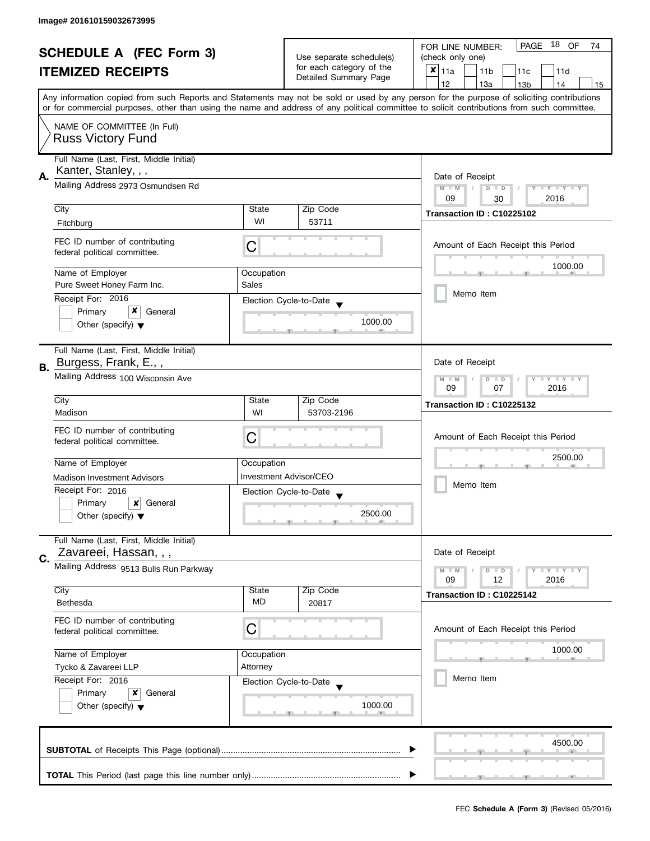| <b>SCHEDULE A (FEC Form 3)</b> |                                                                  |                                                      | PAGE 18 OF<br>FOR LINE NUMBER:<br>74 |                                                                                                                                                                                                                                                                                         |  |
|--------------------------------|------------------------------------------------------------------|------------------------------------------------------|--------------------------------------|-----------------------------------------------------------------------------------------------------------------------------------------------------------------------------------------------------------------------------------------------------------------------------------------|--|
| <b>ITEMIZED RECEIPTS</b>       |                                                                  | Use separate schedule(s)<br>for each category of the | (check only one)                     |                                                                                                                                                                                                                                                                                         |  |
|                                |                                                                  |                                                      | Detailed Summary Page                | $x _{11a}$<br>11 <sub>b</sub><br>11 <sub>c</sub><br>11d                                                                                                                                                                                                                                 |  |
|                                |                                                                  |                                                      |                                      | 12<br>13a<br>13 <sub>b</sub><br>14<br>15                                                                                                                                                                                                                                                |  |
|                                |                                                                  |                                                      |                                      | Any information copied from such Reports and Statements may not be sold or used by any person for the purpose of soliciting contributions<br>or for commercial purposes, other than using the name and address of any political committee to solicit contributions from such committee. |  |
|                                | NAME OF COMMITTEE (In Full)<br><b>Russ Victory Fund</b>          |                                                      |                                      |                                                                                                                                                                                                                                                                                         |  |
|                                | Full Name (Last, First, Middle Initial)<br>Kanter, Stanley, , ,  |                                                      |                                      |                                                                                                                                                                                                                                                                                         |  |
| А.                             | Mailing Address 2973 Osmundsen Rd                                |                                                      |                                      | Date of Receipt<br>$M - M$<br>$\sqrt{2}$<br>$D$ $D$<br>$Y - Y - Y - Y - Y$<br>09<br>2016<br>30                                                                                                                                                                                          |  |
|                                | City                                                             | State                                                | Zip Code                             | Transaction ID: C10225102                                                                                                                                                                                                                                                               |  |
|                                | Fitchburg                                                        | WI                                                   | 53711                                |                                                                                                                                                                                                                                                                                         |  |
|                                | FEC ID number of contributing<br>federal political committee.    | С                                                    |                                      | Amount of Each Receipt this Period                                                                                                                                                                                                                                                      |  |
|                                | Name of Employer                                                 | Occupation                                           |                                      | 1000.00                                                                                                                                                                                                                                                                                 |  |
|                                | Pure Sweet Honey Farm Inc.                                       | Sales                                                |                                      |                                                                                                                                                                                                                                                                                         |  |
|                                | Receipt For: 2016                                                |                                                      | Election Cycle-to-Date               | Memo Item                                                                                                                                                                                                                                                                               |  |
|                                | x<br>Primary<br>General                                          |                                                      |                                      |                                                                                                                                                                                                                                                                                         |  |
|                                | Other (specify) $\blacktriangledown$                             |                                                      | 1000.00                              |                                                                                                                                                                                                                                                                                         |  |
| В.                             | Full Name (Last, First, Middle Initial)<br>Burgess, Frank, E.,,  |                                                      |                                      | Date of Receipt                                                                                                                                                                                                                                                                         |  |
|                                | Mailing Address 100 Wisconsin Ave                                |                                                      |                                      | Y LY L<br>$M - M$<br>D<br>$\Box$<br>2016<br>09<br>07                                                                                                                                                                                                                                    |  |
|                                | City                                                             | State                                                | Zip Code                             | Transaction ID: C10225132                                                                                                                                                                                                                                                               |  |
|                                | Madison                                                          | WI                                                   | 53703-2196                           |                                                                                                                                                                                                                                                                                         |  |
|                                | FEC ID number of contributing<br>federal political committee.    | C                                                    |                                      | Amount of Each Receipt this Period                                                                                                                                                                                                                                                      |  |
|                                | Name of Employer                                                 | Occupation                                           |                                      | 2500.00                                                                                                                                                                                                                                                                                 |  |
|                                | <b>Madison Investment Advisors</b>                               |                                                      | <b>Investment Advisor/CEO</b>        |                                                                                                                                                                                                                                                                                         |  |
|                                | Receipt For: 2016                                                |                                                      | Election Cycle-to-Date               | Memo Item                                                                                                                                                                                                                                                                               |  |
|                                | ×<br>Primary<br>General                                          |                                                      |                                      |                                                                                                                                                                                                                                                                                         |  |
|                                | Other (specify) $\blacktriangledown$                             |                                                      | 2500.00                              |                                                                                                                                                                                                                                                                                         |  |
| C.                             | Full Name (Last, First, Middle Initial)<br>Zavareei, Hassan, , , |                                                      |                                      | Date of Receipt                                                                                                                                                                                                                                                                         |  |
|                                | Mailing Address 9513 Bulls Run Parkway                           |                                                      |                                      | $M - M$<br>$Y = Y = Y$<br>$\blacksquare$<br>09<br>2016<br>12                                                                                                                                                                                                                            |  |
|                                | City                                                             | State                                                | Zip Code                             | Transaction ID: C10225142                                                                                                                                                                                                                                                               |  |
|                                | Bethesda                                                         | <b>MD</b>                                            | 20817                                |                                                                                                                                                                                                                                                                                         |  |
|                                | FEC ID number of contributing<br>federal political committee.    | C                                                    |                                      | Amount of Each Receipt this Period                                                                                                                                                                                                                                                      |  |
|                                | Name of Employer                                                 | Occupation                                           |                                      | 1000.00                                                                                                                                                                                                                                                                                 |  |
|                                | Tycko & Zavareei LLP                                             | Attorney                                             |                                      |                                                                                                                                                                                                                                                                                         |  |
|                                | Receipt For: 2016                                                |                                                      | Election Cycle-to-Date               | Memo Item                                                                                                                                                                                                                                                                               |  |
|                                | Primary<br>x<br>General<br>Other (specify) $\blacktriangledown$  |                                                      | 1000.00                              |                                                                                                                                                                                                                                                                                         |  |
|                                |                                                                  |                                                      |                                      | 4500.00                                                                                                                                                                                                                                                                                 |  |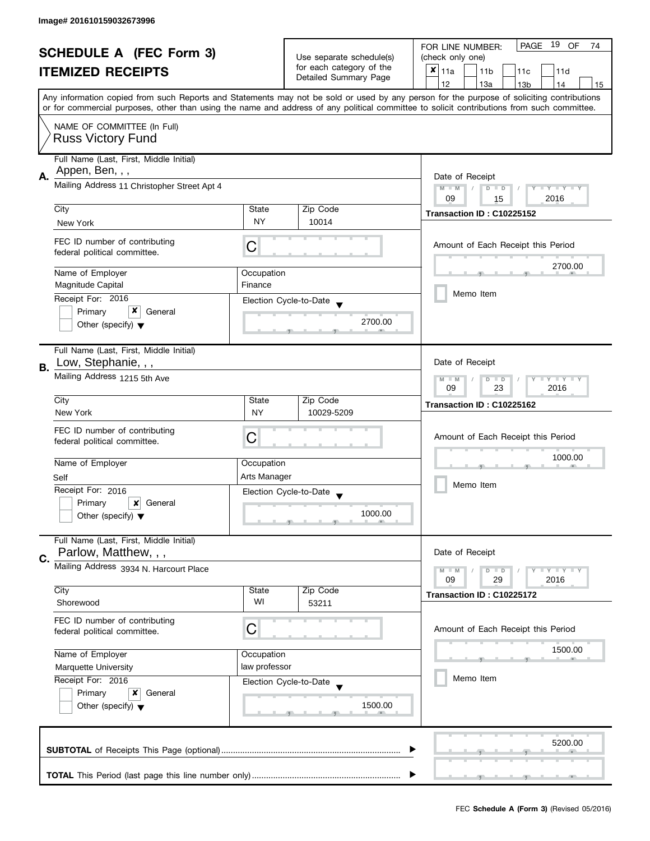| <b>SCHEDULE A (FEC Form 3)</b> |                                                               |                             | PAGE 19 OF<br>FOR LINE NUMBER:<br>74                                          |                                                                                                                                                                                                                                                                                         |  |
|--------------------------------|---------------------------------------------------------------|-----------------------------|-------------------------------------------------------------------------------|-----------------------------------------------------------------------------------------------------------------------------------------------------------------------------------------------------------------------------------------------------------------------------------------|--|
|                                |                                                               |                             | Use separate schedule(s)<br>for each category of the<br>Detailed Summary Page | (check only one)                                                                                                                                                                                                                                                                        |  |
|                                | <b>ITEMIZED RECEIPTS</b>                                      |                             |                                                                               | $x _{11a}$<br>11 <sub>b</sub><br>11c<br>11d                                                                                                                                                                                                                                             |  |
|                                |                                                               |                             |                                                                               | 12<br>13a<br>13 <sub>b</sub><br>14<br>15                                                                                                                                                                                                                                                |  |
|                                |                                                               |                             |                                                                               | Any information copied from such Reports and Statements may not be sold or used by any person for the purpose of soliciting contributions<br>or for commercial purposes, other than using the name and address of any political committee to solicit contributions from such committee. |  |
|                                |                                                               |                             |                                                                               |                                                                                                                                                                                                                                                                                         |  |
|                                | NAME OF COMMITTEE (In Full)<br><b>Russ Victory Fund</b>       |                             |                                                                               |                                                                                                                                                                                                                                                                                         |  |
|                                | Full Name (Last, First, Middle Initial)                       |                             |                                                                               |                                                                                                                                                                                                                                                                                         |  |
|                                | Appen, Ben, , ,                                               |                             |                                                                               |                                                                                                                                                                                                                                                                                         |  |
| Α.                             | Mailing Address 11 Christopher Street Apt 4                   |                             |                                                                               | Date of Receipt<br>$M - M$<br>$D$ $D$<br>Y I Y I Y I Y<br>$\sqrt{2}$                                                                                                                                                                                                                    |  |
|                                | City                                                          | State                       | Zip Code                                                                      | 09<br>2016<br>15                                                                                                                                                                                                                                                                        |  |
|                                |                                                               | NY                          | 10014                                                                         | Transaction ID: C10225152                                                                                                                                                                                                                                                               |  |
|                                | New York                                                      |                             |                                                                               |                                                                                                                                                                                                                                                                                         |  |
|                                | FEC ID number of contributing<br>federal political committee. | С                           |                                                                               | Amount of Each Receipt this Period                                                                                                                                                                                                                                                      |  |
|                                | Name of Employer                                              | Occupation                  |                                                                               | 2700.00                                                                                                                                                                                                                                                                                 |  |
|                                | Magnitude Capital                                             | Finance                     |                                                                               |                                                                                                                                                                                                                                                                                         |  |
|                                | Receipt For: 2016                                             |                             | Election Cycle-to-Date                                                        | Memo Item                                                                                                                                                                                                                                                                               |  |
|                                | x<br>Primary<br>General                                       |                             |                                                                               |                                                                                                                                                                                                                                                                                         |  |
|                                | Other (specify) $\blacktriangledown$                          |                             | 2700.00                                                                       |                                                                                                                                                                                                                                                                                         |  |
|                                | Full Name (Last, First, Middle Initial)                       |                             |                                                                               |                                                                                                                                                                                                                                                                                         |  |
| В.                             | Low, Stephanie, , ,                                           |                             |                                                                               | Date of Receipt                                                                                                                                                                                                                                                                         |  |
|                                | Mailing Address 1215 5th Ave                                  |                             |                                                                               | $Y - Y - Y$<br>$M - M$<br>D<br>$\Box$<br>2016<br>09<br>23                                                                                                                                                                                                                               |  |
|                                | City                                                          | State                       | Zip Code                                                                      | Transaction ID: C10225162                                                                                                                                                                                                                                                               |  |
|                                | New York                                                      | <b>NY</b>                   | 10029-5209                                                                    |                                                                                                                                                                                                                                                                                         |  |
|                                | FEC ID number of contributing                                 |                             |                                                                               |                                                                                                                                                                                                                                                                                         |  |
|                                | federal political committee.                                  | С                           |                                                                               | Amount of Each Receipt this Period                                                                                                                                                                                                                                                      |  |
|                                |                                                               |                             |                                                                               | 1000.00                                                                                                                                                                                                                                                                                 |  |
|                                | Name of Employer                                              | Occupation                  |                                                                               |                                                                                                                                                                                                                                                                                         |  |
|                                | Self                                                          | Arts Manager                |                                                                               | Memo Item                                                                                                                                                                                                                                                                               |  |
|                                | Receipt For: 2016                                             |                             | Election Cycle-to-Date                                                        |                                                                                                                                                                                                                                                                                         |  |
|                                | Primary<br>×<br>General                                       |                             |                                                                               |                                                                                                                                                                                                                                                                                         |  |
|                                | Other (specify) $\blacktriangledown$                          |                             | 1000.00                                                                       |                                                                                                                                                                                                                                                                                         |  |
|                                | Full Name (Last, First, Middle Initial)                       |                             |                                                                               |                                                                                                                                                                                                                                                                                         |  |
| C.                             | Parlow, Matthew, , ,                                          |                             |                                                                               | Date of Receipt                                                                                                                                                                                                                                                                         |  |
|                                | Mailing Address 3934 N. Harcourt Place                        |                             |                                                                               | $M - M$<br>$Y + Y + Y$<br>D<br>$\blacksquare$                                                                                                                                                                                                                                           |  |
|                                |                                                               |                             |                                                                               | 09<br>29<br>2016                                                                                                                                                                                                                                                                        |  |
|                                | City                                                          | State                       | Zip Code                                                                      | Transaction ID: C10225172                                                                                                                                                                                                                                                               |  |
|                                | Shorewood                                                     | WI                          | 53211                                                                         |                                                                                                                                                                                                                                                                                         |  |
|                                | FEC ID number of contributing                                 |                             |                                                                               |                                                                                                                                                                                                                                                                                         |  |
|                                | federal political committee.                                  | C                           |                                                                               | Amount of Each Receipt this Period                                                                                                                                                                                                                                                      |  |
|                                | Name of Employer                                              |                             |                                                                               | 1500.00                                                                                                                                                                                                                                                                                 |  |
|                                |                                                               | Occupation<br>law professor |                                                                               |                                                                                                                                                                                                                                                                                         |  |
|                                | <b>Marquette University</b><br>Receipt For: 2016              |                             |                                                                               | Memo Item                                                                                                                                                                                                                                                                               |  |
|                                | x                                                             |                             | Election Cycle-to-Date                                                        |                                                                                                                                                                                                                                                                                         |  |
|                                | Primary<br>General                                            |                             | 1500.00                                                                       |                                                                                                                                                                                                                                                                                         |  |
|                                | Other (specify) $\blacktriangledown$                          |                             |                                                                               |                                                                                                                                                                                                                                                                                         |  |
|                                |                                                               |                             |                                                                               |                                                                                                                                                                                                                                                                                         |  |
|                                |                                                               |                             |                                                                               | 5200.00                                                                                                                                                                                                                                                                                 |  |
|                                |                                                               |                             |                                                                               |                                                                                                                                                                                                                                                                                         |  |
|                                |                                                               |                             |                                                                               |                                                                                                                                                                                                                                                                                         |  |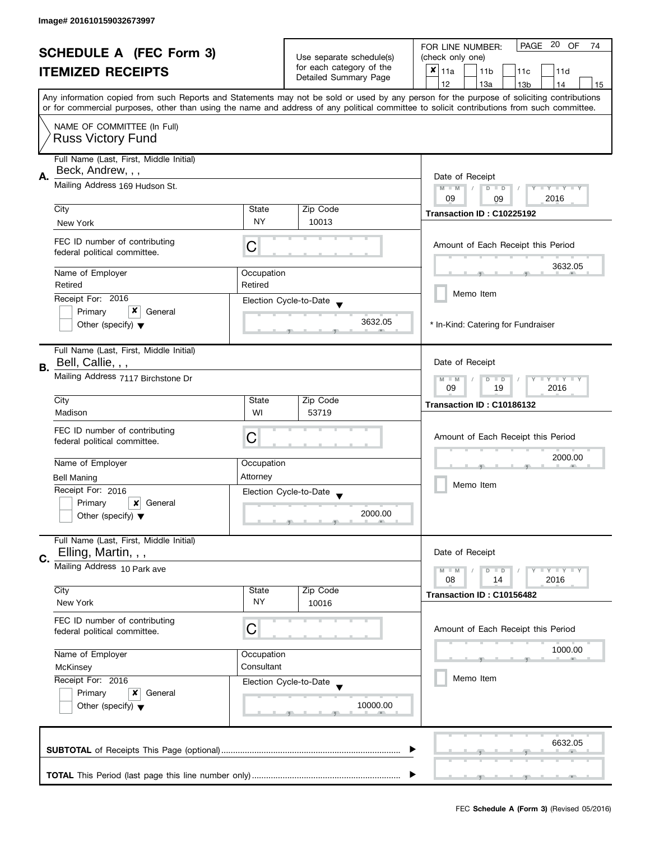|                          | <b>SCHEDULE A (FEC Form 3)</b>                               |                          |                                                    | PAGE 20<br>OF<br>FOR LINE NUMBER:<br>74                                                                                                    |
|--------------------------|--------------------------------------------------------------|--------------------------|----------------------------------------------------|--------------------------------------------------------------------------------------------------------------------------------------------|
| <b>ITEMIZED RECEIPTS</b> |                                                              | Use separate schedule(s) | (check only one)                                   |                                                                                                                                            |
|                          |                                                              |                          | for each category of the<br>Detailed Summary Page  | $x _{11a}$<br>11 <sub>b</sub><br>11d<br>11c                                                                                                |
|                          |                                                              |                          |                                                    | 12<br>13a<br>13 <sub>b</sub><br>14<br>15                                                                                                   |
|                          |                                                              |                          |                                                    | Any information copied from such Reports and Statements may not be sold or used by any person for the purpose of soliciting contributions  |
|                          |                                                              |                          |                                                    | or for commercial purposes, other than using the name and address of any political committee to solicit contributions from such committee. |
|                          | NAME OF COMMITTEE (In Full)                                  |                          |                                                    |                                                                                                                                            |
|                          | <b>Russ Victory Fund</b>                                     |                          |                                                    |                                                                                                                                            |
|                          |                                                              |                          |                                                    |                                                                                                                                            |
|                          | Full Name (Last, First, Middle Initial)                      |                          |                                                    |                                                                                                                                            |
| А.                       | Beck, Andrew, , ,                                            |                          |                                                    | Date of Receipt                                                                                                                            |
|                          | Mailing Address 169 Hudson St.                               |                          |                                                    | Y TY TY TY<br>$M - M$<br>$D$ $D$                                                                                                           |
|                          |                                                              |                          |                                                    | 2016<br>09<br>09                                                                                                                           |
|                          | City                                                         | State<br><b>NY</b>       | Zip Code<br>10013                                  | Transaction ID: C10225192                                                                                                                  |
|                          | New York                                                     |                          |                                                    |                                                                                                                                            |
|                          | FEC ID number of contributing                                |                          |                                                    | Amount of Each Receipt this Period                                                                                                         |
|                          | federal political committee.                                 | С                        |                                                    |                                                                                                                                            |
|                          |                                                              |                          |                                                    | 3632.05                                                                                                                                    |
|                          | Name of Employer<br>Retired                                  | Occupation<br>Retired    |                                                    |                                                                                                                                            |
|                          |                                                              |                          |                                                    | Memo Item                                                                                                                                  |
|                          | Receipt For: 2016<br>x                                       |                          | Election Cycle-to-Date                             |                                                                                                                                            |
|                          | Primary<br>General                                           |                          | 3632.05                                            |                                                                                                                                            |
|                          | Other (specify) $\blacktriangledown$                         |                          |                                                    | * In-Kind: Catering for Fundraiser                                                                                                         |
|                          |                                                              |                          |                                                    |                                                                                                                                            |
|                          | Full Name (Last, First, Middle Initial)<br>Bell, Callie, , , |                          |                                                    | Date of Receipt                                                                                                                            |
| В.                       |                                                              |                          |                                                    |                                                                                                                                            |
|                          | Mailing Address 7117 Birchstone Dr                           |                          |                                                    | $Y - Y - Y - Y - Y$<br>$M - M$<br>$D$ $D$<br>19<br>2016                                                                                    |
|                          | City                                                         | State                    | Zip Code                                           | 09                                                                                                                                         |
|                          | Madison                                                      | WI                       | 53719                                              | Transaction ID: C10186132                                                                                                                  |
|                          |                                                              |                          |                                                    |                                                                                                                                            |
|                          | FEC ID number of contributing                                | С                        |                                                    | Amount of Each Receipt this Period                                                                                                         |
|                          | federal political committee.                                 |                          |                                                    |                                                                                                                                            |
|                          | Name of Employer                                             | Occupation               |                                                    | 2000.00                                                                                                                                    |
|                          | <b>Bell Maning</b>                                           | Attorney                 |                                                    |                                                                                                                                            |
|                          | Receipt For: 2016                                            |                          |                                                    | Memo Item                                                                                                                                  |
|                          | Primary<br>×<br>General                                      |                          | Election Cycle-to-Date<br>$\overline{\phantom{a}}$ |                                                                                                                                            |
|                          | Other (specify) $\blacktriangledown$                         |                          | 2000.00                                            |                                                                                                                                            |
|                          |                                                              |                          |                                                    |                                                                                                                                            |
|                          | Full Name (Last, First, Middle Initial)                      |                          |                                                    |                                                                                                                                            |
|                          | Elling, Martin, , ,                                          |                          |                                                    | Date of Receipt                                                                                                                            |
| C.                       | Mailing Address 10 Park ave                                  |                          |                                                    | $\blacksquare \blacksquare Y \blacksquare \blacksquare Y \blacksquare \blacksquare Y$<br>$M - M$<br>$D$ $D$                                |
|                          |                                                              |                          |                                                    | 08<br>2016<br>14                                                                                                                           |
|                          | City                                                         | State                    | Zip Code                                           | Transaction ID: C10156482                                                                                                                  |
|                          | New York                                                     | NY                       | 10016                                              |                                                                                                                                            |
|                          | FEC ID number of contributing                                |                          |                                                    |                                                                                                                                            |
|                          | federal political committee.                                 | C                        |                                                    | Amount of Each Receipt this Period                                                                                                         |
|                          |                                                              |                          |                                                    |                                                                                                                                            |
|                          | Name of Employer                                             | Occupation               |                                                    | 1000.00                                                                                                                                    |
|                          | McKinsey                                                     | Consultant               |                                                    |                                                                                                                                            |
|                          | Receipt For: 2016                                            |                          | Election Cycle-to-Date                             | Memo Item                                                                                                                                  |
|                          | Primary<br>x<br>General                                      |                          |                                                    |                                                                                                                                            |
|                          | Other (specify) $\blacktriangledown$                         |                          | 10000.00                                           |                                                                                                                                            |
|                          |                                                              |                          |                                                    |                                                                                                                                            |
|                          |                                                              |                          |                                                    |                                                                                                                                            |
|                          |                                                              |                          |                                                    | 6632.05                                                                                                                                    |
|                          |                                                              |                          |                                                    |                                                                                                                                            |
|                          |                                                              |                          |                                                    |                                                                                                                                            |
|                          |                                                              |                          |                                                    |                                                                                                                                            |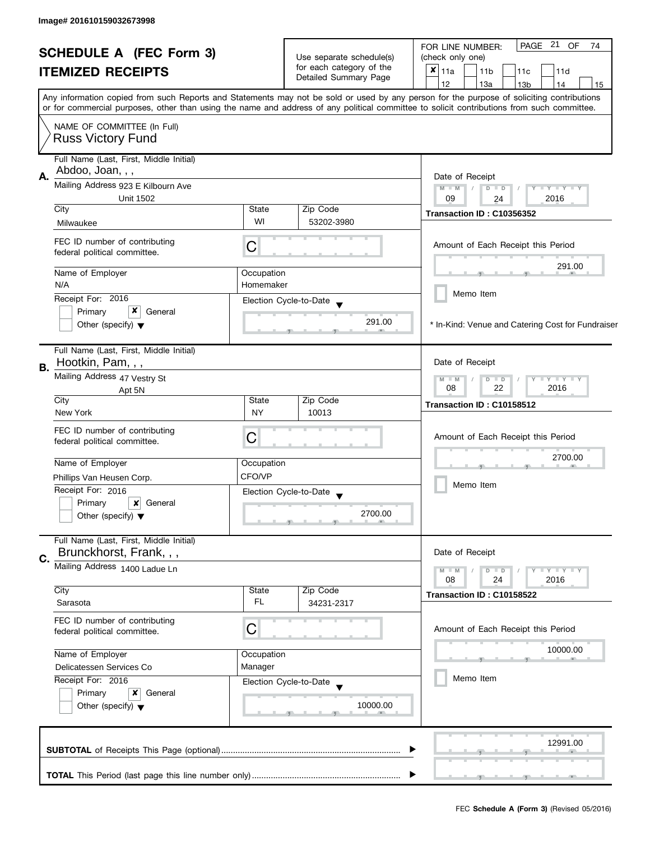|    | <b>SCHEDULE A (FEC Form 3)</b><br><b>ITEMIZED RECEIPTS</b>         |                                                                             | Use separate schedule(s)<br>for each category of the<br>Detailed Summary Page | PAGE 21<br>OF<br>74<br>FOR LINE NUMBER:<br>(check only one)<br>$x _{11a}$<br>11 <sub>b</sub><br>11c<br>11d<br>12<br>13a<br>14<br>13 <sub>b</sub><br>15                                                                                                                                  |
|----|--------------------------------------------------------------------|-----------------------------------------------------------------------------|-------------------------------------------------------------------------------|-----------------------------------------------------------------------------------------------------------------------------------------------------------------------------------------------------------------------------------------------------------------------------------------|
|    |                                                                    |                                                                             |                                                                               | Any information copied from such Reports and Statements may not be sold or used by any person for the purpose of soliciting contributions<br>or for commercial purposes, other than using the name and address of any political committee to solicit contributions from such committee. |
|    | NAME OF COMMITTEE (In Full)<br><b>Russ Victory Fund</b>            |                                                                             |                                                                               |                                                                                                                                                                                                                                                                                         |
| А. | Full Name (Last, First, Middle Initial)<br>Abdoo, Joan, , ,        | Date of Receipt                                                             |                                                                               |                                                                                                                                                                                                                                                                                         |
|    | Mailing Address 923 E Kilbourn Ave<br><b>Unit 1502</b>             | $Y - Y - Y - Y - Y$<br>$M - M$<br>$D$ $D$<br>$\sqrt{ }$<br>09<br>2016<br>24 |                                                                               |                                                                                                                                                                                                                                                                                         |
|    | City                                                               | State                                                                       | Zip Code                                                                      | Transaction ID: C10356352                                                                                                                                                                                                                                                               |
|    | Milwaukee                                                          | WI                                                                          | 53202-3980                                                                    |                                                                                                                                                                                                                                                                                         |
|    | FEC ID number of contributing<br>federal political committee.      | C                                                                           |                                                                               | Amount of Each Receipt this Period                                                                                                                                                                                                                                                      |
|    | Name of Employer                                                   | Occupation                                                                  |                                                                               | 291.00                                                                                                                                                                                                                                                                                  |
|    | N/A                                                                | Homemaker                                                                   |                                                                               | Memo Item                                                                                                                                                                                                                                                                               |
|    | Receipt For: 2016                                                  |                                                                             | Election Cycle-to-Date                                                        |                                                                                                                                                                                                                                                                                         |
|    | x<br>Primary<br>General<br>Other (specify) $\blacktriangledown$    |                                                                             | 291.00                                                                        | * In-Kind: Venue and Catering Cost for Fundraiser                                                                                                                                                                                                                                       |
| В. | Full Name (Last, First, Middle Initial)<br>Hootkin, Pam, , ,       |                                                                             |                                                                               | Date of Receipt                                                                                                                                                                                                                                                                         |
|    | Mailing Address 47 Vestry St                                       | $T$ $Y$ $T$ $Y$ $T$ $Y$<br>$M - M$<br>$\overline{D}$<br>$\Box$              |                                                                               |                                                                                                                                                                                                                                                                                         |
|    | Apt 5N<br>City                                                     | State                                                                       | Zip Code                                                                      | 08<br>22<br>2016                                                                                                                                                                                                                                                                        |
|    | New York                                                           | <b>NY</b>                                                                   | 10013                                                                         | Transaction ID: C10158512                                                                                                                                                                                                                                                               |
|    | FEC ID number of contributing<br>federal political committee.      | Ĉ                                                                           |                                                                               | Amount of Each Receipt this Period                                                                                                                                                                                                                                                      |
|    | Name of Employer                                                   | Occupation                                                                  |                                                                               | 2700.00                                                                                                                                                                                                                                                                                 |
|    | Phillips Van Heusen Corp.                                          | CFO/VP                                                                      |                                                                               |                                                                                                                                                                                                                                                                                         |
|    | Receipt For: 2016                                                  |                                                                             | Election Cycle-to-Date                                                        | Memo Item                                                                                                                                                                                                                                                                               |
|    | Primary<br>×<br>General<br>Other (specify) $\blacktriangledown$    |                                                                             | 2700.00                                                                       |                                                                                                                                                                                                                                                                                         |
|    | Full Name (Last, First, Middle Initial)<br>Brunckhorst, Frank, , , |                                                                             |                                                                               | Date of Receipt                                                                                                                                                                                                                                                                         |
| C. | Mailing Address 1400 Ladue Ln                                      |                                                                             |                                                                               | $\blacksquare \blacksquare Y \blacksquare \blacksquare Y \blacksquare \blacksquare Y$<br>$M - M$<br>$D$ $D$<br>08<br>24<br>2016                                                                                                                                                         |
|    | City                                                               | State                                                                       | Zip Code                                                                      | Transaction ID: C10158522                                                                                                                                                                                                                                                               |
|    | Sarasota                                                           | FL.                                                                         | 34231-2317                                                                    |                                                                                                                                                                                                                                                                                         |
|    | FEC ID number of contributing<br>federal political committee.      | С                                                                           |                                                                               | Amount of Each Receipt this Period                                                                                                                                                                                                                                                      |
|    | Name of Employer                                                   | Occupation                                                                  |                                                                               | 10000.00                                                                                                                                                                                                                                                                                |
|    | Delicatessen Services Co                                           | Manager                                                                     |                                                                               |                                                                                                                                                                                                                                                                                         |
|    | Receipt For: 2016                                                  |                                                                             | Election Cycle-to-Date                                                        | Memo Item                                                                                                                                                                                                                                                                               |
|    | Primary<br>x<br>General<br>Other (specify) $\blacktriangledown$    |                                                                             | 10000.00                                                                      |                                                                                                                                                                                                                                                                                         |
|    |                                                                    |                                                                             |                                                                               | 12991.00                                                                                                                                                                                                                                                                                |
|    |                                                                    |                                                                             |                                                                               |                                                                                                                                                                                                                                                                                         |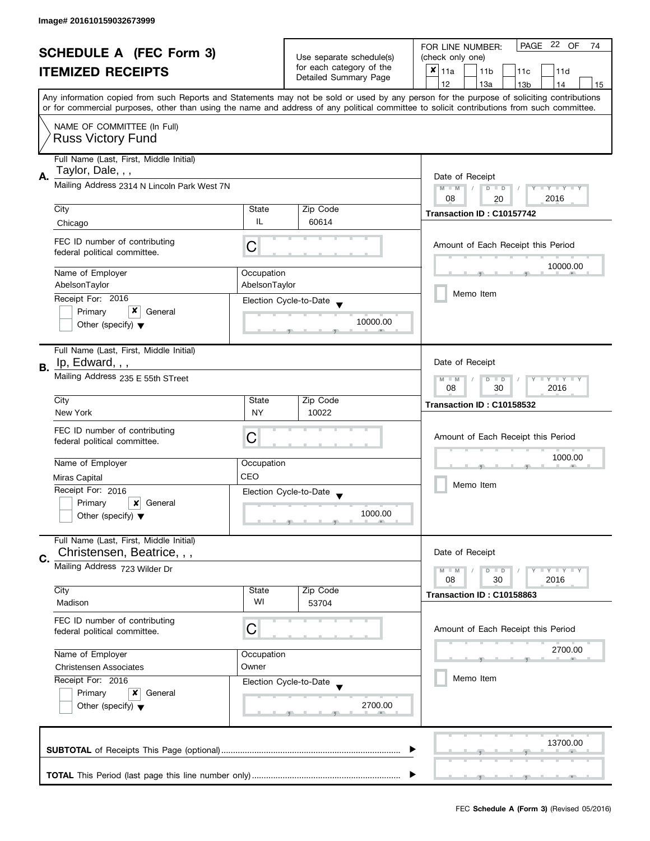| <b>SCHEDULE A (FEC Form 3)</b><br><b>ITEMIZED RECEIPTS</b> |                                                                                                                                           | Use separate schedule(s)    | PAGE 22 OF<br>FOR LINE NUMBER:<br>74        |                                                                                                                                            |  |
|------------------------------------------------------------|-------------------------------------------------------------------------------------------------------------------------------------------|-----------------------------|---------------------------------------------|--------------------------------------------------------------------------------------------------------------------------------------------|--|
|                                                            |                                                                                                                                           |                             | (check only one)                            |                                                                                                                                            |  |
|                                                            |                                                                                                                                           | for each category of the    | $x _{11a}$<br>11 <sub>b</sub><br>11c<br>11d |                                                                                                                                            |  |
|                                                            |                                                                                                                                           |                             | Detailed Summary Page                       | 12<br>13a<br>13 <sub>b</sub><br>14<br>15                                                                                                   |  |
|                                                            | Any information copied from such Reports and Statements may not be sold or used by any person for the purpose of soliciting contributions |                             |                                             |                                                                                                                                            |  |
|                                                            |                                                                                                                                           |                             |                                             | or for commercial purposes, other than using the name and address of any political committee to solicit contributions from such committee. |  |
|                                                            | NAME OF COMMITTEE (In Full)                                                                                                               |                             |                                             |                                                                                                                                            |  |
|                                                            | <b>Russ Victory Fund</b>                                                                                                                  |                             |                                             |                                                                                                                                            |  |
|                                                            | Full Name (Last, First, Middle Initial)                                                                                                   |                             |                                             |                                                                                                                                            |  |
| А.                                                         | Taylor, Dale, , ,                                                                                                                         |                             |                                             | Date of Receipt                                                                                                                            |  |
|                                                            | Mailing Address 2314 N Lincoln Park West 7N                                                                                               |                             |                                             | $M - M$<br>$D$ $D$<br>Y I Y I Y I Y                                                                                                        |  |
|                                                            |                                                                                                                                           |                             |                                             | 08<br>2016<br>20                                                                                                                           |  |
|                                                            | City                                                                                                                                      | State                       | Zip Code                                    | Transaction ID: C10157742                                                                                                                  |  |
|                                                            | Chicago                                                                                                                                   | IL                          | 60614                                       |                                                                                                                                            |  |
|                                                            | FEC ID number of contributing                                                                                                             |                             |                                             | Amount of Each Receipt this Period                                                                                                         |  |
|                                                            | federal political committee.                                                                                                              | C                           |                                             |                                                                                                                                            |  |
|                                                            |                                                                                                                                           |                             |                                             | 10000.00                                                                                                                                   |  |
|                                                            | Name of Employer<br>AbelsonTaylor                                                                                                         | Occupation<br>AbelsonTaylor |                                             |                                                                                                                                            |  |
|                                                            | Receipt For: 2016                                                                                                                         |                             |                                             | Memo Item                                                                                                                                  |  |
|                                                            | x<br>Primary<br>General                                                                                                                   |                             | Election Cycle-to-Date                      |                                                                                                                                            |  |
|                                                            | Other (specify) $\blacktriangledown$                                                                                                      |                             | 10000.00                                    |                                                                                                                                            |  |
|                                                            |                                                                                                                                           |                             |                                             |                                                                                                                                            |  |
|                                                            | Full Name (Last, First, Middle Initial)                                                                                                   |                             |                                             |                                                                                                                                            |  |
| В.                                                         | Ip, Edward, , ,                                                                                                                           |                             |                                             | Date of Receipt                                                                                                                            |  |
|                                                            | Mailing Address 235 E 55th STreet                                                                                                         |                             |                                             | Y LY LY<br>$M - M$<br>$D$ $D$                                                                                                              |  |
|                                                            |                                                                                                                                           | 30<br>2016<br>08            |                                             |                                                                                                                                            |  |
|                                                            | City                                                                                                                                      | State                       | Zip Code                                    | Transaction ID: C10158532                                                                                                                  |  |
|                                                            | New York                                                                                                                                  | <b>NY</b>                   | 10022                                       |                                                                                                                                            |  |
|                                                            | FEC ID number of contributing                                                                                                             | C                           |                                             | Amount of Each Receipt this Period                                                                                                         |  |
|                                                            | federal political committee.                                                                                                              |                             |                                             |                                                                                                                                            |  |
|                                                            | Name of Employer                                                                                                                          | Occupation                  |                                             | 1000.00                                                                                                                                    |  |
|                                                            | Miras Capital                                                                                                                             | CEO                         |                                             |                                                                                                                                            |  |
|                                                            | Receipt For: 2016                                                                                                                         |                             | Election Cycle-to-Date                      | Memo Item                                                                                                                                  |  |
|                                                            | Primary<br>General<br>×                                                                                                                   |                             |                                             |                                                                                                                                            |  |
|                                                            | Other (specify) $\blacktriangledown$                                                                                                      |                             | 1000.00                                     |                                                                                                                                            |  |
|                                                            |                                                                                                                                           |                             |                                             |                                                                                                                                            |  |
|                                                            | Full Name (Last, First, Middle Initial)                                                                                                   |                             |                                             |                                                                                                                                            |  |
| C.                                                         | Christensen, Beatrice, , ,                                                                                                                |                             |                                             | Date of Receipt                                                                                                                            |  |
|                                                            | Mailing Address 723 Wilder Dr                                                                                                             |                             |                                             | $M - M$<br>$Y \perp Y \perp Y$<br>$D$ $D$                                                                                                  |  |
|                                                            | City                                                                                                                                      | State                       | Zip Code                                    | 08<br>30<br>2016                                                                                                                           |  |
|                                                            | Madison                                                                                                                                   | WI                          | 53704                                       | Transaction ID: C10158863                                                                                                                  |  |
|                                                            |                                                                                                                                           |                             |                                             |                                                                                                                                            |  |
|                                                            | FEC ID number of contributing<br>federal political committee.                                                                             | C                           |                                             | Amount of Each Receipt this Period                                                                                                         |  |
|                                                            |                                                                                                                                           |                             |                                             |                                                                                                                                            |  |
|                                                            | Name of Employer                                                                                                                          | Occupation                  |                                             | 2700.00                                                                                                                                    |  |
|                                                            | Owner<br><b>Christensen Associates</b>                                                                                                    |                             |                                             |                                                                                                                                            |  |
|                                                            | Receipt For: 2016                                                                                                                         |                             | Election Cycle-to-Date                      | Memo Item                                                                                                                                  |  |
|                                                            | Primary<br>x<br>General                                                                                                                   |                             |                                             |                                                                                                                                            |  |
|                                                            | Other (specify) $\blacktriangledown$                                                                                                      |                             | 2700.00                                     |                                                                                                                                            |  |
|                                                            |                                                                                                                                           |                             |                                             |                                                                                                                                            |  |
|                                                            |                                                                                                                                           |                             |                                             |                                                                                                                                            |  |
|                                                            |                                                                                                                                           |                             |                                             | 13700.00                                                                                                                                   |  |
|                                                            |                                                                                                                                           |                             |                                             |                                                                                                                                            |  |
|                                                            |                                                                                                                                           |                             |                                             |                                                                                                                                            |  |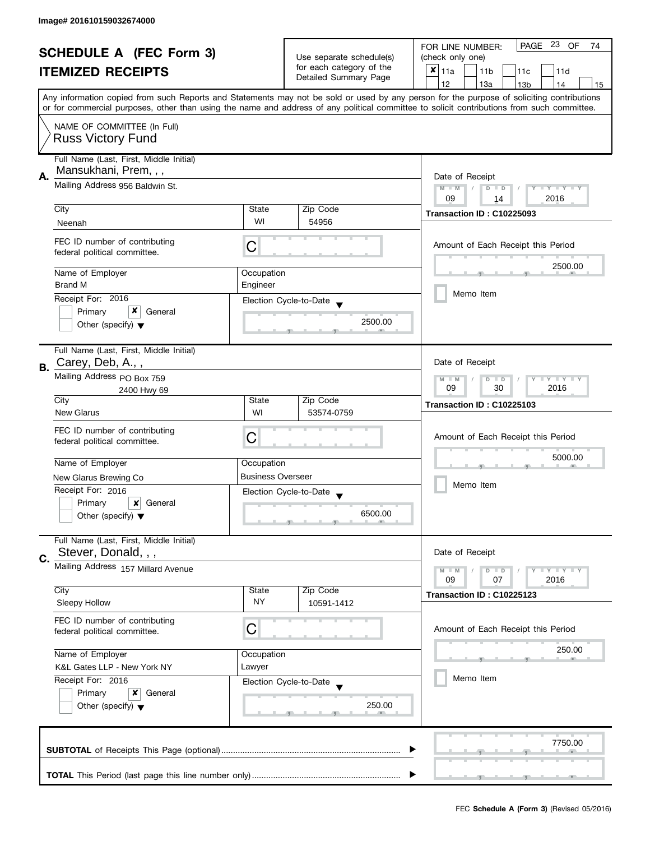| <b>SCHEDULE A (FEC Form 3)</b><br><b>ITEMIZED RECEIPTS</b> |                                                                                                                                           | Use separate schedule(s)                                                |                                                   | PAGE 23 OF<br>FOR LINE NUMBER:<br>74<br>(check only one)                                                                                   |  |
|------------------------------------------------------------|-------------------------------------------------------------------------------------------------------------------------------------------|-------------------------------------------------------------------------|---------------------------------------------------|--------------------------------------------------------------------------------------------------------------------------------------------|--|
|                                                            |                                                                                                                                           |                                                                         | for each category of the<br>Detailed Summary Page | ×<br>11a<br>11 <sub>b</sub><br>11c<br>11d                                                                                                  |  |
|                                                            | Any information copied from such Reports and Statements may not be sold or used by any person for the purpose of soliciting contributions |                                                                         |                                                   | 12<br>13a<br>13 <sub>b</sub><br>14<br>15                                                                                                   |  |
|                                                            |                                                                                                                                           |                                                                         |                                                   | or for commercial purposes, other than using the name and address of any political committee to solicit contributions from such committee. |  |
|                                                            | NAME OF COMMITTEE (In Full)<br><b>Russ Victory Fund</b>                                                                                   |                                                                         |                                                   |                                                                                                                                            |  |
| А.                                                         | Full Name (Last, First, Middle Initial)<br>Mansukhani, Prem, , ,                                                                          |                                                                         |                                                   |                                                                                                                                            |  |
|                                                            | Mailing Address 956 Baldwin St.                                                                                                           | Date of Receipt<br>Y TY TY TY<br>$M - M$<br>$D$ $D$<br>2016<br>09<br>14 |                                                   |                                                                                                                                            |  |
|                                                            | City                                                                                                                                      | State                                                                   | Zip Code                                          | Transaction ID: C10225093                                                                                                                  |  |
|                                                            | Neenah                                                                                                                                    | WI                                                                      | 54956                                             |                                                                                                                                            |  |
|                                                            | FEC ID number of contributing<br>federal political committee.                                                                             | С                                                                       |                                                   | Amount of Each Receipt this Period                                                                                                         |  |
|                                                            | Name of Employer                                                                                                                          | Occupation                                                              |                                                   | 2500.00                                                                                                                                    |  |
|                                                            | <b>Brand M</b>                                                                                                                            | Engineer                                                                |                                                   | Memo Item                                                                                                                                  |  |
|                                                            | Receipt For: 2016                                                                                                                         |                                                                         | Election Cycle-to-Date                            |                                                                                                                                            |  |
|                                                            | Primary<br>General<br>Other (specify) $\blacktriangledown$                                                                                |                                                                         | 2500.00                                           |                                                                                                                                            |  |
| В.                                                         | Full Name (Last, First, Middle Initial)<br>Carey, Deb, A.,,                                                                               |                                                                         |                                                   | Date of Receipt                                                                                                                            |  |
|                                                            | Mailing Address PO Box 759                                                                                                                |                                                                         |                                                   | $T + Y = Y + Y$<br>$M - M$<br>$D$ $D$                                                                                                      |  |
|                                                            | 2400 Hwy 69<br>City                                                                                                                       | State                                                                   | Zip Code                                          | 09<br>30<br>2016                                                                                                                           |  |
|                                                            | <b>New Glarus</b>                                                                                                                         | WI                                                                      | 53574-0759                                        | Transaction ID: C10225103                                                                                                                  |  |
|                                                            | FEC ID number of contributing<br>federal political committee.                                                                             | С                                                                       |                                                   | Amount of Each Receipt this Period                                                                                                         |  |
|                                                            | Name of Employer                                                                                                                          | Occupation                                                              |                                                   | 5000.00                                                                                                                                    |  |
|                                                            | New Glarus Brewing Co                                                                                                                     | <b>Business Overseer</b>                                                |                                                   |                                                                                                                                            |  |
|                                                            | Receipt For: 2016                                                                                                                         |                                                                         | Election Cycle-to-Date<br>$\overline{\mathbf{v}}$ | Memo Item                                                                                                                                  |  |
|                                                            | Primary<br>x<br>General                                                                                                                   |                                                                         |                                                   |                                                                                                                                            |  |
|                                                            | Other (specify) $\blacktriangledown$                                                                                                      |                                                                         | 6500.00                                           |                                                                                                                                            |  |
|                                                            | Full Name (Last, First, Middle Initial)                                                                                                   |                                                                         |                                                   |                                                                                                                                            |  |
| C.                                                         | Stever, Donald, , ,                                                                                                                       |                                                                         |                                                   | Date of Receipt                                                                                                                            |  |
|                                                            | Mailing Address 157 Millard Avenue                                                                                                        |                                                                         |                                                   | Y FY FY FY<br>$M - M$<br>$D$ $D$<br>09<br>07<br>2016                                                                                       |  |
|                                                            | City                                                                                                                                      | State                                                                   | Zip Code                                          | Transaction ID: C10225123                                                                                                                  |  |
|                                                            | Sleepy Hollow                                                                                                                             | <b>NY</b>                                                               | 10591-1412                                        |                                                                                                                                            |  |
|                                                            | FEC ID number of contributing<br>federal political committee.                                                                             | С                                                                       |                                                   | Amount of Each Receipt this Period                                                                                                         |  |
|                                                            | Name of Employer                                                                                                                          | Occupation                                                              |                                                   | 250.00                                                                                                                                     |  |
|                                                            | K&L Gates LLP - New York NY                                                                                                               | Lawyer                                                                  |                                                   |                                                                                                                                            |  |
|                                                            | Receipt For: 2016                                                                                                                         |                                                                         | Election Cycle-to-Date                            | Memo Item                                                                                                                                  |  |
|                                                            | Primary<br>x<br>General<br>Other (specify) $\blacktriangledown$                                                                           |                                                                         | 250.00                                            |                                                                                                                                            |  |
|                                                            |                                                                                                                                           |                                                                         |                                                   | 7750.00                                                                                                                                    |  |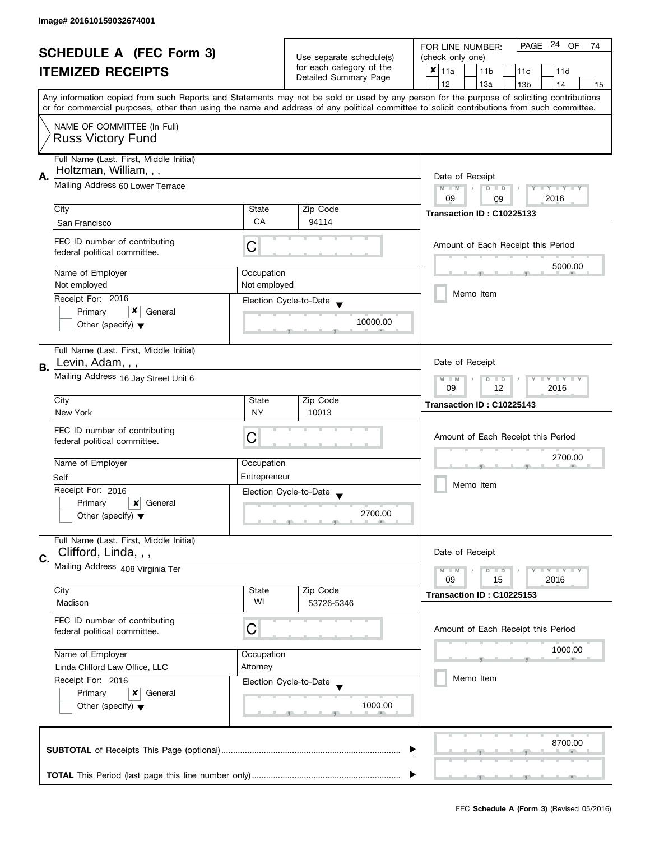| <b>SCHEDULE A (FEC Form 3)</b> |                                            |                                                |                                                      | PAGE 24 OF<br>FOR LINE NUMBER:<br>74<br>(check only one)                                                                                                                              |  |  |  |
|--------------------------------|--------------------------------------------|------------------------------------------------|------------------------------------------------------|---------------------------------------------------------------------------------------------------------------------------------------------------------------------------------------|--|--|--|
|                                |                                            |                                                | Use separate schedule(s)<br>for each category of the |                                                                                                                                                                                       |  |  |  |
|                                | <b>ITEMIZED RECEIPTS</b>                   |                                                | Detailed Summary Page                                | $x _{11a}$<br>11 <sub>b</sub><br>11c<br>11d                                                                                                                                           |  |  |  |
|                                |                                            |                                                |                                                      | 12<br>13a<br>14<br>13 <sub>b</sub><br>15<br>Any information copied from such Reports and Statements may not be sold or used by any person for the purpose of soliciting contributions |  |  |  |
|                                |                                            |                                                |                                                      | or for commercial purposes, other than using the name and address of any political committee to solicit contributions from such committee.                                            |  |  |  |
|                                |                                            |                                                |                                                      |                                                                                                                                                                                       |  |  |  |
|                                | NAME OF COMMITTEE (In Full)                |                                                |                                                      |                                                                                                                                                                                       |  |  |  |
|                                | <b>Russ Victory Fund</b>                   |                                                |                                                      |                                                                                                                                                                                       |  |  |  |
|                                | Full Name (Last, First, Middle Initial)    |                                                |                                                      |                                                                                                                                                                                       |  |  |  |
| А.                             | Holtzman, William, , ,                     |                                                |                                                      | Date of Receipt                                                                                                                                                                       |  |  |  |
|                                | Mailing Address 60 Lower Terrace           | $M - M$<br>$D$ $D$<br>Y TY TY TY<br>$\sqrt{2}$ |                                                      |                                                                                                                                                                                       |  |  |  |
|                                |                                            |                                                |                                                      | 09<br>2016<br>09                                                                                                                                                                      |  |  |  |
|                                | City                                       | State                                          | Zip Code                                             | Transaction ID: C10225133                                                                                                                                                             |  |  |  |
|                                | San Francisco                              | <b>CA</b>                                      | 94114                                                |                                                                                                                                                                                       |  |  |  |
|                                | FEC ID number of contributing              |                                                |                                                      | Amount of Each Receipt this Period                                                                                                                                                    |  |  |  |
|                                | federal political committee.               | С                                              |                                                      |                                                                                                                                                                                       |  |  |  |
|                                | Name of Employer                           | Occupation                                     |                                                      | 5000.00                                                                                                                                                                               |  |  |  |
|                                | Not employed                               | Not employed                                   |                                                      |                                                                                                                                                                                       |  |  |  |
|                                | Receipt For: 2016                          |                                                |                                                      | Memo Item                                                                                                                                                                             |  |  |  |
|                                | x<br>Primary<br>General                    |                                                | Election Cycle-to-Date                               |                                                                                                                                                                                       |  |  |  |
|                                | Other (specify) $\blacktriangledown$       |                                                | 10000.00                                             |                                                                                                                                                                                       |  |  |  |
|                                |                                            |                                                |                                                      |                                                                                                                                                                                       |  |  |  |
|                                | Full Name (Last, First, Middle Initial)    |                                                |                                                      |                                                                                                                                                                                       |  |  |  |
| В.                             | Levin, Adam, , ,                           |                                                |                                                      | Date of Receipt                                                                                                                                                                       |  |  |  |
|                                | Mailing Address 16 Jay Street Unit 6       |                                                |                                                      | <b>LY LY LY</b><br>$M - M$<br>$D$ $D$                                                                                                                                                 |  |  |  |
|                                |                                            | 09<br>12<br>2016                               |                                                      |                                                                                                                                                                                       |  |  |  |
|                                | City                                       | State                                          | Zip Code                                             | Transaction ID: C10225143                                                                                                                                                             |  |  |  |
|                                | New York                                   | <b>NY</b>                                      | 10013                                                |                                                                                                                                                                                       |  |  |  |
|                                | FEC ID number of contributing              |                                                |                                                      | Amount of Each Receipt this Period                                                                                                                                                    |  |  |  |
|                                | federal political committee.               | C                                              |                                                      |                                                                                                                                                                                       |  |  |  |
|                                | Name of Employer                           | Occupation                                     |                                                      | 2700.00                                                                                                                                                                               |  |  |  |
|                                | Self                                       | Entrepreneur                                   |                                                      |                                                                                                                                                                                       |  |  |  |
|                                | Receipt For: 2016                          |                                                | Election Cycle-to-Date                               | Memo Item                                                                                                                                                                             |  |  |  |
|                                | Primary<br>x<br>General                    |                                                |                                                      |                                                                                                                                                                                       |  |  |  |
|                                | Other (specify) $\blacktriangledown$       |                                                | 2700.00                                              |                                                                                                                                                                                       |  |  |  |
|                                |                                            |                                                |                                                      |                                                                                                                                                                                       |  |  |  |
|                                | Full Name (Last, First, Middle Initial)    |                                                |                                                      |                                                                                                                                                                                       |  |  |  |
| C.                             | Clifford, Linda, , ,                       |                                                |                                                      | Date of Receipt                                                                                                                                                                       |  |  |  |
|                                | Mailing Address 408 Virginia Ter           |                                                |                                                      | <b>LYLYLY</b><br>$M - M$<br>$D$ $D$                                                                                                                                                   |  |  |  |
|                                |                                            |                                                |                                                      | 09<br>15<br>2016                                                                                                                                                                      |  |  |  |
|                                | City<br>Madison                            | State<br>WI                                    | Zip Code<br>53726-5346                               | Transaction ID: C10225153                                                                                                                                                             |  |  |  |
|                                |                                            |                                                |                                                      |                                                                                                                                                                                       |  |  |  |
|                                | FEC ID number of contributing              | С                                              |                                                      | Amount of Each Receipt this Period                                                                                                                                                    |  |  |  |
|                                | federal political committee.               |                                                |                                                      |                                                                                                                                                                                       |  |  |  |
|                                | Name of Employer                           | Occupation                                     |                                                      | 1000.00                                                                                                                                                                               |  |  |  |
|                                | Attorney<br>Linda Clifford Law Office, LLC |                                                |                                                      |                                                                                                                                                                                       |  |  |  |
|                                | Receipt For: 2016                          |                                                | Election Cycle-to-Date                               | Memo Item                                                                                                                                                                             |  |  |  |
|                                | Primary<br>General<br>x                    |                                                |                                                      |                                                                                                                                                                                       |  |  |  |
|                                | Other (specify) $\blacktriangledown$       |                                                | 1000.00                                              |                                                                                                                                                                                       |  |  |  |
|                                |                                            |                                                |                                                      |                                                                                                                                                                                       |  |  |  |
|                                |                                            |                                                |                                                      |                                                                                                                                                                                       |  |  |  |
|                                |                                            |                                                |                                                      | 8700.00                                                                                                                                                                               |  |  |  |
|                                |                                            |                                                |                                                      |                                                                                                                                                                                       |  |  |  |
|                                |                                            |                                                |                                                      |                                                                                                                                                                                       |  |  |  |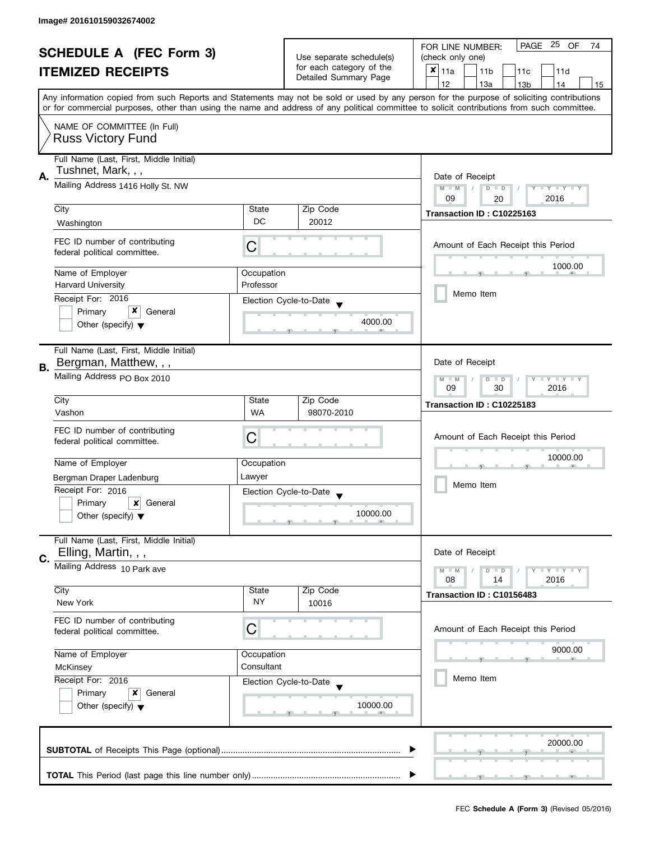| <b>SCHEDULE A (FEC Form 3)</b> |                                                                                         |                                                                                  | PAGE 25<br>OF<br>FOR LINE NUMBER:<br>74                 |                                                                                                                                                                                                                                                                                         |
|--------------------------------|-----------------------------------------------------------------------------------------|----------------------------------------------------------------------------------|---------------------------------------------------------|-----------------------------------------------------------------------------------------------------------------------------------------------------------------------------------------------------------------------------------------------------------------------------------------|
| <b>ITEMIZED RECEIPTS</b>       |                                                                                         | Use separate schedule(s)<br>for each category of the<br>Detailed Summary Page    | (check only one)                                        |                                                                                                                                                                                                                                                                                         |
|                                |                                                                                         |                                                                                  | $x _{11a}$<br>11 <sub>b</sub><br>11 <sub>c</sub><br>11d |                                                                                                                                                                                                                                                                                         |
|                                |                                                                                         |                                                                                  |                                                         | 12<br>13a<br>13 <sub>b</sub><br>14<br>15                                                                                                                                                                                                                                                |
|                                |                                                                                         |                                                                                  |                                                         | Any information copied from such Reports and Statements may not be sold or used by any person for the purpose of soliciting contributions<br>or for commercial purposes, other than using the name and address of any political committee to solicit contributions from such committee. |
|                                | NAME OF COMMITTEE (In Full)                                                             |                                                                                  |                                                         |                                                                                                                                                                                                                                                                                         |
|                                | <b>Russ Victory Fund</b>                                                                |                                                                                  |                                                         |                                                                                                                                                                                                                                                                                         |
|                                | Full Name (Last, First, Middle Initial)<br>Tushnet, Mark, , ,                           |                                                                                  |                                                         |                                                                                                                                                                                                                                                                                         |
| Α.                             | Mailing Address 1416 Holly St. NW                                                       | Date of Receipt<br>$M - M$<br>$D$ $D$<br>$Y - Y - Y - Y - Y$<br>09<br>2016<br>20 |                                                         |                                                                                                                                                                                                                                                                                         |
|                                | City                                                                                    | State                                                                            | Zip Code                                                |                                                                                                                                                                                                                                                                                         |
|                                | Washington                                                                              | DC                                                                               | 20012                                                   | Transaction ID: C10225163                                                                                                                                                                                                                                                               |
|                                |                                                                                         |                                                                                  |                                                         |                                                                                                                                                                                                                                                                                         |
|                                | FEC ID number of contributing<br>federal political committee.                           | C                                                                                |                                                         | Amount of Each Receipt this Period                                                                                                                                                                                                                                                      |
|                                | Name of Employer                                                                        | Occupation                                                                       |                                                         | 1000.00                                                                                                                                                                                                                                                                                 |
|                                | <b>Harvard University</b>                                                               | Professor                                                                        |                                                         |                                                                                                                                                                                                                                                                                         |
|                                | Receipt For: 2016                                                                       |                                                                                  | Election Cycle-to-Date                                  | Memo Item                                                                                                                                                                                                                                                                               |
|                                | x<br>Primary<br>General                                                                 |                                                                                  |                                                         |                                                                                                                                                                                                                                                                                         |
|                                | Other (specify) $\blacktriangledown$                                                    |                                                                                  | 4000.00                                                 |                                                                                                                                                                                                                                                                                         |
|                                | Full Name (Last, First, Middle Initial)                                                 |                                                                                  |                                                         |                                                                                                                                                                                                                                                                                         |
| В.                             | Bergman, Matthew, , ,                                                                   |                                                                                  |                                                         | Date of Receipt                                                                                                                                                                                                                                                                         |
|                                | Mailing Address PO Box 2010                                                             | $Y = Y + Y$<br>$M - M$<br>D<br>$\Box$<br>09<br>30<br>2016                        |                                                         |                                                                                                                                                                                                                                                                                         |
|                                | City                                                                                    | State                                                                            | Zip Code                                                | Transaction ID: C10225183                                                                                                                                                                                                                                                               |
|                                | Vashon                                                                                  | <b>WA</b>                                                                        | 98070-2010                                              |                                                                                                                                                                                                                                                                                         |
|                                | FEC ID number of contributing                                                           |                                                                                  |                                                         |                                                                                                                                                                                                                                                                                         |
|                                | federal political committee.                                                            | С                                                                                |                                                         | Amount of Each Receipt this Period                                                                                                                                                                                                                                                      |
|                                |                                                                                         |                                                                                  |                                                         | 10000.00                                                                                                                                                                                                                                                                                |
|                                | Name of Employer                                                                        | Occupation                                                                       |                                                         |                                                                                                                                                                                                                                                                                         |
|                                | Bergman Draper Ladenburg                                                                | Lawyer                                                                           |                                                         | Memo Item                                                                                                                                                                                                                                                                               |
|                                | Receipt For: 2016                                                                       |                                                                                  | Election Cycle-to-Date                                  |                                                                                                                                                                                                                                                                                         |
|                                | Primary<br>$\boldsymbol{\mathsf{x}}$<br>General<br>Other (specify) $\blacktriangledown$ |                                                                                  | 10000.00                                                |                                                                                                                                                                                                                                                                                         |
|                                |                                                                                         |                                                                                  |                                                         |                                                                                                                                                                                                                                                                                         |
|                                | Full Name (Last, First, Middle Initial)                                                 |                                                                                  |                                                         |                                                                                                                                                                                                                                                                                         |
|                                | Elling, Martin, , ,                                                                     |                                                                                  |                                                         | Date of Receipt                                                                                                                                                                                                                                                                         |
| C.                             | Mailing Address 10 Park ave                                                             |                                                                                  |                                                         | $M - M$<br>$Y = Y = Y$<br>D<br>$\Box$                                                                                                                                                                                                                                                   |
|                                |                                                                                         |                                                                                  |                                                         | 08<br>2016<br>14                                                                                                                                                                                                                                                                        |
|                                | City                                                                                    | State                                                                            | Zip Code                                                | Transaction ID: C10156483                                                                                                                                                                                                                                                               |
|                                | New York                                                                                | NY                                                                               | 10016                                                   |                                                                                                                                                                                                                                                                                         |
|                                | FEC ID number of contributing                                                           |                                                                                  |                                                         |                                                                                                                                                                                                                                                                                         |
|                                | federal political committee.                                                            | C                                                                                |                                                         | Amount of Each Receipt this Period                                                                                                                                                                                                                                                      |
|                                |                                                                                         | Occupation                                                                       |                                                         | 9000.00                                                                                                                                                                                                                                                                                 |
|                                | Name of Employer<br>Consultant<br>McKinsey                                              |                                                                                  |                                                         |                                                                                                                                                                                                                                                                                         |
|                                | Receipt For: 2016                                                                       |                                                                                  | Election Cycle-to-Date                                  | Memo Item                                                                                                                                                                                                                                                                               |
|                                | Primary<br>General<br>x                                                                 |                                                                                  |                                                         |                                                                                                                                                                                                                                                                                         |
|                                | Other (specify) $\blacktriangledown$                                                    |                                                                                  | 10000.00                                                |                                                                                                                                                                                                                                                                                         |
|                                |                                                                                         |                                                                                  |                                                         |                                                                                                                                                                                                                                                                                         |
|                                |                                                                                         |                                                                                  |                                                         |                                                                                                                                                                                                                                                                                         |
|                                |                                                                                         |                                                                                  |                                                         | 20000.00                                                                                                                                                                                                                                                                                |
|                                |                                                                                         |                                                                                  |                                                         |                                                                                                                                                                                                                                                                                         |
|                                |                                                                                         |                                                                                  |                                                         |                                                                                                                                                                                                                                                                                         |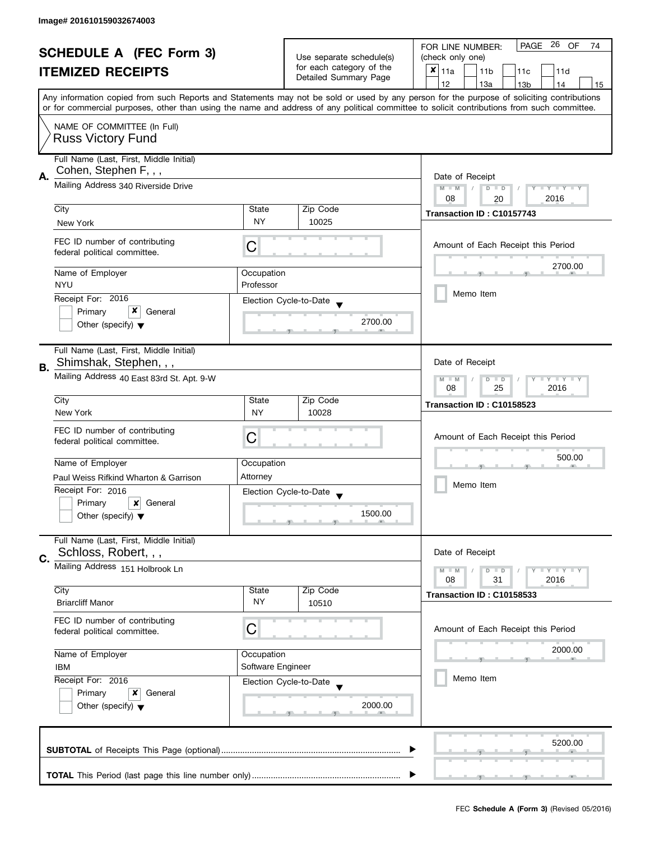| <b>SCHEDULE A (FEC Form 3)</b> |                                                                 |                    | PAGE 26 OF<br>FOR LINE NUMBER:<br>74              |                                                                                                                                            |
|--------------------------------|-----------------------------------------------------------------|--------------------|---------------------------------------------------|--------------------------------------------------------------------------------------------------------------------------------------------|
|                                |                                                                 |                    | Use separate schedule(s)                          | (check only one)                                                                                                                           |
|                                | <b>ITEMIZED RECEIPTS</b>                                        |                    | for each category of the<br>Detailed Summary Page | $x _{11a}$<br>11 <sub>b</sub><br>11c<br>11d                                                                                                |
|                                |                                                                 |                    |                                                   | 12<br>13a<br>13 <sub>b</sub><br>14<br>15                                                                                                   |
|                                |                                                                 |                    |                                                   | Any information copied from such Reports and Statements may not be sold or used by any person for the purpose of soliciting contributions  |
|                                |                                                                 |                    |                                                   | or for commercial purposes, other than using the name and address of any political committee to solicit contributions from such committee. |
|                                |                                                                 |                    |                                                   |                                                                                                                                            |
|                                | NAME OF COMMITTEE (In Full)                                     |                    |                                                   |                                                                                                                                            |
|                                | <b>Russ Victory Fund</b>                                        |                    |                                                   |                                                                                                                                            |
|                                | Full Name (Last, First, Middle Initial)                         |                    |                                                   |                                                                                                                                            |
|                                | Cohen, Stephen F, , ,                                           |                    |                                                   |                                                                                                                                            |
| Α.                             |                                                                 | Date of Receipt    |                                                   |                                                                                                                                            |
|                                | Mailing Address 340 Riverside Drive                             |                    |                                                   | $M - M$<br>$\sqrt{2}$<br>$D$ $D$<br>Y I Y I Y I Y                                                                                          |
|                                |                                                                 |                    |                                                   | 08<br>2016<br>20                                                                                                                           |
|                                | City                                                            | State              | Zip Code                                          | Transaction ID: C10157743                                                                                                                  |
|                                | New York                                                        | NY                 | 10025                                             |                                                                                                                                            |
|                                |                                                                 |                    |                                                   |                                                                                                                                            |
|                                | FEC ID number of contributing<br>federal political committee.   | С                  |                                                   | Amount of Each Receipt this Period                                                                                                         |
|                                |                                                                 |                    |                                                   |                                                                                                                                            |
|                                | Name of Employer                                                | Occupation         |                                                   | 2700.00                                                                                                                                    |
|                                | <b>NYU</b>                                                      | Professor          |                                                   |                                                                                                                                            |
|                                |                                                                 |                    |                                                   | Memo Item                                                                                                                                  |
|                                | Receipt For: 2016                                               |                    | Election Cycle-to-Date                            |                                                                                                                                            |
|                                | x<br>Primary<br>General                                         |                    |                                                   |                                                                                                                                            |
|                                | Other (specify) $\blacktriangledown$                            |                    | 2700.00                                           |                                                                                                                                            |
|                                |                                                                 |                    |                                                   |                                                                                                                                            |
|                                | Full Name (Last, First, Middle Initial)                         |                    |                                                   |                                                                                                                                            |
| В.                             | Shimshak, Stephen, , ,                                          |                    |                                                   | Date of Receipt                                                                                                                            |
|                                | Mailing Address 40 East 83rd St. Apt. 9-W                       |                    |                                                   | $Y - Y - Y$<br>$M - M$                                                                                                                     |
|                                |                                                                 |                    |                                                   | D<br>$\Box$<br>2016<br>08<br>25                                                                                                            |
|                                | City                                                            | State              | Zip Code                                          |                                                                                                                                            |
|                                | New York                                                        | <b>NY</b>          | 10028                                             | Transaction ID: C10158523                                                                                                                  |
|                                |                                                                 |                    |                                                   |                                                                                                                                            |
|                                | FEC ID number of contributing                                   |                    |                                                   | Amount of Each Receipt this Period                                                                                                         |
|                                | federal political committee.                                    | С                  |                                                   |                                                                                                                                            |
|                                |                                                                 |                    |                                                   | 500.00                                                                                                                                     |
|                                | Name of Employer                                                | Occupation         |                                                   |                                                                                                                                            |
|                                | Paul Weiss Rifkind Wharton & Garrison                           | Attorney           |                                                   |                                                                                                                                            |
|                                | Receipt For: 2016                                               |                    | Election Cycle-to-Date                            | Memo Item                                                                                                                                  |
|                                | Primary<br>×<br>General                                         |                    |                                                   |                                                                                                                                            |
|                                | Other (specify) $\blacktriangledown$                            |                    | 1500.00                                           |                                                                                                                                            |
|                                |                                                                 |                    |                                                   |                                                                                                                                            |
|                                | Full Name (Last, First, Middle Initial)                         |                    |                                                   |                                                                                                                                            |
|                                | Schloss, Robert, , ,                                            |                    |                                                   | Date of Receipt                                                                                                                            |
| C.                             | Mailing Address 151 Holbrook Ln                                 |                    |                                                   |                                                                                                                                            |
|                                |                                                                 |                    |                                                   | $M - M$<br>$\bot$ $\gamma$ $\bot$ $\gamma$ $\bot$ $\gamma$<br>D<br>$\blacksquare$                                                          |
|                                | City                                                            |                    | Zip Code                                          | 08<br>31<br>2016                                                                                                                           |
|                                |                                                                 | State<br><b>NY</b> |                                                   | Transaction ID: C10158533                                                                                                                  |
|                                | <b>Briarcliff Manor</b>                                         |                    | 10510                                             |                                                                                                                                            |
|                                | FEC ID number of contributing                                   |                    |                                                   |                                                                                                                                            |
|                                | federal political committee.                                    | C                  |                                                   | Amount of Each Receipt this Period                                                                                                         |
|                                |                                                                 |                    |                                                   |                                                                                                                                            |
|                                | Name of Employer                                                | Occupation         |                                                   | 2000.00                                                                                                                                    |
|                                | <b>IBM</b>                                                      | Software Engineer  |                                                   |                                                                                                                                            |
|                                | Receipt For: 2016                                               |                    | Election Cycle-to-Date                            | Memo Item                                                                                                                                  |
|                                | Primary<br>x<br>General<br>Other (specify) $\blacktriangledown$ |                    |                                                   |                                                                                                                                            |
|                                |                                                                 |                    | 2000.00                                           |                                                                                                                                            |
|                                |                                                                 |                    |                                                   |                                                                                                                                            |
|                                |                                                                 |                    |                                                   |                                                                                                                                            |
|                                |                                                                 |                    |                                                   |                                                                                                                                            |
|                                |                                                                 |                    |                                                   | 5200.00                                                                                                                                    |
|                                |                                                                 |                    |                                                   |                                                                                                                                            |
|                                |                                                                 |                    |                                                   |                                                                                                                                            |
|                                |                                                                 |                    |                                                   |                                                                                                                                            |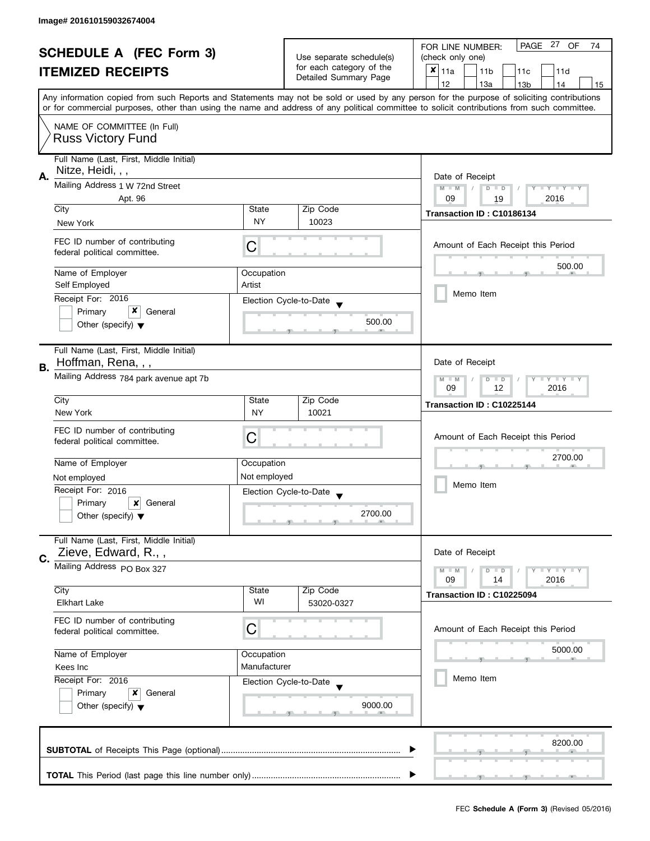| <b>SCHEDULE A (FEC Form 3)</b> |                                                                                                                                                                              |                                                         | PAGE 27 OF<br>FOR LINE NUMBER:<br>74              |                                                                                                                                            |  |  |
|--------------------------------|------------------------------------------------------------------------------------------------------------------------------------------------------------------------------|---------------------------------------------------------|---------------------------------------------------|--------------------------------------------------------------------------------------------------------------------------------------------|--|--|
|                                |                                                                                                                                                                              | Use separate schedule(s)                                | (check only one)                                  |                                                                                                                                            |  |  |
|                                | <b>ITEMIZED RECEIPTS</b>                                                                                                                                                     |                                                         | for each category of the<br>Detailed Summary Page | $x _{11a}$<br>11 <sub>b</sub><br>11c<br>11d                                                                                                |  |  |
|                                |                                                                                                                                                                              |                                                         |                                                   | 12<br>13a<br>13 <sub>b</sub><br>14<br>15                                                                                                   |  |  |
|                                | Any information copied from such Reports and Statements may not be sold or used by any person for the purpose of soliciting contributions                                    |                                                         |                                                   |                                                                                                                                            |  |  |
|                                |                                                                                                                                                                              |                                                         |                                                   | or for commercial purposes, other than using the name and address of any political committee to solicit contributions from such committee. |  |  |
|                                | NAME OF COMMITTEE (In Full)<br><b>Russ Victory Fund</b>                                                                                                                      |                                                         |                                                   |                                                                                                                                            |  |  |
|                                |                                                                                                                                                                              |                                                         |                                                   |                                                                                                                                            |  |  |
|                                | Full Name (Last, First, Middle Initial)                                                                                                                                      |                                                         |                                                   |                                                                                                                                            |  |  |
| А.                             | Nitze, Heidi, , ,                                                                                                                                                            |                                                         |                                                   | Date of Receipt                                                                                                                            |  |  |
|                                | Mailing Address 1 W 72nd Street                                                                                                                                              | $M - M$<br>$\sqrt{2}$<br>$D$ $D$<br>Y I Y I Y I Y<br>09 |                                                   |                                                                                                                                            |  |  |
|                                | Apt. 96<br>City                                                                                                                                                              | State                                                   | Zip Code                                          | 2016<br>19                                                                                                                                 |  |  |
|                                | New York                                                                                                                                                                     | <b>NY</b>                                               | 10023                                             | Transaction ID: C10186134                                                                                                                  |  |  |
|                                |                                                                                                                                                                              |                                                         |                                                   |                                                                                                                                            |  |  |
|                                | FEC ID number of contributing<br>federal political committee.                                                                                                                | С                                                       |                                                   | Amount of Each Receipt this Period                                                                                                         |  |  |
|                                |                                                                                                                                                                              |                                                         |                                                   | 500.00                                                                                                                                     |  |  |
|                                | Name of Employer                                                                                                                                                             | Occupation                                              |                                                   |                                                                                                                                            |  |  |
|                                | Self Employed<br>Receipt For: 2016                                                                                                                                           | Artist                                                  |                                                   | Memo Item                                                                                                                                  |  |  |
|                                | x<br>Primary<br>General                                                                                                                                                      |                                                         | Election Cycle-to-Date                            |                                                                                                                                            |  |  |
|                                | Other (specify) $\blacktriangledown$                                                                                                                                         |                                                         | 500.00                                            |                                                                                                                                            |  |  |
|                                |                                                                                                                                                                              |                                                         |                                                   |                                                                                                                                            |  |  |
|                                | Full Name (Last, First, Middle Initial)                                                                                                                                      |                                                         |                                                   |                                                                                                                                            |  |  |
| В.                             | Hoffman, Rena, , ,                                                                                                                                                           | Date of Receipt                                         |                                                   |                                                                                                                                            |  |  |
|                                | Mailing Address 784 park avenue apt 7b                                                                                                                                       | $Y = Y + Y$<br>$M - M$<br>D<br>$\Box$                   |                                                   |                                                                                                                                            |  |  |
|                                | City                                                                                                                                                                         | Zip Code<br>State                                       |                                                   | 2016<br>09<br>12                                                                                                                           |  |  |
|                                | New York                                                                                                                                                                     | <b>NY</b>                                               | 10021                                             | Transaction ID: C10225144                                                                                                                  |  |  |
|                                | FEC ID number of contributing                                                                                                                                                |                                                         |                                                   |                                                                                                                                            |  |  |
|                                | federal political committee.                                                                                                                                                 | С                                                       |                                                   | Amount of Each Receipt this Period                                                                                                         |  |  |
|                                |                                                                                                                                                                              |                                                         |                                                   | 2700.00                                                                                                                                    |  |  |
|                                | Name of Employer                                                                                                                                                             | Occupation                                              |                                                   |                                                                                                                                            |  |  |
|                                | Not employed                                                                                                                                                                 | Not employed                                            |                                                   | Memo Item                                                                                                                                  |  |  |
|                                | Receipt For: 2016<br>Primary                                                                                                                                                 |                                                         | Election Cycle-to-Date                            |                                                                                                                                            |  |  |
|                                | ×<br>General<br>Other (specify) $\blacktriangledown$                                                                                                                         |                                                         | 2700.00                                           |                                                                                                                                            |  |  |
|                                |                                                                                                                                                                              |                                                         |                                                   |                                                                                                                                            |  |  |
|                                | Full Name (Last, First, Middle Initial)                                                                                                                                      |                                                         |                                                   |                                                                                                                                            |  |  |
| C.                             | Zieve, Edward, R.,,                                                                                                                                                          |                                                         |                                                   | Date of Receipt                                                                                                                            |  |  |
|                                | Mailing Address PO Box 327                                                                                                                                                   |                                                         |                                                   | $M - M$<br>$Y + Y + Y$<br>D<br>$\blacksquare$                                                                                              |  |  |
|                                | City                                                                                                                                                                         | State                                                   | Zip Code                                          | 09<br>2016<br>14                                                                                                                           |  |  |
|                                | <b>Elkhart Lake</b>                                                                                                                                                          | WI                                                      | 53020-0327                                        | Transaction ID: C10225094                                                                                                                  |  |  |
|                                | FEC ID number of contributing                                                                                                                                                |                                                         |                                                   |                                                                                                                                            |  |  |
|                                | federal political committee.                                                                                                                                                 | C                                                       |                                                   | Amount of Each Receipt this Period                                                                                                         |  |  |
|                                |                                                                                                                                                                              |                                                         |                                                   | 5000.00                                                                                                                                    |  |  |
|                                | Name of Employer<br>Occupation<br>Manufacturer<br>Kees Inc<br>Receipt For: 2016<br>Election Cycle-to-Date<br>Primary<br>x<br>General<br>Other (specify) $\blacktriangledown$ |                                                         |                                                   |                                                                                                                                            |  |  |
|                                |                                                                                                                                                                              |                                                         |                                                   | Memo Item                                                                                                                                  |  |  |
|                                |                                                                                                                                                                              |                                                         |                                                   |                                                                                                                                            |  |  |
|                                |                                                                                                                                                                              |                                                         | 9000.00                                           |                                                                                                                                            |  |  |
|                                |                                                                                                                                                                              |                                                         |                                                   |                                                                                                                                            |  |  |
|                                |                                                                                                                                                                              |                                                         |                                                   |                                                                                                                                            |  |  |
|                                |                                                                                                                                                                              |                                                         |                                                   | 8200.00                                                                                                                                    |  |  |
|                                |                                                                                                                                                                              |                                                         |                                                   |                                                                                                                                            |  |  |
|                                |                                                                                                                                                                              |                                                         |                                                   |                                                                                                                                            |  |  |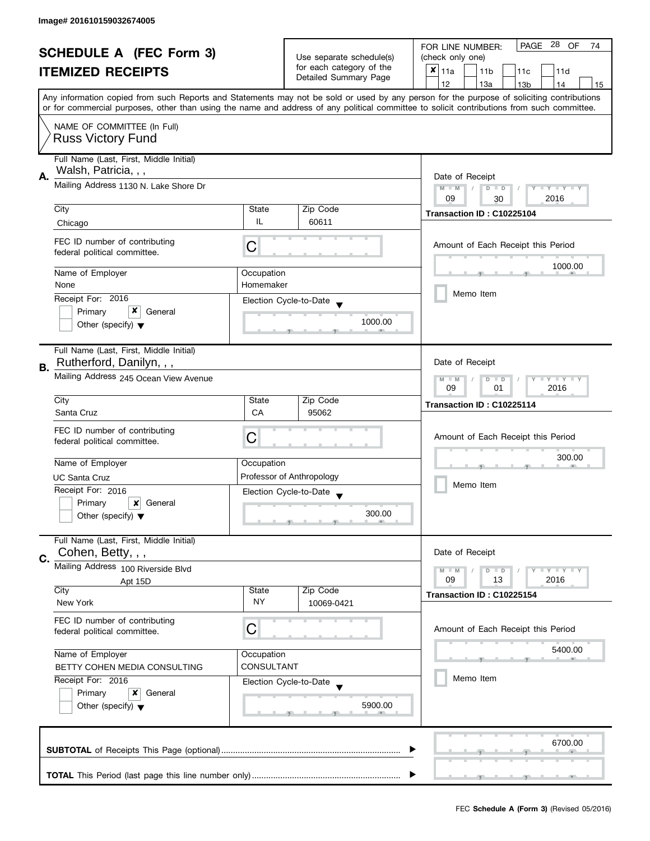| <b>SCHEDULE A (FEC Form 3)</b> |                                                                                                                                                                                                                                                                                         |                                                   | PAGE 28 OF<br>FOR LINE NUMBER:<br>74 |                                             |  |
|--------------------------------|-----------------------------------------------------------------------------------------------------------------------------------------------------------------------------------------------------------------------------------------------------------------------------------------|---------------------------------------------------|--------------------------------------|---------------------------------------------|--|
|                                |                                                                                                                                                                                                                                                                                         | Use separate schedule(s)                          | (check only one)                     |                                             |  |
|                                | <b>ITEMIZED RECEIPTS</b>                                                                                                                                                                                                                                                                |                                                   | for each category of the             | $x _{11a}$<br>11 <sub>b</sub><br>11c<br>11d |  |
|                                |                                                                                                                                                                                                                                                                                         |                                                   | Detailed Summary Page                | 12<br>13a<br>13 <sub>b</sub><br>14<br>15    |  |
|                                | Any information copied from such Reports and Statements may not be sold or used by any person for the purpose of soliciting contributions<br>or for commercial purposes, other than using the name and address of any political committee to solicit contributions from such committee. |                                                   |                                      |                                             |  |
|                                |                                                                                                                                                                                                                                                                                         |                                                   |                                      |                                             |  |
|                                | NAME OF COMMITTEE (In Full)                                                                                                                                                                                                                                                             |                                                   |                                      |                                             |  |
|                                | <b>Russ Victory Fund</b>                                                                                                                                                                                                                                                                |                                                   |                                      |                                             |  |
|                                | Full Name (Last, First, Middle Initial)                                                                                                                                                                                                                                                 |                                                   |                                      |                                             |  |
| А.                             | Walsh, Patricia, , ,                                                                                                                                                                                                                                                                    | Date of Receipt                                   |                                      |                                             |  |
|                                | Mailing Address 1130 N. Lake Shore Dr                                                                                                                                                                                                                                                   |                                                   |                                      | $M - M$<br>$D$ $D$<br>Y TY TY TY            |  |
|                                |                                                                                                                                                                                                                                                                                         |                                                   |                                      | 09<br>2016<br>30                            |  |
|                                | City                                                                                                                                                                                                                                                                                    | State                                             | Zip Code                             | Transaction ID: C10225104                   |  |
|                                | Chicago                                                                                                                                                                                                                                                                                 | IL                                                | 60611                                |                                             |  |
|                                | FEC ID number of contributing                                                                                                                                                                                                                                                           | C                                                 |                                      | Amount of Each Receipt this Period          |  |
|                                | federal political committee.                                                                                                                                                                                                                                                            |                                                   |                                      |                                             |  |
|                                | Name of Employer                                                                                                                                                                                                                                                                        | Occupation                                        |                                      | 1000.00                                     |  |
|                                | None                                                                                                                                                                                                                                                                                    | Homemaker                                         |                                      |                                             |  |
|                                | Receipt For: 2016                                                                                                                                                                                                                                                                       |                                                   | Election Cycle-to-Date               | Memo Item                                   |  |
|                                | x<br>Primary<br>General                                                                                                                                                                                                                                                                 |                                                   |                                      |                                             |  |
|                                | Other (specify) $\blacktriangledown$                                                                                                                                                                                                                                                    |                                                   | 1000.00                              |                                             |  |
|                                |                                                                                                                                                                                                                                                                                         |                                                   |                                      |                                             |  |
|                                | Full Name (Last, First, Middle Initial)<br>Rutherford, Danilyn, , ,                                                                                                                                                                                                                     |                                                   |                                      | Date of Receipt                             |  |
| В.                             |                                                                                                                                                                                                                                                                                         |                                                   |                                      |                                             |  |
|                                | Mailing Address 245 Ocean View Avenue                                                                                                                                                                                                                                                   | Y LY LY<br>$M - M$<br>$D$ $D$<br>09<br>2016<br>01 |                                      |                                             |  |
|                                | City                                                                                                                                                                                                                                                                                    | State                                             | Zip Code                             | Transaction ID: C10225114                   |  |
|                                | Santa Cruz                                                                                                                                                                                                                                                                              | CA                                                | 95062                                |                                             |  |
|                                | FEC ID number of contributing                                                                                                                                                                                                                                                           |                                                   |                                      |                                             |  |
|                                | federal political committee.                                                                                                                                                                                                                                                            | C                                                 |                                      | Amount of Each Receipt this Period          |  |
|                                |                                                                                                                                                                                                                                                                                         |                                                   |                                      | 300.00                                      |  |
|                                | Name of Employer                                                                                                                                                                                                                                                                        | Occupation                                        |                                      |                                             |  |
|                                | <b>UC Santa Cruz</b><br>Receipt For: 2016                                                                                                                                                                                                                                               |                                                   | Professor of Anthropology            | Memo Item                                   |  |
|                                | Primary<br>$\boldsymbol{\mathsf{x}}$<br>General                                                                                                                                                                                                                                         |                                                   | Election Cycle-to-Date               |                                             |  |
|                                | Other (specify) $\blacktriangledown$                                                                                                                                                                                                                                                    |                                                   | 300.00                               |                                             |  |
|                                |                                                                                                                                                                                                                                                                                         |                                                   |                                      |                                             |  |
|                                | Full Name (Last, First, Middle Initial)                                                                                                                                                                                                                                                 |                                                   |                                      |                                             |  |
| C.                             | Cohen, Betty, , ,                                                                                                                                                                                                                                                                       |                                                   |                                      | Date of Receipt                             |  |
|                                | Mailing Address 100 Riverside Blvd                                                                                                                                                                                                                                                      |                                                   |                                      | $M - M$<br>$Y \perp Y \perp Y$<br>$D$ $D$   |  |
|                                | Apt 15D<br>City                                                                                                                                                                                                                                                                         | State                                             | Zip Code                             | 2016<br>09<br>13                            |  |
|                                | New York                                                                                                                                                                                                                                                                                | NY.                                               | 10069-0421                           | Transaction ID: C10225154                   |  |
|                                |                                                                                                                                                                                                                                                                                         |                                                   |                                      |                                             |  |
|                                | FEC ID number of contributing<br>federal political committee.                                                                                                                                                                                                                           | С                                                 |                                      | Amount of Each Receipt this Period          |  |
|                                |                                                                                                                                                                                                                                                                                         |                                                   |                                      |                                             |  |
|                                | Name of Employer<br>Occupation                                                                                                                                                                                                                                                          |                                                   |                                      | 5400.00                                     |  |
|                                | BETTY COHEN MEDIA CONSULTING                                                                                                                                                                                                                                                            | CONSULTANT                                        |                                      |                                             |  |
|                                | Receipt For: 2016                                                                                                                                                                                                                                                                       |                                                   | Election Cycle-to-Date               | Memo Item                                   |  |
|                                | General<br>Primary<br>x                                                                                                                                                                                                                                                                 |                                                   |                                      |                                             |  |
|                                | Other (specify) $\blacktriangledown$                                                                                                                                                                                                                                                    |                                                   | 5900.00                              |                                             |  |
|                                |                                                                                                                                                                                                                                                                                         |                                                   |                                      |                                             |  |
|                                |                                                                                                                                                                                                                                                                                         |                                                   |                                      | 6700.00                                     |  |
|                                |                                                                                                                                                                                                                                                                                         |                                                   |                                      |                                             |  |
|                                |                                                                                                                                                                                                                                                                                         |                                                   |                                      |                                             |  |
|                                |                                                                                                                                                                                                                                                                                         |                                                   |                                      |                                             |  |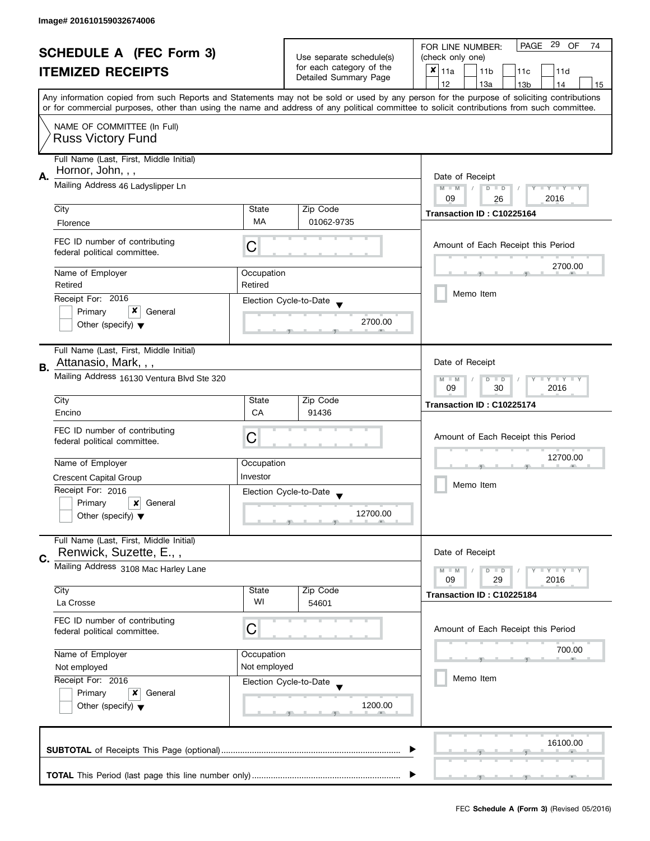| <b>SCHEDULE A (FEC Form 3)</b> |                                                               |                                                                               | PAGE 29 OF<br>FOR LINE NUMBER:<br>74                     |                                                                                                                                                                                                                                                                                         |  |
|--------------------------------|---------------------------------------------------------------|-------------------------------------------------------------------------------|----------------------------------------------------------|-----------------------------------------------------------------------------------------------------------------------------------------------------------------------------------------------------------------------------------------------------------------------------------------|--|
| <b>ITEMIZED RECEIPTS</b>       |                                                               | Use separate schedule(s)<br>for each category of the<br>Detailed Summary Page | (check only one)                                         |                                                                                                                                                                                                                                                                                         |  |
|                                |                                                               |                                                                               | $\boldsymbol{x}$<br>11a<br>11 <sub>b</sub><br>11c<br>11d |                                                                                                                                                                                                                                                                                         |  |
|                                |                                                               |                                                                               |                                                          | 12<br>13a<br>14<br>15<br>13 <sub>b</sub>                                                                                                                                                                                                                                                |  |
|                                |                                                               |                                                                               |                                                          | Any information copied from such Reports and Statements may not be sold or used by any person for the purpose of soliciting contributions<br>or for commercial purposes, other than using the name and address of any political committee to solicit contributions from such committee. |  |
|                                | NAME OF COMMITTEE (In Full)                                   |                                                                               |                                                          |                                                                                                                                                                                                                                                                                         |  |
|                                | <b>Russ Victory Fund</b>                                      |                                                                               |                                                          |                                                                                                                                                                                                                                                                                         |  |
|                                | Full Name (Last, First, Middle Initial)                       |                                                                               |                                                          |                                                                                                                                                                                                                                                                                         |  |
| А.                             | Hornor, John, , ,                                             | Date of Receipt                                                               |                                                          |                                                                                                                                                                                                                                                                                         |  |
|                                | Mailing Address 46 Ladyslipper Ln                             | $M - M$<br>$D$ $D$<br>$Y - Y - Y - Y$<br>2016<br>09                           |                                                          |                                                                                                                                                                                                                                                                                         |  |
|                                | City                                                          | State                                                                         | Zip Code                                                 | 26                                                                                                                                                                                                                                                                                      |  |
|                                | Florence                                                      | <b>MA</b>                                                                     | 01062-9735                                               | Transaction ID: C10225164                                                                                                                                                                                                                                                               |  |
|                                |                                                               |                                                                               |                                                          |                                                                                                                                                                                                                                                                                         |  |
|                                | FEC ID number of contributing<br>federal political committee. | С                                                                             |                                                          | Amount of Each Receipt this Period                                                                                                                                                                                                                                                      |  |
|                                | Name of Employer                                              | Occupation                                                                    |                                                          | 2700.00                                                                                                                                                                                                                                                                                 |  |
|                                | Retired                                                       | Retired                                                                       |                                                          |                                                                                                                                                                                                                                                                                         |  |
|                                | Receipt For: 2016                                             |                                                                               | Election Cycle-to-Date                                   | Memo Item                                                                                                                                                                                                                                                                               |  |
|                                | x<br>Primary<br>General                                       |                                                                               | 2700.00                                                  |                                                                                                                                                                                                                                                                                         |  |
|                                | Other (specify) $\blacktriangledown$                          |                                                                               |                                                          |                                                                                                                                                                                                                                                                                         |  |
|                                | Full Name (Last, First, Middle Initial)                       |                                                                               |                                                          |                                                                                                                                                                                                                                                                                         |  |
| В.                             | Attanasio, Mark, , ,                                          |                                                                               |                                                          | Date of Receipt                                                                                                                                                                                                                                                                         |  |
|                                | Mailing Address 16130 Ventura Blvd Ste 320                    | $T$ $Y$ $T$ $Y$ $T$ $Y$<br>$M - M$<br>$D$ $D$<br>2016                         |                                                          |                                                                                                                                                                                                                                                                                         |  |
|                                | City                                                          | State                                                                         | Zip Code                                                 | 09<br>30                                                                                                                                                                                                                                                                                |  |
|                                | Encino                                                        | CA                                                                            | 91436                                                    | Transaction ID: C10225174                                                                                                                                                                                                                                                               |  |
|                                | FEC ID number of contributing                                 |                                                                               |                                                          |                                                                                                                                                                                                                                                                                         |  |
|                                | federal political committee.                                  | С                                                                             |                                                          | Amount of Each Receipt this Period                                                                                                                                                                                                                                                      |  |
|                                | Name of Employer                                              | Occupation                                                                    |                                                          | 12700.00                                                                                                                                                                                                                                                                                |  |
|                                | <b>Crescent Capital Group</b>                                 | Investor                                                                      |                                                          |                                                                                                                                                                                                                                                                                         |  |
|                                | Receipt For: 2016                                             |                                                                               |                                                          | Memo Item                                                                                                                                                                                                                                                                               |  |
|                                | Primary<br>×<br>General                                       |                                                                               | Election Cycle-to-Date<br>$\overline{\mathbf{v}}$        |                                                                                                                                                                                                                                                                                         |  |
|                                | Other (specify) $\blacktriangledown$                          |                                                                               | 12700.00                                                 |                                                                                                                                                                                                                                                                                         |  |
|                                |                                                               |                                                                               |                                                          |                                                                                                                                                                                                                                                                                         |  |
|                                | Full Name (Last, First, Middle Initial)                       |                                                                               |                                                          |                                                                                                                                                                                                                                                                                         |  |
| C.                             | Renwick, Suzette, E.,,                                        |                                                                               |                                                          | Date of Receipt                                                                                                                                                                                                                                                                         |  |
|                                | Mailing Address 3108 Mac Harley Lane                          |                                                                               |                                                          | $Y = Y = Y$<br>$M - M$<br>$D$ $D$<br>09<br>29<br>2016                                                                                                                                                                                                                                   |  |
|                                | City                                                          | State                                                                         | Zip Code                                                 |                                                                                                                                                                                                                                                                                         |  |
|                                | La Crosse                                                     | WI                                                                            | 54601                                                    | Transaction ID: C10225184                                                                                                                                                                                                                                                               |  |
|                                | FEC ID number of contributing                                 |                                                                               |                                                          |                                                                                                                                                                                                                                                                                         |  |
|                                | federal political committee.                                  | C                                                                             |                                                          | Amount of Each Receipt this Period                                                                                                                                                                                                                                                      |  |
|                                | Name of Employer                                              | Occupation                                                                    |                                                          | 700.00                                                                                                                                                                                                                                                                                  |  |
|                                | Not employed                                                  | Not employed                                                                  |                                                          |                                                                                                                                                                                                                                                                                         |  |
|                                | Receipt For: 2016                                             |                                                                               | Election Cycle-to-Date                                   | Memo Item                                                                                                                                                                                                                                                                               |  |
|                                | Primary<br>x<br>General                                       |                                                                               |                                                          |                                                                                                                                                                                                                                                                                         |  |
|                                | Other (specify) $\blacktriangledown$                          |                                                                               | 1200.00                                                  |                                                                                                                                                                                                                                                                                         |  |
|                                |                                                               |                                                                               |                                                          |                                                                                                                                                                                                                                                                                         |  |
|                                |                                                               |                                                                               |                                                          | 16100.00                                                                                                                                                                                                                                                                                |  |
|                                |                                                               |                                                                               |                                                          |                                                                                                                                                                                                                                                                                         |  |
|                                |                                                               |                                                                               |                                                          |                                                                                                                                                                                                                                                                                         |  |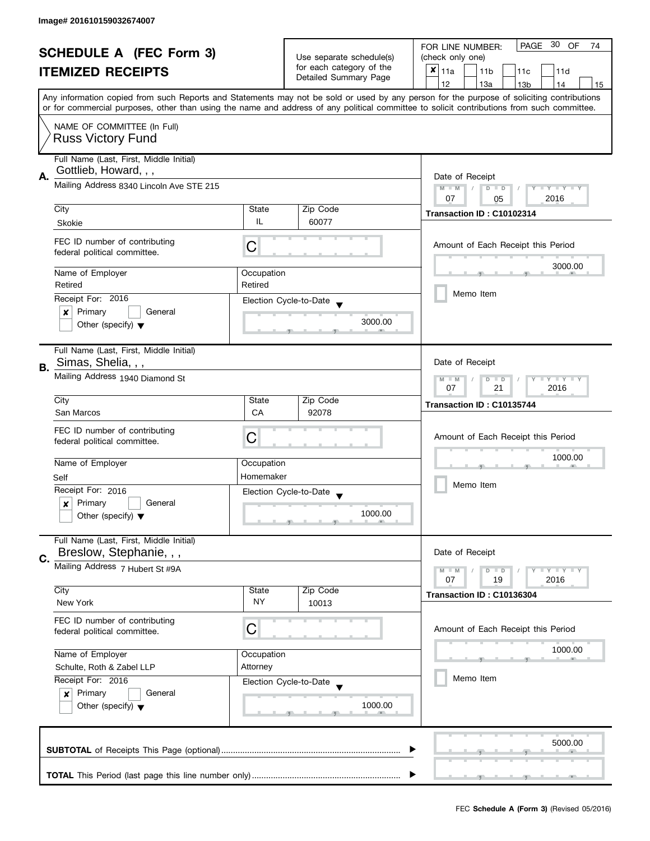| <b>SCHEDULE A (FEC Form 3)</b> |                                                                                |                                                                              |                                                   | PAGE 30 OF<br>FOR LINE NUMBER:<br>74                                                                                                                                                                                                                                                    |
|--------------------------------|--------------------------------------------------------------------------------|------------------------------------------------------------------------------|---------------------------------------------------|-----------------------------------------------------------------------------------------------------------------------------------------------------------------------------------------------------------------------------------------------------------------------------------------|
|                                |                                                                                | Use separate schedule(s)                                                     | (check only one)                                  |                                                                                                                                                                                                                                                                                         |
|                                | <b>ITEMIZED RECEIPTS</b>                                                       |                                                                              | for each category of the<br>Detailed Summary Page | $x _{11a}$<br>11 <sub>b</sub><br>11c<br>11d                                                                                                                                                                                                                                             |
|                                |                                                                                |                                                                              |                                                   | 12<br>13a<br>14<br>13 <sub>b</sub><br>15                                                                                                                                                                                                                                                |
|                                |                                                                                |                                                                              |                                                   | Any information copied from such Reports and Statements may not be sold or used by any person for the purpose of soliciting contributions<br>or for commercial purposes, other than using the name and address of any political committee to solicit contributions from such committee. |
|                                |                                                                                |                                                                              |                                                   |                                                                                                                                                                                                                                                                                         |
|                                | NAME OF COMMITTEE (In Full)<br><b>Russ Victory Fund</b>                        |                                                                              |                                                   |                                                                                                                                                                                                                                                                                         |
|                                | Full Name (Last, First, Middle Initial)<br>Gottlieb, Howard, , ,               |                                                                              |                                                   |                                                                                                                                                                                                                                                                                         |
| Α.                             | Mailing Address 8340 Lincoln Ave STE 215                                       | Date of Receipt<br>$Y - Y - Y - Y$<br>$M - M$<br>$D$ $D$<br>07<br>2016<br>05 |                                                   |                                                                                                                                                                                                                                                                                         |
|                                | City                                                                           | State                                                                        | Zip Code                                          |                                                                                                                                                                                                                                                                                         |
|                                | Skokie                                                                         | IL                                                                           | 60077                                             | Transaction ID: C10102314                                                                                                                                                                                                                                                               |
|                                | FEC ID number of contributing<br>federal political committee.                  | C                                                                            |                                                   | Amount of Each Receipt this Period                                                                                                                                                                                                                                                      |
|                                | Name of Employer                                                               | Occupation                                                                   |                                                   | 3000.00                                                                                                                                                                                                                                                                                 |
|                                | Retired                                                                        | Retired                                                                      |                                                   |                                                                                                                                                                                                                                                                                         |
|                                | Receipt For: 2016                                                              |                                                                              | Election Cycle-to-Date                            | Memo Item                                                                                                                                                                                                                                                                               |
|                                | Primary<br>General<br>×                                                        |                                                                              |                                                   |                                                                                                                                                                                                                                                                                         |
|                                | Other (specify) $\blacktriangledown$                                           |                                                                              | 3000.00                                           |                                                                                                                                                                                                                                                                                         |
| В.                             | Full Name (Last, First, Middle Initial)<br>Simas, Shelia, , ,                  |                                                                              |                                                   | Date of Receipt                                                                                                                                                                                                                                                                         |
|                                | Mailing Address 1940 Diamond St                                                | Y LY LY<br>$M - M$<br>$D$ $D$<br>07<br>21<br>2016                            |                                                   |                                                                                                                                                                                                                                                                                         |
|                                | City                                                                           | State                                                                        | Zip Code                                          | Transaction ID: C10135744                                                                                                                                                                                                                                                               |
|                                | San Marcos                                                                     | CA                                                                           | 92078                                             |                                                                                                                                                                                                                                                                                         |
|                                | FEC ID number of contributing<br>federal political committee.                  | С                                                                            |                                                   | Amount of Each Receipt this Period                                                                                                                                                                                                                                                      |
|                                | Name of Employer                                                               | Occupation                                                                   |                                                   | 1000.00                                                                                                                                                                                                                                                                                 |
|                                | Self                                                                           | Homemaker                                                                    |                                                   |                                                                                                                                                                                                                                                                                         |
|                                | Receipt For: 2016                                                              |                                                                              | Election Cycle-to-Date                            | Memo Item                                                                                                                                                                                                                                                                               |
|                                | Primary<br>General<br>x                                                        |                                                                              |                                                   |                                                                                                                                                                                                                                                                                         |
|                                | Other (specify) $\blacktriangledown$                                           |                                                                              | 1000.00                                           |                                                                                                                                                                                                                                                                                         |
| C.                             | Full Name (Last, First, Middle Initial)<br>Breslow, Stephanie, , ,             |                                                                              |                                                   | Date of Receipt                                                                                                                                                                                                                                                                         |
|                                | Mailing Address 7 Hubert St #9A                                                |                                                                              |                                                   | $M - M$<br>$Y \perp Y \perp Y$<br>$D$ $D$<br>07<br>2016<br>19                                                                                                                                                                                                                           |
|                                | City                                                                           | State                                                                        | Zip Code                                          | Transaction ID: C10136304                                                                                                                                                                                                                                                               |
|                                | New York                                                                       | NY.                                                                          | 10013                                             |                                                                                                                                                                                                                                                                                         |
|                                | FEC ID number of contributing<br>federal political committee.                  | C                                                                            |                                                   | Amount of Each Receipt this Period                                                                                                                                                                                                                                                      |
|                                | Name of Employer                                                               | Occupation                                                                   |                                                   | 1000.00                                                                                                                                                                                                                                                                                 |
|                                | Schulte, Roth & Zabel LLP                                                      | Attorney                                                                     |                                                   |                                                                                                                                                                                                                                                                                         |
|                                | Receipt For: 2016                                                              |                                                                              |                                                   | Memo Item                                                                                                                                                                                                                                                                               |
|                                | Primary<br>General<br>$\boldsymbol{x}$<br>Other (specify) $\blacktriangledown$ | Election Cycle-to-Date<br>1000.00                                            |                                                   |                                                                                                                                                                                                                                                                                         |
|                                |                                                                                |                                                                              |                                                   | 5000.00                                                                                                                                                                                                                                                                                 |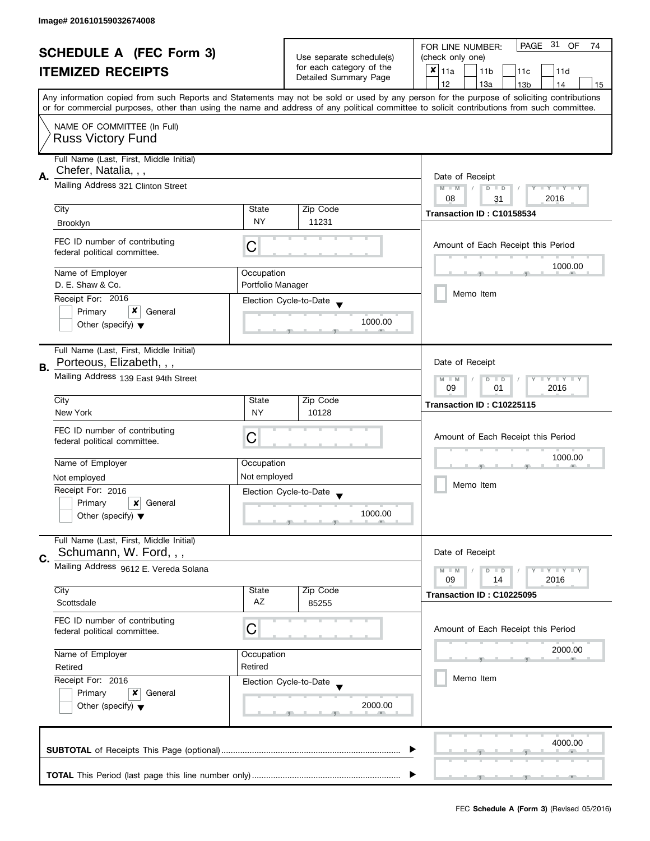|                                                            |                                                                     |                                                      |                                                   | PAGE 31<br>OF<br>FOR LINE NUMBER:<br>74                                                                                                                                                                                                                                                 |
|------------------------------------------------------------|---------------------------------------------------------------------|------------------------------------------------------|---------------------------------------------------|-----------------------------------------------------------------------------------------------------------------------------------------------------------------------------------------------------------------------------------------------------------------------------------------|
| <b>SCHEDULE A (FEC Form 3)</b><br><b>ITEMIZED RECEIPTS</b> |                                                                     |                                                      | Use separate schedule(s)                          | (check only one)                                                                                                                                                                                                                                                                        |
|                                                            |                                                                     |                                                      | for each category of the<br>Detailed Summary Page | $\overline{\mathbf{x}}$ 11a<br>11 <sub>b</sub><br>11c<br>11d                                                                                                                                                                                                                            |
|                                                            |                                                                     |                                                      |                                                   | 12<br>13a<br>13 <sub>b</sub><br>14<br>15                                                                                                                                                                                                                                                |
|                                                            |                                                                     |                                                      |                                                   | Any information copied from such Reports and Statements may not be sold or used by any person for the purpose of soliciting contributions<br>or for commercial purposes, other than using the name and address of any political committee to solicit contributions from such committee. |
|                                                            | NAME OF COMMITTEE (In Full)                                         |                                                      |                                                   |                                                                                                                                                                                                                                                                                         |
|                                                            | <b>Russ Victory Fund</b>                                            |                                                      |                                                   |                                                                                                                                                                                                                                                                                         |
| А.                                                         | Full Name (Last, First, Middle Initial)<br>Chefer, Natalia, , ,     |                                                      |                                                   | Date of Receipt                                                                                                                                                                                                                                                                         |
|                                                            | Mailing Address 321 Clinton Street                                  | Y TY TY TY<br>$M - M$<br>$D$ $D$<br>08<br>2016<br>31 |                                                   |                                                                                                                                                                                                                                                                                         |
|                                                            | City                                                                | State                                                | Zip Code                                          | Transaction ID: C10158534                                                                                                                                                                                                                                                               |
|                                                            | <b>Brooklyn</b>                                                     | <b>NY</b>                                            | 11231                                             |                                                                                                                                                                                                                                                                                         |
|                                                            | FEC ID number of contributing<br>federal political committee.       | С                                                    |                                                   | Amount of Each Receipt this Period                                                                                                                                                                                                                                                      |
|                                                            | Name of Employer                                                    | Occupation                                           |                                                   | 1000.00                                                                                                                                                                                                                                                                                 |
|                                                            | D. E. Shaw & Co.                                                    | Portfolio Manager                                    |                                                   |                                                                                                                                                                                                                                                                                         |
|                                                            | Receipt For: 2016                                                   |                                                      | Election Cycle-to-Date                            | Memo Item                                                                                                                                                                                                                                                                               |
|                                                            | Primary<br>General                                                  |                                                      |                                                   |                                                                                                                                                                                                                                                                                         |
|                                                            | Other (specify) $\blacktriangledown$                                |                                                      | 1000.00                                           |                                                                                                                                                                                                                                                                                         |
|                                                            | Full Name (Last, First, Middle Initial)<br>Porteous, Elizabeth, , , |                                                      |                                                   | Date of Receipt                                                                                                                                                                                                                                                                         |
| В.                                                         | Mailing Address 139 East 94th Street                                | $Y - Y - Y - Y - Y$<br>$M - M$<br>$D$ $D$            |                                                   |                                                                                                                                                                                                                                                                                         |
|                                                            |                                                                     | 09<br>01<br>2016                                     |                                                   |                                                                                                                                                                                                                                                                                         |
|                                                            | City                                                                | State                                                | Zip Code                                          | Transaction ID: C10225115                                                                                                                                                                                                                                                               |
|                                                            | New York                                                            | <b>NY</b>                                            | 10128                                             |                                                                                                                                                                                                                                                                                         |
|                                                            | FEC ID number of contributing                                       | C                                                    |                                                   | Amount of Each Receipt this Period                                                                                                                                                                                                                                                      |
|                                                            | federal political committee.                                        |                                                      |                                                   |                                                                                                                                                                                                                                                                                         |
|                                                            | Name of Employer                                                    | Occupation                                           |                                                   | 1000.00                                                                                                                                                                                                                                                                                 |
|                                                            | Not employed                                                        | Not employed                                         |                                                   |                                                                                                                                                                                                                                                                                         |
|                                                            | Receipt For: 2016                                                   |                                                      | Election Cycle-to-Date                            | Memo Item                                                                                                                                                                                                                                                                               |
|                                                            | Primary<br>×<br>General                                             |                                                      |                                                   |                                                                                                                                                                                                                                                                                         |
|                                                            | Other (specify) $\blacktriangledown$                                |                                                      | 1000.00                                           |                                                                                                                                                                                                                                                                                         |
| C.                                                         | Full Name (Last, First, Middle Initial)<br>Schumann, W. Ford, , ,   |                                                      |                                                   | Date of Receipt                                                                                                                                                                                                                                                                         |
|                                                            | Mailing Address 9612 E. Vereda Solana                               |                                                      |                                                   | Y I Y I Y I Y<br>$M - M$<br>$D$ $D$<br>2016<br>09<br>14                                                                                                                                                                                                                                 |
|                                                            | City                                                                | State                                                | Zip Code                                          | Transaction ID: C10225095                                                                                                                                                                                                                                                               |
|                                                            | Scottsdale                                                          | AZ                                                   | 85255                                             |                                                                                                                                                                                                                                                                                         |
|                                                            | FEC ID number of contributing<br>federal political committee.       | C                                                    |                                                   | Amount of Each Receipt this Period                                                                                                                                                                                                                                                      |
|                                                            | Name of Employer                                                    | Occupation                                           |                                                   | 2000.00                                                                                                                                                                                                                                                                                 |
|                                                            | Retired                                                             | Retired                                              |                                                   |                                                                                                                                                                                                                                                                                         |
|                                                            | Receipt For: 2016                                                   |                                                      | Election Cycle-to-Date                            | Memo Item                                                                                                                                                                                                                                                                               |
|                                                            | Primary<br>x<br>General                                             |                                                      |                                                   |                                                                                                                                                                                                                                                                                         |
|                                                            | Other (specify) $\blacktriangledown$                                |                                                      | 2000.00                                           |                                                                                                                                                                                                                                                                                         |
|                                                            |                                                                     |                                                      |                                                   | 4000.00                                                                                                                                                                                                                                                                                 |
|                                                            |                                                                     |                                                      |                                                   |                                                                                                                                                                                                                                                                                         |
|                                                            |                                                                     |                                                      |                                                   |                                                                                                                                                                                                                                                                                         |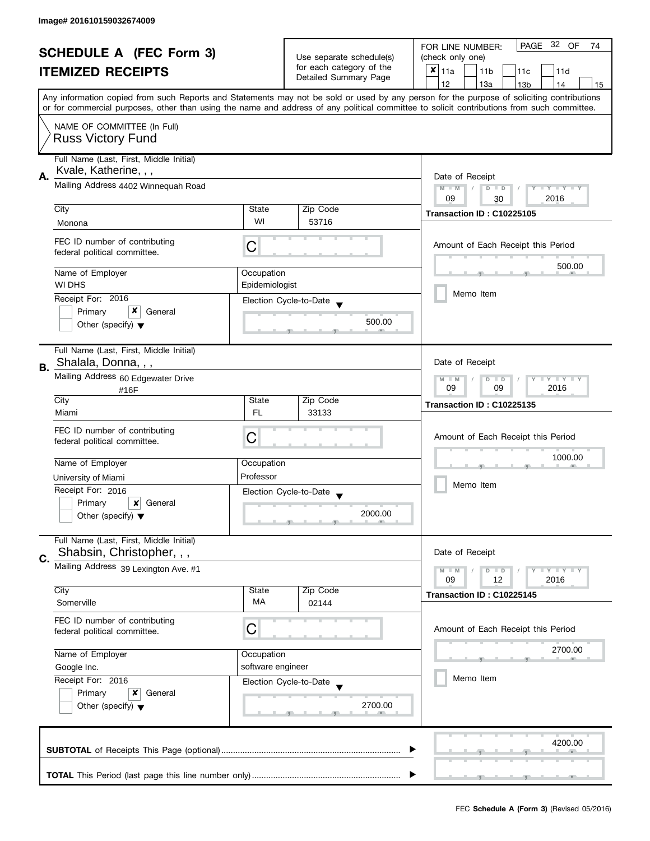| <b>SCHEDULE A (FEC Form 3)</b> |                                                                                                                                                                                                                                                                                         |                          | PAGE 32 OF<br>FOR LINE NUMBER:<br>74              |                                                         |  |  |  |
|--------------------------------|-----------------------------------------------------------------------------------------------------------------------------------------------------------------------------------------------------------------------------------------------------------------------------------------|--------------------------|---------------------------------------------------|---------------------------------------------------------|--|--|--|
|                                |                                                                                                                                                                                                                                                                                         | Use separate schedule(s) | (check only one)                                  |                                                         |  |  |  |
|                                | <b>ITEMIZED RECEIPTS</b>                                                                                                                                                                                                                                                                |                          | for each category of the<br>Detailed Summary Page | $x _{11a}$<br>11 <sub>b</sub><br>11c<br>11d             |  |  |  |
|                                |                                                                                                                                                                                                                                                                                         |                          |                                                   | 12<br>13a<br>13 <sub>b</sub><br>14<br>15                |  |  |  |
|                                | Any information copied from such Reports and Statements may not be sold or used by any person for the purpose of soliciting contributions<br>or for commercial purposes, other than using the name and address of any political committee to solicit contributions from such committee. |                          |                                                   |                                                         |  |  |  |
|                                |                                                                                                                                                                                                                                                                                         |                          |                                                   |                                                         |  |  |  |
|                                | NAME OF COMMITTEE (In Full)                                                                                                                                                                                                                                                             |                          |                                                   |                                                         |  |  |  |
|                                | <b>Russ Victory Fund</b>                                                                                                                                                                                                                                                                |                          |                                                   |                                                         |  |  |  |
|                                | Full Name (Last, First, Middle Initial)                                                                                                                                                                                                                                                 |                          |                                                   |                                                         |  |  |  |
|                                | Kvale, Katherine, , ,                                                                                                                                                                                                                                                                   | Date of Receipt          |                                                   |                                                         |  |  |  |
| Α.                             | Mailing Address 4402 Winnequah Road                                                                                                                                                                                                                                                     |                          |                                                   |                                                         |  |  |  |
|                                |                                                                                                                                                                                                                                                                                         |                          |                                                   | $M - M$<br>$D$ $D$<br>Y I Y I Y I Y<br>09<br>2016<br>30 |  |  |  |
|                                | City                                                                                                                                                                                                                                                                                    | State                    | Zip Code                                          | Transaction ID: C10225105                               |  |  |  |
|                                | Monona                                                                                                                                                                                                                                                                                  | WI                       | 53716                                             |                                                         |  |  |  |
|                                | FEC ID number of contributing                                                                                                                                                                                                                                                           |                          |                                                   |                                                         |  |  |  |
|                                | federal political committee.                                                                                                                                                                                                                                                            | С                        |                                                   | Amount of Each Receipt this Period                      |  |  |  |
|                                |                                                                                                                                                                                                                                                                                         |                          |                                                   | 500.00                                                  |  |  |  |
|                                | Name of Employer<br>WI DHS                                                                                                                                                                                                                                                              | Occupation               |                                                   |                                                         |  |  |  |
|                                |                                                                                                                                                                                                                                                                                         | Epidemiologist           |                                                   | Memo Item                                               |  |  |  |
|                                | Receipt For: 2016<br>x<br>Primary                                                                                                                                                                                                                                                       |                          | Election Cycle-to-Date                            |                                                         |  |  |  |
|                                | General<br>Other (specify) $\blacktriangledown$                                                                                                                                                                                                                                         |                          | 500.00                                            |                                                         |  |  |  |
|                                |                                                                                                                                                                                                                                                                                         |                          |                                                   |                                                         |  |  |  |
|                                | Full Name (Last, First, Middle Initial)                                                                                                                                                                                                                                                 |                          |                                                   |                                                         |  |  |  |
| В.                             | Shalala, Donna, , ,                                                                                                                                                                                                                                                                     |                          |                                                   | Date of Receipt                                         |  |  |  |
|                                | Mailing Address 60 Edgewater Drive                                                                                                                                                                                                                                                      |                          |                                                   | $Y - Y - Y$<br>$M - M$<br>D<br>$\Box$                   |  |  |  |
|                                | #16F                                                                                                                                                                                                                                                                                    | 2016<br>09<br>09         |                                                   |                                                         |  |  |  |
|                                | City                                                                                                                                                                                                                                                                                    | State                    | Zip Code                                          | Transaction ID: C10225135                               |  |  |  |
|                                | Miami                                                                                                                                                                                                                                                                                   | <b>FL</b>                | 33133                                             |                                                         |  |  |  |
|                                | FEC ID number of contributing                                                                                                                                                                                                                                                           |                          |                                                   |                                                         |  |  |  |
|                                | federal political committee.                                                                                                                                                                                                                                                            | C                        |                                                   | Amount of Each Receipt this Period                      |  |  |  |
|                                | Name of Employer                                                                                                                                                                                                                                                                        | Occupation               |                                                   | 1000.00                                                 |  |  |  |
|                                |                                                                                                                                                                                                                                                                                         | Professor                |                                                   |                                                         |  |  |  |
|                                | University of Miami<br>Receipt For: 2016                                                                                                                                                                                                                                                |                          |                                                   | Memo Item                                               |  |  |  |
|                                | Primary<br>x<br>General                                                                                                                                                                                                                                                                 |                          | Election Cycle-to-Date                            |                                                         |  |  |  |
|                                | Other (specify) $\blacktriangledown$                                                                                                                                                                                                                                                    |                          | 2000.00                                           |                                                         |  |  |  |
|                                |                                                                                                                                                                                                                                                                                         |                          |                                                   |                                                         |  |  |  |
|                                | Full Name (Last, First, Middle Initial)                                                                                                                                                                                                                                                 |                          |                                                   |                                                         |  |  |  |
| C.                             | Shabsin, Christopher, , ,                                                                                                                                                                                                                                                               |                          |                                                   | Date of Receipt                                         |  |  |  |
|                                | Mailing Address 39 Lexington Ave. #1                                                                                                                                                                                                                                                    |                          |                                                   | $M - M$<br>$Y - Y - Y$<br>D<br>$\blacksquare$           |  |  |  |
|                                |                                                                                                                                                                                                                                                                                         |                          |                                                   | 09<br>12<br>2016                                        |  |  |  |
|                                | City                                                                                                                                                                                                                                                                                    | State<br><b>MA</b>       | Zip Code                                          | Transaction ID: C10225145                               |  |  |  |
|                                | Somerville                                                                                                                                                                                                                                                                              |                          | 02144                                             |                                                         |  |  |  |
|                                | FEC ID number of contributing                                                                                                                                                                                                                                                           | C                        |                                                   | Amount of Each Receipt this Period                      |  |  |  |
|                                | federal political committee.                                                                                                                                                                                                                                                            |                          |                                                   |                                                         |  |  |  |
|                                | Name of Employer                                                                                                                                                                                                                                                                        | Occupation               |                                                   | 2700.00                                                 |  |  |  |
|                                | software engineer<br>Google Inc.<br>Receipt For: 2016                                                                                                                                                                                                                                   |                          |                                                   |                                                         |  |  |  |
|                                |                                                                                                                                                                                                                                                                                         |                          | Election Cycle-to-Date                            | Memo Item                                               |  |  |  |
|                                | Primary<br>x<br>General                                                                                                                                                                                                                                                                 |                          |                                                   |                                                         |  |  |  |
|                                | Other (specify) $\blacktriangledown$                                                                                                                                                                                                                                                    |                          | 2700.00                                           |                                                         |  |  |  |
|                                |                                                                                                                                                                                                                                                                                         |                          |                                                   |                                                         |  |  |  |
|                                |                                                                                                                                                                                                                                                                                         |                          |                                                   |                                                         |  |  |  |
|                                |                                                                                                                                                                                                                                                                                         |                          |                                                   | 4200.00                                                 |  |  |  |
|                                |                                                                                                                                                                                                                                                                                         |                          |                                                   |                                                         |  |  |  |
|                                |                                                                                                                                                                                                                                                                                         |                          |                                                   |                                                         |  |  |  |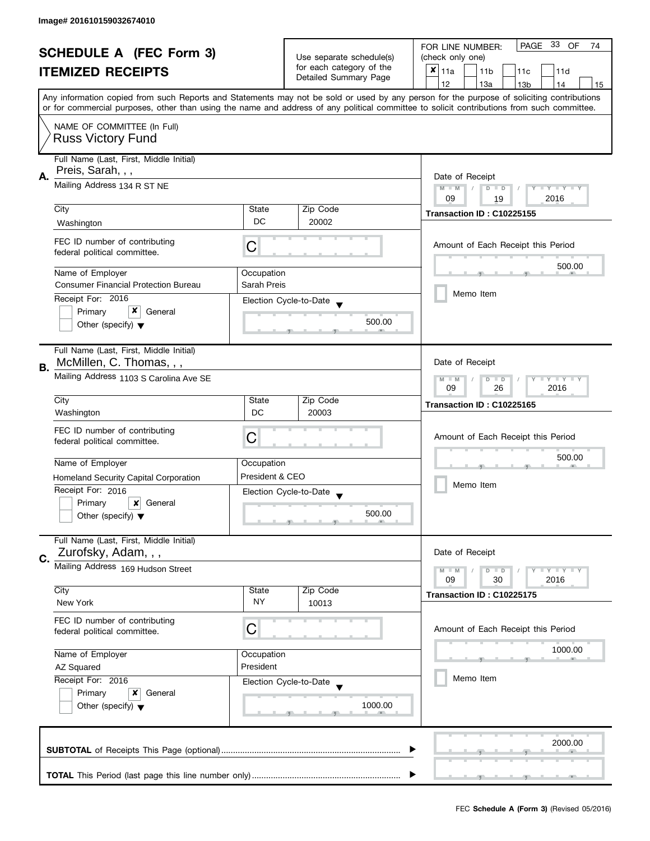| <b>SCHEDULE A (FEC Form 3)</b> |                                                               |                                                         | PAGE 33 OF<br>FOR LINE NUMBER:<br>74              |                                                                                                                                                                                                                                                                                         |
|--------------------------------|---------------------------------------------------------------|---------------------------------------------------------|---------------------------------------------------|-----------------------------------------------------------------------------------------------------------------------------------------------------------------------------------------------------------------------------------------------------------------------------------------|
|                                |                                                               | Use separate schedule(s)                                | (check only one)                                  |                                                                                                                                                                                                                                                                                         |
|                                | <b>ITEMIZED RECEIPTS</b>                                      |                                                         | for each category of the                          | ×<br>11a<br>11 <sub>b</sub><br>11c<br>11d                                                                                                                                                                                                                                               |
|                                |                                                               |                                                         | Detailed Summary Page                             | 12<br>13a<br>13 <sub>b</sub><br>14<br>15                                                                                                                                                                                                                                                |
|                                |                                                               |                                                         |                                                   | Any information copied from such Reports and Statements may not be sold or used by any person for the purpose of soliciting contributions<br>or for commercial purposes, other than using the name and address of any political committee to solicit contributions from such committee. |
|                                |                                                               |                                                         |                                                   |                                                                                                                                                                                                                                                                                         |
|                                | NAME OF COMMITTEE (In Full)<br><b>Russ Victory Fund</b>       |                                                         |                                                   |                                                                                                                                                                                                                                                                                         |
|                                | Full Name (Last, First, Middle Initial)<br>Preis, Sarah, , ,  |                                                         |                                                   |                                                                                                                                                                                                                                                                                         |
| А.                             | Mailing Address 134 R ST NE                                   |                                                         |                                                   | Date of Receipt<br>$M - M$<br>Y I Y I Y I Y<br>$D$ $D$<br>2016<br>09<br>19                                                                                                                                                                                                              |
|                                | City                                                          | State                                                   | Zip Code                                          |                                                                                                                                                                                                                                                                                         |
|                                | Washington                                                    | DC                                                      | 20002                                             | Transaction ID: C10225155                                                                                                                                                                                                                                                               |
|                                |                                                               |                                                         |                                                   |                                                                                                                                                                                                                                                                                         |
|                                | FEC ID number of contributing<br>federal political committee. | С                                                       |                                                   | Amount of Each Receipt this Period                                                                                                                                                                                                                                                      |
|                                | Name of Employer                                              | Occupation                                              |                                                   | 500.00                                                                                                                                                                                                                                                                                  |
|                                | <b>Consumer Financial Protection Bureau</b>                   | Sarah Preis                                             |                                                   |                                                                                                                                                                                                                                                                                         |
|                                | Receipt For: 2016                                             |                                                         | Election Cycle-to-Date                            | Memo Item                                                                                                                                                                                                                                                                               |
|                                | x<br>Primary<br>General                                       |                                                         |                                                   |                                                                                                                                                                                                                                                                                         |
|                                | Other (specify) $\blacktriangledown$                          |                                                         | 500.00                                            |                                                                                                                                                                                                                                                                                         |
|                                | Full Name (Last, First, Middle Initial)                       |                                                         |                                                   |                                                                                                                                                                                                                                                                                         |
|                                | McMillen, C. Thomas, , ,                                      |                                                         |                                                   | Date of Receipt                                                                                                                                                                                                                                                                         |
| В.                             | Mailing Address 1103 S Carolina Ave SE                        | <b>LYLYLY</b><br>$M - M$<br>$D$ $D$<br>26<br>2016<br>09 |                                                   |                                                                                                                                                                                                                                                                                         |
|                                | City                                                          | State                                                   | Zip Code                                          |                                                                                                                                                                                                                                                                                         |
|                                | Washington                                                    | DC                                                      | 20003                                             | Transaction ID: C10225165                                                                                                                                                                                                                                                               |
|                                |                                                               |                                                         |                                                   |                                                                                                                                                                                                                                                                                         |
|                                | FEC ID number of contributing                                 | С                                                       |                                                   | Amount of Each Receipt this Period                                                                                                                                                                                                                                                      |
|                                | federal political committee.                                  |                                                         |                                                   |                                                                                                                                                                                                                                                                                         |
|                                | Name of Employer                                              | Occupation                                              |                                                   | 500.00                                                                                                                                                                                                                                                                                  |
|                                |                                                               | President & CEO                                         |                                                   |                                                                                                                                                                                                                                                                                         |
|                                | Homeland Security Capital Corporation                         |                                                         |                                                   | Memo Item                                                                                                                                                                                                                                                                               |
|                                | Receipt For: 2016                                             |                                                         | Election Cycle-to-Date<br>$\overline{\mathbf{v}}$ |                                                                                                                                                                                                                                                                                         |
|                                | Primary<br>×<br>General                                       |                                                         | 500.00                                            |                                                                                                                                                                                                                                                                                         |
|                                | Other (specify) $\blacktriangledown$                          |                                                         |                                                   |                                                                                                                                                                                                                                                                                         |
|                                | Full Name (Last, First, Middle Initial)                       |                                                         |                                                   |                                                                                                                                                                                                                                                                                         |
| C.                             | Zurofsky, Adam, , ,                                           |                                                         |                                                   | Date of Receipt                                                                                                                                                                                                                                                                         |
|                                | Mailing Address 169 Hudson Street                             |                                                         |                                                   | <b>LY LY LY</b><br>$M - M$<br>$D$ $D$                                                                                                                                                                                                                                                   |
|                                |                                                               |                                                         |                                                   | 09<br>30<br>2016                                                                                                                                                                                                                                                                        |
|                                | City                                                          | State                                                   | Zip Code                                          | Transaction ID: C10225175                                                                                                                                                                                                                                                               |
|                                | New York                                                      | NY.                                                     | 10013                                             |                                                                                                                                                                                                                                                                                         |
|                                | FEC ID number of contributing                                 |                                                         |                                                   |                                                                                                                                                                                                                                                                                         |
|                                | federal political committee.                                  | C                                                       |                                                   | Amount of Each Receipt this Period                                                                                                                                                                                                                                                      |
|                                |                                                               |                                                         |                                                   |                                                                                                                                                                                                                                                                                         |
|                                | Name of Employer                                              | Occupation                                              |                                                   | 1000.00                                                                                                                                                                                                                                                                                 |
|                                | <b>AZ Squared</b>                                             | President                                               |                                                   |                                                                                                                                                                                                                                                                                         |
|                                | Receipt For: 2016                                             |                                                         | Election Cycle-to-Date                            | Memo Item                                                                                                                                                                                                                                                                               |
|                                | Primary<br>x<br>General                                       |                                                         |                                                   |                                                                                                                                                                                                                                                                                         |
|                                | Other (specify) $\blacktriangledown$                          |                                                         | 1000.00                                           |                                                                                                                                                                                                                                                                                         |
|                                |                                                               |                                                         |                                                   |                                                                                                                                                                                                                                                                                         |
|                                |                                                               |                                                         |                                                   |                                                                                                                                                                                                                                                                                         |
|                                |                                                               |                                                         |                                                   | 2000.00                                                                                                                                                                                                                                                                                 |
|                                |                                                               |                                                         |                                                   |                                                                                                                                                                                                                                                                                         |
|                                |                                                               |                                                         |                                                   |                                                                                                                                                                                                                                                                                         |
|                                |                                                               |                                                         |                                                   |                                                                                                                                                                                                                                                                                         |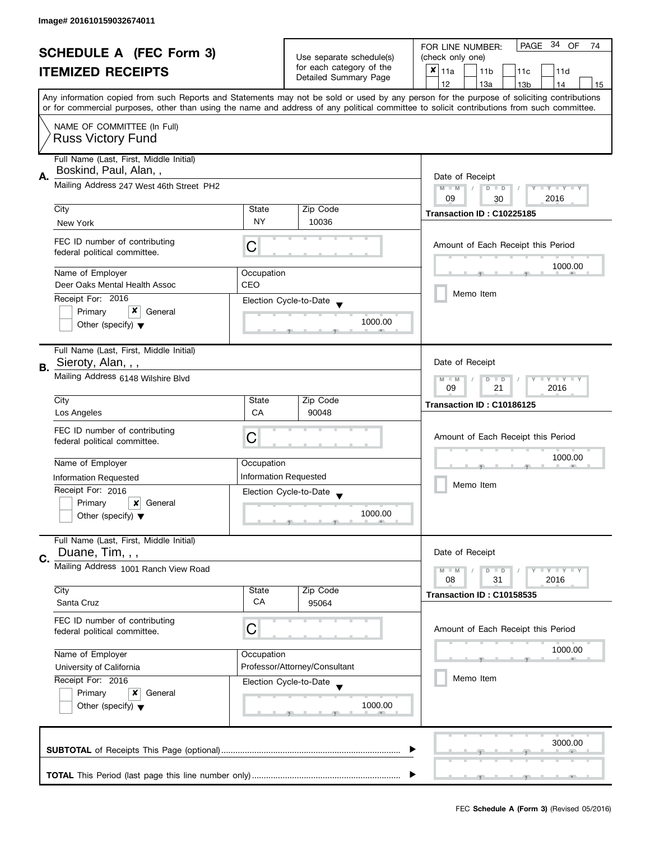| <b>SCHEDULE A (FEC Form 3)</b> |                                                                            | Use separate schedule(s)<br>for each category of the | PAGE 34 OF<br>FOR LINE NUMBER:<br>74               |                                                                                                                                                                                                                                                                                         |  |  |  |
|--------------------------------|----------------------------------------------------------------------------|------------------------------------------------------|----------------------------------------------------|-----------------------------------------------------------------------------------------------------------------------------------------------------------------------------------------------------------------------------------------------------------------------------------------|--|--|--|
|                                |                                                                            |                                                      | (check only one)                                   |                                                                                                                                                                                                                                                                                         |  |  |  |
|                                | <b>ITEMIZED RECEIPTS</b>                                                   |                                                      | Detailed Summary Page                              | $x _{11a}$<br>11 <sub>b</sub><br>11c<br>11d                                                                                                                                                                                                                                             |  |  |  |
|                                |                                                                            |                                                      |                                                    | 12<br>13a<br>13 <sub>b</sub><br>15<br>14                                                                                                                                                                                                                                                |  |  |  |
|                                |                                                                            |                                                      |                                                    | Any information copied from such Reports and Statements may not be sold or used by any person for the purpose of soliciting contributions<br>or for commercial purposes, other than using the name and address of any political committee to solicit contributions from such committee. |  |  |  |
|                                |                                                                            |                                                      |                                                    |                                                                                                                                                                                                                                                                                         |  |  |  |
|                                | NAME OF COMMITTEE (In Full)                                                |                                                      |                                                    |                                                                                                                                                                                                                                                                                         |  |  |  |
|                                | <b>Russ Victory Fund</b>                                                   |                                                      |                                                    |                                                                                                                                                                                                                                                                                         |  |  |  |
|                                | Full Name (Last, First, Middle Initial)                                    |                                                      |                                                    |                                                                                                                                                                                                                                                                                         |  |  |  |
| А.                             | Boskind, Paul, Alan,,                                                      |                                                      |                                                    | Date of Receipt                                                                                                                                                                                                                                                                         |  |  |  |
|                                | Mailing Address 247 West 46th Street PH2                                   | $M - M$<br>Y I Y I Y I Y<br>$\sqrt{2}$<br>$D$ $D$    |                                                    |                                                                                                                                                                                                                                                                                         |  |  |  |
|                                |                                                                            | 09<br>2016<br>30                                     |                                                    |                                                                                                                                                                                                                                                                                         |  |  |  |
|                                | City                                                                       | State                                                | Zip Code                                           | Transaction ID: C10225185                                                                                                                                                                                                                                                               |  |  |  |
|                                | New York                                                                   | <b>NY</b>                                            | 10036                                              |                                                                                                                                                                                                                                                                                         |  |  |  |
|                                | FEC ID number of contributing                                              |                                                      |                                                    | Amount of Each Receipt this Period                                                                                                                                                                                                                                                      |  |  |  |
|                                | federal political committee.                                               | С                                                    |                                                    |                                                                                                                                                                                                                                                                                         |  |  |  |
|                                |                                                                            |                                                      |                                                    | 1000.00                                                                                                                                                                                                                                                                                 |  |  |  |
|                                | Name of Employer<br>Deer Oaks Mental Health Assoc                          | Occupation<br>CEO                                    |                                                    |                                                                                                                                                                                                                                                                                         |  |  |  |
|                                | Receipt For: 2016                                                          |                                                      |                                                    | Memo Item                                                                                                                                                                                                                                                                               |  |  |  |
|                                | x<br>Primary<br>General                                                    |                                                      | Election Cycle-to-Date                             |                                                                                                                                                                                                                                                                                         |  |  |  |
|                                | Other (specify) $\blacktriangledown$                                       |                                                      | 1000.00                                            |                                                                                                                                                                                                                                                                                         |  |  |  |
|                                |                                                                            |                                                      |                                                    |                                                                                                                                                                                                                                                                                         |  |  |  |
|                                | Full Name (Last, First, Middle Initial)                                    |                                                      |                                                    |                                                                                                                                                                                                                                                                                         |  |  |  |
| В.                             | Sieroty, Alan, , ,                                                         |                                                      |                                                    | Date of Receipt                                                                                                                                                                                                                                                                         |  |  |  |
|                                | Mailing Address 6148 Wilshire Blvd                                         |                                                      |                                                    | $Y - Y - Y$<br>$M - M$<br>D<br>$\Box$                                                                                                                                                                                                                                                   |  |  |  |
|                                |                                                                            | 09<br>21<br>2016                                     |                                                    |                                                                                                                                                                                                                                                                                         |  |  |  |
|                                | City                                                                       | State                                                | Zip Code                                           | Transaction ID: C10186125                                                                                                                                                                                                                                                               |  |  |  |
|                                | Los Angeles                                                                | CA                                                   | 90048                                              |                                                                                                                                                                                                                                                                                         |  |  |  |
|                                | FEC ID number of contributing                                              | C                                                    |                                                    | Amount of Each Receipt this Period                                                                                                                                                                                                                                                      |  |  |  |
|                                | federal political committee.                                               |                                                      |                                                    |                                                                                                                                                                                                                                                                                         |  |  |  |
|                                | Name of Employer                                                           | Occupation                                           |                                                    | 1000.00                                                                                                                                                                                                                                                                                 |  |  |  |
|                                | <b>Information Requested</b><br>Information Requested<br>Receipt For: 2016 |                                                      |                                                    | Memo Item                                                                                                                                                                                                                                                                               |  |  |  |
|                                |                                                                            |                                                      | Election Cycle-to-Date<br>$\overline{\phantom{a}}$ |                                                                                                                                                                                                                                                                                         |  |  |  |
|                                | Primary<br>$\boldsymbol{x}$<br>General                                     |                                                      |                                                    |                                                                                                                                                                                                                                                                                         |  |  |  |
|                                | Other (specify) $\blacktriangledown$                                       |                                                      | 1000.00                                            |                                                                                                                                                                                                                                                                                         |  |  |  |
|                                |                                                                            |                                                      |                                                    |                                                                                                                                                                                                                                                                                         |  |  |  |
|                                | Full Name (Last, First, Middle Initial)<br>Duane, Tim, , ,                 |                                                      |                                                    | Date of Receipt                                                                                                                                                                                                                                                                         |  |  |  |
| C.                             |                                                                            |                                                      |                                                    |                                                                                                                                                                                                                                                                                         |  |  |  |
|                                | Mailing Address 1001 Ranch View Road                                       |                                                      |                                                    | $M - M$<br>$Y = Y + Y$<br>$\overline{D}$<br>$\blacksquare$<br>08<br>2016<br>31                                                                                                                                                                                                          |  |  |  |
|                                | City                                                                       | State                                                | Zip Code                                           | Transaction ID: C10158535                                                                                                                                                                                                                                                               |  |  |  |
|                                | Santa Cruz                                                                 | СA                                                   | 95064                                              |                                                                                                                                                                                                                                                                                         |  |  |  |
|                                | FEC ID number of contributing                                              |                                                      |                                                    |                                                                                                                                                                                                                                                                                         |  |  |  |
|                                | C<br>federal political committee.                                          |                                                      |                                                    | Amount of Each Receipt this Period                                                                                                                                                                                                                                                      |  |  |  |
|                                |                                                                            |                                                      |                                                    | 1000.00                                                                                                                                                                                                                                                                                 |  |  |  |
|                                | Name of Employer<br>Occupation                                             |                                                      |                                                    |                                                                                                                                                                                                                                                                                         |  |  |  |
|                                | University of California<br>Receipt For: 2016                              | Professor/Attorney/Consultant                        |                                                    | Memo Item                                                                                                                                                                                                                                                                               |  |  |  |
|                                | Primary<br>x<br>General                                                    | Election Cycle-to-Date                               |                                                    |                                                                                                                                                                                                                                                                                         |  |  |  |
|                                | Other (specify) $\blacktriangledown$                                       |                                                      | 1000.00                                            |                                                                                                                                                                                                                                                                                         |  |  |  |
|                                |                                                                            |                                                      |                                                    |                                                                                                                                                                                                                                                                                         |  |  |  |
|                                |                                                                            |                                                      |                                                    |                                                                                                                                                                                                                                                                                         |  |  |  |
| 3000.00                        |                                                                            |                                                      |                                                    |                                                                                                                                                                                                                                                                                         |  |  |  |
|                                |                                                                            |                                                      |                                                    |                                                                                                                                                                                                                                                                                         |  |  |  |
|                                |                                                                            |                                                      |                                                    |                                                                                                                                                                                                                                                                                         |  |  |  |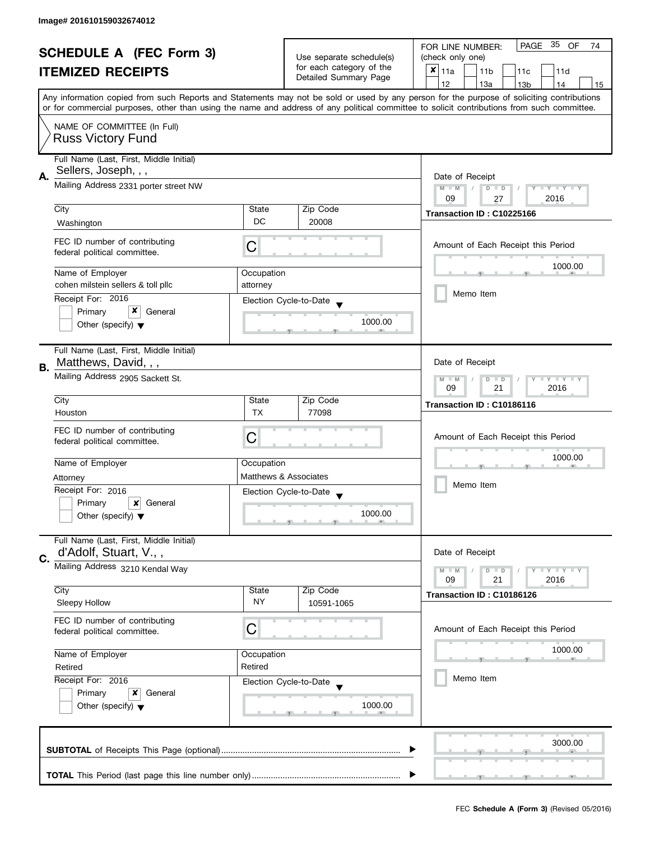| <b>SCHEDULE A (FEC Form 3)</b><br><b>ITEMIZED RECEIPTS</b> |                                                                  | Use separate schedule(s)<br>for each category of the<br>Detailed Summary Page | PAGE 35 OF<br>FOR LINE NUMBER:<br>74           |                                                                                                                                                                                                                                                                                         |  |
|------------------------------------------------------------|------------------------------------------------------------------|-------------------------------------------------------------------------------|------------------------------------------------|-----------------------------------------------------------------------------------------------------------------------------------------------------------------------------------------------------------------------------------------------------------------------------------------|--|
|                                                            |                                                                  |                                                                               | (check only one)                               |                                                                                                                                                                                                                                                                                         |  |
|                                                            |                                                                  |                                                                               | $x _{11a}$<br>11 <sub>b</sub><br>11d<br>11c    |                                                                                                                                                                                                                                                                                         |  |
|                                                            |                                                                  |                                                                               |                                                | 12<br>13a<br>13 <sub>b</sub><br>14<br>15                                                                                                                                                                                                                                                |  |
|                                                            |                                                                  |                                                                               |                                                | Any information copied from such Reports and Statements may not be sold or used by any person for the purpose of soliciting contributions<br>or for commercial purposes, other than using the name and address of any political committee to solicit contributions from such committee. |  |
|                                                            | NAME OF COMMITTEE (In Full)<br><b>Russ Victory Fund</b>          |                                                                               |                                                |                                                                                                                                                                                                                                                                                         |  |
|                                                            |                                                                  |                                                                               |                                                |                                                                                                                                                                                                                                                                                         |  |
|                                                            | Full Name (Last, First, Middle Initial)                          |                                                                               |                                                |                                                                                                                                                                                                                                                                                         |  |
| А.                                                         | Sellers, Joseph, , ,                                             |                                                                               |                                                | Date of Receipt                                                                                                                                                                                                                                                                         |  |
|                                                            | Mailing Address 2331 porter street NW                            | Y TY TY TY<br>$M - M$<br>$D$ $D$                                              |                                                |                                                                                                                                                                                                                                                                                         |  |
|                                                            |                                                                  | 2016<br>09<br>27                                                              |                                                |                                                                                                                                                                                                                                                                                         |  |
|                                                            | City                                                             | State                                                                         | Zip Code                                       | Transaction ID: C10225166                                                                                                                                                                                                                                                               |  |
|                                                            | Washington                                                       | DC                                                                            | 20008                                          |                                                                                                                                                                                                                                                                                         |  |
|                                                            | FEC ID number of contributing<br>federal political committee.    | C                                                                             |                                                | Amount of Each Receipt this Period                                                                                                                                                                                                                                                      |  |
|                                                            | Name of Employer                                                 | Occupation                                                                    |                                                | 1000.00                                                                                                                                                                                                                                                                                 |  |
|                                                            | cohen milstein sellers & toll pllc                               | attorney                                                                      |                                                |                                                                                                                                                                                                                                                                                         |  |
|                                                            | Receipt For: 2016                                                |                                                                               | Election Cycle-to-Date                         | Memo Item                                                                                                                                                                                                                                                                               |  |
|                                                            | x<br>Primary<br>General                                          |                                                                               |                                                |                                                                                                                                                                                                                                                                                         |  |
|                                                            | Other (specify) $\blacktriangledown$                             |                                                                               | 1000.00                                        |                                                                                                                                                                                                                                                                                         |  |
|                                                            | Full Name (Last, First, Middle Initial)                          |                                                                               |                                                |                                                                                                                                                                                                                                                                                         |  |
| В.                                                         | Matthews, David, , ,                                             |                                                                               |                                                | Date of Receipt                                                                                                                                                                                                                                                                         |  |
|                                                            | Mailing Address 2905 Sackett St.                                 |                                                                               |                                                | $Y - Y - Y - Y - Y$<br>$M - M$<br>$D$ $D$<br>21<br>2016<br>09                                                                                                                                                                                                                           |  |
|                                                            | City                                                             | State                                                                         | Zip Code                                       | Transaction ID: C10186116                                                                                                                                                                                                                                                               |  |
|                                                            | Houston                                                          | <b>TX</b>                                                                     | 77098                                          |                                                                                                                                                                                                                                                                                         |  |
|                                                            | FEC ID number of contributing<br>federal political committee.    | C                                                                             |                                                | Amount of Each Receipt this Period                                                                                                                                                                                                                                                      |  |
|                                                            | Name of Employer                                                 | Occupation                                                                    |                                                | 1000.00                                                                                                                                                                                                                                                                                 |  |
|                                                            | Matthews & Associates<br>Attorney<br>Receipt For: 2016           |                                                                               |                                                |                                                                                                                                                                                                                                                                                         |  |
|                                                            |                                                                  |                                                                               |                                                | Memo Item                                                                                                                                                                                                                                                                               |  |
|                                                            | Primary<br>x<br>General                                          |                                                                               | Election Cycle-to-Date<br>$\blacktriangledown$ |                                                                                                                                                                                                                                                                                         |  |
|                                                            | Other (specify) $\blacktriangledown$                             |                                                                               | 1000.00                                        |                                                                                                                                                                                                                                                                                         |  |
| C.                                                         | Full Name (Last, First, Middle Initial)<br>d'Adolf, Stuart, V.,, |                                                                               |                                                | Date of Receipt                                                                                                                                                                                                                                                                         |  |
|                                                            | Mailing Address 3210 Kendal Way                                  |                                                                               |                                                | $T$ $Y$ $T$ $Y$ $T$ $Y$<br>$M - M$<br>$D$ $D$                                                                                                                                                                                                                                           |  |
|                                                            |                                                                  |                                                                               |                                                | 09<br>21<br>2016                                                                                                                                                                                                                                                                        |  |
|                                                            | City                                                             | State                                                                         | Zip Code                                       | Transaction ID: C10186126                                                                                                                                                                                                                                                               |  |
|                                                            | Sleepy Hollow                                                    | NY                                                                            | 10591-1065                                     |                                                                                                                                                                                                                                                                                         |  |
|                                                            | FEC ID number of contributing<br>federal political committee.    | C                                                                             |                                                | Amount of Each Receipt this Period                                                                                                                                                                                                                                                      |  |
|                                                            | Name of Employer<br>Occupation                                   |                                                                               |                                                | 1000.00                                                                                                                                                                                                                                                                                 |  |
|                                                            | Retired                                                          | Retired                                                                       |                                                |                                                                                                                                                                                                                                                                                         |  |
|                                                            | Receipt For: 2016                                                |                                                                               | Election Cycle-to-Date                         | Memo Item                                                                                                                                                                                                                                                                               |  |
|                                                            | Primary<br>x<br>General                                          |                                                                               |                                                |                                                                                                                                                                                                                                                                                         |  |
|                                                            | Other (specify) $\blacktriangledown$                             |                                                                               | 1000.00                                        |                                                                                                                                                                                                                                                                                         |  |
|                                                            |                                                                  |                                                                               |                                                |                                                                                                                                                                                                                                                                                         |  |
|                                                            |                                                                  | 3000.00                                                                       |                                                |                                                                                                                                                                                                                                                                                         |  |
|                                                            |                                                                  |                                                                               |                                                |                                                                                                                                                                                                                                                                                         |  |
|                                                            |                                                                  |                                                                               |                                                |                                                                                                                                                                                                                                                                                         |  |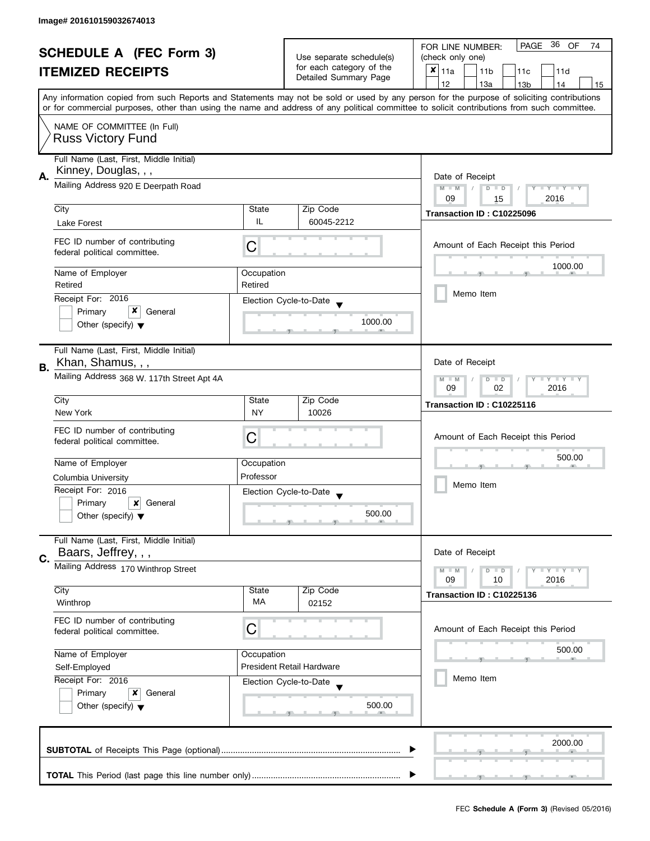| <b>SCHEDULE A (FEC Form 3)</b> |                                                                 | Use separate schedule(s)       | PAGE 36 OF<br>FOR LINE NUMBER:<br>74              |                                                                                                                                                                                                                                                                                         |  |  |
|--------------------------------|-----------------------------------------------------------------|--------------------------------|---------------------------------------------------|-----------------------------------------------------------------------------------------------------------------------------------------------------------------------------------------------------------------------------------------------------------------------------------------|--|--|
|                                |                                                                 |                                | (check only one)                                  |                                                                                                                                                                                                                                                                                         |  |  |
|                                | <b>ITEMIZED RECEIPTS</b>                                        |                                | for each category of the<br>Detailed Summary Page | $x _{11a}$<br>11 <sub>b</sub><br>11 <sub>c</sub><br>11d                                                                                                                                                                                                                                 |  |  |
|                                |                                                                 |                                |                                                   | 12<br>13a<br>13 <sub>b</sub><br>14<br>15                                                                                                                                                                                                                                                |  |  |
|                                |                                                                 |                                |                                                   | Any information copied from such Reports and Statements may not be sold or used by any person for the purpose of soliciting contributions<br>or for commercial purposes, other than using the name and address of any political committee to solicit contributions from such committee. |  |  |
|                                | NAME OF COMMITTEE (In Full)                                     |                                |                                                   |                                                                                                                                                                                                                                                                                         |  |  |
|                                | <b>Russ Victory Fund</b>                                        |                                |                                                   |                                                                                                                                                                                                                                                                                         |  |  |
|                                | Full Name (Last, First, Middle Initial)<br>Kinney, Douglas, , , |                                |                                                   |                                                                                                                                                                                                                                                                                         |  |  |
| А.                             | Mailing Address 920 E Deerpath Road                             |                                |                                                   | Date of Receipt<br>$M - M$<br>Y FY FY FY<br>$D$ $D$                                                                                                                                                                                                                                     |  |  |
|                                |                                                                 | 09<br>2016<br>15               |                                                   |                                                                                                                                                                                                                                                                                         |  |  |
|                                | City                                                            | State                          | Zip Code                                          | Transaction ID: C10225096                                                                                                                                                                                                                                                               |  |  |
|                                | Lake Forest                                                     | IL                             | 60045-2212                                        |                                                                                                                                                                                                                                                                                         |  |  |
|                                | FEC ID number of contributing<br>federal political committee.   | Ĉ                              |                                                   | Amount of Each Receipt this Period                                                                                                                                                                                                                                                      |  |  |
|                                | Name of Employer                                                | Occupation                     |                                                   | 1000.00                                                                                                                                                                                                                                                                                 |  |  |
|                                | Retired                                                         | Retired                        |                                                   | Memo Item                                                                                                                                                                                                                                                                               |  |  |
|                                | Receipt For: 2016<br>x<br>Primary<br>General                    |                                | Election Cycle-to-Date                            |                                                                                                                                                                                                                                                                                         |  |  |
|                                | Other (specify) $\blacktriangledown$                            |                                | 1000.00                                           |                                                                                                                                                                                                                                                                                         |  |  |
|                                | Full Name (Last, First, Middle Initial)                         |                                |                                                   |                                                                                                                                                                                                                                                                                         |  |  |
| В.                             | Khan, Shamus, , ,                                               |                                |                                                   | Date of Receipt                                                                                                                                                                                                                                                                         |  |  |
|                                | Mailing Address 368 W. 117th Street Apt 4A                      |                                |                                                   | $Y = Y + Y$<br>$D$ $D$<br>$M - M$<br>09<br>02<br>2016                                                                                                                                                                                                                                   |  |  |
|                                | City                                                            | State                          | Zip Code                                          | Transaction ID: C10225116                                                                                                                                                                                                                                                               |  |  |
|                                | New York                                                        | <b>NY</b>                      | 10026                                             |                                                                                                                                                                                                                                                                                         |  |  |
|                                | FEC ID number of contributing                                   |                                |                                                   |                                                                                                                                                                                                                                                                                         |  |  |
|                                | federal political committee.                                    | С                              |                                                   | Amount of Each Receipt this Period                                                                                                                                                                                                                                                      |  |  |
|                                |                                                                 |                                |                                                   | 500.00                                                                                                                                                                                                                                                                                  |  |  |
|                                |                                                                 | Name of Employer<br>Occupation |                                                   |                                                                                                                                                                                                                                                                                         |  |  |
|                                | Professor<br>Columbia University                                |                                |                                                   | Memo Item                                                                                                                                                                                                                                                                               |  |  |
|                                | Receipt For: 2016<br>Primary<br>x<br>General                    |                                | Election Cycle-to-Date                            |                                                                                                                                                                                                                                                                                         |  |  |
|                                | Other (specify) $\blacktriangledown$                            |                                | 500.00                                            |                                                                                                                                                                                                                                                                                         |  |  |
|                                |                                                                 |                                |                                                   |                                                                                                                                                                                                                                                                                         |  |  |
|                                | Full Name (Last, First, Middle Initial)                         |                                |                                                   | Date of Receipt                                                                                                                                                                                                                                                                         |  |  |
| C.                             |                                                                 | Baars, Jeffrey, , ,            |                                                   |                                                                                                                                                                                                                                                                                         |  |  |
|                                | Mailing Address 170 Winthrop Street                             |                                |                                                   | $M - M$<br>$Y - Y - Y$<br>$D$ $D$<br>09<br>2016<br>10                                                                                                                                                                                                                                   |  |  |
|                                | City                                                            | State                          | Zip Code                                          |                                                                                                                                                                                                                                                                                         |  |  |
|                                | Winthrop                                                        | <b>MA</b>                      | 02152                                             | Transaction ID: C10225136                                                                                                                                                                                                                                                               |  |  |
|                                | FEC ID number of contributing                                   |                                |                                                   |                                                                                                                                                                                                                                                                                         |  |  |
|                                | С<br>federal political committee.                               |                                |                                                   | Amount of Each Receipt this Period                                                                                                                                                                                                                                                      |  |  |
|                                | Name of Employer<br>Occupation                                  |                                |                                                   | 500.00                                                                                                                                                                                                                                                                                  |  |  |
|                                | Self-Employed                                                   |                                | <b>President Retail Hardware</b>                  |                                                                                                                                                                                                                                                                                         |  |  |
|                                | Receipt For: 2016                                               |                                | Election Cycle-to-Date                            | Memo Item                                                                                                                                                                                                                                                                               |  |  |
|                                | Primary<br>x<br>General<br>Other (specify) $\blacktriangledown$ |                                |                                                   |                                                                                                                                                                                                                                                                                         |  |  |
|                                |                                                                 |                                | 500.00                                            |                                                                                                                                                                                                                                                                                         |  |  |
|                                |                                                                 |                                |                                                   |                                                                                                                                                                                                                                                                                         |  |  |
|                                |                                                                 | 2000.00                        |                                                   |                                                                                                                                                                                                                                                                                         |  |  |
|                                |                                                                 |                                |                                                   |                                                                                                                                                                                                                                                                                         |  |  |
|                                |                                                                 |                                |                                                   |                                                                                                                                                                                                                                                                                         |  |  |
|                                |                                                                 |                                |                                                   |                                                                                                                                                                                                                                                                                         |  |  |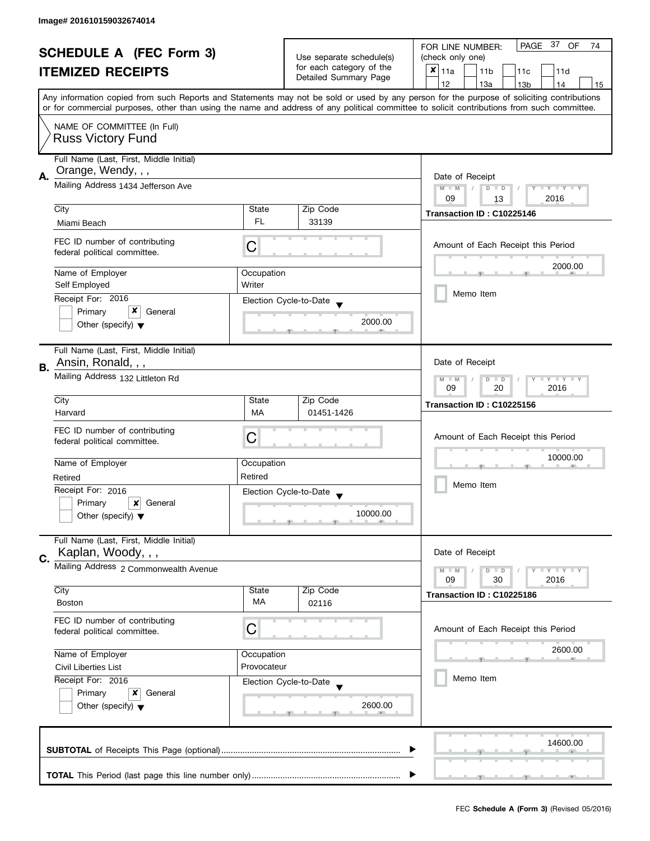|    | <b>SCHEDULE A (FEC Form 3)</b><br><b>ITEMIZED RECEIPTS</b>                                                                       |                                  | Use separate schedule(s)<br>for each category of the<br>Detailed Summary Page | PAGE 37 OF<br>FOR LINE NUMBER:<br>74<br>(check only one)<br>$\mathsf{x}$<br>11a<br>11 <sub>b</sub><br>11c<br>11d<br>12<br>13a<br>13 <sub>b</sub><br>14<br>15                                                                                                                            |  |  |  |  |
|----|----------------------------------------------------------------------------------------------------------------------------------|----------------------------------|-------------------------------------------------------------------------------|-----------------------------------------------------------------------------------------------------------------------------------------------------------------------------------------------------------------------------------------------------------------------------------------|--|--|--|--|
|    | NAME OF COMMITTEE (In Full)<br><b>Russ Victory Fund</b>                                                                          |                                  |                                                                               | Any information copied from such Reports and Statements may not be sold or used by any person for the purpose of soliciting contributions<br>or for commercial purposes, other than using the name and address of any political committee to solicit contributions from such committee. |  |  |  |  |
| А. | Full Name (Last, First, Middle Initial)<br>Orange, Wendy, , ,<br>Mailing Address 1434 Jefferson Ave<br>City                      | State                            | Zip Code                                                                      | Date of Receipt<br>Y TY TY TY<br>$M - M$<br>$D$ $D$<br>2016<br>09<br>13<br>Transaction ID: C10225146                                                                                                                                                                                    |  |  |  |  |
|    | Miami Beach<br>FEC ID number of contributing<br>federal political committee.<br>Name of Employer<br>Self Employed                | FL.<br>С<br>Occupation<br>Writer | 33139                                                                         | Amount of Each Receipt this Period<br>2000.00                                                                                                                                                                                                                                           |  |  |  |  |
|    | Receipt For: 2016<br>Primary<br>General<br>Other (specify) $\blacktriangledown$<br>Full Name (Last, First, Middle Initial)       |                                  | Election Cycle-to-Date<br>2000.00                                             | Memo Item                                                                                                                                                                                                                                                                               |  |  |  |  |
| В. | Ansin, Ronald, , ,<br>Mailing Address 132 Littleton Rd<br>City                                                                   | State                            | Zip Code                                                                      | Date of Receipt<br>$Y - Y - Y - Y - Y$<br>$M - M$<br>$D$ $D$<br>09<br>20<br>2016<br>Transaction ID: C10225156                                                                                                                                                                           |  |  |  |  |
|    | Harvard<br>FEC ID number of contributing<br>federal political committee.<br>Name of Employer                                     | MA<br>С<br>Occupation            | 01451-1426                                                                    | Amount of Each Receipt this Period<br>10000.00                                                                                                                                                                                                                                          |  |  |  |  |
|    | Retired<br>Receipt For: 2016<br>Primary<br>$\boldsymbol{x}$<br>General<br>Other (specify) $\blacktriangledown$                   | Retired                          | Election Cycle-to-Date<br>10000.00                                            | Memo Item                                                                                                                                                                                                                                                                               |  |  |  |  |
| C. | Full Name (Last, First, Middle Initial)<br>Kaplan, Woody, , ,<br>Mailing Address 2 Commonwealth Avenue<br>City                   | State                            | Zip Code                                                                      | Date of Receipt<br>Y TY TY TY<br>$M - M$<br>$D$ $D$<br>2016<br>09<br>30<br>Transaction ID: C10225186                                                                                                                                                                                    |  |  |  |  |
|    | <b>Boston</b><br>FEC ID number of contributing<br>federal political committee.                                                   | MA<br>С                          | 02116                                                                         | Amount of Each Receipt this Period                                                                                                                                                                                                                                                      |  |  |  |  |
|    | Name of Employer<br>Civil Liberties List<br>Receipt For: 2016<br>Primary<br>x<br>General<br>Other (specify) $\blacktriangledown$ | Occupation<br>Provocateur        | Election Cycle-to-Date<br>2600.00                                             | 2600.00<br>Memo Item                                                                                                                                                                                                                                                                    |  |  |  |  |
|    |                                                                                                                                  |                                  |                                                                               | 14600.00                                                                                                                                                                                                                                                                                |  |  |  |  |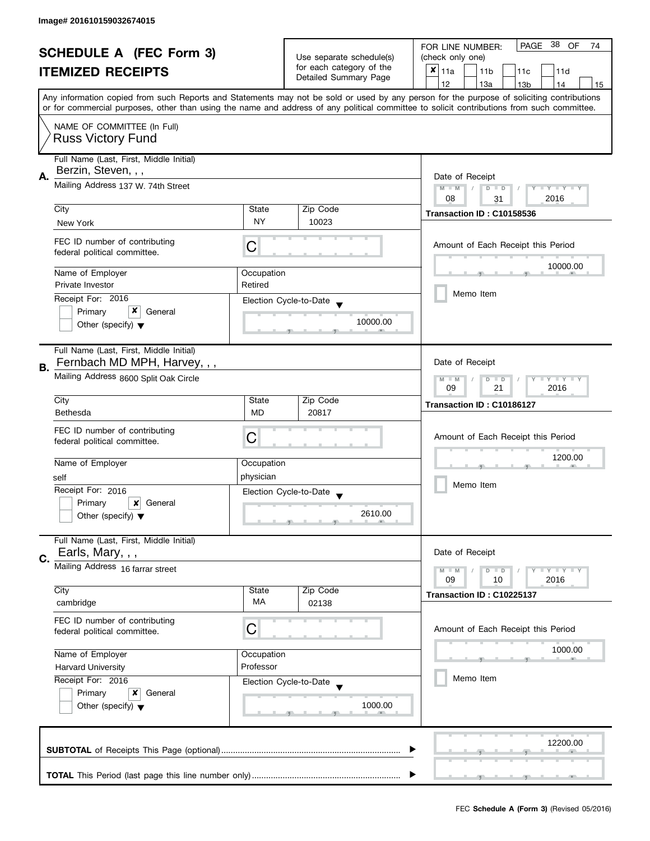| <b>SCHEDULE A (FEC Form 3)</b><br><b>ITEMIZED RECEIPTS</b> |                                                                                                                          |                                                   | 38<br>PAGE<br>OF<br>FOR LINE NUMBER:<br>74  |                                                                                                                                            |  |  |  |  |
|------------------------------------------------------------|--------------------------------------------------------------------------------------------------------------------------|---------------------------------------------------|---------------------------------------------|--------------------------------------------------------------------------------------------------------------------------------------------|--|--|--|--|
|                                                            |                                                                                                                          | Use separate schedule(s)                          | (check only one)                            |                                                                                                                                            |  |  |  |  |
|                                                            |                                                                                                                          | for each category of the<br>Detailed Summary Page | $x _{11a}$<br>11 <sub>b</sub><br>11c<br>11d |                                                                                                                                            |  |  |  |  |
|                                                            |                                                                                                                          |                                                   | 12<br>13a<br>13 <sub>b</sub><br>14<br>15    |                                                                                                                                            |  |  |  |  |
|                                                            |                                                                                                                          |                                                   |                                             | Any information copied from such Reports and Statements may not be sold or used by any person for the purpose of soliciting contributions  |  |  |  |  |
|                                                            |                                                                                                                          |                                                   |                                             | or for commercial purposes, other than using the name and address of any political committee to solicit contributions from such committee. |  |  |  |  |
|                                                            |                                                                                                                          |                                                   |                                             |                                                                                                                                            |  |  |  |  |
|                                                            | NAME OF COMMITTEE (In Full)                                                                                              |                                                   |                                             |                                                                                                                                            |  |  |  |  |
|                                                            | <b>Russ Victory Fund</b>                                                                                                 |                                                   |                                             |                                                                                                                                            |  |  |  |  |
|                                                            |                                                                                                                          |                                                   |                                             |                                                                                                                                            |  |  |  |  |
|                                                            | Full Name (Last, First, Middle Initial)                                                                                  |                                                   |                                             |                                                                                                                                            |  |  |  |  |
| А.                                                         | Berzin, Steven, , ,                                                                                                      |                                                   |                                             | Date of Receipt                                                                                                                            |  |  |  |  |
|                                                            | Mailing Address 137 W. 74th Street                                                                                       |                                                   |                                             | $M - M$<br>$D$ $D$<br>Y I Y I Y I Y<br>$\sqrt{2}$                                                                                          |  |  |  |  |
|                                                            |                                                                                                                          |                                                   |                                             | 08<br>2016<br>31                                                                                                                           |  |  |  |  |
|                                                            | City                                                                                                                     | State                                             | Zip Code                                    | Transaction ID: C10158536                                                                                                                  |  |  |  |  |
|                                                            | New York                                                                                                                 | NY                                                | 10023                                       |                                                                                                                                            |  |  |  |  |
|                                                            |                                                                                                                          |                                                   |                                             |                                                                                                                                            |  |  |  |  |
|                                                            | FEC ID number of contributing                                                                                            | С                                                 |                                             | Amount of Each Receipt this Period                                                                                                         |  |  |  |  |
|                                                            | federal political committee.                                                                                             |                                                   |                                             |                                                                                                                                            |  |  |  |  |
|                                                            |                                                                                                                          |                                                   |                                             | 10000.00                                                                                                                                   |  |  |  |  |
|                                                            | Name of Employer                                                                                                         | Occupation                                        |                                             |                                                                                                                                            |  |  |  |  |
|                                                            | Private Investor                                                                                                         | Retired                                           |                                             | Memo Item                                                                                                                                  |  |  |  |  |
|                                                            | Receipt For: 2016                                                                                                        |                                                   | Election Cycle-to-Date                      |                                                                                                                                            |  |  |  |  |
|                                                            | x<br>Primary<br>General                                                                                                  |                                                   |                                             |                                                                                                                                            |  |  |  |  |
|                                                            | Other (specify) $\blacktriangledown$                                                                                     |                                                   | 10000.00                                    |                                                                                                                                            |  |  |  |  |
|                                                            |                                                                                                                          |                                                   |                                             |                                                                                                                                            |  |  |  |  |
|                                                            | Full Name (Last, First, Middle Initial)                                                                                  |                                                   |                                             |                                                                                                                                            |  |  |  |  |
|                                                            | Fernbach MD MPH, Harvey, , ,                                                                                             |                                                   |                                             | Date of Receipt                                                                                                                            |  |  |  |  |
| В.                                                         |                                                                                                                          |                                                   |                                             |                                                                                                                                            |  |  |  |  |
|                                                            | Mailing Address 8600 Split Oak Circle                                                                                    |                                                   |                                             | $Y - Y - I$<br>$-M$<br>D<br>$\Box$                                                                                                         |  |  |  |  |
|                                                            |                                                                                                                          |                                                   |                                             | 09<br>21<br>2016                                                                                                                           |  |  |  |  |
|                                                            | City                                                                                                                     | State                                             | Zip Code                                    | Transaction ID: C10186127                                                                                                                  |  |  |  |  |
|                                                            | <b>Bethesda</b>                                                                                                          | <b>MD</b>                                         | 20817                                       |                                                                                                                                            |  |  |  |  |
|                                                            | FEC ID number of contributing                                                                                            |                                                   |                                             |                                                                                                                                            |  |  |  |  |
|                                                            | federal political committee.                                                                                             | C                                                 |                                             | Amount of Each Receipt this Period                                                                                                         |  |  |  |  |
|                                                            |                                                                                                                          |                                                   |                                             |                                                                                                                                            |  |  |  |  |
|                                                            | Name of Employer                                                                                                         | Occupation                                        |                                             | 1200.00                                                                                                                                    |  |  |  |  |
|                                                            | self                                                                                                                     | physician                                         |                                             | Memo Item                                                                                                                                  |  |  |  |  |
|                                                            | Receipt For: 2016                                                                                                        |                                                   |                                             |                                                                                                                                            |  |  |  |  |
|                                                            |                                                                                                                          |                                                   | Election Cycle-to-Date                      |                                                                                                                                            |  |  |  |  |
|                                                            | Primary<br>×<br>General                                                                                                  |                                                   | 2610.00                                     |                                                                                                                                            |  |  |  |  |
|                                                            | Other (specify) $\blacktriangledown$                                                                                     |                                                   |                                             |                                                                                                                                            |  |  |  |  |
|                                                            |                                                                                                                          |                                                   |                                             |                                                                                                                                            |  |  |  |  |
|                                                            | Full Name (Last, First, Middle Initial)                                                                                  |                                                   |                                             |                                                                                                                                            |  |  |  |  |
| C.                                                         | Earls, Mary, , ,                                                                                                         |                                                   |                                             | Date of Receipt                                                                                                                            |  |  |  |  |
|                                                            | Mailing Address 16 farrar street                                                                                         |                                                   |                                             | $M - M$<br>$Y \perp Y \perp Y$<br>$\overline{D}$<br>$\blacksquare$                                                                         |  |  |  |  |
|                                                            |                                                                                                                          |                                                   |                                             | 09<br>2016<br>10                                                                                                                           |  |  |  |  |
|                                                            | City                                                                                                                     | State                                             | Zip Code                                    | Transaction ID: C10225137                                                                                                                  |  |  |  |  |
|                                                            | cambridge                                                                                                                | <b>MA</b>                                         | 02138                                       |                                                                                                                                            |  |  |  |  |
|                                                            |                                                                                                                          |                                                   |                                             |                                                                                                                                            |  |  |  |  |
|                                                            | FEC ID number of contributing                                                                                            | C                                                 |                                             | Amount of Each Receipt this Period                                                                                                         |  |  |  |  |
|                                                            | federal political committee.                                                                                             |                                                   |                                             |                                                                                                                                            |  |  |  |  |
|                                                            | Name of Employer<br>Occupation<br>Professor<br><b>Harvard University</b><br>Receipt For: 2016<br>Primary<br>x<br>General |                                                   |                                             | 1000.00                                                                                                                                    |  |  |  |  |
|                                                            |                                                                                                                          |                                                   |                                             |                                                                                                                                            |  |  |  |  |
|                                                            |                                                                                                                          |                                                   |                                             |                                                                                                                                            |  |  |  |  |
|                                                            |                                                                                                                          |                                                   | Election Cycle-to-Date                      | Memo Item                                                                                                                                  |  |  |  |  |
|                                                            |                                                                                                                          |                                                   |                                             |                                                                                                                                            |  |  |  |  |
|                                                            | Other (specify) $\blacktriangledown$                                                                                     |                                                   | 1000.00                                     |                                                                                                                                            |  |  |  |  |
|                                                            |                                                                                                                          |                                                   |                                             |                                                                                                                                            |  |  |  |  |
|                                                            |                                                                                                                          |                                                   |                                             |                                                                                                                                            |  |  |  |  |
|                                                            |                                                                                                                          |                                                   |                                             | 12200.00                                                                                                                                   |  |  |  |  |
|                                                            |                                                                                                                          |                                                   |                                             |                                                                                                                                            |  |  |  |  |
|                                                            |                                                                                                                          |                                                   |                                             |                                                                                                                                            |  |  |  |  |
|                                                            |                                                                                                                          |                                                   |                                             |                                                                                                                                            |  |  |  |  |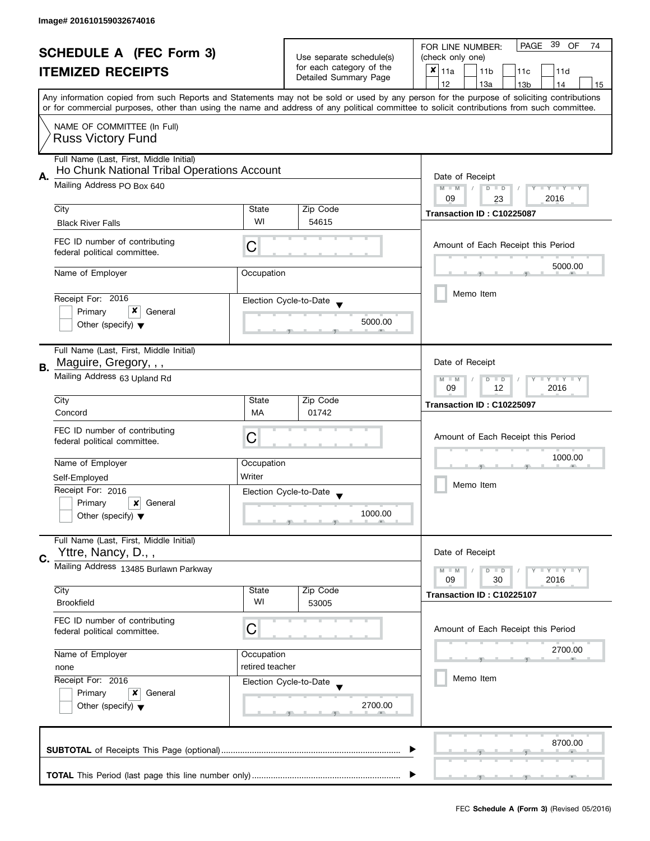| <b>SCHEDULE A (FEC Form 3)</b> |                                                                                                           |                                                      | -39<br>PAGE<br>OF<br>FOR LINE NUMBER:<br>74 |                                                                                                                                                                                                                                                                                         |  |  |  |  |  |
|--------------------------------|-----------------------------------------------------------------------------------------------------------|------------------------------------------------------|---------------------------------------------|-----------------------------------------------------------------------------------------------------------------------------------------------------------------------------------------------------------------------------------------------------------------------------------------|--|--|--|--|--|
| <b>ITEMIZED RECEIPTS</b>       |                                                                                                           | Use separate schedule(s)<br>for each category of the | (check only one)                            |                                                                                                                                                                                                                                                                                         |  |  |  |  |  |
|                                |                                                                                                           | Detailed Summary Page                                | $x _{11a}$<br>11 <sub>b</sub><br>11c<br>11d |                                                                                                                                                                                                                                                                                         |  |  |  |  |  |
|                                |                                                                                                           |                                                      |                                             | 12<br>13a<br>14<br>13 <sub>b</sub><br>15                                                                                                                                                                                                                                                |  |  |  |  |  |
|                                |                                                                                                           |                                                      |                                             | Any information copied from such Reports and Statements may not be sold or used by any person for the purpose of soliciting contributions<br>or for commercial purposes, other than using the name and address of any political committee to solicit contributions from such committee. |  |  |  |  |  |
|                                |                                                                                                           |                                                      |                                             |                                                                                                                                                                                                                                                                                         |  |  |  |  |  |
|                                | NAME OF COMMITTEE (In Full)                                                                               |                                                      |                                             |                                                                                                                                                                                                                                                                                         |  |  |  |  |  |
|                                | <b>Russ Victory Fund</b>                                                                                  |                                                      |                                             |                                                                                                                                                                                                                                                                                         |  |  |  |  |  |
|                                | Full Name (Last, First, Middle Initial)                                                                   |                                                      |                                             |                                                                                                                                                                                                                                                                                         |  |  |  |  |  |
|                                | Ho Chunk National Tribal Operations Account                                                               |                                                      |                                             |                                                                                                                                                                                                                                                                                         |  |  |  |  |  |
| А.                             | Mailing Address PO Box 640                                                                                |                                                      |                                             | Date of Receipt                                                                                                                                                                                                                                                                         |  |  |  |  |  |
|                                |                                                                                                           |                                                      |                                             | Y TY TY TY<br>$M - M$<br>$D$ $D$                                                                                                                                                                                                                                                        |  |  |  |  |  |
|                                | City                                                                                                      | State                                                | Zip Code                                    | 09<br>2016<br>23                                                                                                                                                                                                                                                                        |  |  |  |  |  |
|                                | <b>Black River Falls</b>                                                                                  | WI                                                   | 54615                                       | Transaction ID: C10225087                                                                                                                                                                                                                                                               |  |  |  |  |  |
|                                |                                                                                                           |                                                      |                                             |                                                                                                                                                                                                                                                                                         |  |  |  |  |  |
|                                | FEC ID number of contributing                                                                             | C                                                    |                                             | Amount of Each Receipt this Period                                                                                                                                                                                                                                                      |  |  |  |  |  |
|                                | federal political committee.                                                                              |                                                      |                                             |                                                                                                                                                                                                                                                                                         |  |  |  |  |  |
|                                | Name of Employer                                                                                          | Occupation                                           |                                             | 5000.00                                                                                                                                                                                                                                                                                 |  |  |  |  |  |
|                                |                                                                                                           |                                                      |                                             |                                                                                                                                                                                                                                                                                         |  |  |  |  |  |
|                                | Receipt For: 2016                                                                                         |                                                      | Election Cycle-to-Date                      | Memo Item                                                                                                                                                                                                                                                                               |  |  |  |  |  |
|                                | x<br>Primary<br>General                                                                                   |                                                      |                                             |                                                                                                                                                                                                                                                                                         |  |  |  |  |  |
|                                | Other (specify) $\blacktriangledown$                                                                      |                                                      | 5000.00                                     |                                                                                                                                                                                                                                                                                         |  |  |  |  |  |
|                                |                                                                                                           |                                                      |                                             |                                                                                                                                                                                                                                                                                         |  |  |  |  |  |
|                                | Full Name (Last, First, Middle Initial)                                                                   |                                                      |                                             |                                                                                                                                                                                                                                                                                         |  |  |  |  |  |
| В.                             | Maguire, Gregory, , ,                                                                                     |                                                      |                                             | Date of Receipt                                                                                                                                                                                                                                                                         |  |  |  |  |  |
|                                | Mailing Address 63 Upland Rd                                                                              |                                                      |                                             | Y I Y I Y I Y<br>$M - M$<br>$D$ $D$                                                                                                                                                                                                                                                     |  |  |  |  |  |
|                                |                                                                                                           | 09<br>12<br>2016                                     |                                             |                                                                                                                                                                                                                                                                                         |  |  |  |  |  |
|                                | City                                                                                                      | State                                                | Zip Code                                    | Transaction ID: C10225097                                                                                                                                                                                                                                                               |  |  |  |  |  |
|                                | Concord                                                                                                   | MA                                                   | 01742                                       |                                                                                                                                                                                                                                                                                         |  |  |  |  |  |
|                                | FEC ID number of contributing                                                                             | C                                                    |                                             | Amount of Each Receipt this Period                                                                                                                                                                                                                                                      |  |  |  |  |  |
|                                | federal political committee.                                                                              |                                                      |                                             |                                                                                                                                                                                                                                                                                         |  |  |  |  |  |
|                                | Name of Employer                                                                                          | Occupation                                           |                                             | 1000.00                                                                                                                                                                                                                                                                                 |  |  |  |  |  |
|                                | Self-Employed                                                                                             | Writer                                               |                                             | Memo Item                                                                                                                                                                                                                                                                               |  |  |  |  |  |
|                                | Receipt For: 2016                                                                                         |                                                      | Election Cycle-to-Date                      |                                                                                                                                                                                                                                                                                         |  |  |  |  |  |
|                                | Primary<br>×<br>General                                                                                   |                                                      |                                             |                                                                                                                                                                                                                                                                                         |  |  |  |  |  |
|                                | Other (specify) $\blacktriangledown$                                                                      |                                                      | 1000.00                                     |                                                                                                                                                                                                                                                                                         |  |  |  |  |  |
|                                |                                                                                                           |                                                      |                                             |                                                                                                                                                                                                                                                                                         |  |  |  |  |  |
|                                | Full Name (Last, First, Middle Initial)                                                                   |                                                      |                                             |                                                                                                                                                                                                                                                                                         |  |  |  |  |  |
| C.                             | Yttre, Nancy, D.,,                                                                                        |                                                      |                                             | Date of Receipt                                                                                                                                                                                                                                                                         |  |  |  |  |  |
|                                | Mailing Address 13485 Burlawn Parkway                                                                     |                                                      |                                             | $\bot$ $\gamma$ $\bot$ $\gamma$ $\bot$ $\gamma$<br>$M - M$<br>$D$ $D$                                                                                                                                                                                                                   |  |  |  |  |  |
|                                | City                                                                                                      | State                                                | Zip Code                                    | 09<br>30<br>2016                                                                                                                                                                                                                                                                        |  |  |  |  |  |
|                                | <b>Brookfield</b>                                                                                         | WI                                                   | 53005                                       | Transaction ID: C10225107                                                                                                                                                                                                                                                               |  |  |  |  |  |
|                                |                                                                                                           |                                                      |                                             |                                                                                                                                                                                                                                                                                         |  |  |  |  |  |
|                                | FEC ID number of contributing<br>federal political committee.                                             | C                                                    |                                             | Amount of Each Receipt this Period                                                                                                                                                                                                                                                      |  |  |  |  |  |
|                                |                                                                                                           |                                                      |                                             |                                                                                                                                                                                                                                                                                         |  |  |  |  |  |
|                                | Name of Employer<br>Occupation<br>retired teacher<br>none<br>Receipt For: 2016<br>Primary<br>x<br>General |                                                      |                                             | 2700.00                                                                                                                                                                                                                                                                                 |  |  |  |  |  |
|                                |                                                                                                           |                                                      |                                             |                                                                                                                                                                                                                                                                                         |  |  |  |  |  |
|                                |                                                                                                           |                                                      | Election Cycle-to-Date                      | Memo Item                                                                                                                                                                                                                                                                               |  |  |  |  |  |
|                                |                                                                                                           |                                                      |                                             |                                                                                                                                                                                                                                                                                         |  |  |  |  |  |
|                                | Other (specify) $\blacktriangledown$                                                                      |                                                      | 2700.00                                     |                                                                                                                                                                                                                                                                                         |  |  |  |  |  |
|                                |                                                                                                           |                                                      |                                             |                                                                                                                                                                                                                                                                                         |  |  |  |  |  |
|                                |                                                                                                           |                                                      |                                             | 8700.00                                                                                                                                                                                                                                                                                 |  |  |  |  |  |
|                                |                                                                                                           |                                                      |                                             |                                                                                                                                                                                                                                                                                         |  |  |  |  |  |
|                                |                                                                                                           |                                                      |                                             |                                                                                                                                                                                                                                                                                         |  |  |  |  |  |
|                                |                                                                                                           |                                                      |                                             |                                                                                                                                                                                                                                                                                         |  |  |  |  |  |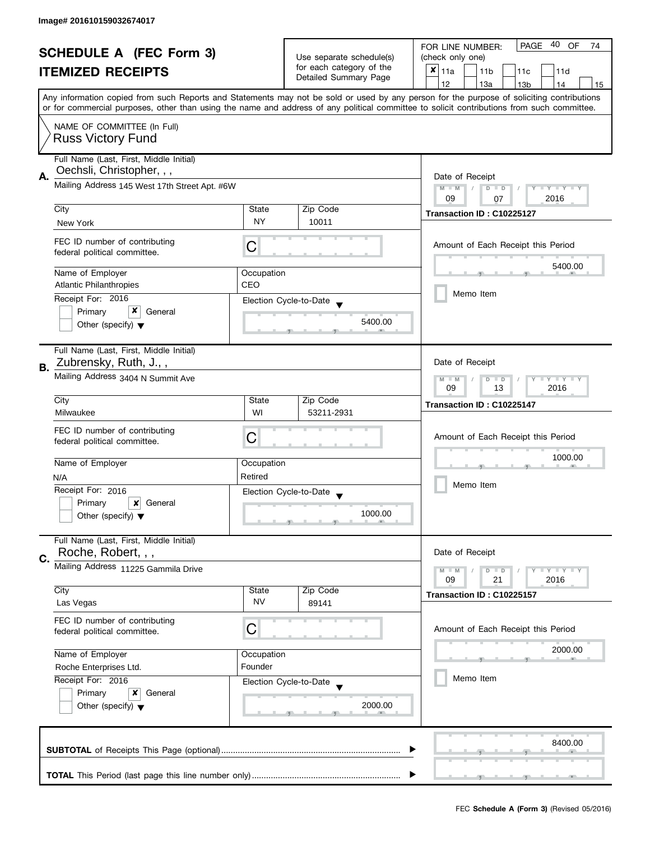| <b>SCHEDULE A (FEC Form 3)</b> |                                                                                                                                               |                                                   | 40<br>PAGE<br>OF<br>FOR LINE NUMBER:<br>74  |                                                                                                                                            |  |  |  |  |  |
|--------------------------------|-----------------------------------------------------------------------------------------------------------------------------------------------|---------------------------------------------------|---------------------------------------------|--------------------------------------------------------------------------------------------------------------------------------------------|--|--|--|--|--|
| <b>ITEMIZED RECEIPTS</b>       |                                                                                                                                               | Use separate schedule(s)                          | (check only one)                            |                                                                                                                                            |  |  |  |  |  |
|                                |                                                                                                                                               | for each category of the<br>Detailed Summary Page | $x _{11a}$<br>11 <sub>b</sub><br>11c<br>11d |                                                                                                                                            |  |  |  |  |  |
|                                |                                                                                                                                               |                                                   |                                             | 12<br>13a<br>13 <sub>b</sub><br>14<br>15                                                                                                   |  |  |  |  |  |
|                                |                                                                                                                                               |                                                   |                                             | Any information copied from such Reports and Statements may not be sold or used by any person for the purpose of soliciting contributions  |  |  |  |  |  |
|                                |                                                                                                                                               |                                                   |                                             | or for commercial purposes, other than using the name and address of any political committee to solicit contributions from such committee. |  |  |  |  |  |
|                                | NAME OF COMMITTEE (In Full)                                                                                                                   |                                                   |                                             |                                                                                                                                            |  |  |  |  |  |
|                                | <b>Russ Victory Fund</b>                                                                                                                      |                                                   |                                             |                                                                                                                                            |  |  |  |  |  |
|                                |                                                                                                                                               |                                                   |                                             |                                                                                                                                            |  |  |  |  |  |
|                                | Full Name (Last, First, Middle Initial)                                                                                                       |                                                   |                                             |                                                                                                                                            |  |  |  |  |  |
| А.                             | Oechsli, Christopher, , ,                                                                                                                     |                                                   |                                             | Date of Receipt                                                                                                                            |  |  |  |  |  |
|                                | Mailing Address 145 West 17th Street Apt. #6W                                                                                                 |                                                   |                                             | $M - M$<br>$\sqrt{2}$<br>$D$ $D$<br>$Y = Y = Y + Y$                                                                                        |  |  |  |  |  |
|                                |                                                                                                                                               |                                                   |                                             | 09<br>2016<br>07                                                                                                                           |  |  |  |  |  |
|                                | City                                                                                                                                          | State                                             | Zip Code                                    | Transaction ID: C10225127                                                                                                                  |  |  |  |  |  |
|                                | New York                                                                                                                                      | <b>NY</b>                                         | 10011                                       |                                                                                                                                            |  |  |  |  |  |
|                                | FEC ID number of contributing                                                                                                                 |                                                   |                                             |                                                                                                                                            |  |  |  |  |  |
|                                | federal political committee.                                                                                                                  | С                                                 |                                             | Amount of Each Receipt this Period                                                                                                         |  |  |  |  |  |
|                                |                                                                                                                                               |                                                   |                                             | 5400.00                                                                                                                                    |  |  |  |  |  |
|                                | Name of Employer                                                                                                                              | Occupation                                        |                                             |                                                                                                                                            |  |  |  |  |  |
|                                | <b>Atlantic Philanthropies</b>                                                                                                                | CEO                                               |                                             | Memo Item                                                                                                                                  |  |  |  |  |  |
|                                | Receipt For: 2016                                                                                                                             |                                                   | Election Cycle-to-Date                      |                                                                                                                                            |  |  |  |  |  |
|                                | x<br>Primary<br>General                                                                                                                       |                                                   |                                             |                                                                                                                                            |  |  |  |  |  |
|                                | Other (specify) $\blacktriangledown$                                                                                                          |                                                   | 5400.00                                     |                                                                                                                                            |  |  |  |  |  |
|                                |                                                                                                                                               |                                                   |                                             |                                                                                                                                            |  |  |  |  |  |
|                                | Full Name (Last, First, Middle Initial)                                                                                                       |                                                   |                                             |                                                                                                                                            |  |  |  |  |  |
| В.                             | Zubrensky, Ruth, J.,,                                                                                                                         |                                                   |                                             | Date of Receipt                                                                                                                            |  |  |  |  |  |
|                                | Mailing Address 3404 N Summit Ave                                                                                                             |                                                   |                                             | $Y = Y = Y$<br>$M - M$<br>D<br>$\Box$                                                                                                      |  |  |  |  |  |
|                                |                                                                                                                                               | 09<br>13<br>2016                                  |                                             |                                                                                                                                            |  |  |  |  |  |
|                                | City                                                                                                                                          | State                                             | Zip Code                                    | Transaction ID: C10225147                                                                                                                  |  |  |  |  |  |
|                                | Milwaukee                                                                                                                                     | WI                                                | 53211-2931                                  |                                                                                                                                            |  |  |  |  |  |
|                                | FEC ID number of contributing                                                                                                                 |                                                   |                                             |                                                                                                                                            |  |  |  |  |  |
|                                | federal political committee.                                                                                                                  | C                                                 |                                             | Amount of Each Receipt this Period                                                                                                         |  |  |  |  |  |
|                                |                                                                                                                                               |                                                   |                                             | 1000.00                                                                                                                                    |  |  |  |  |  |
|                                | Name of Employer                                                                                                                              | Occupation                                        |                                             |                                                                                                                                            |  |  |  |  |  |
|                                | N/A                                                                                                                                           | Retired                                           |                                             |                                                                                                                                            |  |  |  |  |  |
|                                | Receipt For: 2016                                                                                                                             |                                                   | Election Cycle-to-Date                      | Memo Item                                                                                                                                  |  |  |  |  |  |
|                                | Primary<br>x<br>General                                                                                                                       |                                                   |                                             |                                                                                                                                            |  |  |  |  |  |
|                                | Other (specify) $\blacktriangledown$                                                                                                          |                                                   | 1000.00                                     |                                                                                                                                            |  |  |  |  |  |
|                                |                                                                                                                                               |                                                   |                                             |                                                                                                                                            |  |  |  |  |  |
|                                | Full Name (Last, First, Middle Initial)                                                                                                       |                                                   |                                             |                                                                                                                                            |  |  |  |  |  |
| C.                             | Roche, Robert, , ,                                                                                                                            |                                                   |                                             | Date of Receipt                                                                                                                            |  |  |  |  |  |
|                                | Mailing Address 11225 Gammila Drive                                                                                                           |                                                   |                                             | Y LY LY<br>$M - M$<br>$D$ $D$                                                                                                              |  |  |  |  |  |
|                                |                                                                                                                                               |                                                   |                                             | 09<br>21<br>2016                                                                                                                           |  |  |  |  |  |
|                                | City                                                                                                                                          | State                                             | Zip Code                                    | Transaction ID: C10225157                                                                                                                  |  |  |  |  |  |
|                                | Las Vegas                                                                                                                                     | <b>NV</b>                                         | 89141                                       |                                                                                                                                            |  |  |  |  |  |
|                                | FEC ID number of contributing                                                                                                                 |                                                   |                                             |                                                                                                                                            |  |  |  |  |  |
|                                | federal political committee.                                                                                                                  | С                                                 |                                             | Amount of Each Receipt this Period                                                                                                         |  |  |  |  |  |
|                                |                                                                                                                                               |                                                   |                                             | 2000.00                                                                                                                                    |  |  |  |  |  |
|                                | Name of Employer<br>Occupation<br>Founder<br>Roche Enterprises Ltd.<br>Receipt For: 2016<br>Election Cycle-to-Date<br>Primary<br>x<br>General |                                                   |                                             |                                                                                                                                            |  |  |  |  |  |
|                                |                                                                                                                                               |                                                   |                                             |                                                                                                                                            |  |  |  |  |  |
|                                |                                                                                                                                               |                                                   |                                             | Memo Item                                                                                                                                  |  |  |  |  |  |
|                                |                                                                                                                                               |                                                   |                                             |                                                                                                                                            |  |  |  |  |  |
|                                | Other (specify) $\blacktriangledown$                                                                                                          |                                                   | 2000.00                                     |                                                                                                                                            |  |  |  |  |  |
|                                |                                                                                                                                               |                                                   |                                             |                                                                                                                                            |  |  |  |  |  |
|                                |                                                                                                                                               |                                                   |                                             |                                                                                                                                            |  |  |  |  |  |
|                                |                                                                                                                                               |                                                   |                                             | 8400.00                                                                                                                                    |  |  |  |  |  |
|                                |                                                                                                                                               |                                                   |                                             |                                                                                                                                            |  |  |  |  |  |
|                                |                                                                                                                                               |                                                   |                                             |                                                                                                                                            |  |  |  |  |  |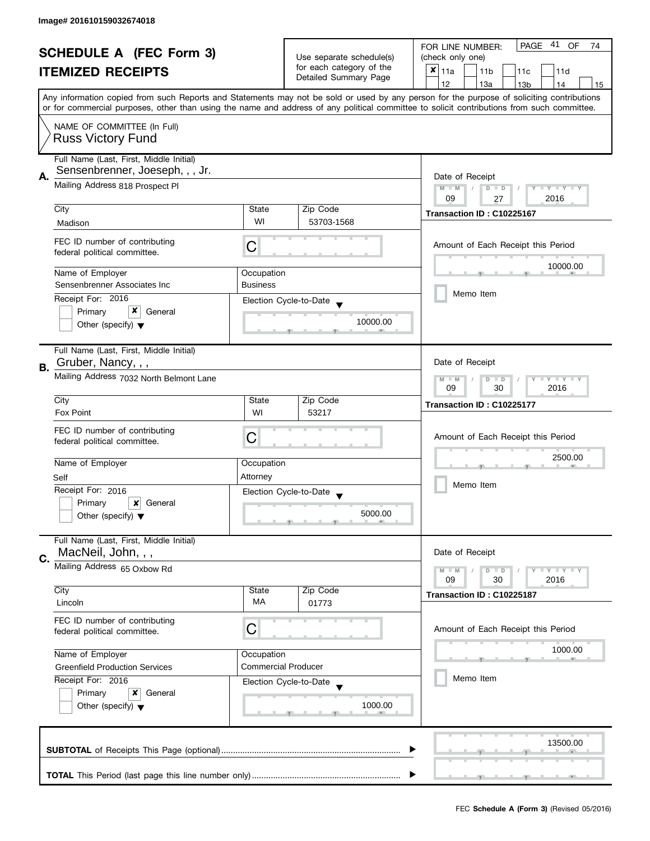| <b>SCHEDULE A (FEC Form 3)</b> |                                                                                                                                                                                                                                                                                         |                                          |                       |                                                      |  | PAGE 41 OF<br>FOR LINE NUMBER:<br>74 |               |  |                            |    |                 |                                    |  |    |
|--------------------------------|-----------------------------------------------------------------------------------------------------------------------------------------------------------------------------------------------------------------------------------------------------------------------------------------|------------------------------------------|-----------------------|------------------------------------------------------|--|--------------------------------------|---------------|--|----------------------------|----|-----------------|------------------------------------|--|----|
| <b>ITEMIZED RECEIPTS</b>       |                                                                                                                                                                                                                                                                                         |                                          |                       | Use separate schedule(s)<br>for each category of the |  | (check only one)                     |               |  |                            |    |                 |                                    |  |    |
|                                |                                                                                                                                                                                                                                                                                         |                                          | Detailed Summary Page |                                                      |  | ×                                    | 11a           |  | 11 <sub>b</sub>            |    | 11c             | 11d                                |  |    |
|                                |                                                                                                                                                                                                                                                                                         |                                          |                       |                                                      |  |                                      | 12            |  | 13a                        |    | 13 <sub>b</sub> | 14                                 |  | 15 |
|                                | Any information copied from such Reports and Statements may not be sold or used by any person for the purpose of soliciting contributions<br>or for commercial purposes, other than using the name and address of any political committee to solicit contributions from such committee. |                                          |                       |                                                      |  |                                      |               |  |                            |    |                 |                                    |  |    |
|                                | NAME OF COMMITTEE (In Full)                                                                                                                                                                                                                                                             |                                          |                       |                                                      |  |                                      |               |  |                            |    |                 |                                    |  |    |
|                                | <b>Russ Victory Fund</b>                                                                                                                                                                                                                                                                |                                          |                       |                                                      |  |                                      |               |  |                            |    |                 |                                    |  |    |
|                                | Full Name (Last, First, Middle Initial)<br>Sensenbrenner, Joeseph, , , Jr.                                                                                                                                                                                                              |                                          |                       |                                                      |  |                                      |               |  |                            |    |                 |                                    |  |    |
| А.                             | Mailing Address 818 Prospect Pl                                                                                                                                                                                                                                                         |                                          |                       |                                                      |  |                                      | $M - M$<br>09 |  | Date of Receipt<br>$D$ $D$ | 27 |                 | Y TY TY TY<br>2016                 |  |    |
|                                | City                                                                                                                                                                                                                                                                                    | State                                    |                       | Zip Code                                             |  |                                      |               |  | Transaction ID: C10225167  |    |                 |                                    |  |    |
|                                | Madison                                                                                                                                                                                                                                                                                 | WI                                       |                       | 53703-1568                                           |  |                                      |               |  |                            |    |                 |                                    |  |    |
|                                | FEC ID number of contributing<br>federal political committee.                                                                                                                                                                                                                           | C                                        |                       |                                                      |  |                                      |               |  |                            |    |                 | Amount of Each Receipt this Period |  |    |
|                                | Name of Employer                                                                                                                                                                                                                                                                        | Occupation                               |                       |                                                      |  |                                      |               |  |                            |    |                 | 10000.00                           |  |    |
|                                | Sensenbrenner Associates Inc                                                                                                                                                                                                                                                            | <b>Business</b>                          |                       |                                                      |  |                                      |               |  |                            |    |                 |                                    |  |    |
|                                | Receipt For: 2016                                                                                                                                                                                                                                                                       | Election Cycle-to-Date                   |                       |                                                      |  |                                      |               |  | Memo Item                  |    |                 |                                    |  |    |
|                                | Primary<br>General                                                                                                                                                                                                                                                                      |                                          |                       |                                                      |  |                                      |               |  |                            |    |                 |                                    |  |    |
|                                | Other (specify) $\blacktriangledown$                                                                                                                                                                                                                                                    |                                          |                       | 10000.00                                             |  |                                      |               |  |                            |    |                 |                                    |  |    |
|                                | Full Name (Last, First, Middle Initial)<br>Gruber, Nancy, , ,                                                                                                                                                                                                                           |                                          |                       |                                                      |  |                                      |               |  | Date of Receipt            |    |                 |                                    |  |    |
| <b>B.</b>                      |                                                                                                                                                                                                                                                                                         |                                          |                       |                                                      |  |                                      |               |  |                            |    |                 |                                    |  |    |
|                                | Mailing Address 7032 North Belmont Lane                                                                                                                                                                                                                                                 |                                          |                       |                                                      |  |                                      | $M - M$<br>09 |  | $D$ $D$                    | 30 |                 | $Y - Y - Y - Y - Y$<br>2016        |  |    |
|                                | City                                                                                                                                                                                                                                                                                    | State                                    |                       | Zip Code                                             |  |                                      |               |  | Transaction ID: C10225177  |    |                 |                                    |  |    |
|                                | <b>Fox Point</b>                                                                                                                                                                                                                                                                        | WI                                       |                       | 53217                                                |  |                                      |               |  |                            |    |                 |                                    |  |    |
|                                | FEC ID number of contributing                                                                                                                                                                                                                                                           |                                          |                       |                                                      |  |                                      |               |  |                            |    |                 |                                    |  |    |
|                                | federal political committee.                                                                                                                                                                                                                                                            | С                                        |                       |                                                      |  |                                      |               |  |                            |    |                 | Amount of Each Receipt this Period |  |    |
|                                |                                                                                                                                                                                                                                                                                         |                                          |                       |                                                      |  |                                      |               |  |                            |    |                 | 2500.00                            |  |    |
|                                | Name of Employer                                                                                                                                                                                                                                                                        | Occupation                               |                       |                                                      |  |                                      |               |  |                            |    |                 |                                    |  |    |
|                                | Self<br>Receipt For: 2016                                                                                                                                                                                                                                                               | Attorney                                 |                       |                                                      |  |                                      |               |  | Memo Item                  |    |                 |                                    |  |    |
|                                | Primary<br>$\boldsymbol{x}$<br>General                                                                                                                                                                                                                                                  | Election Cycle-to-Date                   |                       |                                                      |  |                                      |               |  |                            |    |                 |                                    |  |    |
|                                | Other (specify) $\blacktriangledown$                                                                                                                                                                                                                                                    |                                          |                       | 5000.00                                              |  |                                      |               |  |                            |    |                 |                                    |  |    |
|                                | Full Name (Last, First, Middle Initial)                                                                                                                                                                                                                                                 |                                          |                       |                                                      |  |                                      |               |  |                            |    |                 |                                    |  |    |
| C.                             | MacNeil, John, , ,                                                                                                                                                                                                                                                                      |                                          |                       |                                                      |  |                                      |               |  | Date of Receipt            |    |                 |                                    |  |    |
|                                | Mailing Address 65 Oxbow Rd                                                                                                                                                                                                                                                             |                                          |                       |                                                      |  |                                      | $M - M$       |  | $D$ $D$                    |    |                 | Y I Y I Y I Y                      |  |    |
|                                | City                                                                                                                                                                                                                                                                                    | State                                    |                       | Zip Code                                             |  |                                      | 09            |  | 30                         |    |                 | 2016                               |  |    |
|                                | Lincoln                                                                                                                                                                                                                                                                                 | МA                                       |                       | 01773                                                |  |                                      |               |  | Transaction ID: C10225187  |    |                 |                                    |  |    |
|                                | FEC ID number of contributing                                                                                                                                                                                                                                                           |                                          |                       |                                                      |  |                                      |               |  |                            |    |                 |                                    |  |    |
|                                | federal political committee.                                                                                                                                                                                                                                                            | C                                        |                       |                                                      |  |                                      |               |  |                            |    |                 | Amount of Each Receipt this Period |  |    |
|                                |                                                                                                                                                                                                                                                                                         |                                          |                       |                                                      |  | 1000.00                              |               |  |                            |    |                 |                                    |  |    |
|                                | Name of Employer                                                                                                                                                                                                                                                                        | Occupation<br><b>Commercial Producer</b> |                       |                                                      |  |                                      |               |  |                            |    |                 |                                    |  |    |
|                                | <b>Greenfield Production Services</b><br>Receipt For: 2016                                                                                                                                                                                                                              |                                          |                       |                                                      |  |                                      |               |  | Memo Item                  |    |                 |                                    |  |    |
|                                | Primary<br>x<br>General                                                                                                                                                                                                                                                                 | Election Cycle-to-Date                   |                       |                                                      |  |                                      |               |  |                            |    |                 |                                    |  |    |
|                                | Other (specify) $\blacktriangledown$                                                                                                                                                                                                                                                    |                                          |                       | 1000.00                                              |  |                                      |               |  |                            |    |                 |                                    |  |    |
|                                |                                                                                                                                                                                                                                                                                         |                                          |                       |                                                      |  |                                      |               |  |                            |    |                 |                                    |  |    |
|                                |                                                                                                                                                                                                                                                                                         |                                          |                       |                                                      |  |                                      |               |  |                            |    |                 | 13500.00                           |  |    |
|                                |                                                                                                                                                                                                                                                                                         |                                          |                       |                                                      |  |                                      |               |  |                            |    |                 |                                    |  |    |
|                                |                                                                                                                                                                                                                                                                                         |                                          |                       |                                                      |  |                                      |               |  |                            |    |                 |                                    |  |    |
|                                |                                                                                                                                                                                                                                                                                         |                                          |                       |                                                      |  |                                      |               |  |                            |    |                 |                                    |  |    |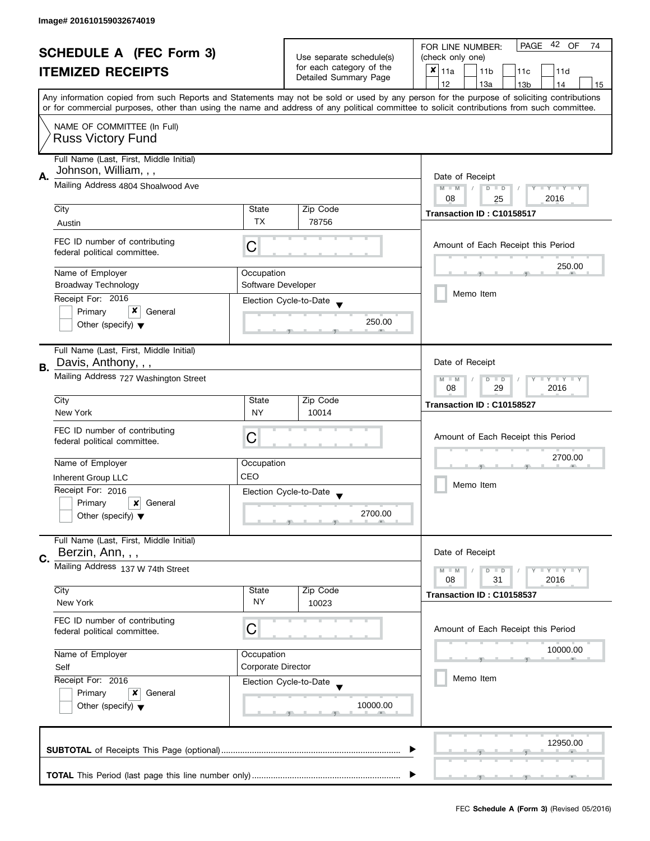| <b>SCHEDULE A (FEC Form 3)</b><br><b>ITEMIZED RECEIPTS</b> |                                                                                                                     |                                                   | PAGE 42 OF<br>FOR LINE NUMBER:<br>74                    |                                                                                                                                                                                                                                                                                         |  |  |  |
|------------------------------------------------------------|---------------------------------------------------------------------------------------------------------------------|---------------------------------------------------|---------------------------------------------------------|-----------------------------------------------------------------------------------------------------------------------------------------------------------------------------------------------------------------------------------------------------------------------------------------|--|--|--|
|                                                            |                                                                                                                     | Use separate schedule(s)                          | (check only one)                                        |                                                                                                                                                                                                                                                                                         |  |  |  |
|                                                            |                                                                                                                     | for each category of the<br>Detailed Summary Page | $x _{11a}$<br>11 <sub>b</sub><br>11 <sub>c</sub><br>11d |                                                                                                                                                                                                                                                                                         |  |  |  |
|                                                            |                                                                                                                     |                                                   |                                                         | 12<br>13a<br>13 <sub>b</sub><br>14<br>15                                                                                                                                                                                                                                                |  |  |  |
|                                                            |                                                                                                                     |                                                   |                                                         | Any information copied from such Reports and Statements may not be sold or used by any person for the purpose of soliciting contributions<br>or for commercial purposes, other than using the name and address of any political committee to solicit contributions from such committee. |  |  |  |
|                                                            | NAME OF COMMITTEE (In Full)                                                                                         |                                                   |                                                         |                                                                                                                                                                                                                                                                                         |  |  |  |
|                                                            | <b>Russ Victory Fund</b>                                                                                            |                                                   |                                                         |                                                                                                                                                                                                                                                                                         |  |  |  |
|                                                            | Full Name (Last, First, Middle Initial)<br>Johnson, William, , ,                                                    |                                                   |                                                         |                                                                                                                                                                                                                                                                                         |  |  |  |
| А.                                                         | Mailing Address 4804 Shoalwood Ave                                                                                  |                                                   |                                                         | Date of Receipt<br>$M - M$<br>$D$ $D$<br>Y I Y I Y I Y<br>$\sqrt{ }$<br>08<br>2016<br>25                                                                                                                                                                                                |  |  |  |
|                                                            | City                                                                                                                | State                                             | Zip Code                                                |                                                                                                                                                                                                                                                                                         |  |  |  |
|                                                            | Austin                                                                                                              | TX                                                | 78756                                                   | Transaction ID: C10158517                                                                                                                                                                                                                                                               |  |  |  |
|                                                            |                                                                                                                     |                                                   |                                                         |                                                                                                                                                                                                                                                                                         |  |  |  |
|                                                            | FEC ID number of contributing<br>federal political committee.                                                       | С                                                 |                                                         | Amount of Each Receipt this Period                                                                                                                                                                                                                                                      |  |  |  |
|                                                            | Name of Employer                                                                                                    | Occupation                                        |                                                         | 250.00                                                                                                                                                                                                                                                                                  |  |  |  |
|                                                            | <b>Broadway Technology</b>                                                                                          | Software Developer                                |                                                         |                                                                                                                                                                                                                                                                                         |  |  |  |
|                                                            | Receipt For: 2016                                                                                                   |                                                   | Election Cycle-to-Date                                  | Memo Item                                                                                                                                                                                                                                                                               |  |  |  |
|                                                            | x<br>Primary<br>General                                                                                             |                                                   |                                                         |                                                                                                                                                                                                                                                                                         |  |  |  |
|                                                            | Other (specify) $\blacktriangledown$                                                                                |                                                   | 250.00                                                  |                                                                                                                                                                                                                                                                                         |  |  |  |
|                                                            | Full Name (Last, First, Middle Initial)                                                                             |                                                   |                                                         |                                                                                                                                                                                                                                                                                         |  |  |  |
| В.                                                         | Davis, Anthony, , ,                                                                                                 |                                                   |                                                         | Date of Receipt                                                                                                                                                                                                                                                                         |  |  |  |
|                                                            | Mailing Address 727 Washington Street                                                                               |                                                   |                                                         | Y LY L<br>$M - M$<br>D<br>$\Box$<br>08<br>29<br>2016                                                                                                                                                                                                                                    |  |  |  |
|                                                            | City                                                                                                                | State                                             | Zip Code                                                | Transaction ID: C10158527                                                                                                                                                                                                                                                               |  |  |  |
|                                                            | New York                                                                                                            | <b>NY</b>                                         | 10014                                                   |                                                                                                                                                                                                                                                                                         |  |  |  |
|                                                            | FEC ID number of contributing                                                                                       |                                                   |                                                         |                                                                                                                                                                                                                                                                                         |  |  |  |
|                                                            | federal political committee.                                                                                        | С                                                 |                                                         | Amount of Each Receipt this Period                                                                                                                                                                                                                                                      |  |  |  |
|                                                            | Name of Employer                                                                                                    | Occupation                                        |                                                         | 2700.00                                                                                                                                                                                                                                                                                 |  |  |  |
|                                                            | Inherent Group LLC                                                                                                  | CEO                                               |                                                         | Memo Item                                                                                                                                                                                                                                                                               |  |  |  |
|                                                            | Receipt For: 2016                                                                                                   |                                                   |                                                         |                                                                                                                                                                                                                                                                                         |  |  |  |
|                                                            | Primary<br>×<br>General                                                                                             |                                                   | Election Cycle-to-Date                                  |                                                                                                                                                                                                                                                                                         |  |  |  |
|                                                            | Other (specify) $\blacktriangledown$                                                                                |                                                   | 2700.00                                                 |                                                                                                                                                                                                                                                                                         |  |  |  |
|                                                            | Full Name (Last, First, Middle Initial)                                                                             |                                                   |                                                         |                                                                                                                                                                                                                                                                                         |  |  |  |
| C.                                                         | Berzin, Ann, , ,                                                                                                    |                                                   |                                                         | Date of Receipt                                                                                                                                                                                                                                                                         |  |  |  |
|                                                            | Mailing Address 137 W 74th Street                                                                                   |                                                   |                                                         | $\bot$ $\gamma$ $\bot$ $\gamma$ $\bot$ $\gamma$<br>$M - M$<br>D<br>$\blacksquare$<br>08<br>31<br>2016                                                                                                                                                                                   |  |  |  |
|                                                            | City                                                                                                                | State                                             | Zip Code                                                |                                                                                                                                                                                                                                                                                         |  |  |  |
|                                                            | New York                                                                                                            | <b>NY</b>                                         | 10023                                                   | Transaction ID: C10158537                                                                                                                                                                                                                                                               |  |  |  |
|                                                            | FEC ID number of contributing<br>federal political committee.                                                       | C                                                 |                                                         | Amount of Each Receipt this Period                                                                                                                                                                                                                                                      |  |  |  |
|                                                            | Name of Employer<br>Occupation<br><b>Corporate Director</b><br>Self<br>Receipt For: 2016<br>Primary<br>x<br>General |                                                   |                                                         |                                                                                                                                                                                                                                                                                         |  |  |  |
|                                                            |                                                                                                                     |                                                   |                                                         | 10000.00                                                                                                                                                                                                                                                                                |  |  |  |
|                                                            |                                                                                                                     |                                                   |                                                         |                                                                                                                                                                                                                                                                                         |  |  |  |
|                                                            |                                                                                                                     |                                                   | Election Cycle-to-Date                                  | Memo Item                                                                                                                                                                                                                                                                               |  |  |  |
|                                                            |                                                                                                                     |                                                   |                                                         |                                                                                                                                                                                                                                                                                         |  |  |  |
|                                                            | Other (specify) $\blacktriangledown$                                                                                |                                                   | 10000.00                                                |                                                                                                                                                                                                                                                                                         |  |  |  |
|                                                            |                                                                                                                     |                                                   |                                                         |                                                                                                                                                                                                                                                                                         |  |  |  |
|                                                            |                                                                                                                     |                                                   |                                                         | 12950.00                                                                                                                                                                                                                                                                                |  |  |  |
|                                                            |                                                                                                                     |                                                   |                                                         | $-1$                                                                                                                                                                                                                                                                                    |  |  |  |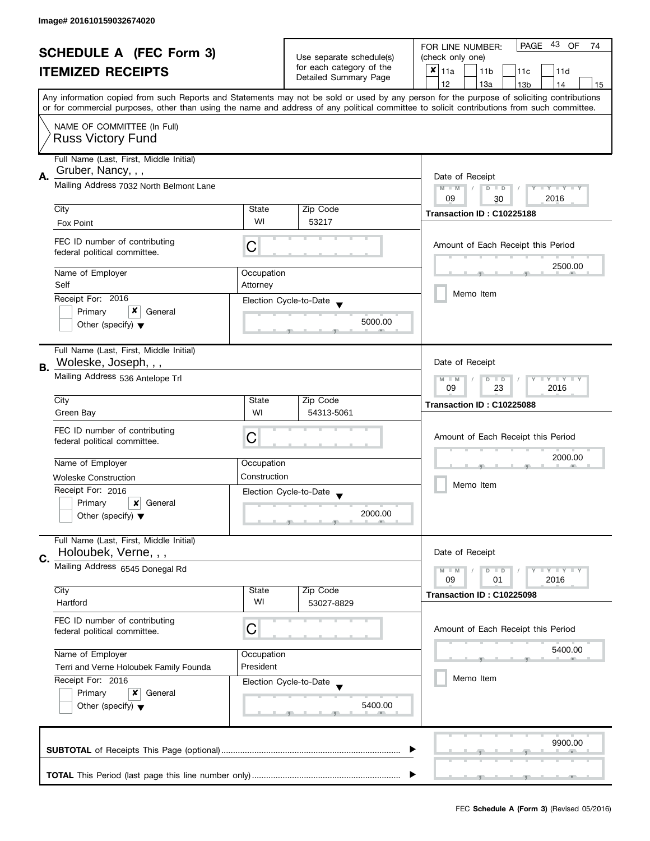| <b>SCHEDULE A (FEC Form 3)</b><br><b>ITEMIZED RECEIPTS</b> |                                                                                                                                       |                                                           | PAGE 43 OF<br>FOR LINE NUMBER:<br>74        |                                                                                                                                                                                                                                                                                         |  |  |  |
|------------------------------------------------------------|---------------------------------------------------------------------------------------------------------------------------------------|-----------------------------------------------------------|---------------------------------------------|-----------------------------------------------------------------------------------------------------------------------------------------------------------------------------------------------------------------------------------------------------------------------------------------|--|--|--|
|                                                            |                                                                                                                                       | Use separate schedule(s)                                  | (check only one)                            |                                                                                                                                                                                                                                                                                         |  |  |  |
|                                                            |                                                                                                                                       | for each category of the<br>Detailed Summary Page         | $x _{11a}$<br>11 <sub>b</sub><br>11c<br>11d |                                                                                                                                                                                                                                                                                         |  |  |  |
|                                                            |                                                                                                                                       |                                                           | 12<br>13a<br>13 <sub>b</sub><br>14<br>15    |                                                                                                                                                                                                                                                                                         |  |  |  |
|                                                            |                                                                                                                                       |                                                           |                                             | Any information copied from such Reports and Statements may not be sold or used by any person for the purpose of soliciting contributions<br>or for commercial purposes, other than using the name and address of any political committee to solicit contributions from such committee. |  |  |  |
|                                                            | NAME OF COMMITTEE (In Full)                                                                                                           |                                                           |                                             |                                                                                                                                                                                                                                                                                         |  |  |  |
|                                                            | <b>Russ Victory Fund</b>                                                                                                              |                                                           |                                             |                                                                                                                                                                                                                                                                                         |  |  |  |
|                                                            | Full Name (Last, First, Middle Initial)<br>Gruber, Nancy, , ,                                                                         |                                                           |                                             |                                                                                                                                                                                                                                                                                         |  |  |  |
| Α.                                                         | Mailing Address 7032 North Belmont Lane                                                                                               |                                                           |                                             | Date of Receipt<br>$M - M$<br>$\sqrt{2}$<br>$D$ $D$<br>Y I Y I Y I Y<br>09<br>2016                                                                                                                                                                                                      |  |  |  |
|                                                            | City                                                                                                                                  | State                                                     | Zip Code                                    | 30                                                                                                                                                                                                                                                                                      |  |  |  |
|                                                            | Fox Point                                                                                                                             | WI                                                        | 53217                                       | Transaction ID: C10225188                                                                                                                                                                                                                                                               |  |  |  |
|                                                            |                                                                                                                                       |                                                           |                                             |                                                                                                                                                                                                                                                                                         |  |  |  |
|                                                            | FEC ID number of contributing<br>federal political committee.                                                                         | С                                                         |                                             | Amount of Each Receipt this Period                                                                                                                                                                                                                                                      |  |  |  |
|                                                            | Name of Employer                                                                                                                      | Occupation                                                |                                             | 2500.00                                                                                                                                                                                                                                                                                 |  |  |  |
|                                                            | Self                                                                                                                                  | Attorney                                                  |                                             |                                                                                                                                                                                                                                                                                         |  |  |  |
|                                                            | Receipt For: 2016                                                                                                                     |                                                           | Election Cycle-to-Date                      | Memo Item                                                                                                                                                                                                                                                                               |  |  |  |
|                                                            | x<br>Primary<br>General                                                                                                               |                                                           |                                             |                                                                                                                                                                                                                                                                                         |  |  |  |
|                                                            | Other (specify) $\blacktriangledown$                                                                                                  |                                                           | 5000.00                                     |                                                                                                                                                                                                                                                                                         |  |  |  |
|                                                            | Full Name (Last, First, Middle Initial)                                                                                               |                                                           |                                             |                                                                                                                                                                                                                                                                                         |  |  |  |
| В.                                                         | Woleske, Joseph, , ,                                                                                                                  |                                                           |                                             | Date of Receipt                                                                                                                                                                                                                                                                         |  |  |  |
|                                                            | Mailing Address 536 Antelope Trl                                                                                                      | $Y - Y - Y$<br>$M - M$<br>D<br>$\Box$<br>2016<br>09<br>23 |                                             |                                                                                                                                                                                                                                                                                         |  |  |  |
|                                                            | City                                                                                                                                  | State                                                     | Zip Code                                    | Transaction ID: C10225088                                                                                                                                                                                                                                                               |  |  |  |
|                                                            | Green Bay                                                                                                                             | WI                                                        | 54313-5061                                  |                                                                                                                                                                                                                                                                                         |  |  |  |
|                                                            | FEC ID number of contributing                                                                                                         |                                                           |                                             |                                                                                                                                                                                                                                                                                         |  |  |  |
|                                                            | federal political committee.                                                                                                          | C                                                         |                                             | Amount of Each Receipt this Period                                                                                                                                                                                                                                                      |  |  |  |
|                                                            | Name of Employer                                                                                                                      | Occupation                                                |                                             | 2000.00                                                                                                                                                                                                                                                                                 |  |  |  |
|                                                            |                                                                                                                                       | Construction                                              |                                             |                                                                                                                                                                                                                                                                                         |  |  |  |
|                                                            | <b>Woleske Construction</b><br>Receipt For: 2016                                                                                      |                                                           |                                             | Memo Item                                                                                                                                                                                                                                                                               |  |  |  |
|                                                            | Primary<br>×<br>General                                                                                                               |                                                           | Election Cycle-to-Date                      |                                                                                                                                                                                                                                                                                         |  |  |  |
|                                                            | Other (specify) $\blacktriangledown$                                                                                                  |                                                           | 2000.00                                     |                                                                                                                                                                                                                                                                                         |  |  |  |
|                                                            |                                                                                                                                       |                                                           |                                             |                                                                                                                                                                                                                                                                                         |  |  |  |
|                                                            | Full Name (Last, First, Middle Initial)                                                                                               |                                                           |                                             |                                                                                                                                                                                                                                                                                         |  |  |  |
| C.                                                         | Holoubek, Verne, , ,                                                                                                                  |                                                           |                                             | Date of Receipt                                                                                                                                                                                                                                                                         |  |  |  |
|                                                            | Mailing Address 6545 Donegal Rd                                                                                                       |                                                           |                                             | $M - M$<br>$\bot$ $\gamma$ $\bot$ $\gamma$ $\bot$ $\gamma$<br>D<br>$\blacksquare$                                                                                                                                                                                                       |  |  |  |
|                                                            | City                                                                                                                                  | State                                                     | Zip Code                                    | 09<br>2016<br>01                                                                                                                                                                                                                                                                        |  |  |  |
|                                                            | Hartford                                                                                                                              | WI                                                        | 53027-8829                                  | Transaction ID: C10225098                                                                                                                                                                                                                                                               |  |  |  |
|                                                            |                                                                                                                                       |                                                           |                                             |                                                                                                                                                                                                                                                                                         |  |  |  |
|                                                            | FEC ID number of contributing<br>federal political committee.                                                                         | C                                                         |                                             | Amount of Each Receipt this Period                                                                                                                                                                                                                                                      |  |  |  |
|                                                            |                                                                                                                                       |                                                           |                                             |                                                                                                                                                                                                                                                                                         |  |  |  |
|                                                            | Name of Employer<br>Occupation<br>President<br>Terri and Verne Holoubek Family Founda<br>Receipt For: 2016<br>Primary<br>General<br>x |                                                           |                                             | 5400.00                                                                                                                                                                                                                                                                                 |  |  |  |
|                                                            |                                                                                                                                       |                                                           |                                             |                                                                                                                                                                                                                                                                                         |  |  |  |
|                                                            |                                                                                                                                       |                                                           | Election Cycle-to-Date                      | Memo Item                                                                                                                                                                                                                                                                               |  |  |  |
|                                                            |                                                                                                                                       |                                                           |                                             |                                                                                                                                                                                                                                                                                         |  |  |  |
|                                                            | Other (specify) $\blacktriangledown$                                                                                                  |                                                           | 5400.00                                     |                                                                                                                                                                                                                                                                                         |  |  |  |
|                                                            |                                                                                                                                       |                                                           |                                             |                                                                                                                                                                                                                                                                                         |  |  |  |
|                                                            |                                                                                                                                       |                                                           |                                             | 9900.00                                                                                                                                                                                                                                                                                 |  |  |  |
|                                                            |                                                                                                                                       |                                                           |                                             |                                                                                                                                                                                                                                                                                         |  |  |  |
|                                                            |                                                                                                                                       |                                                           |                                             |                                                                                                                                                                                                                                                                                         |  |  |  |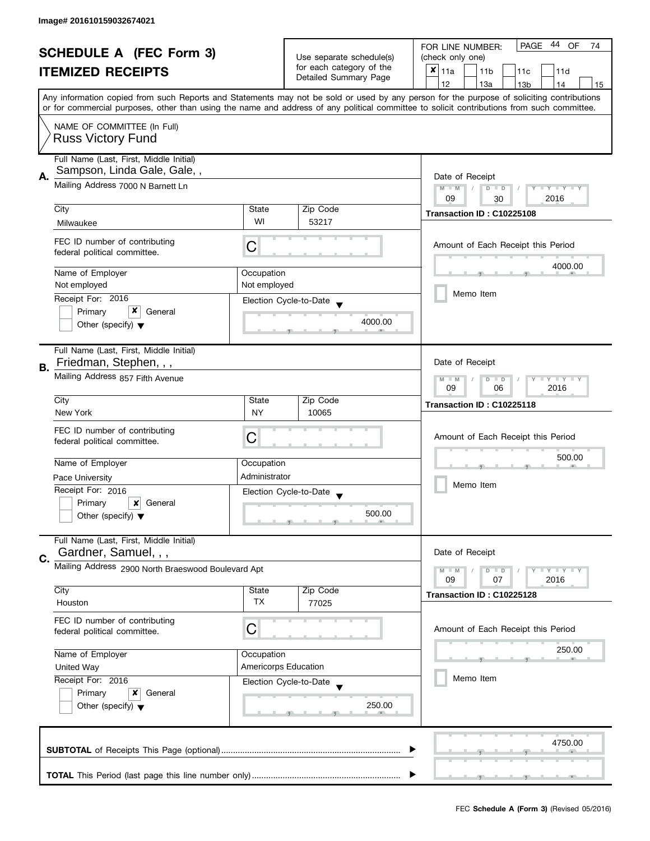| <b>SCHEDULE A (FEC Form 3)</b><br><b>ITEMIZED RECEIPTS</b> |                                                                                                                                           |                                                               | Use separate schedule(s)<br>for each category of the<br>Detailed Summary Page | PAGE 44 OF<br>FOR LINE NUMBER:<br>74<br>(check only one)<br>$x _{11a}$<br>11 <sub>b</sub><br>11d<br>11 <sub>c</sub>                                                                    |  |  |  |
|------------------------------------------------------------|-------------------------------------------------------------------------------------------------------------------------------------------|---------------------------------------------------------------|-------------------------------------------------------------------------------|----------------------------------------------------------------------------------------------------------------------------------------------------------------------------------------|--|--|--|
|                                                            | Any information copied from such Reports and Statements may not be sold or used by any person for the purpose of soliciting contributions |                                                               |                                                                               | 12<br>13a<br>13 <sub>b</sub><br>14<br>15<br>or for commercial purposes, other than using the name and address of any political committee to solicit contributions from such committee. |  |  |  |
|                                                            | NAME OF COMMITTEE (In Full)<br><b>Russ Victory Fund</b>                                                                                   |                                                               |                                                                               |                                                                                                                                                                                        |  |  |  |
| А.                                                         | Full Name (Last, First, Middle Initial)<br>Sampson, Linda Gale, Gale,,<br>Mailing Address 7000 N Barnett Ln                               |                                                               |                                                                               | Date of Receipt                                                                                                                                                                        |  |  |  |
|                                                            |                                                                                                                                           |                                                               |                                                                               | Y TY TY TY<br>$M - M$<br>$D$ $D$<br>2016<br>09<br>30                                                                                                                                   |  |  |  |
|                                                            | City                                                                                                                                      | State                                                         | Zip Code                                                                      | Transaction ID: C10225108                                                                                                                                                              |  |  |  |
|                                                            | Milwaukee                                                                                                                                 | WI                                                            | 53217                                                                         |                                                                                                                                                                                        |  |  |  |
|                                                            | FEC ID number of contributing<br>federal political committee.                                                                             | С                                                             |                                                                               | Amount of Each Receipt this Period                                                                                                                                                     |  |  |  |
|                                                            | Name of Employer                                                                                                                          | Occupation                                                    |                                                                               | 4000.00                                                                                                                                                                                |  |  |  |
|                                                            | Not employed                                                                                                                              | Not employed                                                  |                                                                               | Memo Item                                                                                                                                                                              |  |  |  |
|                                                            | Receipt For: 2016                                                                                                                         |                                                               | Election Cycle-to-Date                                                        |                                                                                                                                                                                        |  |  |  |
|                                                            | Primary<br>General<br>Other (specify) $\blacktriangledown$                                                                                |                                                               | 4000.00                                                                       |                                                                                                                                                                                        |  |  |  |
| В.                                                         | Full Name (Last, First, Middle Initial)<br>Friedman, Stephen, , ,                                                                         |                                                               |                                                                               | Date of Receipt                                                                                                                                                                        |  |  |  |
|                                                            | Mailing Address 857 Fifth Avenue                                                                                                          | $Y - Y - Y - Y - Y$<br>$M - M$<br>$D$ $D$<br>09<br>2016<br>06 |                                                                               |                                                                                                                                                                                        |  |  |  |
|                                                            | City                                                                                                                                      | State                                                         | Zip Code                                                                      | Transaction ID: C10225118                                                                                                                                                              |  |  |  |
|                                                            | New York                                                                                                                                  | <b>NY</b>                                                     | 10065                                                                         |                                                                                                                                                                                        |  |  |  |
|                                                            | FEC ID number of contributing<br>federal political committee.                                                                             | С                                                             |                                                                               | Amount of Each Receipt this Period                                                                                                                                                     |  |  |  |
|                                                            | Name of Employer                                                                                                                          | Occupation                                                    |                                                                               | 500.00<br>Memo Item                                                                                                                                                                    |  |  |  |
|                                                            | <b>Pace University</b>                                                                                                                    | Administrator                                                 |                                                                               |                                                                                                                                                                                        |  |  |  |
|                                                            | Receipt For: 2016                                                                                                                         |                                                               | Election Cycle-to-Date<br>$\overline{\phantom{a}}$                            |                                                                                                                                                                                        |  |  |  |
|                                                            | Primary<br>x<br>General<br>Other (specify) $\blacktriangledown$                                                                           |                                                               | 500.00                                                                        |                                                                                                                                                                                        |  |  |  |
| C.                                                         | Full Name (Last, First, Middle Initial)<br>Gardner, Samuel, , ,                                                                           |                                                               |                                                                               | Date of Receipt                                                                                                                                                                        |  |  |  |
|                                                            | Mailing Address 2900 North Braeswood Boulevard Apt                                                                                        |                                                               |                                                                               | Y I Y I Y I Y<br>$M - M$<br>$D$ $D$<br>2016<br>09<br>07                                                                                                                                |  |  |  |
|                                                            | City<br>Houston                                                                                                                           | State<br><b>TX</b>                                            | Zip Code<br>77025                                                             | Transaction ID: C10225128                                                                                                                                                              |  |  |  |
|                                                            | FEC ID number of contributing<br>federal political committee.                                                                             | C                                                             |                                                                               | Amount of Each Receipt this Period                                                                                                                                                     |  |  |  |
|                                                            | Name of Employer                                                                                                                          | Occupation                                                    |                                                                               | 250.00                                                                                                                                                                                 |  |  |  |
|                                                            | <b>United Way</b>                                                                                                                         |                                                               | Americorps Education                                                          |                                                                                                                                                                                        |  |  |  |
|                                                            | Receipt For: 2016<br>Primary<br>x<br>General<br>Other (specify) $\blacktriangledown$                                                      |                                                               | Election Cycle-to-Date<br>250.00                                              | Memo Item                                                                                                                                                                              |  |  |  |
|                                                            |                                                                                                                                           |                                                               |                                                                               | 4750.00                                                                                                                                                                                |  |  |  |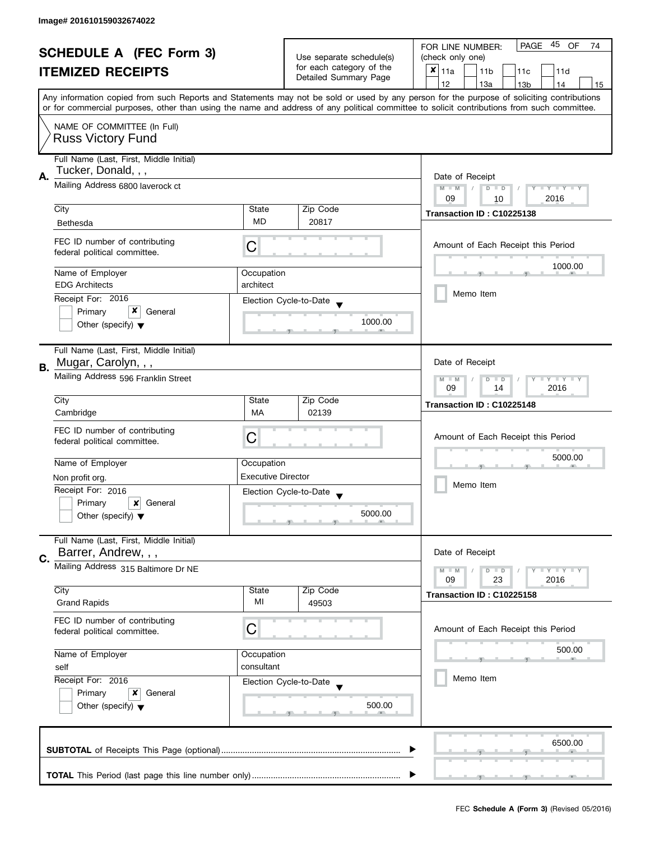| <b>SCHEDULE A (FEC Form 3)</b><br><b>ITEMIZED RECEIPTS</b> |                                                                                                                                              |                           | PAGE 45 OF<br>FOR LINE NUMBER:<br>74        |                                                                                                                                            |  |  |  |  |
|------------------------------------------------------------|----------------------------------------------------------------------------------------------------------------------------------------------|---------------------------|---------------------------------------------|--------------------------------------------------------------------------------------------------------------------------------------------|--|--|--|--|
|                                                            |                                                                                                                                              | Use separate schedule(s)  | (check only one)                            |                                                                                                                                            |  |  |  |  |
|                                                            |                                                                                                                                              | for each category of the  | $x _{11a}$<br>11 <sub>b</sub><br>11c<br>11d |                                                                                                                                            |  |  |  |  |
|                                                            |                                                                                                                                              | Detailed Summary Page     | 12<br>13a<br>13 <sub>b</sub><br>14<br>15    |                                                                                                                                            |  |  |  |  |
|                                                            |                                                                                                                                              |                           |                                             | Any information copied from such Reports and Statements may not be sold or used by any person for the purpose of soliciting contributions  |  |  |  |  |
|                                                            |                                                                                                                                              |                           |                                             | or for commercial purposes, other than using the name and address of any political committee to solicit contributions from such committee. |  |  |  |  |
|                                                            | NAME OF COMMITTEE (In Full)                                                                                                                  |                           |                                             |                                                                                                                                            |  |  |  |  |
|                                                            | <b>Russ Victory Fund</b>                                                                                                                     |                           |                                             |                                                                                                                                            |  |  |  |  |
|                                                            |                                                                                                                                              |                           |                                             |                                                                                                                                            |  |  |  |  |
|                                                            | Full Name (Last, First, Middle Initial)                                                                                                      |                           |                                             |                                                                                                                                            |  |  |  |  |
| Α.                                                         | Tucker, Donald, , ,                                                                                                                          |                           |                                             | Date of Receipt                                                                                                                            |  |  |  |  |
|                                                            | Mailing Address 6800 laverock ct                                                                                                             |                           |                                             | $M - M$<br>$D$ $D$<br>Y I Y I Y I Y<br>$\sqrt{ }$                                                                                          |  |  |  |  |
|                                                            |                                                                                                                                              |                           |                                             | 09<br>2016<br>10                                                                                                                           |  |  |  |  |
|                                                            | City                                                                                                                                         | State                     | Zip Code                                    | Transaction ID: C10225138                                                                                                                  |  |  |  |  |
|                                                            | Bethesda                                                                                                                                     | <b>MD</b>                 | 20817                                       |                                                                                                                                            |  |  |  |  |
|                                                            |                                                                                                                                              |                           |                                             |                                                                                                                                            |  |  |  |  |
|                                                            | FEC ID number of contributing                                                                                                                | С                         |                                             | Amount of Each Receipt this Period                                                                                                         |  |  |  |  |
|                                                            | federal political committee.                                                                                                                 |                           |                                             |                                                                                                                                            |  |  |  |  |
|                                                            | Name of Employer                                                                                                                             | Occupation                |                                             | 1000.00                                                                                                                                    |  |  |  |  |
|                                                            | <b>EDG Architects</b>                                                                                                                        | architect                 |                                             |                                                                                                                                            |  |  |  |  |
|                                                            | Receipt For: 2016                                                                                                                            |                           |                                             | Memo Item                                                                                                                                  |  |  |  |  |
|                                                            | x                                                                                                                                            |                           | Election Cycle-to-Date                      |                                                                                                                                            |  |  |  |  |
|                                                            | Primary<br>General                                                                                                                           |                           | 1000.00                                     |                                                                                                                                            |  |  |  |  |
|                                                            | Other (specify) $\blacktriangledown$                                                                                                         |                           |                                             |                                                                                                                                            |  |  |  |  |
|                                                            |                                                                                                                                              |                           |                                             |                                                                                                                                            |  |  |  |  |
|                                                            | Full Name (Last, First, Middle Initial)                                                                                                      |                           |                                             |                                                                                                                                            |  |  |  |  |
| В.                                                         | Mugar, Carolyn, , ,                                                                                                                          |                           |                                             | Date of Receipt                                                                                                                            |  |  |  |  |
|                                                            | Mailing Address 596 Franklin Street                                                                                                          |                           |                                             | $Y = Y + Y$<br>$M - M$<br>D<br>$\Box$                                                                                                      |  |  |  |  |
|                                                            |                                                                                                                                              |                           |                                             | 2016<br>09<br>14                                                                                                                           |  |  |  |  |
|                                                            | City                                                                                                                                         | State                     | Zip Code                                    | Transaction ID: C10225148                                                                                                                  |  |  |  |  |
|                                                            | Cambridge                                                                                                                                    | MA                        | 02139                                       |                                                                                                                                            |  |  |  |  |
|                                                            | FEC ID number of contributing                                                                                                                |                           |                                             |                                                                                                                                            |  |  |  |  |
|                                                            | federal political committee.                                                                                                                 | C                         |                                             | Amount of Each Receipt this Period                                                                                                         |  |  |  |  |
|                                                            |                                                                                                                                              |                           |                                             | 5000.00                                                                                                                                    |  |  |  |  |
|                                                            | Name of Employer                                                                                                                             | Occupation                |                                             |                                                                                                                                            |  |  |  |  |
|                                                            | Non profit org.                                                                                                                              | <b>Executive Director</b> |                                             | Memo Item                                                                                                                                  |  |  |  |  |
|                                                            | Receipt For: 2016                                                                                                                            |                           | Election Cycle-to-Date                      |                                                                                                                                            |  |  |  |  |
|                                                            | Primary<br>×<br>General                                                                                                                      |                           |                                             |                                                                                                                                            |  |  |  |  |
|                                                            | Other (specify) $\blacktriangledown$                                                                                                         |                           | 5000.00                                     |                                                                                                                                            |  |  |  |  |
|                                                            |                                                                                                                                              |                           |                                             |                                                                                                                                            |  |  |  |  |
|                                                            | Full Name (Last, First, Middle Initial)                                                                                                      |                           |                                             |                                                                                                                                            |  |  |  |  |
| C.                                                         | Barrer, Andrew, , ,                                                                                                                          |                           |                                             | Date of Receipt                                                                                                                            |  |  |  |  |
|                                                            | Mailing Address 315 Baltimore Dr NE                                                                                                          |                           |                                             | $M - M$<br>$Y + Y + Y$<br>$D$ $D$                                                                                                          |  |  |  |  |
|                                                            |                                                                                                                                              |                           |                                             | 09<br>23<br>2016                                                                                                                           |  |  |  |  |
|                                                            | City                                                                                                                                         | State                     | Zip Code                                    | Transaction ID: C10225158                                                                                                                  |  |  |  |  |
|                                                            | <b>Grand Rapids</b>                                                                                                                          | МI                        | 49503                                       |                                                                                                                                            |  |  |  |  |
|                                                            | FEC ID number of contributing                                                                                                                |                           |                                             |                                                                                                                                            |  |  |  |  |
|                                                            | federal political committee.                                                                                                                 | C                         |                                             | Amount of Each Receipt this Period                                                                                                         |  |  |  |  |
|                                                            |                                                                                                                                              |                           |                                             |                                                                                                                                            |  |  |  |  |
|                                                            | Name of Employer<br>Occupation<br>consultant<br>self<br>Receipt For: 2016<br>Primary<br>x<br>General<br>Other (specify) $\blacktriangledown$ |                           |                                             | 500.00                                                                                                                                     |  |  |  |  |
|                                                            |                                                                                                                                              |                           |                                             |                                                                                                                                            |  |  |  |  |
|                                                            |                                                                                                                                              |                           | Election Cycle-to-Date                      | Memo Item                                                                                                                                  |  |  |  |  |
|                                                            |                                                                                                                                              |                           |                                             |                                                                                                                                            |  |  |  |  |
|                                                            |                                                                                                                                              |                           | 500.00                                      |                                                                                                                                            |  |  |  |  |
|                                                            |                                                                                                                                              |                           |                                             |                                                                                                                                            |  |  |  |  |
|                                                            |                                                                                                                                              |                           |                                             |                                                                                                                                            |  |  |  |  |
|                                                            |                                                                                                                                              |                           |                                             | 6500.00                                                                                                                                    |  |  |  |  |
|                                                            |                                                                                                                                              |                           |                                             |                                                                                                                                            |  |  |  |  |
|                                                            |                                                                                                                                              |                           |                                             |                                                                                                                                            |  |  |  |  |
|                                                            |                                                                                                                                              |                           |                                             |                                                                                                                                            |  |  |  |  |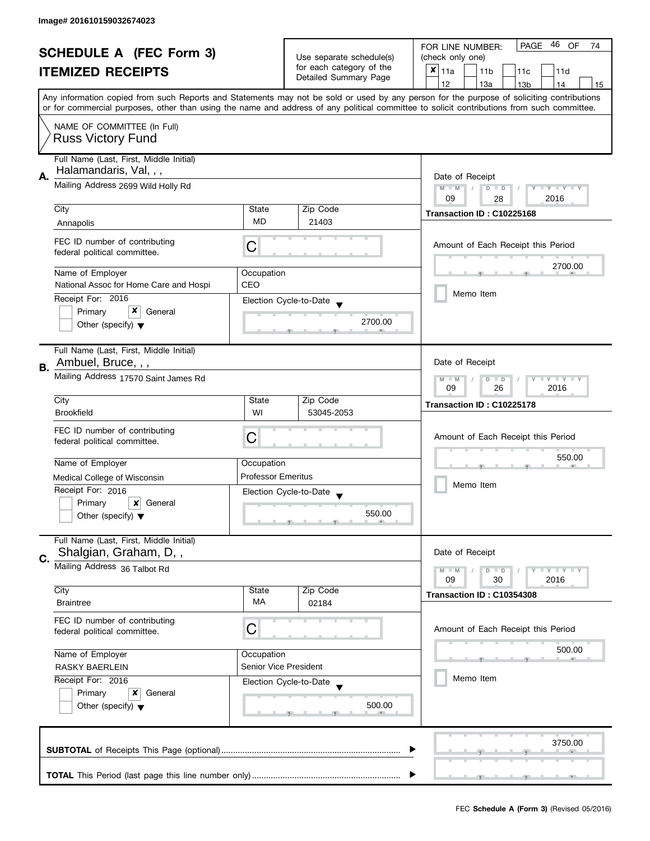| <b>SCHEDULE A (FEC Form 3)</b> |                                                                                                                                                            |                                                                                       | 46<br><b>PAGE</b><br>OF<br>FOR LINE NUMBER:<br>74       |                                                                                                                                                                                                                                                                                         |  |  |  |  |
|--------------------------------|------------------------------------------------------------------------------------------------------------------------------------------------------------|---------------------------------------------------------------------------------------|---------------------------------------------------------|-----------------------------------------------------------------------------------------------------------------------------------------------------------------------------------------------------------------------------------------------------------------------------------------|--|--|--|--|
| <b>ITEMIZED RECEIPTS</b>       |                                                                                                                                                            | Use separate schedule(s)<br>for each category of the                                  | (check only one)                                        |                                                                                                                                                                                                                                                                                         |  |  |  |  |
|                                |                                                                                                                                                            | Detailed Summary Page                                                                 | $x _{11a}$<br>11 <sub>b</sub><br>11 <sub>c</sub><br>11d |                                                                                                                                                                                                                                                                                         |  |  |  |  |
|                                |                                                                                                                                                            |                                                                                       | 12<br>13a<br>13 <sub>b</sub><br>14<br>15                |                                                                                                                                                                                                                                                                                         |  |  |  |  |
|                                |                                                                                                                                                            |                                                                                       |                                                         | Any information copied from such Reports and Statements may not be sold or used by any person for the purpose of soliciting contributions<br>or for commercial purposes, other than using the name and address of any political committee to solicit contributions from such committee. |  |  |  |  |
|                                | NAME OF COMMITTEE (In Full)                                                                                                                                |                                                                                       |                                                         |                                                                                                                                                                                                                                                                                         |  |  |  |  |
|                                | <b>Russ Victory Fund</b>                                                                                                                                   |                                                                                       |                                                         |                                                                                                                                                                                                                                                                                         |  |  |  |  |
|                                | Full Name (Last, First, Middle Initial)<br>Halamandaris, Val, , ,                                                                                          |                                                                                       |                                                         |                                                                                                                                                                                                                                                                                         |  |  |  |  |
| А.                             | Mailing Address 2699 Wild Holly Rd                                                                                                                         | Date of Receipt<br>$M - M$<br>$D$ $D$<br>Y FY FY FY<br>$\sqrt{2}$<br>09<br>2016<br>28 |                                                         |                                                                                                                                                                                                                                                                                         |  |  |  |  |
|                                | City                                                                                                                                                       | State                                                                                 | Zip Code                                                |                                                                                                                                                                                                                                                                                         |  |  |  |  |
|                                | Annapolis                                                                                                                                                  | <b>MD</b>                                                                             | 21403                                                   | Transaction ID: C10225168                                                                                                                                                                                                                                                               |  |  |  |  |
|                                | FEC ID number of contributing<br>federal political committee.                                                                                              | C                                                                                     |                                                         | Amount of Each Receipt this Period                                                                                                                                                                                                                                                      |  |  |  |  |
|                                | Name of Employer                                                                                                                                           | Occupation                                                                            |                                                         | 2700.00                                                                                                                                                                                                                                                                                 |  |  |  |  |
|                                | National Assoc for Home Care and Hospi                                                                                                                     | CEO                                                                                   |                                                         |                                                                                                                                                                                                                                                                                         |  |  |  |  |
|                                | Receipt For: 2016                                                                                                                                          |                                                                                       | Election Cycle-to-Date                                  | Memo Item                                                                                                                                                                                                                                                                               |  |  |  |  |
|                                | x<br>Primary<br>General                                                                                                                                    |                                                                                       |                                                         |                                                                                                                                                                                                                                                                                         |  |  |  |  |
|                                | Other (specify) $\blacktriangledown$                                                                                                                       |                                                                                       | 2700.00                                                 |                                                                                                                                                                                                                                                                                         |  |  |  |  |
|                                | Full Name (Last, First, Middle Initial)                                                                                                                    |                                                                                       |                                                         |                                                                                                                                                                                                                                                                                         |  |  |  |  |
| В.                             | Ambuel, Bruce, , ,                                                                                                                                         |                                                                                       |                                                         | Date of Receipt                                                                                                                                                                                                                                                                         |  |  |  |  |
|                                | Mailing Address 17570 Saint James Rd                                                                                                                       |                                                                                       |                                                         | $Y = Y + Y$<br>$D$ $D$<br>$M - M$<br>09<br>26<br>2016                                                                                                                                                                                                                                   |  |  |  |  |
|                                | City                                                                                                                                                       | State                                                                                 | Zip Code                                                | Transaction ID: C10225178                                                                                                                                                                                                                                                               |  |  |  |  |
|                                | <b>Brookfield</b>                                                                                                                                          | WI                                                                                    | 53045-2053                                              |                                                                                                                                                                                                                                                                                         |  |  |  |  |
|                                | FEC ID number of contributing                                                                                                                              |                                                                                       |                                                         |                                                                                                                                                                                                                                                                                         |  |  |  |  |
|                                | federal political committee.                                                                                                                               | C                                                                                     |                                                         | Amount of Each Receipt this Period                                                                                                                                                                                                                                                      |  |  |  |  |
|                                | Name of Employer                                                                                                                                           | Occupation                                                                            |                                                         | 550.00                                                                                                                                                                                                                                                                                  |  |  |  |  |
|                                | Medical College of Wisconsin                                                                                                                               | <b>Professor Emeritus</b>                                                             |                                                         | Memo Item                                                                                                                                                                                                                                                                               |  |  |  |  |
|                                | Receipt For: 2016                                                                                                                                          |                                                                                       | Election Cycle-to-Date                                  |                                                                                                                                                                                                                                                                                         |  |  |  |  |
|                                | Primary<br>x<br>General                                                                                                                                    |                                                                                       |                                                         |                                                                                                                                                                                                                                                                                         |  |  |  |  |
|                                | Other (specify) $\blacktriangledown$                                                                                                                       |                                                                                       | 550.00                                                  |                                                                                                                                                                                                                                                                                         |  |  |  |  |
|                                | Full Name (Last, First, Middle Initial)<br>Shalgian, Graham, D,,                                                                                           |                                                                                       |                                                         | Date of Receipt                                                                                                                                                                                                                                                                         |  |  |  |  |
| C.                             | Mailing Address 36 Talbot Rd                                                                                                                               |                                                                                       |                                                         |                                                                                                                                                                                                                                                                                         |  |  |  |  |
|                                |                                                                                                                                                            |                                                                                       |                                                         | $Y - Y - Y$<br>$M - M$<br>$D$ $D$<br>30<br>2016<br>09                                                                                                                                                                                                                                   |  |  |  |  |
|                                | City                                                                                                                                                       | State                                                                                 | Zip Code                                                | Transaction ID: C10354308                                                                                                                                                                                                                                                               |  |  |  |  |
|                                | <b>Braintree</b>                                                                                                                                           | <b>MA</b>                                                                             | 02184                                                   |                                                                                                                                                                                                                                                                                         |  |  |  |  |
|                                | FEC ID number of contributing<br>federal political committee.                                                                                              | С                                                                                     |                                                         | Amount of Each Receipt this Period                                                                                                                                                                                                                                                      |  |  |  |  |
|                                | Name of Employer<br>Occupation<br>Senior Vice President<br><b>RASKY BAERLEIN</b><br>Receipt For: 2016<br>Election Cycle-to-Date<br>Primary<br>x<br>General |                                                                                       |                                                         | 500.00                                                                                                                                                                                                                                                                                  |  |  |  |  |
|                                |                                                                                                                                                            |                                                                                       |                                                         |                                                                                                                                                                                                                                                                                         |  |  |  |  |
|                                |                                                                                                                                                            |                                                                                       |                                                         | Memo Item                                                                                                                                                                                                                                                                               |  |  |  |  |
|                                |                                                                                                                                                            |                                                                                       |                                                         |                                                                                                                                                                                                                                                                                         |  |  |  |  |
|                                | Other (specify) $\blacktriangledown$                                                                                                                       |                                                                                       | 500.00                                                  |                                                                                                                                                                                                                                                                                         |  |  |  |  |
|                                |                                                                                                                                                            |                                                                                       |                                                         |                                                                                                                                                                                                                                                                                         |  |  |  |  |
|                                |                                                                                                                                                            |                                                                                       |                                                         | 3750.00                                                                                                                                                                                                                                                                                 |  |  |  |  |
|                                |                                                                                                                                                            |                                                                                       |                                                         |                                                                                                                                                                                                                                                                                         |  |  |  |  |
|                                |                                                                                                                                                            |                                                                                       |                                                         |                                                                                                                                                                                                                                                                                         |  |  |  |  |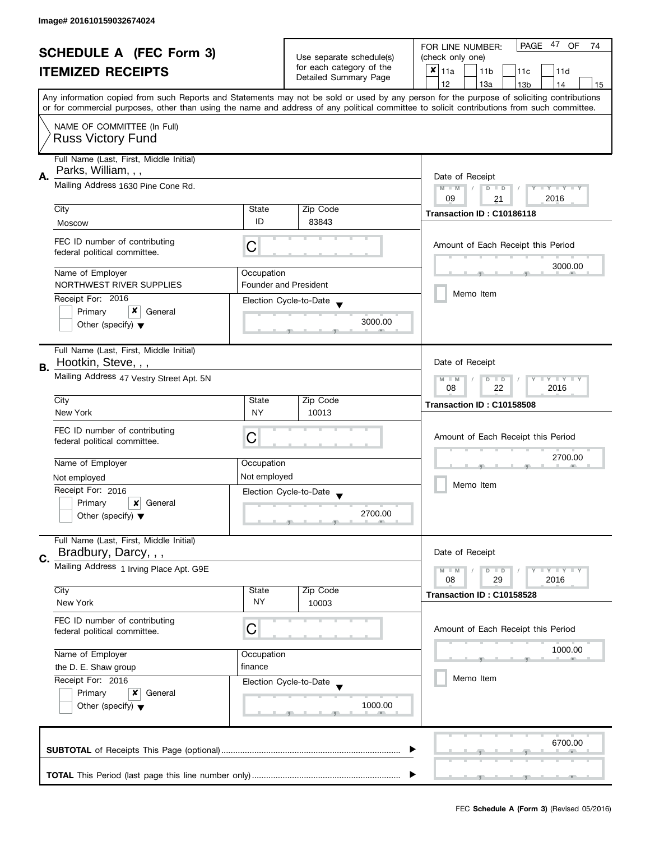| <b>SCHEDULE A (FEC Form 3)</b>                                                                                                                                                                                                                                                          |                                                                                        |                                                   | PAGE 47 OF<br>FOR LINE NUMBER:<br>74                    |                                                                                       |  |  |  |  |
|-----------------------------------------------------------------------------------------------------------------------------------------------------------------------------------------------------------------------------------------------------------------------------------------|----------------------------------------------------------------------------------------|---------------------------------------------------|---------------------------------------------------------|---------------------------------------------------------------------------------------|--|--|--|--|
| <b>ITEMIZED RECEIPTS</b>                                                                                                                                                                                                                                                                |                                                                                        | Use separate schedule(s)                          | (check only one)                                        |                                                                                       |  |  |  |  |
|                                                                                                                                                                                                                                                                                         |                                                                                        | for each category of the<br>Detailed Summary Page | $x _{11a}$<br>11 <sub>b</sub><br>11 <sub>c</sub><br>11d |                                                                                       |  |  |  |  |
|                                                                                                                                                                                                                                                                                         |                                                                                        |                                                   | 12<br>13a<br>13 <sub>b</sub><br>14<br>15                |                                                                                       |  |  |  |  |
| Any information copied from such Reports and Statements may not be sold or used by any person for the purpose of soliciting contributions<br>or for commercial purposes, other than using the name and address of any political committee to solicit contributions from such committee. |                                                                                        |                                                   |                                                         |                                                                                       |  |  |  |  |
|                                                                                                                                                                                                                                                                                         | NAME OF COMMITTEE (In Full)<br><b>Russ Victory Fund</b>                                |                                                   |                                                         |                                                                                       |  |  |  |  |
|                                                                                                                                                                                                                                                                                         | Full Name (Last, First, Middle Initial)<br>Parks, William, , ,                         |                                                   |                                                         |                                                                                       |  |  |  |  |
| А.                                                                                                                                                                                                                                                                                      | Mailing Address 1630 Pine Cone Rd.                                                     |                                                   |                                                         | Date of Receipt<br>$M - M$<br>$\sqrt{2}$<br>$D$ $D$<br>Y FY FY FY<br>09<br>2016<br>21 |  |  |  |  |
|                                                                                                                                                                                                                                                                                         | City                                                                                   | State                                             | Zip Code                                                |                                                                                       |  |  |  |  |
|                                                                                                                                                                                                                                                                                         | Moscow                                                                                 | ID                                                | 83843                                                   | Transaction ID: C10186118                                                             |  |  |  |  |
|                                                                                                                                                                                                                                                                                         | FEC ID number of contributing<br>federal political committee.                          | С                                                 |                                                         | Amount of Each Receipt this Period                                                    |  |  |  |  |
|                                                                                                                                                                                                                                                                                         | Name of Employer                                                                       | Occupation                                        |                                                         | 3000.00                                                                               |  |  |  |  |
|                                                                                                                                                                                                                                                                                         | NORTHWEST RIVER SUPPLIES                                                               |                                                   | <b>Founder and President</b>                            |                                                                                       |  |  |  |  |
|                                                                                                                                                                                                                                                                                         | Receipt For: 2016                                                                      |                                                   | Election Cycle-to-Date                                  | Memo Item                                                                             |  |  |  |  |
|                                                                                                                                                                                                                                                                                         | x<br>Primary<br>General                                                                |                                                   |                                                         |                                                                                       |  |  |  |  |
|                                                                                                                                                                                                                                                                                         | Other (specify) $\blacktriangledown$                                                   |                                                   | 3000.00                                                 |                                                                                       |  |  |  |  |
| В.                                                                                                                                                                                                                                                                                      | Full Name (Last, First, Middle Initial)<br>Hootkin, Steve, , ,                         |                                                   |                                                         | Date of Receipt                                                                       |  |  |  |  |
|                                                                                                                                                                                                                                                                                         | Mailing Address 47 Vestry Street Apt. 5N                                               |                                                   |                                                         | Y LY L<br>$M - M$<br>D<br>$\Box$<br>2016<br>08<br>22                                  |  |  |  |  |
|                                                                                                                                                                                                                                                                                         | City                                                                                   | State                                             | Zip Code                                                | Transaction ID: C10158508                                                             |  |  |  |  |
|                                                                                                                                                                                                                                                                                         | New York                                                                               | <b>NY</b>                                         | 10013                                                   |                                                                                       |  |  |  |  |
|                                                                                                                                                                                                                                                                                         | FEC ID number of contributing<br>federal political committee.                          | C                                                 |                                                         | Amount of Each Receipt this Period                                                    |  |  |  |  |
|                                                                                                                                                                                                                                                                                         | Name of Employer                                                                       | Occupation                                        |                                                         | 2700.00                                                                               |  |  |  |  |
|                                                                                                                                                                                                                                                                                         | Not employed                                                                           | Not employed                                      |                                                         | Memo Item                                                                             |  |  |  |  |
|                                                                                                                                                                                                                                                                                         | Receipt For: 2016                                                                      |                                                   | Election Cycle-to-Date                                  |                                                                                       |  |  |  |  |
|                                                                                                                                                                                                                                                                                         | Primary<br>×<br>General                                                                |                                                   |                                                         |                                                                                       |  |  |  |  |
|                                                                                                                                                                                                                                                                                         | Other (specify) $\blacktriangledown$                                                   |                                                   | 2700.00                                                 |                                                                                       |  |  |  |  |
| C.                                                                                                                                                                                                                                                                                      | Full Name (Last, First, Middle Initial)<br>Bradbury, Darcy, , ,                        |                                                   |                                                         | Date of Receipt                                                                       |  |  |  |  |
|                                                                                                                                                                                                                                                                                         | Mailing Address 1 Irving Place Apt. G9E                                                |                                                   |                                                         | $M - M$<br>$Y - Y - Y$<br>D<br>$\blacksquare$<br>08<br>29<br>2016                     |  |  |  |  |
|                                                                                                                                                                                                                                                                                         | City                                                                                   | State                                             | Zip Code                                                | Transaction ID: C10158528                                                             |  |  |  |  |
|                                                                                                                                                                                                                                                                                         | New York                                                                               | <b>NY</b>                                         | 10003                                                   |                                                                                       |  |  |  |  |
|                                                                                                                                                                                                                                                                                         | FEC ID number of contributing<br>federal political committee.                          | C                                                 |                                                         | Amount of Each Receipt this Period                                                    |  |  |  |  |
|                                                                                                                                                                                                                                                                                         | Name of Employer<br>Occupation<br>finance<br>the D. E. Shaw group<br>Receipt For: 2016 |                                                   |                                                         | 1000.00                                                                               |  |  |  |  |
|                                                                                                                                                                                                                                                                                         |                                                                                        |                                                   |                                                         |                                                                                       |  |  |  |  |
|                                                                                                                                                                                                                                                                                         |                                                                                        |                                                   | Election Cycle-to-Date                                  | Memo Item                                                                             |  |  |  |  |
| Primary<br>×<br>General<br>Other (specify) $\blacktriangledown$                                                                                                                                                                                                                         |                                                                                        | 1000.00                                           |                                                         |                                                                                       |  |  |  |  |
|                                                                                                                                                                                                                                                                                         |                                                                                        |                                                   |                                                         | 6700.00                                                                               |  |  |  |  |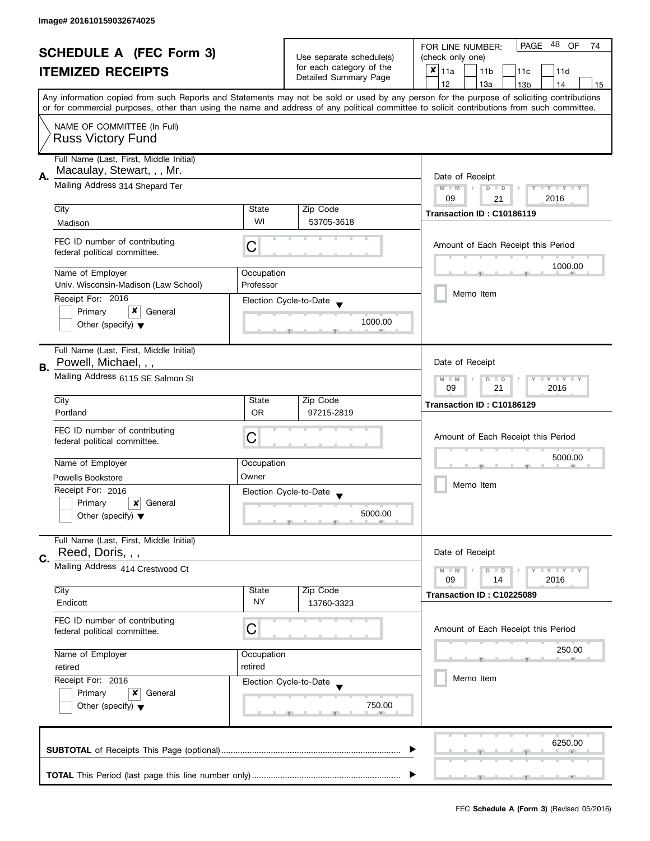| <b>SCHEDULE A (FEC Form 3)</b> |                                                                           |                                                       | 48<br><b>PAGE</b><br>OF<br>FOR LINE NUMBER:<br>74       |                                                                                                                                                                                                                                                                                         |  |  |  |  |
|--------------------------------|---------------------------------------------------------------------------|-------------------------------------------------------|---------------------------------------------------------|-----------------------------------------------------------------------------------------------------------------------------------------------------------------------------------------------------------------------------------------------------------------------------------------|--|--|--|--|
| <b>ITEMIZED RECEIPTS</b>       |                                                                           | Use separate schedule(s)                              | (check only one)                                        |                                                                                                                                                                                                                                                                                         |  |  |  |  |
|                                |                                                                           | for each category of the<br>Detailed Summary Page     | $x _{11a}$<br>11 <sub>b</sub><br>11d<br>11 <sub>c</sub> |                                                                                                                                                                                                                                                                                         |  |  |  |  |
|                                |                                                                           |                                                       | 12<br>13a<br>13 <sub>b</sub><br>14<br>15                |                                                                                                                                                                                                                                                                                         |  |  |  |  |
|                                |                                                                           |                                                       |                                                         | Any information copied from such Reports and Statements may not be sold or used by any person for the purpose of soliciting contributions<br>or for commercial purposes, other than using the name and address of any political committee to solicit contributions from such committee. |  |  |  |  |
|                                | NAME OF COMMITTEE (In Full)<br><b>Russ Victory Fund</b>                   |                                                       |                                                         |                                                                                                                                                                                                                                                                                         |  |  |  |  |
|                                | Full Name (Last, First, Middle Initial)<br>Macaulay, Stewart, , , Mr.     |                                                       |                                                         |                                                                                                                                                                                                                                                                                         |  |  |  |  |
| А.                             | Mailing Address 314 Shepard Ter                                           |                                                       |                                                         | Date of Receipt<br>$M - M$<br>$D$ $D$<br>Y FY FY FY<br>$\sqrt{2}$<br>09<br>2016<br>21                                                                                                                                                                                                   |  |  |  |  |
|                                | City                                                                      | State                                                 | Zip Code                                                |                                                                                                                                                                                                                                                                                         |  |  |  |  |
|                                | Madison                                                                   | WI                                                    | 53705-3618                                              | Transaction ID: C10186119                                                                                                                                                                                                                                                               |  |  |  |  |
|                                | FEC ID number of contributing<br>federal political committee.             | C                                                     |                                                         | Amount of Each Receipt this Period                                                                                                                                                                                                                                                      |  |  |  |  |
|                                | Name of Employer                                                          | Occupation                                            |                                                         | 1000.00                                                                                                                                                                                                                                                                                 |  |  |  |  |
|                                | Univ. Wisconsin-Madison (Law School)                                      | Professor                                             |                                                         |                                                                                                                                                                                                                                                                                         |  |  |  |  |
|                                | Receipt For: 2016                                                         |                                                       | Election Cycle-to-Date                                  | Memo Item                                                                                                                                                                                                                                                                               |  |  |  |  |
|                                | x<br>Primary<br>General                                                   |                                                       |                                                         |                                                                                                                                                                                                                                                                                         |  |  |  |  |
|                                | Other (specify) $\blacktriangledown$                                      |                                                       | 1000.00                                                 |                                                                                                                                                                                                                                                                                         |  |  |  |  |
| В.                             | Full Name (Last, First, Middle Initial)<br>Powell, Michael, , ,           |                                                       |                                                         | Date of Receipt                                                                                                                                                                                                                                                                         |  |  |  |  |
|                                | Mailing Address 6115 SE Salmon St                                         | $Y = Y + Y$<br>$M - M$<br>$D$ $D$<br>09<br>21<br>2016 |                                                         |                                                                                                                                                                                                                                                                                         |  |  |  |  |
|                                | City                                                                      | State                                                 | Zip Code                                                | Transaction ID: C10186129                                                                                                                                                                                                                                                               |  |  |  |  |
|                                | Portland                                                                  | <b>OR</b>                                             | 97215-2819                                              |                                                                                                                                                                                                                                                                                         |  |  |  |  |
|                                | FEC ID number of contributing<br>federal political committee.             | C                                                     |                                                         | Amount of Each Receipt this Period                                                                                                                                                                                                                                                      |  |  |  |  |
|                                | Name of Employer                                                          | Occupation                                            |                                                         | 5000.00                                                                                                                                                                                                                                                                                 |  |  |  |  |
|                                | <b>Powells Bookstore</b>                                                  | Owner                                                 |                                                         | Memo Item                                                                                                                                                                                                                                                                               |  |  |  |  |
|                                | Receipt For: 2016                                                         |                                                       | Election Cycle-to-Date                                  |                                                                                                                                                                                                                                                                                         |  |  |  |  |
|                                | Primary<br>General<br>x                                                   |                                                       |                                                         |                                                                                                                                                                                                                                                                                         |  |  |  |  |
|                                | Other (specify) $\blacktriangledown$                                      |                                                       | 5000.00                                                 |                                                                                                                                                                                                                                                                                         |  |  |  |  |
| C.                             | Full Name (Last, First, Middle Initial)<br>Reed, Doris, , ,               |                                                       |                                                         | Date of Receipt                                                                                                                                                                                                                                                                         |  |  |  |  |
|                                | Mailing Address 414 Crestwood Ct                                          |                                                       |                                                         | $Y - Y - Y$<br>$M - M$<br>D<br>$\Box$<br>2016<br>09<br>14                                                                                                                                                                                                                               |  |  |  |  |
|                                | City                                                                      | State                                                 | Zip Code                                                | Transaction ID: C10225089                                                                                                                                                                                                                                                               |  |  |  |  |
|                                | Endicott                                                                  | <b>NY</b>                                             | 13760-3323                                              |                                                                                                                                                                                                                                                                                         |  |  |  |  |
|                                | FEC ID number of contributing<br>federal political committee.             | С                                                     |                                                         | Amount of Each Receipt this Period                                                                                                                                                                                                                                                      |  |  |  |  |
|                                | Name of Employer<br>Occupation<br>retired<br>retired<br>Receipt For: 2016 |                                                       |                                                         | 250.00                                                                                                                                                                                                                                                                                  |  |  |  |  |
|                                |                                                                           |                                                       |                                                         |                                                                                                                                                                                                                                                                                         |  |  |  |  |
|                                |                                                                           |                                                       | Election Cycle-to-Date                                  | Memo Item                                                                                                                                                                                                                                                                               |  |  |  |  |
|                                | Primary<br>General<br>x                                                   |                                                       |                                                         |                                                                                                                                                                                                                                                                                         |  |  |  |  |
|                                | Other (specify) $\blacktriangledown$                                      |                                                       | 750.00                                                  |                                                                                                                                                                                                                                                                                         |  |  |  |  |
|                                |                                                                           |                                                       |                                                         | 6250.00                                                                                                                                                                                                                                                                                 |  |  |  |  |
|                                |                                                                           |                                                       |                                                         |                                                                                                                                                                                                                                                                                         |  |  |  |  |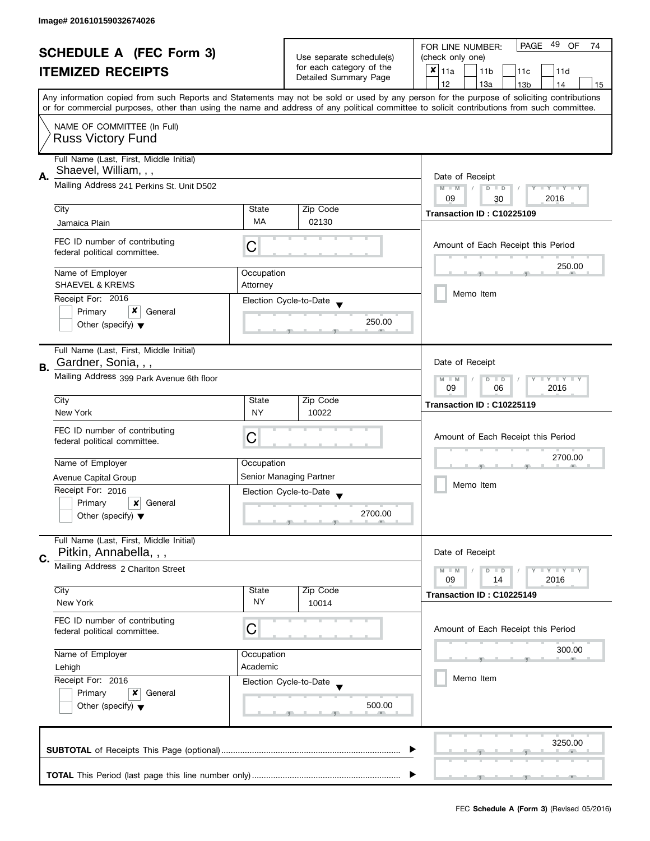| <b>SCHEDULE A (FEC Form 3)</b><br><b>ITEMIZED RECEIPTS</b> |                                                                                              |                                                   | PAGE 49 OF<br>FOR LINE NUMBER:<br>74        |                                                                                                                                            |  |  |  |  |
|------------------------------------------------------------|----------------------------------------------------------------------------------------------|---------------------------------------------------|---------------------------------------------|--------------------------------------------------------------------------------------------------------------------------------------------|--|--|--|--|
|                                                            |                                                                                              | Use separate schedule(s)                          | (check only one)                            |                                                                                                                                            |  |  |  |  |
|                                                            |                                                                                              | for each category of the<br>Detailed Summary Page | $x _{11a}$<br>11 <sub>b</sub><br>11c<br>11d |                                                                                                                                            |  |  |  |  |
|                                                            |                                                                                              |                                                   | 12<br>13a<br>13 <sub>b</sub><br>14<br>15    |                                                                                                                                            |  |  |  |  |
|                                                            |                                                                                              |                                                   |                                             | Any information copied from such Reports and Statements may not be sold or used by any person for the purpose of soliciting contributions  |  |  |  |  |
|                                                            |                                                                                              |                                                   |                                             | or for commercial purposes, other than using the name and address of any political committee to solicit contributions from such committee. |  |  |  |  |
|                                                            | NAME OF COMMITTEE (In Full)                                                                  |                                                   |                                             |                                                                                                                                            |  |  |  |  |
|                                                            | <b>Russ Victory Fund</b>                                                                     |                                                   |                                             |                                                                                                                                            |  |  |  |  |
|                                                            |                                                                                              |                                                   |                                             |                                                                                                                                            |  |  |  |  |
|                                                            | Full Name (Last, First, Middle Initial)                                                      |                                                   |                                             |                                                                                                                                            |  |  |  |  |
| Α.                                                         | Shaevel, William, , ,                                                                        |                                                   |                                             | Date of Receipt                                                                                                                            |  |  |  |  |
|                                                            | Mailing Address 241 Perkins St. Unit D502                                                    |                                                   |                                             | $M - M$<br>$\sqrt{2}$<br>$D$ $D$<br>Y I Y I Y I Y                                                                                          |  |  |  |  |
|                                                            |                                                                                              |                                                   |                                             | 09<br>2016<br>30                                                                                                                           |  |  |  |  |
|                                                            | City                                                                                         | State<br>MA                                       | Zip Code                                    | Transaction ID: C10225109                                                                                                                  |  |  |  |  |
|                                                            | Jamaica Plain                                                                                |                                                   | 02130                                       |                                                                                                                                            |  |  |  |  |
|                                                            | FEC ID number of contributing                                                                | C                                                 |                                             | Amount of Each Receipt this Period                                                                                                         |  |  |  |  |
|                                                            | federal political committee.                                                                 |                                                   |                                             |                                                                                                                                            |  |  |  |  |
|                                                            | Name of Employer                                                                             |                                                   |                                             | 250.00                                                                                                                                     |  |  |  |  |
|                                                            | <b>SHAEVEL &amp; KREMS</b>                                                                   | Occupation<br>Attorney                            |                                             |                                                                                                                                            |  |  |  |  |
|                                                            |                                                                                              |                                                   |                                             | Memo Item                                                                                                                                  |  |  |  |  |
|                                                            | Receipt For: 2016<br>x<br>General                                                            |                                                   | Election Cycle-to-Date                      |                                                                                                                                            |  |  |  |  |
|                                                            | Primary<br>Other (specify) $\blacktriangledown$                                              |                                                   | 250.00                                      |                                                                                                                                            |  |  |  |  |
|                                                            |                                                                                              |                                                   |                                             |                                                                                                                                            |  |  |  |  |
|                                                            | Full Name (Last, First, Middle Initial)                                                      |                                                   |                                             |                                                                                                                                            |  |  |  |  |
|                                                            | Gardner, Sonia, , ,                                                                          |                                                   |                                             | Date of Receipt                                                                                                                            |  |  |  |  |
| В.                                                         |                                                                                              |                                                   |                                             |                                                                                                                                            |  |  |  |  |
|                                                            | Mailing Address 399 Park Avenue 6th floor                                                    |                                                   |                                             | $Y - Y - Y$<br>$M - M$<br>D<br>$\Box$<br>2016<br>09<br>06                                                                                  |  |  |  |  |
|                                                            | City                                                                                         | Zip Code<br>State                                 |                                             |                                                                                                                                            |  |  |  |  |
|                                                            | New York                                                                                     | <b>NY</b>                                         | 10022                                       | Transaction ID: C10225119                                                                                                                  |  |  |  |  |
|                                                            |                                                                                              |                                                   |                                             |                                                                                                                                            |  |  |  |  |
|                                                            | FEC ID number of contributing<br>federal political committee.                                | C                                                 |                                             | Amount of Each Receipt this Period                                                                                                         |  |  |  |  |
|                                                            |                                                                                              |                                                   |                                             |                                                                                                                                            |  |  |  |  |
|                                                            | Name of Employer                                                                             | Occupation                                        |                                             | 2700.00                                                                                                                                    |  |  |  |  |
|                                                            | Avenue Capital Group                                                                         |                                                   | Senior Managing Partner                     | Memo Item                                                                                                                                  |  |  |  |  |
|                                                            | Receipt For: 2016                                                                            |                                                   | Election Cycle-to-Date                      |                                                                                                                                            |  |  |  |  |
|                                                            | Primary<br>×<br>General                                                                      |                                                   |                                             |                                                                                                                                            |  |  |  |  |
|                                                            | Other (specify) $\blacktriangledown$                                                         |                                                   | 2700.00                                     |                                                                                                                                            |  |  |  |  |
|                                                            |                                                                                              |                                                   |                                             |                                                                                                                                            |  |  |  |  |
|                                                            | Full Name (Last, First, Middle Initial)                                                      |                                                   |                                             |                                                                                                                                            |  |  |  |  |
| C.                                                         | Pitkin, Annabella, , ,                                                                       |                                                   |                                             | Date of Receipt                                                                                                                            |  |  |  |  |
|                                                            | Mailing Address 2 Charlton Street                                                            |                                                   |                                             | $M - M$<br>$Y - Y - Y$<br>$\blacksquare$                                                                                                   |  |  |  |  |
|                                                            |                                                                                              |                                                   |                                             | 09<br>2016<br>14                                                                                                                           |  |  |  |  |
|                                                            | City<br>New York                                                                             | State<br><b>NY</b>                                | Zip Code<br>10014                           | Transaction ID: C10225149                                                                                                                  |  |  |  |  |
|                                                            |                                                                                              |                                                   |                                             |                                                                                                                                            |  |  |  |  |
|                                                            | FEC ID number of contributing                                                                | C                                                 |                                             | Amount of Each Receipt this Period                                                                                                         |  |  |  |  |
|                                                            | federal political committee.                                                                 |                                                   |                                             |                                                                                                                                            |  |  |  |  |
|                                                            | Name of Employer                                                                             | Occupation                                        |                                             | 300.00                                                                                                                                     |  |  |  |  |
|                                                            | Academic<br>Lehigh<br>Receipt For: 2016<br>Election Cycle-to-Date<br>Primary<br>x<br>General |                                                   |                                             |                                                                                                                                            |  |  |  |  |
|                                                            |                                                                                              |                                                   |                                             | Memo Item                                                                                                                                  |  |  |  |  |
|                                                            |                                                                                              |                                                   |                                             |                                                                                                                                            |  |  |  |  |
|                                                            | Other (specify) $\blacktriangledown$                                                         |                                                   | 500.00                                      |                                                                                                                                            |  |  |  |  |
|                                                            |                                                                                              |                                                   |                                             |                                                                                                                                            |  |  |  |  |
|                                                            |                                                                                              |                                                   |                                             |                                                                                                                                            |  |  |  |  |
|                                                            |                                                                                              |                                                   |                                             | 3250.00                                                                                                                                    |  |  |  |  |
|                                                            |                                                                                              |                                                   |                                             |                                                                                                                                            |  |  |  |  |
|                                                            |                                                                                              |                                                   |                                             |                                                                                                                                            |  |  |  |  |
|                                                            |                                                                                              |                                                   |                                             |                                                                                                                                            |  |  |  |  |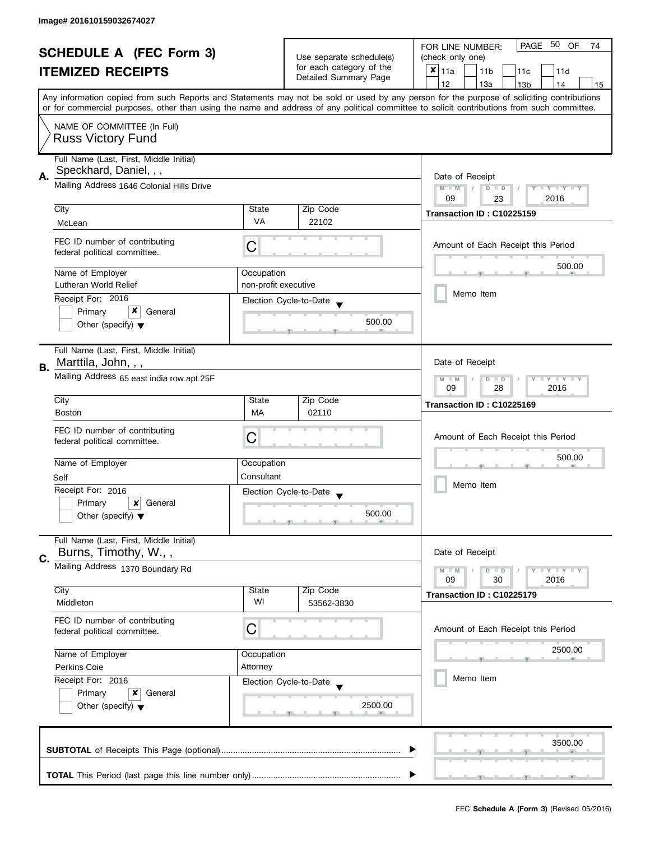| <b>SCHEDULE A (FEC Form 3)</b> |                                                                   |                                                      | PAGE 50 OF<br>FOR LINE NUMBER:<br>74 |                                                                                                                                                                                                                                                                                         |  |  |  |  |  |
|--------------------------------|-------------------------------------------------------------------|------------------------------------------------------|--------------------------------------|-----------------------------------------------------------------------------------------------------------------------------------------------------------------------------------------------------------------------------------------------------------------------------------------|--|--|--|--|--|
| <b>ITEMIZED RECEIPTS</b>       |                                                                   | Use separate schedule(s)<br>for each category of the | (check only one)                     |                                                                                                                                                                                                                                                                                         |  |  |  |  |  |
|                                |                                                                   |                                                      | Detailed Summary Page                | $x _{11a}$<br>11 <sub>b</sub><br>11c<br>11d                                                                                                                                                                                                                                             |  |  |  |  |  |
|                                |                                                                   |                                                      |                                      | 12<br>13a<br>14<br>13 <sub>b</sub><br>15                                                                                                                                                                                                                                                |  |  |  |  |  |
|                                |                                                                   |                                                      |                                      | Any information copied from such Reports and Statements may not be sold or used by any person for the purpose of soliciting contributions<br>or for commercial purposes, other than using the name and address of any political committee to solicit contributions from such committee. |  |  |  |  |  |
|                                |                                                                   |                                                      |                                      |                                                                                                                                                                                                                                                                                         |  |  |  |  |  |
|                                | NAME OF COMMITTEE (In Full)<br><b>Russ Victory Fund</b>           |                                                      |                                      |                                                                                                                                                                                                                                                                                         |  |  |  |  |  |
|                                |                                                                   |                                                      |                                      |                                                                                                                                                                                                                                                                                         |  |  |  |  |  |
|                                | Full Name (Last, First, Middle Initial)<br>Speckhard, Daniel, , , |                                                      |                                      |                                                                                                                                                                                                                                                                                         |  |  |  |  |  |
| А.                             |                                                                   |                                                      |                                      | Date of Receipt                                                                                                                                                                                                                                                                         |  |  |  |  |  |
|                                | Mailing Address 1646 Colonial Hills Drive                         |                                                      |                                      | $M - M$<br>$\sqrt{2}$<br>$D$ $D$<br>Y FY FY FY                                                                                                                                                                                                                                          |  |  |  |  |  |
|                                |                                                                   |                                                      |                                      | 09<br>2016<br>23                                                                                                                                                                                                                                                                        |  |  |  |  |  |
|                                | City                                                              | State                                                | Zip Code                             | Transaction ID: C10225159                                                                                                                                                                                                                                                               |  |  |  |  |  |
|                                | McLean                                                            | VA                                                   | 22102                                |                                                                                                                                                                                                                                                                                         |  |  |  |  |  |
|                                | FEC ID number of contributing                                     |                                                      |                                      |                                                                                                                                                                                                                                                                                         |  |  |  |  |  |
|                                | federal political committee.                                      | С                                                    |                                      | Amount of Each Receipt this Period                                                                                                                                                                                                                                                      |  |  |  |  |  |
|                                |                                                                   |                                                      |                                      | 500.00                                                                                                                                                                                                                                                                                  |  |  |  |  |  |
|                                | Name of Employer                                                  | Occupation                                           |                                      |                                                                                                                                                                                                                                                                                         |  |  |  |  |  |
|                                | Lutheran World Relief                                             | non-profit executive                                 |                                      | Memo Item                                                                                                                                                                                                                                                                               |  |  |  |  |  |
|                                | Receipt For: 2016                                                 |                                                      | Election Cycle-to-Date               |                                                                                                                                                                                                                                                                                         |  |  |  |  |  |
|                                | x<br>Primary<br>General                                           |                                                      |                                      |                                                                                                                                                                                                                                                                                         |  |  |  |  |  |
|                                | Other (specify) $\blacktriangledown$                              |                                                      | 500.00                               |                                                                                                                                                                                                                                                                                         |  |  |  |  |  |
|                                |                                                                   |                                                      |                                      |                                                                                                                                                                                                                                                                                         |  |  |  |  |  |
|                                | Full Name (Last, First, Middle Initial)                           |                                                      |                                      |                                                                                                                                                                                                                                                                                         |  |  |  |  |  |
| В.                             | Marttila, John, , ,                                               |                                                      |                                      | Date of Receipt                                                                                                                                                                                                                                                                         |  |  |  |  |  |
|                                | Mailing Address 65 east india row apt 25F                         |                                                      |                                      | Y LY LY<br>$M - M$<br>$D$ $D$                                                                                                                                                                                                                                                           |  |  |  |  |  |
|                                |                                                                   |                                                      |                                      | 09<br>28<br>2016                                                                                                                                                                                                                                                                        |  |  |  |  |  |
|                                | City                                                              | State                                                | Zip Code                             | Transaction ID: C10225169                                                                                                                                                                                                                                                               |  |  |  |  |  |
|                                | <b>Boston</b>                                                     | MA                                                   | 02110                                |                                                                                                                                                                                                                                                                                         |  |  |  |  |  |
|                                | FEC ID number of contributing                                     |                                                      |                                      |                                                                                                                                                                                                                                                                                         |  |  |  |  |  |
|                                | federal political committee.                                      | C                                                    |                                      | Amount of Each Receipt this Period                                                                                                                                                                                                                                                      |  |  |  |  |  |
|                                |                                                                   |                                                      |                                      | 500.00                                                                                                                                                                                                                                                                                  |  |  |  |  |  |
|                                | Name of Employer                                                  | Occupation                                           |                                      |                                                                                                                                                                                                                                                                                         |  |  |  |  |  |
|                                | Self                                                              | Consultant                                           |                                      | Memo Item                                                                                                                                                                                                                                                                               |  |  |  |  |  |
|                                | Receipt For: 2016                                                 |                                                      | Election Cycle-to-Date               |                                                                                                                                                                                                                                                                                         |  |  |  |  |  |
|                                | Primary<br>x<br>General                                           |                                                      |                                      |                                                                                                                                                                                                                                                                                         |  |  |  |  |  |
|                                | Other (specify) $\blacktriangledown$                              |                                                      | 500.00                               |                                                                                                                                                                                                                                                                                         |  |  |  |  |  |
|                                |                                                                   |                                                      |                                      |                                                                                                                                                                                                                                                                                         |  |  |  |  |  |
|                                | Full Name (Last, First, Middle Initial)                           |                                                      |                                      |                                                                                                                                                                                                                                                                                         |  |  |  |  |  |
| C.                             | Burns, Timothy, W.,,                                              |                                                      |                                      | Date of Receipt                                                                                                                                                                                                                                                                         |  |  |  |  |  |
|                                | Mailing Address 1370 Boundary Rd                                  |                                                      |                                      | <b>LYLYLY</b><br>$M - M$<br>$D$ $D$                                                                                                                                                                                                                                                     |  |  |  |  |  |
|                                |                                                                   |                                                      |                                      | 09<br>30<br>2016                                                                                                                                                                                                                                                                        |  |  |  |  |  |
|                                | City                                                              | State                                                | Zip Code                             | Transaction ID: C10225179                                                                                                                                                                                                                                                               |  |  |  |  |  |
|                                | Middleton                                                         | WI                                                   | 53562-3830                           |                                                                                                                                                                                                                                                                                         |  |  |  |  |  |
|                                | FEC ID number of contributing                                     |                                                      |                                      |                                                                                                                                                                                                                                                                                         |  |  |  |  |  |
|                                | federal political committee.                                      | С                                                    |                                      | Amount of Each Receipt this Period                                                                                                                                                                                                                                                      |  |  |  |  |  |
|                                |                                                                   |                                                      |                                      |                                                                                                                                                                                                                                                                                         |  |  |  |  |  |
|                                | Name of Employer                                                  | Occupation                                           |                                      | 2500.00                                                                                                                                                                                                                                                                                 |  |  |  |  |  |
|                                | Attorney<br>Perkins Coie<br>Receipt For: 2016                     |                                                      |                                      |                                                                                                                                                                                                                                                                                         |  |  |  |  |  |
|                                |                                                                   |                                                      | Election Cycle-to-Date               | Memo Item                                                                                                                                                                                                                                                                               |  |  |  |  |  |
|                                | Primary<br>x<br>General                                           |                                                      |                                      |                                                                                                                                                                                                                                                                                         |  |  |  |  |  |
|                                | Other (specify) $\blacktriangledown$                              |                                                      | 2500.00                              |                                                                                                                                                                                                                                                                                         |  |  |  |  |  |
|                                |                                                                   |                                                      |                                      |                                                                                                                                                                                                                                                                                         |  |  |  |  |  |
|                                |                                                                   |                                                      |                                      |                                                                                                                                                                                                                                                                                         |  |  |  |  |  |
|                                |                                                                   |                                                      |                                      | 3500.00                                                                                                                                                                                                                                                                                 |  |  |  |  |  |
|                                |                                                                   |                                                      |                                      |                                                                                                                                                                                                                                                                                         |  |  |  |  |  |
|                                |                                                                   |                                                      |                                      |                                                                                                                                                                                                                                                                                         |  |  |  |  |  |
|                                |                                                                   |                                                      |                                      |                                                                                                                                                                                                                                                                                         |  |  |  |  |  |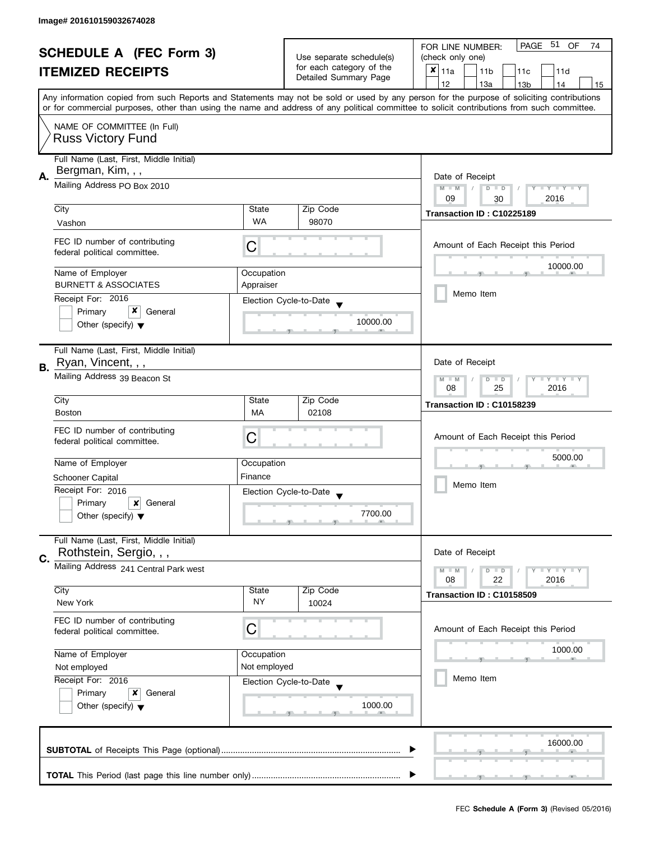| <b>SCHEDULE A (FEC Form 3)</b> |                                                                                                                               |                                                           | PAGE 51 OF<br>FOR LINE NUMBER:<br>74        |                                                                                                                                            |  |  |  |  |
|--------------------------------|-------------------------------------------------------------------------------------------------------------------------------|-----------------------------------------------------------|---------------------------------------------|--------------------------------------------------------------------------------------------------------------------------------------------|--|--|--|--|
|                                |                                                                                                                               |                                                           | Use separate schedule(s)                    | (check only one)                                                                                                                           |  |  |  |  |
| <b>ITEMIZED RECEIPTS</b>       |                                                                                                                               | for each category of the<br>Detailed Summary Page         | $x _{11a}$<br>11 <sub>b</sub><br>11c<br>11d |                                                                                                                                            |  |  |  |  |
|                                |                                                                                                                               |                                                           |                                             | 12<br>13a<br>13 <sub>b</sub><br>14<br>15                                                                                                   |  |  |  |  |
|                                |                                                                                                                               |                                                           |                                             | Any information copied from such Reports and Statements may not be sold or used by any person for the purpose of soliciting contributions  |  |  |  |  |
|                                |                                                                                                                               |                                                           |                                             | or for commercial purposes, other than using the name and address of any political committee to solicit contributions from such committee. |  |  |  |  |
|                                | NAME OF COMMITTEE (In Full)                                                                                                   |                                                           |                                             |                                                                                                                                            |  |  |  |  |
|                                | <b>Russ Victory Fund</b>                                                                                                      |                                                           |                                             |                                                                                                                                            |  |  |  |  |
|                                |                                                                                                                               |                                                           |                                             |                                                                                                                                            |  |  |  |  |
|                                | Full Name (Last, First, Middle Initial)                                                                                       |                                                           |                                             |                                                                                                                                            |  |  |  |  |
| А.                             | Bergman, Kim, , ,                                                                                                             |                                                           |                                             | Date of Receipt                                                                                                                            |  |  |  |  |
|                                | Mailing Address PO Box 2010                                                                                                   |                                                           |                                             | $M - M$<br>$\sqrt{2}$<br>$D$ $D$<br>Y I Y I Y I Y                                                                                          |  |  |  |  |
|                                |                                                                                                                               |                                                           |                                             | 09<br>2016<br>30                                                                                                                           |  |  |  |  |
|                                | City                                                                                                                          | State<br><b>WA</b>                                        | Zip Code                                    | Transaction ID: C10225189                                                                                                                  |  |  |  |  |
|                                | Vashon                                                                                                                        |                                                           | 98070                                       |                                                                                                                                            |  |  |  |  |
|                                | FEC ID number of contributing                                                                                                 | С                                                         |                                             | Amount of Each Receipt this Period                                                                                                         |  |  |  |  |
|                                | federal political committee.                                                                                                  |                                                           |                                             |                                                                                                                                            |  |  |  |  |
|                                | Name of Employer                                                                                                              | Occupation                                                |                                             | 10000.00                                                                                                                                   |  |  |  |  |
|                                | <b>BURNETT &amp; ASSOCIATES</b>                                                                                               | Appraiser                                                 |                                             |                                                                                                                                            |  |  |  |  |
|                                | Receipt For: 2016                                                                                                             |                                                           |                                             | Memo Item                                                                                                                                  |  |  |  |  |
|                                | x                                                                                                                             |                                                           | Election Cycle-to-Date                      |                                                                                                                                            |  |  |  |  |
|                                | Primary<br>General                                                                                                            |                                                           | 10000.00                                    |                                                                                                                                            |  |  |  |  |
|                                | Other (specify) $\blacktriangledown$                                                                                          |                                                           |                                             |                                                                                                                                            |  |  |  |  |
|                                | Full Name (Last, First, Middle Initial)                                                                                       |                                                           |                                             |                                                                                                                                            |  |  |  |  |
|                                | Ryan, Vincent, , ,                                                                                                            |                                                           |                                             | Date of Receipt                                                                                                                            |  |  |  |  |
| В.                             | Mailing Address 39 Beacon St                                                                                                  |                                                           |                                             |                                                                                                                                            |  |  |  |  |
|                                |                                                                                                                               | $Y = Y + Y$<br>$M - M$<br>D<br>$\Box$<br>2016<br>08<br>25 |                                             |                                                                                                                                            |  |  |  |  |
|                                | City                                                                                                                          | State                                                     | Zip Code                                    |                                                                                                                                            |  |  |  |  |
|                                | <b>Boston</b>                                                                                                                 | MA                                                        | 02108                                       | Transaction ID: C10158239                                                                                                                  |  |  |  |  |
|                                |                                                                                                                               |                                                           |                                             |                                                                                                                                            |  |  |  |  |
|                                | FEC ID number of contributing<br>federal political committee.                                                                 | C                                                         |                                             | Amount of Each Receipt this Period                                                                                                         |  |  |  |  |
|                                |                                                                                                                               |                                                           |                                             | 5000.00                                                                                                                                    |  |  |  |  |
|                                | Name of Employer                                                                                                              | Occupation                                                |                                             |                                                                                                                                            |  |  |  |  |
|                                | <b>Schooner Capital</b>                                                                                                       | Finance                                                   |                                             |                                                                                                                                            |  |  |  |  |
|                                | Receipt For: 2016                                                                                                             |                                                           | Election Cycle-to-Date                      | Memo Item                                                                                                                                  |  |  |  |  |
|                                | Primary<br>$\boldsymbol{x}$<br>General                                                                                        |                                                           |                                             |                                                                                                                                            |  |  |  |  |
|                                | Other (specify) $\blacktriangledown$                                                                                          |                                                           | 7700.00                                     |                                                                                                                                            |  |  |  |  |
|                                |                                                                                                                               |                                                           |                                             |                                                                                                                                            |  |  |  |  |
|                                | Full Name (Last, First, Middle Initial)                                                                                       |                                                           |                                             |                                                                                                                                            |  |  |  |  |
| C.                             | Rothstein, Sergio, , ,                                                                                                        |                                                           |                                             | Date of Receipt                                                                                                                            |  |  |  |  |
|                                | Mailing Address 241 Central Park west                                                                                         |                                                           |                                             | $M - M$<br>$\bot$ $\gamma$ $\bot$ $\gamma$ $\bot$ $\gamma$<br>D<br>$\blacksquare$                                                          |  |  |  |  |
|                                |                                                                                                                               |                                                           |                                             | 08<br>22<br>2016                                                                                                                           |  |  |  |  |
|                                | City                                                                                                                          | State                                                     | Zip Code                                    | Transaction ID: C10158509                                                                                                                  |  |  |  |  |
|                                | New York                                                                                                                      | <b>NY</b>                                                 | 10024                                       |                                                                                                                                            |  |  |  |  |
|                                | FEC ID number of contributing                                                                                                 | C                                                         |                                             |                                                                                                                                            |  |  |  |  |
|                                | federal political committee.                                                                                                  |                                                           |                                             | Amount of Each Receipt this Period                                                                                                         |  |  |  |  |
|                                |                                                                                                                               |                                                           |                                             | 1000.00                                                                                                                                    |  |  |  |  |
|                                | Name of Employer<br>Occupation<br>Not employed<br>Not employed<br>Receipt For: 2016<br>Election Cycle-to-Date<br>Primary<br>x |                                                           |                                             |                                                                                                                                            |  |  |  |  |
|                                |                                                                                                                               |                                                           |                                             | Memo Item                                                                                                                                  |  |  |  |  |
|                                |                                                                                                                               |                                                           |                                             |                                                                                                                                            |  |  |  |  |
|                                | General<br>Other (specify) $\blacktriangledown$                                                                               |                                                           | 1000.00                                     |                                                                                                                                            |  |  |  |  |
|                                |                                                                                                                               |                                                           |                                             |                                                                                                                                            |  |  |  |  |
|                                |                                                                                                                               |                                                           |                                             |                                                                                                                                            |  |  |  |  |
|                                |                                                                                                                               |                                                           |                                             | 16000.00                                                                                                                                   |  |  |  |  |
|                                |                                                                                                                               |                                                           |                                             |                                                                                                                                            |  |  |  |  |
|                                |                                                                                                                               |                                                           |                                             |                                                                                                                                            |  |  |  |  |
|                                |                                                                                                                               |                                                           |                                             |                                                                                                                                            |  |  |  |  |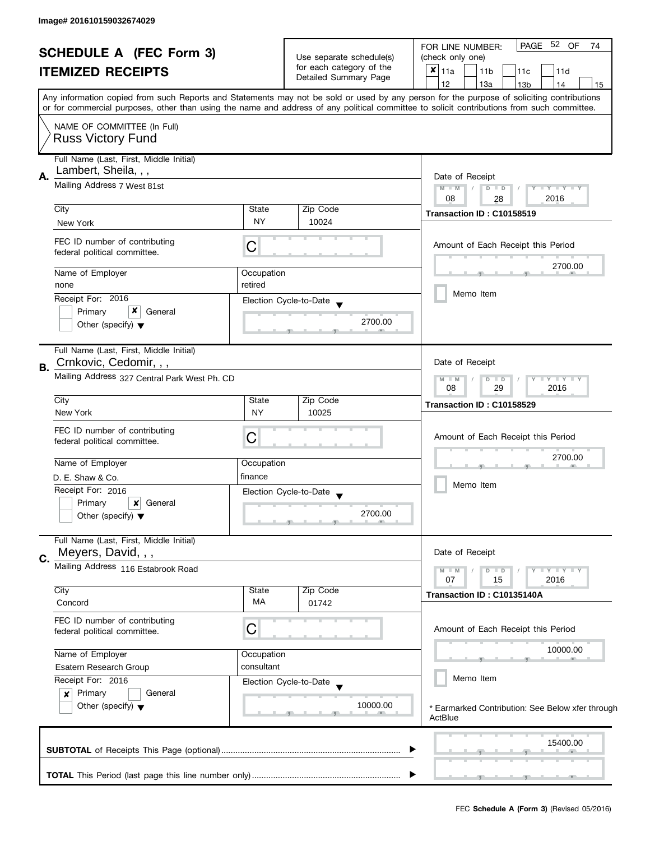| <b>SCHEDULE A (FEC Form 3)</b><br><b>ITEMIZED RECEIPTS</b> |                                                                                         |                                       | Use separate schedule(s)                                                                                                                  | PAGE 52 OF<br>74<br>FOR LINE NUMBER:<br>(check only one)                                                                                   |
|------------------------------------------------------------|-----------------------------------------------------------------------------------------|---------------------------------------|-------------------------------------------------------------------------------------------------------------------------------------------|--------------------------------------------------------------------------------------------------------------------------------------------|
|                                                            |                                                                                         | for each category of the              | $x _{11a}$<br>11 <sub>b</sub><br>11c<br>11d                                                                                               |                                                                                                                                            |
|                                                            |                                                                                         | Detailed Summary Page                 | 12<br>13a<br>13 <sub>b</sub><br>14<br>15                                                                                                  |                                                                                                                                            |
|                                                            |                                                                                         |                                       | Any information copied from such Reports and Statements may not be sold or used by any person for the purpose of soliciting contributions |                                                                                                                                            |
|                                                            |                                                                                         |                                       |                                                                                                                                           | or for commercial purposes, other than using the name and address of any political committee to solicit contributions from such committee. |
|                                                            |                                                                                         |                                       |                                                                                                                                           |                                                                                                                                            |
|                                                            | NAME OF COMMITTEE (In Full)                                                             |                                       |                                                                                                                                           |                                                                                                                                            |
|                                                            | <b>Russ Victory Fund</b>                                                                |                                       |                                                                                                                                           |                                                                                                                                            |
|                                                            | Full Name (Last, First, Middle Initial)                                                 |                                       |                                                                                                                                           |                                                                                                                                            |
| А.                                                         | Lambert, Sheila, , ,                                                                    |                                       |                                                                                                                                           | Date of Receipt                                                                                                                            |
|                                                            | Mailing Address 7 West 81st                                                             |                                       |                                                                                                                                           | $M - M$<br>$D$ $D$<br>$Y = Y + Y + Y$                                                                                                      |
|                                                            |                                                                                         |                                       |                                                                                                                                           | 08<br>2016<br>28                                                                                                                           |
|                                                            | City                                                                                    | State                                 | Zip Code                                                                                                                                  | Transaction ID: C10158519                                                                                                                  |
|                                                            | New York                                                                                | <b>NY</b>                             | 10024                                                                                                                                     |                                                                                                                                            |
|                                                            |                                                                                         |                                       |                                                                                                                                           |                                                                                                                                            |
|                                                            | FEC ID number of contributing<br>federal political committee.                           | С                                     |                                                                                                                                           | Amount of Each Receipt this Period                                                                                                         |
|                                                            |                                                                                         |                                       |                                                                                                                                           | 2700.00                                                                                                                                    |
|                                                            | Name of Employer                                                                        | Occupation                            |                                                                                                                                           |                                                                                                                                            |
|                                                            | none                                                                                    | retired                               |                                                                                                                                           |                                                                                                                                            |
|                                                            | Receipt For: 2016                                                                       |                                       | Election Cycle-to-Date                                                                                                                    | Memo Item                                                                                                                                  |
|                                                            | x<br>Primary<br>General                                                                 |                                       |                                                                                                                                           |                                                                                                                                            |
|                                                            | Other (specify) $\blacktriangledown$                                                    |                                       | 2700.00                                                                                                                                   |                                                                                                                                            |
|                                                            |                                                                                         |                                       |                                                                                                                                           |                                                                                                                                            |
|                                                            | Full Name (Last, First, Middle Initial)                                                 |                                       |                                                                                                                                           |                                                                                                                                            |
| В.                                                         | Crnkovic, Cedomir, , ,                                                                  |                                       |                                                                                                                                           | Date of Receipt                                                                                                                            |
|                                                            | Mailing Address 327 Central Park West Ph. CD                                            | $M - M$<br>$Y - Y - Y$<br>D<br>$\Box$ |                                                                                                                                           |                                                                                                                                            |
|                                                            |                                                                                         |                                       | 08<br>29<br>2016                                                                                                                          |                                                                                                                                            |
|                                                            | City                                                                                    | State                                 | Zip Code                                                                                                                                  | Transaction ID: C10158529                                                                                                                  |
|                                                            | New York                                                                                | <b>NY</b>                             | 10025                                                                                                                                     |                                                                                                                                            |
|                                                            | FEC ID number of contributing                                                           |                                       |                                                                                                                                           | Amount of Each Receipt this Period                                                                                                         |
|                                                            | federal political committee.                                                            | С                                     |                                                                                                                                           |                                                                                                                                            |
|                                                            | Name of Employer                                                                        | Occupation                            |                                                                                                                                           | 2700.00                                                                                                                                    |
|                                                            | D. E. Shaw & Co.                                                                        | finance                               |                                                                                                                                           |                                                                                                                                            |
|                                                            | Receipt For: 2016                                                                       |                                       |                                                                                                                                           | Memo Item                                                                                                                                  |
|                                                            |                                                                                         |                                       | Election Cycle-to-Date                                                                                                                    |                                                                                                                                            |
|                                                            | Primary<br>General<br>$\boldsymbol{\mathsf{x}}$<br>Other (specify) $\blacktriangledown$ |                                       | 2700.00                                                                                                                                   |                                                                                                                                            |
|                                                            |                                                                                         |                                       |                                                                                                                                           |                                                                                                                                            |
|                                                            | Full Name (Last, First, Middle Initial)                                                 |                                       |                                                                                                                                           |                                                                                                                                            |
|                                                            | Meyers, David, , ,                                                                      |                                       |                                                                                                                                           | Date of Receipt                                                                                                                            |
| C.                                                         | Mailing Address 116 Estabrook Road                                                      |                                       |                                                                                                                                           |                                                                                                                                            |
|                                                            |                                                                                         |                                       |                                                                                                                                           | $M - M$<br>$Y = Y -$<br>$D$ $D$<br>07<br>15<br>2016                                                                                        |
|                                                            | City                                                                                    | State                                 | Zip Code                                                                                                                                  | Transaction ID: C10135140A                                                                                                                 |
|                                                            | Concord                                                                                 | МA                                    | 01742                                                                                                                                     |                                                                                                                                            |
|                                                            | FEC ID number of contributing                                                           |                                       |                                                                                                                                           |                                                                                                                                            |
|                                                            | federal political committee.                                                            | С                                     |                                                                                                                                           | Amount of Each Receipt this Period                                                                                                         |
|                                                            |                                                                                         |                                       |                                                                                                                                           |                                                                                                                                            |
|                                                            | Name of Employer                                                                        | Occupation                            |                                                                                                                                           | 10000.00                                                                                                                                   |
|                                                            | Esatern Research Group                                                                  | consultant                            |                                                                                                                                           |                                                                                                                                            |
|                                                            | Receipt For: 2016                                                                       |                                       | Election Cycle-to-Date                                                                                                                    | Memo Item                                                                                                                                  |
|                                                            | Primary<br>General<br>$\boldsymbol{x}$                                                  |                                       |                                                                                                                                           |                                                                                                                                            |
|                                                            | Other (specify) $\blacktriangledown$                                                    |                                       | 10000.00                                                                                                                                  | * Earmarked Contribution: See Below xfer through                                                                                           |
|                                                            |                                                                                         |                                       |                                                                                                                                           | ActBlue                                                                                                                                    |
|                                                            |                                                                                         |                                       |                                                                                                                                           |                                                                                                                                            |
|                                                            |                                                                                         |                                       |                                                                                                                                           | 15400.00                                                                                                                                   |
|                                                            |                                                                                         |                                       |                                                                                                                                           |                                                                                                                                            |
|                                                            |                                                                                         |                                       |                                                                                                                                           |                                                                                                                                            |
|                                                            |                                                                                         |                                       |                                                                                                                                           |                                                                                                                                            |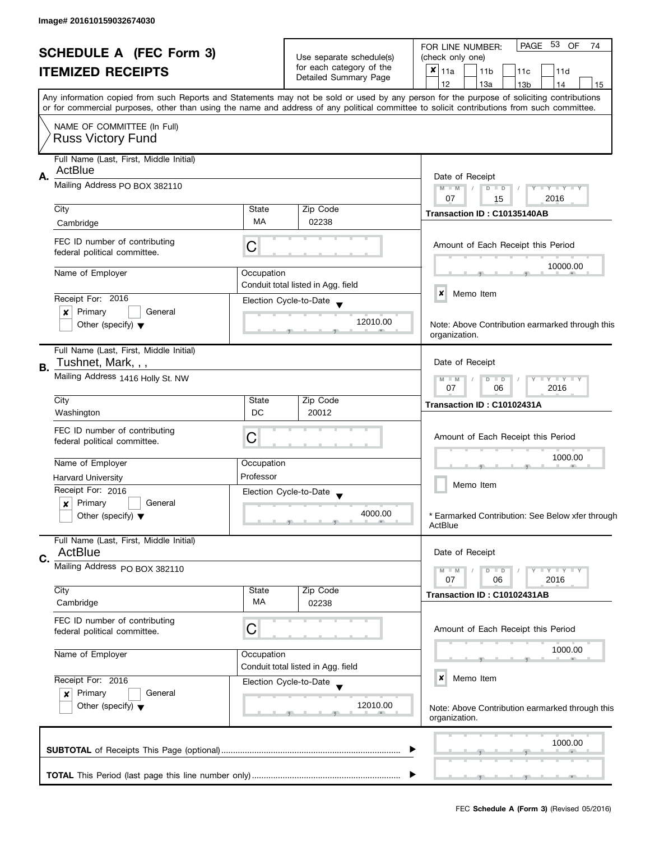| <b>SCHEDULE A (FEC Form 3)</b><br><b>ITEMIZED RECEIPTS</b> |                                                                                                                                                                                                                                                                                         |                          | Use separate schedule(s)           |            | PAGE 53 OF<br>74<br>FOR LINE NUMBER:<br>(check only one) |               |                 |               |                   |     |                                    |                                                         |                                                  |
|------------------------------------------------------------|-----------------------------------------------------------------------------------------------------------------------------------------------------------------------------------------------------------------------------------------------------------------------------------------|--------------------------|------------------------------------|------------|----------------------------------------------------------|---------------|-----------------|---------------|-------------------|-----|------------------------------------|---------------------------------------------------------|--------------------------------------------------|
|                                                            |                                                                                                                                                                                                                                                                                         | for each category of the |                                    | $x _{11a}$ |                                                          |               | 11 <sub>b</sub> |               |                   | 11c |                                    |                                                         |                                                  |
|                                                            |                                                                                                                                                                                                                                                                                         | Detailed Summary Page    |                                    |            |                                                          |               |                 |               |                   |     | 11d                                |                                                         |                                                  |
|                                                            |                                                                                                                                                                                                                                                                                         |                          |                                    |            | 12                                                       |               |                 | 13a           |                   |     | 13 <sub>b</sub>                    | 14                                                      | 15                                               |
|                                                            | Any information copied from such Reports and Statements may not be sold or used by any person for the purpose of soliciting contributions<br>or for commercial purposes, other than using the name and address of any political committee to solicit contributions from such committee. |                          |                                    |            |                                                          |               |                 |               |                   |     |                                    |                                                         |                                                  |
|                                                            | NAME OF COMMITTEE (In Full)<br><b>Russ Victory Fund</b>                                                                                                                                                                                                                                 |                          |                                    |            |                                                          |               |                 |               |                   |     |                                    |                                                         |                                                  |
|                                                            | Full Name (Last, First, Middle Initial)<br>ActBlue                                                                                                                                                                                                                                      |                          |                                    |            |                                                          |               |                 |               |                   |     |                                    |                                                         |                                                  |
| Α.                                                         | Mailing Address PO BOX 382110                                                                                                                                                                                                                                                           |                          |                                    |            |                                                          |               | Date of Receipt |               |                   |     |                                    |                                                         |                                                  |
|                                                            |                                                                                                                                                                                                                                                                                         |                          |                                    |            | $M - M$<br>07                                            |               |                 | $D$ $D$<br>15 |                   |     | $Y - Y - Y - Y - Y$<br>2016        |                                                         |                                                  |
|                                                            | City                                                                                                                                                                                                                                                                                    | State                    | Zip Code                           |            |                                                          |               |                 |               |                   |     | Transaction ID: C10135140AB        |                                                         |                                                  |
|                                                            | Cambridge                                                                                                                                                                                                                                                                               | MA                       | 02238                              |            |                                                          |               |                 |               |                   |     |                                    |                                                         |                                                  |
|                                                            | FEC ID number of contributing<br>federal political committee.                                                                                                                                                                                                                           | С                        |                                    |            |                                                          |               |                 |               |                   |     |                                    | Amount of Each Receipt this Period                      |                                                  |
|                                                            | Name of Employer                                                                                                                                                                                                                                                                        | Occupation               |                                    |            |                                                          |               |                 |               |                   |     |                                    | 10000.00                                                |                                                  |
|                                                            |                                                                                                                                                                                                                                                                                         |                          | Conduit total listed in Agg. field |            |                                                          |               |                 |               |                   |     |                                    |                                                         |                                                  |
|                                                            | Receipt For: 2016                                                                                                                                                                                                                                                                       |                          | Election Cycle-to-Date             |            | ×                                                        |               | Memo Item       |               |                   |     |                                    |                                                         |                                                  |
|                                                            | Primary<br>General<br>×                                                                                                                                                                                                                                                                 |                          |                                    |            |                                                          |               |                 |               |                   |     |                                    |                                                         |                                                  |
|                                                            | Other (specify) $\blacktriangledown$                                                                                                                                                                                                                                                    | 12010.00                 |                                    |            |                                                          |               | organization.   |               |                   |     |                                    |                                                         | Note: Above Contribution earmarked through this  |
| В.                                                         | Full Name (Last, First, Middle Initial)<br>Tushnet, Mark, , ,                                                                                                                                                                                                                           |                          |                                    |            |                                                          |               | Date of Receipt |               |                   |     |                                    |                                                         |                                                  |
|                                                            | Mailing Address 1416 Holly St. NW                                                                                                                                                                                                                                                       |                          |                                    |            |                                                          | $M - M$<br>07 |                 |               | D<br>$\Box$<br>06 |     |                                    | $\bot$ $\gamma$ $\bot$ $\gamma$ $\bot$ $\gamma$<br>2016 |                                                  |
|                                                            | City                                                                                                                                                                                                                                                                                    | State                    | Zip Code                           |            |                                                          |               |                 |               |                   |     | Transaction ID: C10102431A         |                                                         |                                                  |
|                                                            | Washington                                                                                                                                                                                                                                                                              | DC                       | 20012                              |            |                                                          |               |                 |               |                   |     |                                    |                                                         |                                                  |
|                                                            | FEC ID number of contributing                                                                                                                                                                                                                                                           | С                        |                                    |            |                                                          |               |                 |               |                   |     |                                    |                                                         |                                                  |
|                                                            | federal political committee.                                                                                                                                                                                                                                                            |                          |                                    |            |                                                          |               |                 |               |                   |     | Amount of Each Receipt this Period |                                                         |                                                  |
|                                                            | Name of Employer                                                                                                                                                                                                                                                                        |                          | Occupation                         |            |                                                          | 1000.00       |                 |               |                   |     |                                    |                                                         |                                                  |
|                                                            |                                                                                                                                                                                                                                                                                         | Professor                |                                    |            |                                                          |               |                 |               |                   |     |                                    |                                                         |                                                  |
|                                                            | <b>Harvard University</b><br>Receipt For: 2016                                                                                                                                                                                                                                          |                          |                                    |            |                                                          |               | Memo Item       |               |                   |     |                                    |                                                         |                                                  |
|                                                            | Primary<br>General<br>$\boldsymbol{x}$                                                                                                                                                                                                                                                  |                          | Election Cycle-to-Date             |            |                                                          |               |                 |               |                   |     |                                    |                                                         |                                                  |
|                                                            | Other (specify) $\blacktriangledown$                                                                                                                                                                                                                                                    |                          | 4000.00                            |            | ActBlue                                                  |               |                 |               |                   |     |                                    |                                                         | * Earmarked Contribution: See Below xfer through |
|                                                            | Full Name (Last, First, Middle Initial)<br>ActBlue                                                                                                                                                                                                                                      |                          |                                    |            |                                                          |               | Date of Receipt |               |                   |     |                                    |                                                         |                                                  |
| C.                                                         | Mailing Address PO BOX 382110                                                                                                                                                                                                                                                           |                          |                                    |            |                                                          | $M - M$<br>07 |                 |               | $D$ $D$<br>06     |     |                                    | $-\gamma + \gamma - \gamma$<br>2016                     |                                                  |
|                                                            | City                                                                                                                                                                                                                                                                                    | State                    | Zip Code                           |            |                                                          |               |                 |               |                   |     |                                    |                                                         |                                                  |
|                                                            | Cambridge                                                                                                                                                                                                                                                                               | MA                       | 02238                              |            |                                                          |               |                 |               |                   |     | Transaction ID: C10102431AB        |                                                         |                                                  |
|                                                            | FEC ID number of contributing<br>federal political committee.                                                                                                                                                                                                                           | C                        |                                    |            |                                                          |               |                 |               |                   |     |                                    | Amount of Each Receipt this Period                      |                                                  |
|                                                            |                                                                                                                                                                                                                                                                                         |                          |                                    |            |                                                          |               |                 |               |                   |     |                                    |                                                         |                                                  |
|                                                            | Name of Employer<br>Occupation                                                                                                                                                                                                                                                          |                          |                                    |            |                                                          |               |                 |               |                   |     |                                    | 1000.00                                                 |                                                  |
|                                                            |                                                                                                                                                                                                                                                                                         |                          | Conduit total listed in Agg. field |            |                                                          |               |                 |               |                   |     |                                    |                                                         |                                                  |
|                                                            | Receipt For: 2016                                                                                                                                                                                                                                                                       |                          | Election Cycle-to-Date             |            | ×                                                        |               | Memo Item       |               |                   |     |                                    |                                                         |                                                  |
|                                                            | Primary<br>General<br>$\boldsymbol{x}$<br>Other (specify) $\blacktriangledown$                                                                                                                                                                                                          | 12010.00                 |                                    |            |                                                          |               | organization.   |               |                   |     |                                    |                                                         | Note: Above Contribution earmarked through this  |
|                                                            |                                                                                                                                                                                                                                                                                         |                          |                                    |            |                                                          |               |                 |               |                   |     |                                    | 1000.00                                                 |                                                  |
|                                                            |                                                                                                                                                                                                                                                                                         |                          |                                    |            |                                                          |               |                 |               |                   |     |                                    |                                                         |                                                  |
|                                                            |                                                                                                                                                                                                                                                                                         |                          |                                    |            |                                                          |               |                 |               |                   |     |                                    |                                                         |                                                  |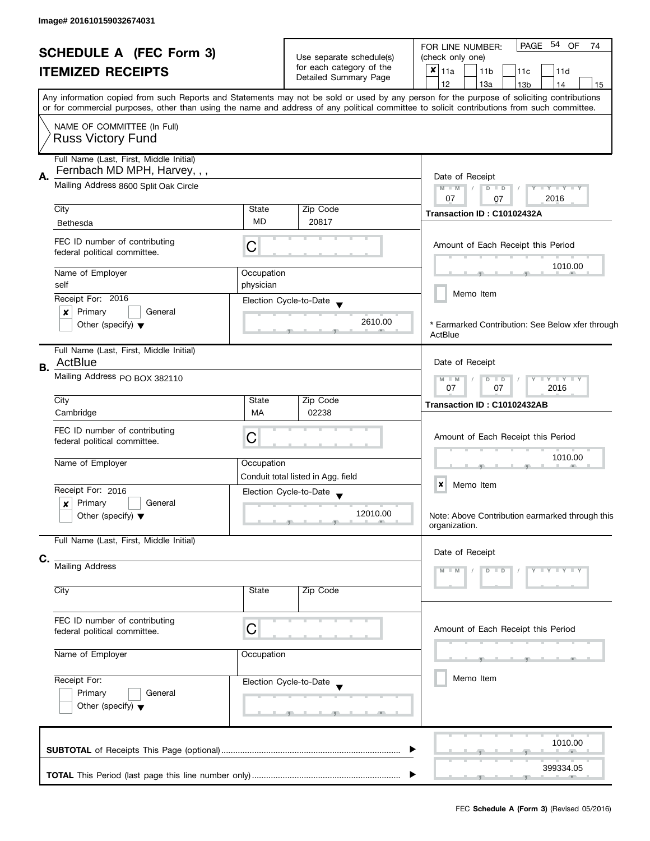| <b>SCHEDULE A (FEC Form 3)</b><br><b>ITEMIZED RECEIPTS</b> |                                                                         |                          | Use separate schedule(s)                    | PAGE 54 OF<br>74<br>FOR LINE NUMBER:<br>(check only one)                                                                                                                                                                                                                                |  |  |  |
|------------------------------------------------------------|-------------------------------------------------------------------------|--------------------------|---------------------------------------------|-----------------------------------------------------------------------------------------------------------------------------------------------------------------------------------------------------------------------------------------------------------------------------------------|--|--|--|
|                                                            |                                                                         | for each category of the | $x _{11a}$<br>11 <sub>b</sub><br>11c<br>11d |                                                                                                                                                                                                                                                                                         |  |  |  |
|                                                            |                                                                         | Detailed Summary Page    | 12<br>13a<br>13 <sub>b</sub><br>14<br>15    |                                                                                                                                                                                                                                                                                         |  |  |  |
|                                                            |                                                                         |                          |                                             |                                                                                                                                                                                                                                                                                         |  |  |  |
|                                                            |                                                                         |                          |                                             | Any information copied from such Reports and Statements may not be sold or used by any person for the purpose of soliciting contributions<br>or for commercial purposes, other than using the name and address of any political committee to solicit contributions from such committee. |  |  |  |
|                                                            | NAME OF COMMITTEE (In Full)<br><b>Russ Victory Fund</b>                 |                          |                                             |                                                                                                                                                                                                                                                                                         |  |  |  |
|                                                            |                                                                         |                          |                                             |                                                                                                                                                                                                                                                                                         |  |  |  |
|                                                            | Full Name (Last, First, Middle Initial)<br>Fernbach MD MPH, Harvey, , , |                          |                                             |                                                                                                                                                                                                                                                                                         |  |  |  |
| Α.                                                         |                                                                         |                          |                                             | Date of Receipt                                                                                                                                                                                                                                                                         |  |  |  |
|                                                            | Mailing Address 8600 Split Oak Circle                                   |                          |                                             | $M - M$<br>$D$ $D$<br>$Y - Y - Y - Y - Y$                                                                                                                                                                                                                                               |  |  |  |
|                                                            |                                                                         |                          |                                             | 07<br>2016<br>07                                                                                                                                                                                                                                                                        |  |  |  |
|                                                            | City                                                                    | State                    | Zip Code                                    | Transaction ID: C10102432A                                                                                                                                                                                                                                                              |  |  |  |
|                                                            | <b>Bethesda</b>                                                         | MD                       | 20817                                       |                                                                                                                                                                                                                                                                                         |  |  |  |
|                                                            | FEC ID number of contributing<br>federal political committee.           | С                        |                                             | Amount of Each Receipt this Period                                                                                                                                                                                                                                                      |  |  |  |
|                                                            | Name of Employer                                                        | Occupation               |                                             | 1010.00                                                                                                                                                                                                                                                                                 |  |  |  |
|                                                            | self                                                                    | physician                |                                             |                                                                                                                                                                                                                                                                                         |  |  |  |
|                                                            | Receipt For: 2016                                                       |                          |                                             | Memo Item                                                                                                                                                                                                                                                                               |  |  |  |
|                                                            |                                                                         |                          | Election Cycle-to-Date                      |                                                                                                                                                                                                                                                                                         |  |  |  |
|                                                            | ×<br>Primary<br>General                                                 |                          | 2610.00                                     |                                                                                                                                                                                                                                                                                         |  |  |  |
|                                                            | Other (specify) $\blacktriangledown$                                    |                          |                                             | * Earmarked Contribution: See Below xfer through<br>ActBlue                                                                                                                                                                                                                             |  |  |  |
|                                                            | Full Name (Last, First, Middle Initial)                                 |                          |                                             |                                                                                                                                                                                                                                                                                         |  |  |  |
| В.                                                         | ActBlue                                                                 |                          |                                             | Date of Receipt                                                                                                                                                                                                                                                                         |  |  |  |
|                                                            | Mailing Address PO BOX 382110                                           |                          |                                             | $Y - Y - Y - Y$<br>$M - M$<br>$D$ $D$<br>07<br>07<br>2016                                                                                                                                                                                                                               |  |  |  |
|                                                            | City                                                                    | State                    | Zip Code                                    | Transaction ID: C10102432AB                                                                                                                                                                                                                                                             |  |  |  |
|                                                            | Cambridge                                                               | MA                       | 02238                                       |                                                                                                                                                                                                                                                                                         |  |  |  |
|                                                            | FEC ID number of contributing                                           |                          |                                             |                                                                                                                                                                                                                                                                                         |  |  |  |
|                                                            | federal political committee.                                            | С                        |                                             | Amount of Each Receipt this Period                                                                                                                                                                                                                                                      |  |  |  |
|                                                            |                                                                         |                          |                                             |                                                                                                                                                                                                                                                                                         |  |  |  |
|                                                            | Name of Employer                                                        | Occupation               |                                             | 1010.00                                                                                                                                                                                                                                                                                 |  |  |  |
|                                                            |                                                                         |                          | Conduit total listed in Agg. field          |                                                                                                                                                                                                                                                                                         |  |  |  |
|                                                            | Receipt For: 2016                                                       |                          | Election Cycle-to-Date                      | ×<br>Memo Item                                                                                                                                                                                                                                                                          |  |  |  |
|                                                            | Primary<br>General<br>×                                                 |                          |                                             |                                                                                                                                                                                                                                                                                         |  |  |  |
|                                                            | Other (specify) $\blacktriangledown$                                    |                          | 12010.00                                    | Note: Above Contribution earmarked through this<br>organization.                                                                                                                                                                                                                        |  |  |  |
|                                                            | Full Name (Last, First, Middle Initial)                                 |                          |                                             |                                                                                                                                                                                                                                                                                         |  |  |  |
| C.                                                         |                                                                         |                          |                                             | Date of Receipt                                                                                                                                                                                                                                                                         |  |  |  |
|                                                            | <b>Mailing Address</b>                                                  |                          |                                             | $Y - Y - Y - Y$<br>$M - M$<br>$D$ $D$                                                                                                                                                                                                                                                   |  |  |  |
|                                                            |                                                                         |                          |                                             |                                                                                                                                                                                                                                                                                         |  |  |  |
|                                                            | City                                                                    | State                    | Zip Code                                    |                                                                                                                                                                                                                                                                                         |  |  |  |
|                                                            | FEC ID number of contributing<br>federal political committee.           | С                        |                                             | Amount of Each Receipt this Period                                                                                                                                                                                                                                                      |  |  |  |
|                                                            | Name of Employer                                                        | Occupation               |                                             |                                                                                                                                                                                                                                                                                         |  |  |  |
|                                                            |                                                                         |                          |                                             |                                                                                                                                                                                                                                                                                         |  |  |  |
|                                                            | Receipt For:                                                            |                          | Election Cycle-to-Date                      | Memo Item                                                                                                                                                                                                                                                                               |  |  |  |
|                                                            | Primary<br>General                                                      |                          |                                             |                                                                                                                                                                                                                                                                                         |  |  |  |
|                                                            | Other (specify) $\blacktriangledown$                                    |                          |                                             |                                                                                                                                                                                                                                                                                         |  |  |  |
|                                                            |                                                                         |                          |                                             |                                                                                                                                                                                                                                                                                         |  |  |  |
|                                                            |                                                                         |                          |                                             | 1010.00<br>▶                                                                                                                                                                                                                                                                            |  |  |  |
|                                                            |                                                                         |                          |                                             | 399334.05                                                                                                                                                                                                                                                                               |  |  |  |
|                                                            |                                                                         |                          |                                             |                                                                                                                                                                                                                                                                                         |  |  |  |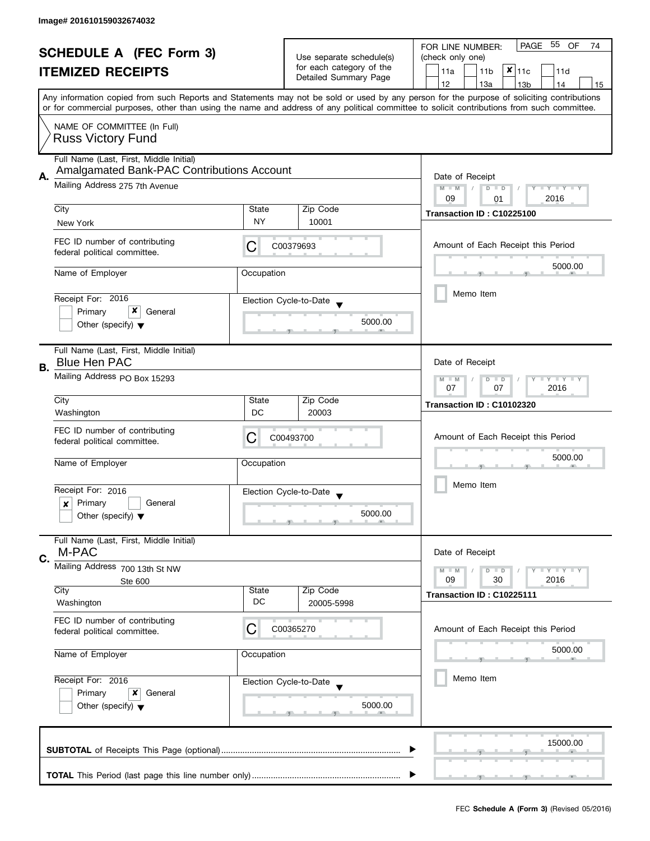| <b>SCHEDULE A (FEC Form 3)</b><br><b>ITEMIZED RECEIPTS</b> |                                                                 | Use separate schedule(s)           | PAGE 55 OF<br>FOR LINE NUMBER:<br>74<br>(check only one) |                                                                                                                                                                                                                                                                                         |  |  |  |  |
|------------------------------------------------------------|-----------------------------------------------------------------|------------------------------------|----------------------------------------------------------|-----------------------------------------------------------------------------------------------------------------------------------------------------------------------------------------------------------------------------------------------------------------------------------------|--|--|--|--|
|                                                            |                                                                 | for each category of the           | $x _{11c}$<br>11a<br>11 <sub>b</sub><br>11d              |                                                                                                                                                                                                                                                                                         |  |  |  |  |
|                                                            |                                                                 |                                    | Detailed Summary Page                                    |                                                                                                                                                                                                                                                                                         |  |  |  |  |
|                                                            |                                                                 |                                    |                                                          | 12<br>13a<br>13 <sub>b</sub><br>14<br>15                                                                                                                                                                                                                                                |  |  |  |  |
|                                                            |                                                                 |                                    |                                                          | Any information copied from such Reports and Statements may not be sold or used by any person for the purpose of soliciting contributions<br>or for commercial purposes, other than using the name and address of any political committee to solicit contributions from such committee. |  |  |  |  |
|                                                            | NAME OF COMMITTEE (In Full)                                     |                                    |                                                          |                                                                                                                                                                                                                                                                                         |  |  |  |  |
|                                                            | <b>Russ Victory Fund</b>                                        |                                    |                                                          |                                                                                                                                                                                                                                                                                         |  |  |  |  |
|                                                            | Full Name (Last, First, Middle Initial)                         |                                    |                                                          |                                                                                                                                                                                                                                                                                         |  |  |  |  |
| А.                                                         | Amalgamated Bank-PAC Contributions Account                      | Date of Receipt                    |                                                          |                                                                                                                                                                                                                                                                                         |  |  |  |  |
|                                                            | Mailing Address 275 7th Avenue                                  |                                    |                                                          | $M - M$<br>$D$ $D$<br>Y TY TY TY<br>2016<br>09<br>01                                                                                                                                                                                                                                    |  |  |  |  |
|                                                            | City                                                            | State                              | Zip Code                                                 | Transaction ID: C10225100                                                                                                                                                                                                                                                               |  |  |  |  |
|                                                            | New York                                                        | <b>NY</b>                          | 10001                                                    |                                                                                                                                                                                                                                                                                         |  |  |  |  |
|                                                            | FEC ID number of contributing<br>federal political committee.   | C                                  | C00379693                                                | Amount of Each Receipt this Period                                                                                                                                                                                                                                                      |  |  |  |  |
|                                                            | Name of Employer                                                | Occupation                         |                                                          | 5000.00                                                                                                                                                                                                                                                                                 |  |  |  |  |
|                                                            |                                                                 |                                    |                                                          |                                                                                                                                                                                                                                                                                         |  |  |  |  |
|                                                            | Receipt For: 2016<br>x                                          |                                    | Election Cycle-to-Date                                   | Memo Item                                                                                                                                                                                                                                                                               |  |  |  |  |
|                                                            | Primary<br>General<br>Other (specify) $\blacktriangledown$      |                                    | 5000.00                                                  |                                                                                                                                                                                                                                                                                         |  |  |  |  |
|                                                            |                                                                 |                                    |                                                          |                                                                                                                                                                                                                                                                                         |  |  |  |  |
|                                                            | Full Name (Last, First, Middle Initial)<br><b>Blue Hen PAC</b>  |                                    |                                                          | Date of Receipt                                                                                                                                                                                                                                                                         |  |  |  |  |
| В.                                                         |                                                                 |                                    |                                                          |                                                                                                                                                                                                                                                                                         |  |  |  |  |
|                                                            | Mailing Address PO Box 15293                                    |                                    | Y LY LY<br>$M - M$<br>$D$ $D$<br>07<br>07<br>2016        |                                                                                                                                                                                                                                                                                         |  |  |  |  |
|                                                            | City                                                            | State                              | Zip Code                                                 | Transaction ID: C10102320                                                                                                                                                                                                                                                               |  |  |  |  |
|                                                            | Washington                                                      | DC                                 | 20003                                                    |                                                                                                                                                                                                                                                                                         |  |  |  |  |
|                                                            | FEC ID number of contributing<br>federal political committee.   | Amount of Each Receipt this Period |                                                          |                                                                                                                                                                                                                                                                                         |  |  |  |  |
|                                                            | Name of Employer                                                | Occupation                         |                                                          | 5000.00                                                                                                                                                                                                                                                                                 |  |  |  |  |
|                                                            |                                                                 |                                    |                                                          |                                                                                                                                                                                                                                                                                         |  |  |  |  |
|                                                            | Receipt For: 2016                                               |                                    | Election Cycle-to-Date                                   | Memo Item                                                                                                                                                                                                                                                                               |  |  |  |  |
|                                                            | Primary<br>General<br>x<br>Other (specify) $\blacktriangledown$ |                                    | 5000.00                                                  |                                                                                                                                                                                                                                                                                         |  |  |  |  |
|                                                            |                                                                 |                                    |                                                          |                                                                                                                                                                                                                                                                                         |  |  |  |  |
|                                                            | Full Name (Last, First, Middle Initial)<br>M-PAC                |                                    |                                                          | Date of Receipt                                                                                                                                                                                                                                                                         |  |  |  |  |
| C.                                                         | Mailing Address 700 13th St NW                                  |                                    |                                                          |                                                                                                                                                                                                                                                                                         |  |  |  |  |
|                                                            | Ste 600                                                         |                                    |                                                          | $Y \perp Y \perp Y$<br>$M - M$<br>$D$ $D$<br>2016<br>09<br>30                                                                                                                                                                                                                           |  |  |  |  |
|                                                            | City                                                            | State<br>DC                        | Zip Code                                                 | Transaction ID: C10225111                                                                                                                                                                                                                                                               |  |  |  |  |
|                                                            | Washington                                                      |                                    | 20005-5998                                               |                                                                                                                                                                                                                                                                                         |  |  |  |  |
|                                                            | FEC ID number of contributing<br>federal political committee.   | C                                  | C00365270                                                | Amount of Each Receipt this Period                                                                                                                                                                                                                                                      |  |  |  |  |
|                                                            |                                                                 |                                    |                                                          | 5000.00                                                                                                                                                                                                                                                                                 |  |  |  |  |
|                                                            | Name of Employer<br>Occupation<br>Receipt For: 2016             |                                    |                                                          |                                                                                                                                                                                                                                                                                         |  |  |  |  |
|                                                            |                                                                 |                                    | Election Cycle-to-Date                                   | Memo Item                                                                                                                                                                                                                                                                               |  |  |  |  |
|                                                            | Primary<br>x<br>General                                         |                                    |                                                          |                                                                                                                                                                                                                                                                                         |  |  |  |  |
|                                                            | Other (specify) $\blacktriangledown$                            |                                    | 5000.00                                                  |                                                                                                                                                                                                                                                                                         |  |  |  |  |
|                                                            |                                                                 |                                    |                                                          |                                                                                                                                                                                                                                                                                         |  |  |  |  |
|                                                            |                                                                 |                                    |                                                          | 15000.00                                                                                                                                                                                                                                                                                |  |  |  |  |
|                                                            |                                                                 |                                    |                                                          |                                                                                                                                                                                                                                                                                         |  |  |  |  |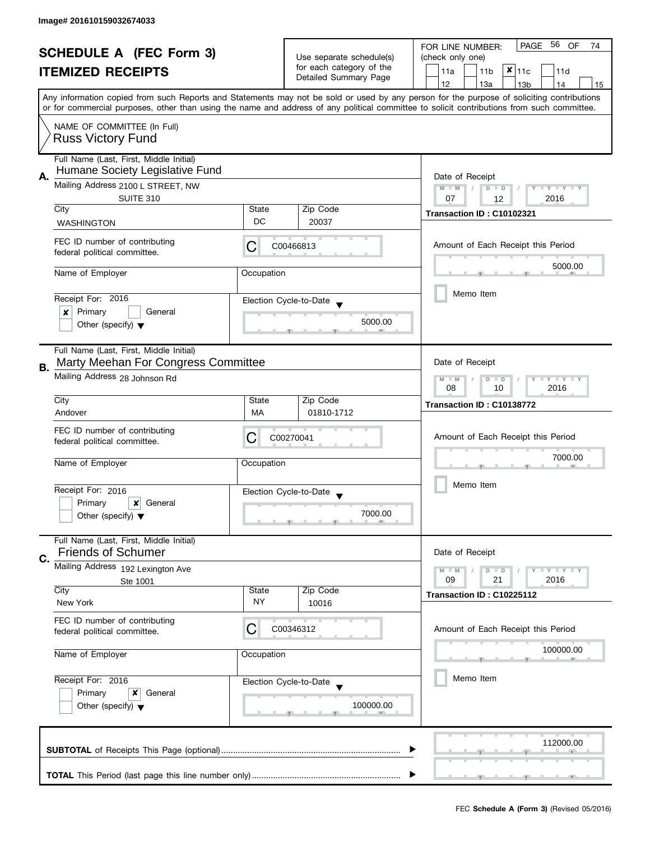| <b>SCHEDULE A (FEC Form 3)</b><br><b>ITEMIZED RECEIPTS</b> |                                                                                      |            | PAGE 56<br>OF<br>FOR LINE NUMBER:<br>74 |                                                                                                                                            |  |  |  |  |
|------------------------------------------------------------|--------------------------------------------------------------------------------------|------------|-----------------------------------------|--------------------------------------------------------------------------------------------------------------------------------------------|--|--|--|--|
|                                                            |                                                                                      |            | Use separate schedule(s)                | (check only one)                                                                                                                           |  |  |  |  |
|                                                            |                                                                                      |            | for each category of the                | $x _{11c}$<br>11a<br>11 <sub>b</sub><br>11d                                                                                                |  |  |  |  |
|                                                            |                                                                                      |            | Detailed Summary Page                   | 12<br>13a<br>13 <sub>b</sub><br>14<br>15                                                                                                   |  |  |  |  |
|                                                            |                                                                                      |            |                                         | Any information copied from such Reports and Statements may not be sold or used by any person for the purpose of soliciting contributions  |  |  |  |  |
|                                                            |                                                                                      |            |                                         | or for commercial purposes, other than using the name and address of any political committee to solicit contributions from such committee. |  |  |  |  |
|                                                            |                                                                                      |            |                                         |                                                                                                                                            |  |  |  |  |
|                                                            | NAME OF COMMITTEE (In Full)                                                          |            |                                         |                                                                                                                                            |  |  |  |  |
|                                                            | <b>Russ Victory Fund</b>                                                             |            |                                         |                                                                                                                                            |  |  |  |  |
|                                                            | Full Name (Last, First, Middle Initial)                                              |            |                                         |                                                                                                                                            |  |  |  |  |
|                                                            | Humane Society Legislative Fund                                                      |            |                                         |                                                                                                                                            |  |  |  |  |
| Α.                                                         | Mailing Address 2100 L STREET, NW                                                    |            |                                         | Date of Receipt<br>$M - M$                                                                                                                 |  |  |  |  |
|                                                            | SUITE 310                                                                            |            |                                         | Y TY TY TY<br>$D$ $D$<br>07<br>2016<br>12                                                                                                  |  |  |  |  |
|                                                            | City                                                                                 | State      | Zip Code                                |                                                                                                                                            |  |  |  |  |
|                                                            | <b>WASHINGTON</b>                                                                    | DC         | 20037                                   | Transaction ID: C10102321                                                                                                                  |  |  |  |  |
|                                                            |                                                                                      |            |                                         |                                                                                                                                            |  |  |  |  |
|                                                            | FEC ID number of contributing                                                        | С          | C00466813                               | Amount of Each Receipt this Period                                                                                                         |  |  |  |  |
|                                                            | federal political committee.                                                         |            |                                         |                                                                                                                                            |  |  |  |  |
|                                                            | Name of Employer                                                                     | Occupation |                                         | 5000.00                                                                                                                                    |  |  |  |  |
|                                                            |                                                                                      |            |                                         |                                                                                                                                            |  |  |  |  |
|                                                            | Receipt For: 2016                                                                    |            |                                         | Memo Item                                                                                                                                  |  |  |  |  |
|                                                            | Primary<br>General                                                                   |            | Election Cycle-to-Date                  |                                                                                                                                            |  |  |  |  |
|                                                            | x<br>Other (specify) $\blacktriangledown$                                            |            | 5000.00                                 |                                                                                                                                            |  |  |  |  |
|                                                            |                                                                                      |            |                                         |                                                                                                                                            |  |  |  |  |
|                                                            | Full Name (Last, First, Middle Initial)                                              |            |                                         |                                                                                                                                            |  |  |  |  |
|                                                            | Marty Meehan For Congress Committee                                                  |            |                                         | Date of Receipt                                                                                                                            |  |  |  |  |
| В.                                                         |                                                                                      |            |                                         |                                                                                                                                            |  |  |  |  |
|                                                            | Mailing Address 28 Johnson Rd                                                        |            |                                         | Y LY LY<br>$M - M$<br>$D$ $D$<br>2016<br>08<br>10                                                                                          |  |  |  |  |
|                                                            | City                                                                                 | State      | Zip Code                                |                                                                                                                                            |  |  |  |  |
|                                                            | Andover                                                                              | MA         | 01810-1712                              | Transaction ID: C10138772                                                                                                                  |  |  |  |  |
|                                                            |                                                                                      |            |                                         |                                                                                                                                            |  |  |  |  |
|                                                            | FEC ID number of contributing                                                        | С          | C00270041                               | Amount of Each Receipt this Period                                                                                                         |  |  |  |  |
|                                                            | federal political committee.                                                         |            |                                         |                                                                                                                                            |  |  |  |  |
|                                                            | Name of Employer                                                                     | Occupation |                                         | 7000.00                                                                                                                                    |  |  |  |  |
|                                                            |                                                                                      |            |                                         |                                                                                                                                            |  |  |  |  |
|                                                            | Receipt For: 2016                                                                    |            | Election Cycle-to-Date                  | Memo Item                                                                                                                                  |  |  |  |  |
|                                                            | Primary<br>$\boldsymbol{x}$<br>General                                               |            |                                         |                                                                                                                                            |  |  |  |  |
|                                                            | Other (specify) $\blacktriangledown$                                                 |            | 7000.00                                 |                                                                                                                                            |  |  |  |  |
|                                                            |                                                                                      |            |                                         |                                                                                                                                            |  |  |  |  |
|                                                            | Full Name (Last, First, Middle Initial)                                              |            |                                         |                                                                                                                                            |  |  |  |  |
|                                                            | <b>Friends of Schumer</b>                                                            |            |                                         | Date of Receipt                                                                                                                            |  |  |  |  |
| C.                                                         | Mailing Address 192 Lexington Ave                                                    |            |                                         | $Y \perp Y \perp Y$<br>$M - M$<br>$D$ $D$                                                                                                  |  |  |  |  |
|                                                            | Ste 1001                                                                             |            |                                         | 21<br>2016<br>09                                                                                                                           |  |  |  |  |
|                                                            | City                                                                                 | State      | Zip Code                                | Transaction ID: C10225112                                                                                                                  |  |  |  |  |
|                                                            | New York                                                                             | NY.        | 10016                                   |                                                                                                                                            |  |  |  |  |
|                                                            | FEC ID number of contributing                                                        |            |                                         |                                                                                                                                            |  |  |  |  |
|                                                            | federal political committee.                                                         | С          | C00346312                               | Amount of Each Receipt this Period                                                                                                         |  |  |  |  |
|                                                            |                                                                                      |            |                                         |                                                                                                                                            |  |  |  |  |
|                                                            | Name of Employer                                                                     | Occupation |                                         | 100000.00                                                                                                                                  |  |  |  |  |
|                                                            | Receipt For: 2016<br>Primary<br>General<br>x<br>Other (specify) $\blacktriangledown$ |            |                                         |                                                                                                                                            |  |  |  |  |
|                                                            |                                                                                      |            | Election Cycle-to-Date                  | Memo Item                                                                                                                                  |  |  |  |  |
|                                                            |                                                                                      |            |                                         |                                                                                                                                            |  |  |  |  |
|                                                            |                                                                                      |            | 100000.00                               |                                                                                                                                            |  |  |  |  |
|                                                            |                                                                                      |            |                                         |                                                                                                                                            |  |  |  |  |
|                                                            |                                                                                      |            |                                         |                                                                                                                                            |  |  |  |  |
|                                                            |                                                                                      |            |                                         | 112000.00                                                                                                                                  |  |  |  |  |
|                                                            |                                                                                      |            |                                         |                                                                                                                                            |  |  |  |  |
|                                                            |                                                                                      |            |                                         |                                                                                                                                            |  |  |  |  |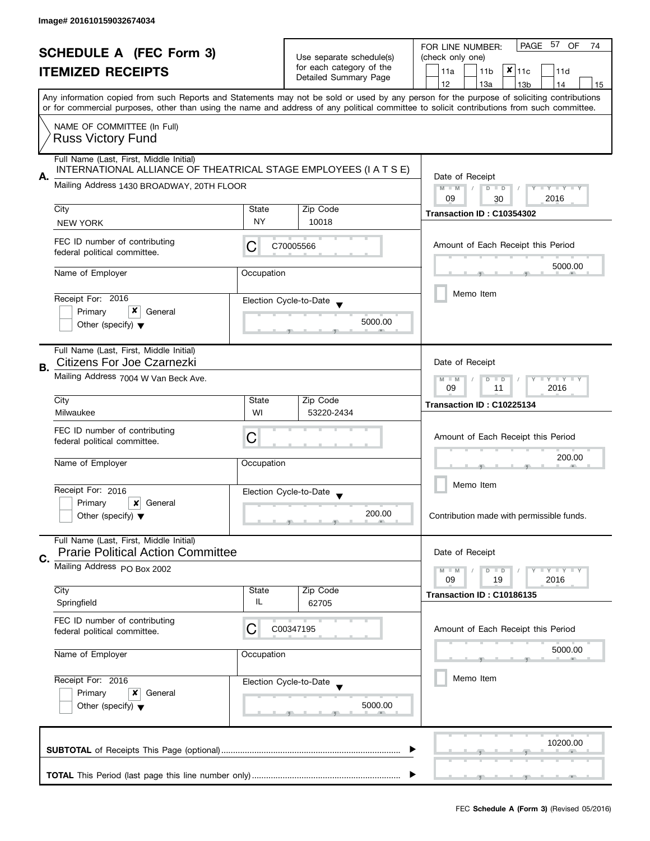| <b>SCHEDULE A (FEC Form 3)</b><br><b>ITEMIZED RECEIPTS</b> |                                                                                                             |                                                           | PAGE<br>57<br>OF<br>FOR LINE NUMBER:<br>74        |                                                                                                                                            |  |  |  |  |  |
|------------------------------------------------------------|-------------------------------------------------------------------------------------------------------------|-----------------------------------------------------------|---------------------------------------------------|--------------------------------------------------------------------------------------------------------------------------------------------|--|--|--|--|--|
|                                                            |                                                                                                             |                                                           | Use separate schedule(s)                          | (check only one)                                                                                                                           |  |  |  |  |  |
|                                                            |                                                                                                             |                                                           | for each category of the<br>Detailed Summary Page | $x _{11c}$<br>11a<br>11 <sub>b</sub><br>11d                                                                                                |  |  |  |  |  |
|                                                            |                                                                                                             |                                                           |                                                   | 12<br>13a<br>13 <sub>b</sub><br>14<br>15                                                                                                   |  |  |  |  |  |
|                                                            |                                                                                                             |                                                           |                                                   | Any information copied from such Reports and Statements may not be sold or used by any person for the purpose of soliciting contributions  |  |  |  |  |  |
|                                                            |                                                                                                             |                                                           |                                                   | or for commercial purposes, other than using the name and address of any political committee to solicit contributions from such committee. |  |  |  |  |  |
|                                                            | NAME OF COMMITTEE (In Full)                                                                                 |                                                           |                                                   |                                                                                                                                            |  |  |  |  |  |
|                                                            | <b>Russ Victory Fund</b>                                                                                    |                                                           |                                                   |                                                                                                                                            |  |  |  |  |  |
|                                                            |                                                                                                             |                                                           |                                                   |                                                                                                                                            |  |  |  |  |  |
|                                                            | Full Name (Last, First, Middle Initial)<br>INTERNATIONAL ALLIANCE OF THEATRICAL STAGE EMPLOYEES (I A T S E) |                                                           |                                                   |                                                                                                                                            |  |  |  |  |  |
| А.                                                         |                                                                                                             |                                                           |                                                   | Date of Receipt                                                                                                                            |  |  |  |  |  |
|                                                            | Mailing Address 1430 BROADWAY, 20TH FLOOR                                                                   |                                                           |                                                   | $M - M$<br>$\sqrt{2}$<br>$D$ $D$<br>Y I Y I Y I Y                                                                                          |  |  |  |  |  |
|                                                            |                                                                                                             |                                                           |                                                   | 09<br>2016<br>30                                                                                                                           |  |  |  |  |  |
|                                                            | City                                                                                                        | State                                                     | Zip Code                                          | Transaction ID: C10354302                                                                                                                  |  |  |  |  |  |
|                                                            | <b>NEW YORK</b>                                                                                             | <b>NY</b>                                                 | 10018                                             |                                                                                                                                            |  |  |  |  |  |
|                                                            | FEC ID number of contributing                                                                               |                                                           |                                                   |                                                                                                                                            |  |  |  |  |  |
|                                                            | federal political committee.                                                                                | С                                                         | C70005566                                         | Amount of Each Receipt this Period                                                                                                         |  |  |  |  |  |
|                                                            |                                                                                                             |                                                           |                                                   | 5000.00                                                                                                                                    |  |  |  |  |  |
|                                                            | Name of Employer                                                                                            | Occupation                                                |                                                   |                                                                                                                                            |  |  |  |  |  |
|                                                            |                                                                                                             |                                                           |                                                   |                                                                                                                                            |  |  |  |  |  |
|                                                            | Receipt For: 2016                                                                                           |                                                           | Election Cycle-to-Date                            | Memo Item                                                                                                                                  |  |  |  |  |  |
|                                                            | x<br>Primary<br>General                                                                                     |                                                           |                                                   |                                                                                                                                            |  |  |  |  |  |
|                                                            | Other (specify) $\blacktriangledown$                                                                        |                                                           | 5000.00                                           |                                                                                                                                            |  |  |  |  |  |
|                                                            |                                                                                                             |                                                           |                                                   |                                                                                                                                            |  |  |  |  |  |
|                                                            | Full Name (Last, First, Middle Initial)                                                                     |                                                           |                                                   |                                                                                                                                            |  |  |  |  |  |
|                                                            | Citizens For Joe Czarnezki                                                                                  |                                                           |                                                   | Date of Receipt                                                                                                                            |  |  |  |  |  |
| В.                                                         |                                                                                                             |                                                           |                                                   |                                                                                                                                            |  |  |  |  |  |
|                                                            | Mailing Address 7004 W Van Beck Ave.                                                                        | $T + Y = Y + Y$<br>$M - M$<br>$D$ $D$<br>09<br>2016<br>11 |                                                   |                                                                                                                                            |  |  |  |  |  |
|                                                            | City                                                                                                        |                                                           |                                                   |                                                                                                                                            |  |  |  |  |  |
|                                                            | Milwaukee                                                                                                   | State<br>WI                                               | Zip Code<br>53220-2434                            | Transaction ID: C10225134                                                                                                                  |  |  |  |  |  |
|                                                            |                                                                                                             |                                                           |                                                   |                                                                                                                                            |  |  |  |  |  |
|                                                            | FEC ID number of contributing                                                                               | Amount of Each Receipt this Period                        |                                                   |                                                                                                                                            |  |  |  |  |  |
|                                                            | federal political committee.                                                                                | С                                                         |                                                   | 200.00                                                                                                                                     |  |  |  |  |  |
|                                                            |                                                                                                             |                                                           |                                                   |                                                                                                                                            |  |  |  |  |  |
|                                                            | Name of Employer                                                                                            | Occupation                                                |                                                   |                                                                                                                                            |  |  |  |  |  |
|                                                            |                                                                                                             |                                                           |                                                   | Memo Item                                                                                                                                  |  |  |  |  |  |
|                                                            | Receipt For: 2016                                                                                           |                                                           | Election Cycle-to-Date                            |                                                                                                                                            |  |  |  |  |  |
|                                                            | Primary<br>$\boldsymbol{\mathsf{x}}$<br>General                                                             |                                                           |                                                   |                                                                                                                                            |  |  |  |  |  |
|                                                            | Other (specify) $\blacktriangledown$                                                                        |                                                           | 200.00                                            | Contribution made with permissible funds.                                                                                                  |  |  |  |  |  |
|                                                            |                                                                                                             |                                                           |                                                   |                                                                                                                                            |  |  |  |  |  |
|                                                            | Full Name (Last, First, Middle Initial)                                                                     |                                                           |                                                   |                                                                                                                                            |  |  |  |  |  |
| C.                                                         | <b>Prarie Political Action Committee</b>                                                                    |                                                           |                                                   | Date of Receipt                                                                                                                            |  |  |  |  |  |
|                                                            | Mailing Address PO Box 2002                                                                                 |                                                           |                                                   | $T - Y = T - Y$<br>$M - M$<br>$D$ $D$                                                                                                      |  |  |  |  |  |
|                                                            |                                                                                                             |                                                           |                                                   | 09<br>19<br>2016                                                                                                                           |  |  |  |  |  |
|                                                            | City                                                                                                        | State<br>IL                                               | Zip Code                                          | Transaction ID: C10186135                                                                                                                  |  |  |  |  |  |
|                                                            | Springfield                                                                                                 |                                                           | 62705                                             |                                                                                                                                            |  |  |  |  |  |
|                                                            | FEC ID number of contributing                                                                               |                                                           |                                                   |                                                                                                                                            |  |  |  |  |  |
|                                                            | federal political committee.                                                                                | С                                                         | C00347195                                         | Amount of Each Receipt this Period                                                                                                         |  |  |  |  |  |
|                                                            |                                                                                                             |                                                           |                                                   | 5000.00                                                                                                                                    |  |  |  |  |  |
|                                                            | Name of Employer                                                                                            | Occupation                                                |                                                   |                                                                                                                                            |  |  |  |  |  |
|                                                            |                                                                                                             |                                                           |                                                   |                                                                                                                                            |  |  |  |  |  |
|                                                            | Receipt For: 2016                                                                                           |                                                           | Election Cycle-to-Date                            | Memo Item                                                                                                                                  |  |  |  |  |  |
|                                                            | Primary<br>x<br>General                                                                                     |                                                           |                                                   |                                                                                                                                            |  |  |  |  |  |
|                                                            | Other (specify) $\blacktriangledown$                                                                        |                                                           | 5000.00                                           |                                                                                                                                            |  |  |  |  |  |
|                                                            |                                                                                                             |                                                           |                                                   |                                                                                                                                            |  |  |  |  |  |
|                                                            |                                                                                                             |                                                           |                                                   |                                                                                                                                            |  |  |  |  |  |
|                                                            |                                                                                                             |                                                           |                                                   | 10200.00                                                                                                                                   |  |  |  |  |  |
|                                                            |                                                                                                             |                                                           |                                                   |                                                                                                                                            |  |  |  |  |  |
|                                                            |                                                                                                             |                                                           |                                                   |                                                                                                                                            |  |  |  |  |  |
|                                                            |                                                                                                             |                                                           |                                                   |                                                                                                                                            |  |  |  |  |  |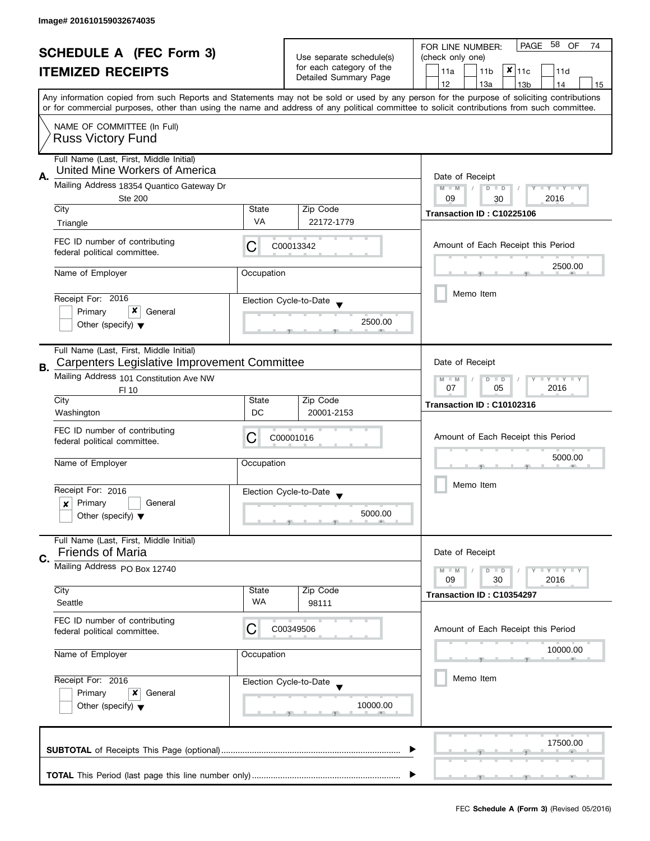| <b>SCHEDULE A (FEC Form 3)</b><br><b>ITEMIZED RECEIPTS</b> |                                                                           |                                        |                                                      | PAGE<br>58<br>OF<br>FOR LINE NUMBER:<br>74                                                                                                                                                                                                                                              |  |  |  |  |  |
|------------------------------------------------------------|---------------------------------------------------------------------------|----------------------------------------|------------------------------------------------------|-----------------------------------------------------------------------------------------------------------------------------------------------------------------------------------------------------------------------------------------------------------------------------------------|--|--|--|--|--|
|                                                            |                                                                           |                                        | Use separate schedule(s)<br>for each category of the | (check only one)                                                                                                                                                                                                                                                                        |  |  |  |  |  |
|                                                            |                                                                           |                                        | Detailed Summary Page                                | $x _{11c}$<br>11a<br>11 <sub>b</sub><br>11d                                                                                                                                                                                                                                             |  |  |  |  |  |
|                                                            |                                                                           |                                        |                                                      | 12<br>13a<br>14<br>13 <sub>b</sub><br>15                                                                                                                                                                                                                                                |  |  |  |  |  |
|                                                            |                                                                           |                                        |                                                      | Any information copied from such Reports and Statements may not be sold or used by any person for the purpose of soliciting contributions<br>or for commercial purposes, other than using the name and address of any political committee to solicit contributions from such committee. |  |  |  |  |  |
|                                                            | NAME OF COMMITTEE (In Full)                                               |                                        |                                                      |                                                                                                                                                                                                                                                                                         |  |  |  |  |  |
|                                                            | <b>Russ Victory Fund</b>                                                  |                                        |                                                      |                                                                                                                                                                                                                                                                                         |  |  |  |  |  |
|                                                            |                                                                           |                                        |                                                      |                                                                                                                                                                                                                                                                                         |  |  |  |  |  |
|                                                            | Full Name (Last, First, Middle Initial)<br>United Mine Workers of America |                                        |                                                      |                                                                                                                                                                                                                                                                                         |  |  |  |  |  |
| А.                                                         | Mailing Address 18354 Quantico Gateway Dr                                 |                                        |                                                      | Date of Receipt                                                                                                                                                                                                                                                                         |  |  |  |  |  |
|                                                            | Ste 200                                                                   |                                        |                                                      | $M - M$<br>$D$ $D$<br>Y TY TY TY<br>2016<br>09<br>30                                                                                                                                                                                                                                    |  |  |  |  |  |
|                                                            | City                                                                      | State                                  | Zip Code                                             |                                                                                                                                                                                                                                                                                         |  |  |  |  |  |
|                                                            | Triangle                                                                  | VA                                     | 22172-1779                                           | Transaction ID: C10225106                                                                                                                                                                                                                                                               |  |  |  |  |  |
|                                                            |                                                                           |                                        |                                                      |                                                                                                                                                                                                                                                                                         |  |  |  |  |  |
|                                                            | FEC ID number of contributing<br>federal political committee.             | C                                      | C00013342                                            | Amount of Each Receipt this Period                                                                                                                                                                                                                                                      |  |  |  |  |  |
|                                                            |                                                                           |                                        |                                                      | 2500.00                                                                                                                                                                                                                                                                                 |  |  |  |  |  |
|                                                            | Name of Employer                                                          | Occupation                             |                                                      |                                                                                                                                                                                                                                                                                         |  |  |  |  |  |
|                                                            |                                                                           |                                        |                                                      | Memo Item                                                                                                                                                                                                                                                                               |  |  |  |  |  |
|                                                            | Receipt For: 2016                                                         |                                        | Election Cycle-to-Date                               |                                                                                                                                                                                                                                                                                         |  |  |  |  |  |
|                                                            | x<br>Primary<br>General                                                   |                                        | 2500.00                                              |                                                                                                                                                                                                                                                                                         |  |  |  |  |  |
|                                                            | Other (specify) $\blacktriangledown$                                      |                                        |                                                      |                                                                                                                                                                                                                                                                                         |  |  |  |  |  |
|                                                            | Full Name (Last, First, Middle Initial)                                   |                                        |                                                      |                                                                                                                                                                                                                                                                                         |  |  |  |  |  |
|                                                            | Carpenters Legislative Improvement Committee                              |                                        |                                                      | Date of Receipt                                                                                                                                                                                                                                                                         |  |  |  |  |  |
| В.                                                         | Mailing Address 101 Constitution Ave NW                                   |                                        |                                                      | Y LY LY                                                                                                                                                                                                                                                                                 |  |  |  |  |  |
|                                                            | FI 10                                                                     | $M - M$<br>$D$ $D$<br>05<br>2016<br>07 |                                                      |                                                                                                                                                                                                                                                                                         |  |  |  |  |  |
|                                                            | City                                                                      | State                                  | Zip Code                                             | Transaction ID: C10102316                                                                                                                                                                                                                                                               |  |  |  |  |  |
|                                                            | Washington                                                                | DC                                     | 20001-2153                                           |                                                                                                                                                                                                                                                                                         |  |  |  |  |  |
|                                                            | FEC ID number of contributing                                             |                                        |                                                      |                                                                                                                                                                                                                                                                                         |  |  |  |  |  |
|                                                            | federal political committee.                                              | С                                      | C00001016                                            | Amount of Each Receipt this Period                                                                                                                                                                                                                                                      |  |  |  |  |  |
|                                                            |                                                                           |                                        |                                                      | 5000.00                                                                                                                                                                                                                                                                                 |  |  |  |  |  |
|                                                            | Name of Employer                                                          | Occupation                             |                                                      |                                                                                                                                                                                                                                                                                         |  |  |  |  |  |
|                                                            |                                                                           |                                        |                                                      | Memo Item                                                                                                                                                                                                                                                                               |  |  |  |  |  |
|                                                            | Receipt For: 2016<br>Primary<br>General<br>x                              |                                        | Election Cycle-to-Date                               |                                                                                                                                                                                                                                                                                         |  |  |  |  |  |
|                                                            | Other (specify) $\blacktriangledown$                                      |                                        | 5000.00                                              |                                                                                                                                                                                                                                                                                         |  |  |  |  |  |
|                                                            |                                                                           |                                        |                                                      |                                                                                                                                                                                                                                                                                         |  |  |  |  |  |
|                                                            | Full Name (Last, First, Middle Initial)                                   |                                        |                                                      |                                                                                                                                                                                                                                                                                         |  |  |  |  |  |
| C.                                                         | <b>Friends of Maria</b>                                                   |                                        |                                                      | Date of Receipt                                                                                                                                                                                                                                                                         |  |  |  |  |  |
|                                                            | Mailing Address PO Box 12740                                              |                                        |                                                      | $M - M$<br>$Y \perp Y \perp Y$<br>$D$ $D$                                                                                                                                                                                                                                               |  |  |  |  |  |
|                                                            |                                                                           |                                        |                                                      | 09<br>30<br>2016                                                                                                                                                                                                                                                                        |  |  |  |  |  |
|                                                            | City                                                                      | State<br>WA                            | Zip Code                                             | Transaction ID: C10354297                                                                                                                                                                                                                                                               |  |  |  |  |  |
|                                                            | Seattle                                                                   |                                        | 98111                                                |                                                                                                                                                                                                                                                                                         |  |  |  |  |  |
|                                                            | FEC ID number of contributing                                             | C                                      | C00349506                                            | Amount of Each Receipt this Period                                                                                                                                                                                                                                                      |  |  |  |  |  |
|                                                            | federal political committee.                                              |                                        |                                                      |                                                                                                                                                                                                                                                                                         |  |  |  |  |  |
|                                                            | Name of Employer                                                          | Occupation                             |                                                      | 10000.00                                                                                                                                                                                                                                                                                |  |  |  |  |  |
|                                                            |                                                                           |                                        |                                                      |                                                                                                                                                                                                                                                                                         |  |  |  |  |  |
|                                                            | Receipt For: 2016                                                         |                                        | Election Cycle-to-Date                               | Memo Item                                                                                                                                                                                                                                                                               |  |  |  |  |  |
|                                                            | Primary<br>x<br>General                                                   |                                        |                                                      |                                                                                                                                                                                                                                                                                         |  |  |  |  |  |
|                                                            | Other (specify) $\blacktriangledown$                                      |                                        | 10000.00                                             |                                                                                                                                                                                                                                                                                         |  |  |  |  |  |
|                                                            |                                                                           |                                        |                                                      |                                                                                                                                                                                                                                                                                         |  |  |  |  |  |
|                                                            |                                                                           |                                        |                                                      |                                                                                                                                                                                                                                                                                         |  |  |  |  |  |
|                                                            |                                                                           |                                        |                                                      | 17500.00                                                                                                                                                                                                                                                                                |  |  |  |  |  |
|                                                            |                                                                           |                                        |                                                      |                                                                                                                                                                                                                                                                                         |  |  |  |  |  |
|                                                            |                                                                           |                                        |                                                      |                                                                                                                                                                                                                                                                                         |  |  |  |  |  |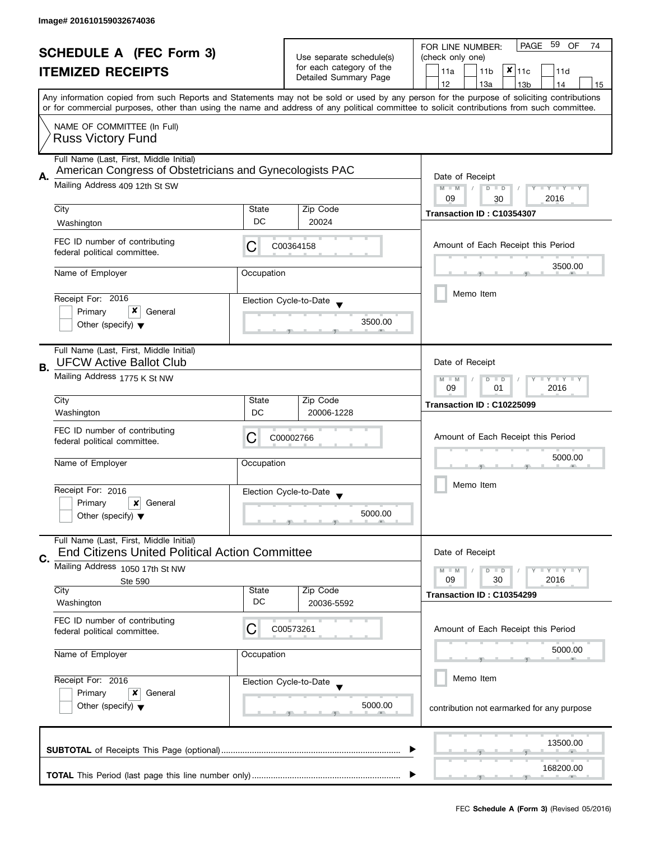| <b>SCHEDULE A (FEC Form 3)</b><br><b>ITEMIZED RECEIPTS</b> |                                                               |                          | PAGE 59 OF<br>FOR LINE NUMBER:<br>74 |                                                                                                                                            |  |  |  |
|------------------------------------------------------------|---------------------------------------------------------------|--------------------------|--------------------------------------|--------------------------------------------------------------------------------------------------------------------------------------------|--|--|--|
|                                                            |                                                               | Use separate schedule(s) | (check only one)                     |                                                                                                                                            |  |  |  |
|                                                            |                                                               |                          | for each category of the             | $x _{11c}$<br>11a<br>11 <sub>b</sub><br>11d                                                                                                |  |  |  |
|                                                            |                                                               |                          | Detailed Summary Page                | 12<br>13a<br>13 <sub>b</sub><br>14<br>15                                                                                                   |  |  |  |
|                                                            |                                                               |                          |                                      | Any information copied from such Reports and Statements may not be sold or used by any person for the purpose of soliciting contributions  |  |  |  |
|                                                            |                                                               |                          |                                      | or for commercial purposes, other than using the name and address of any political committee to solicit contributions from such committee. |  |  |  |
|                                                            |                                                               |                          |                                      |                                                                                                                                            |  |  |  |
|                                                            | NAME OF COMMITTEE (In Full)                                   |                          |                                      |                                                                                                                                            |  |  |  |
|                                                            | <b>Russ Victory Fund</b>                                      |                          |                                      |                                                                                                                                            |  |  |  |
|                                                            | Full Name (Last, First, Middle Initial)                       |                          |                                      |                                                                                                                                            |  |  |  |
|                                                            | American Congress of Obstetricians and Gynecologists PAC      |                          |                                      |                                                                                                                                            |  |  |  |
| А.                                                         | Mailing Address 409 12th St SW                                |                          |                                      | Date of Receipt                                                                                                                            |  |  |  |
|                                                            |                                                               |                          |                                      | $M - M$<br>$D$ $D$<br>Y I Y I Y I Y                                                                                                        |  |  |  |
|                                                            | City                                                          | State                    | Zip Code                             | 09<br>2016<br>30                                                                                                                           |  |  |  |
|                                                            |                                                               | DC                       |                                      | Transaction ID: C10354307                                                                                                                  |  |  |  |
|                                                            | Washington                                                    |                          | 20024                                |                                                                                                                                            |  |  |  |
|                                                            | FEC ID number of contributing                                 |                          |                                      | Amount of Each Receipt this Period                                                                                                         |  |  |  |
|                                                            | federal political committee.                                  | C                        | C00364158                            |                                                                                                                                            |  |  |  |
|                                                            |                                                               |                          |                                      | 3500.00                                                                                                                                    |  |  |  |
|                                                            | Name of Employer                                              | Occupation               |                                      |                                                                                                                                            |  |  |  |
|                                                            |                                                               |                          |                                      | Memo Item                                                                                                                                  |  |  |  |
|                                                            | Receipt For: 2016                                             |                          | Election Cycle-to-Date               |                                                                                                                                            |  |  |  |
|                                                            | x<br>Primary<br>General                                       |                          |                                      |                                                                                                                                            |  |  |  |
|                                                            | Other (specify) $\blacktriangledown$                          |                          | 3500.00                              |                                                                                                                                            |  |  |  |
|                                                            |                                                               |                          |                                      |                                                                                                                                            |  |  |  |
|                                                            | Full Name (Last, First, Middle Initial)                       |                          |                                      |                                                                                                                                            |  |  |  |
| В.                                                         | <b>UFCW Active Ballot Club</b>                                |                          |                                      | Date of Receipt                                                                                                                            |  |  |  |
|                                                            | Mailing Address 1775 K St NW                                  |                          |                                      | $Y - Y - Y$<br>$M - M$<br>D<br>$\Box$                                                                                                      |  |  |  |
|                                                            |                                                               |                          |                                      | 2016<br>09<br>01                                                                                                                           |  |  |  |
|                                                            | City                                                          | State                    | Zip Code                             | Transaction ID: C10225099                                                                                                                  |  |  |  |
|                                                            | Washington                                                    | DC                       | 20006-1228                           |                                                                                                                                            |  |  |  |
|                                                            |                                                               |                          |                                      |                                                                                                                                            |  |  |  |
|                                                            | FEC ID number of contributing<br>federal political committee. | C                        | C00002766                            | Amount of Each Receipt this Period                                                                                                         |  |  |  |
|                                                            |                                                               |                          |                                      |                                                                                                                                            |  |  |  |
|                                                            | Name of Employer                                              | Occupation               |                                      | 5000.00                                                                                                                                    |  |  |  |
|                                                            |                                                               |                          |                                      |                                                                                                                                            |  |  |  |
|                                                            | Receipt For: 2016                                             |                          | Election Cycle-to-Date               | Memo Item                                                                                                                                  |  |  |  |
|                                                            | Primary<br>×<br>General                                       |                          |                                      |                                                                                                                                            |  |  |  |
|                                                            | Other (specify) $\blacktriangledown$                          |                          | 5000.00                              |                                                                                                                                            |  |  |  |
|                                                            |                                                               |                          |                                      |                                                                                                                                            |  |  |  |
|                                                            | Full Name (Last, First, Middle Initial)                       |                          |                                      |                                                                                                                                            |  |  |  |
|                                                            | End Citizens United Political Action Committee                |                          |                                      | Date of Receipt                                                                                                                            |  |  |  |
| C.                                                         | Mailing Address 1050 17th St NW                               |                          |                                      |                                                                                                                                            |  |  |  |
|                                                            |                                                               |                          |                                      | $M - M$<br>$\bot$ $\gamma$ $\bot$ $\gamma$ $\bot$ $\gamma$<br>D<br>$\blacksquare$<br>09<br>30                                              |  |  |  |
|                                                            | <b>Ste 590</b><br>City                                        | State                    | Zip Code                             | 2016                                                                                                                                       |  |  |  |
|                                                            | Washington                                                    | DC                       | 20036-5592                           | Transaction ID: C10354299                                                                                                                  |  |  |  |
|                                                            |                                                               |                          |                                      |                                                                                                                                            |  |  |  |
|                                                            | FEC ID number of contributing                                 | C                        | C00573261                            | Amount of Each Receipt this Period                                                                                                         |  |  |  |
|                                                            | federal political committee.                                  |                          |                                      |                                                                                                                                            |  |  |  |
|                                                            |                                                               | Occupation               |                                      | 5000.00                                                                                                                                    |  |  |  |
|                                                            | Name of Employer                                              |                          |                                      |                                                                                                                                            |  |  |  |
|                                                            | Receipt For: 2016                                             |                          |                                      | Memo Item                                                                                                                                  |  |  |  |
|                                                            | x<br>General                                                  |                          | Election Cycle-to-Date               |                                                                                                                                            |  |  |  |
|                                                            | Primary                                                       |                          | 5000.00                              |                                                                                                                                            |  |  |  |
|                                                            | Other (specify) $\blacktriangledown$                          |                          |                                      | contribution not earmarked for any purpose                                                                                                 |  |  |  |
|                                                            |                                                               |                          |                                      |                                                                                                                                            |  |  |  |
|                                                            |                                                               |                          |                                      | 13500.00                                                                                                                                   |  |  |  |
|                                                            |                                                               |                          |                                      |                                                                                                                                            |  |  |  |
|                                                            |                                                               |                          |                                      | 168200.00                                                                                                                                  |  |  |  |
|                                                            |                                                               |                          |                                      |                                                                                                                                            |  |  |  |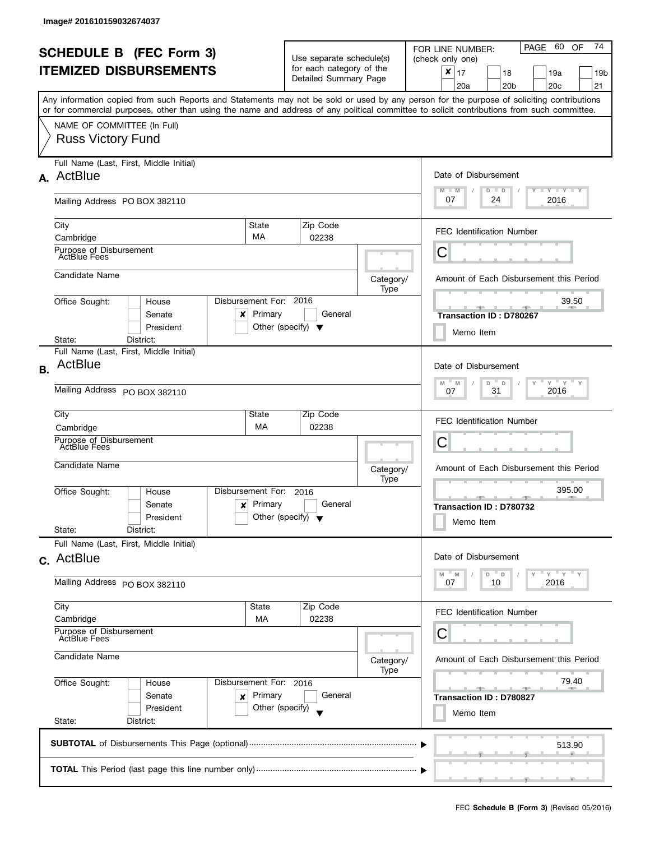|           | <b>SCHEDULE B</b> (FEC Form 3)<br><b>ITEMIZED DISBURSEMENTS</b><br>Any information copied from such Reports and Statements may not be sold or used by any person for the purpose of soliciting contributions |                                                                      | Use separate schedule(s)<br>for each category of the<br>Detailed Summary Page |                   | PAGE 60<br>74<br>OF<br>FOR LINE NUMBER:<br>(check only one)<br>$\pmb{\times}$<br>17<br>18<br>19a<br>19b<br>20 <sub>c</sub><br>21<br>20a<br>20 <sub>b</sub>                                                                                                                                             |
|-----------|--------------------------------------------------------------------------------------------------------------------------------------------------------------------------------------------------------------|----------------------------------------------------------------------|-------------------------------------------------------------------------------|-------------------|--------------------------------------------------------------------------------------------------------------------------------------------------------------------------------------------------------------------------------------------------------------------------------------------------------|
|           | or for commercial purposes, other than using the name and address of any political committee to solicit contributions from such committee.<br>NAME OF COMMITTEE (In Full)<br><b>Russ Victory Fund</b>        |                                                                      |                                                                               |                   |                                                                                                                                                                                                                                                                                                        |
|           | Full Name (Last, First, Middle Initial)<br>A. ActBlue<br>Mailing Address PO BOX 382110                                                                                                                       |                                                                      |                                                                               |                   | Date of Disbursement<br>$T - Y = T - Y$<br>$M - M$<br>$D$ $D$<br>07<br>24<br>2016                                                                                                                                                                                                                      |
|           | City<br>Cambridge<br>Purpose of Disbursement<br>ActBlue Fees                                                                                                                                                 | State<br>MA                                                          | Zip Code<br>02238                                                             |                   | <b>FEC Identification Number</b><br>Ĉ                                                                                                                                                                                                                                                                  |
|           | Candidate Name<br>Office Sought:<br>House<br>Senate<br>x<br>President<br>District:<br>State:                                                                                                                 | Disbursement For:<br>Primary<br>Other (specify) $\blacktriangledown$ | 2016<br>General                                                               | Category/<br>Type | Amount of Each Disbursement this Period<br>39.50<br>Transaction ID: D780267<br>Memo Item                                                                                                                                                                                                               |
| <b>B.</b> | Full Name (Last, First, Middle Initial)<br>ActBlue<br>Mailing Address PO BOX 382110                                                                                                                          |                                                                      |                                                                               |                   | Date of Disbursement<br>$Y$ $Y$ $Y$<br>$M$ =<br>D<br>M<br>D<br>31<br>2016<br>07                                                                                                                                                                                                                        |
|           | City<br>Cambridge<br>Purpose of Disbursement<br><b>ActBlue Fees</b><br>Candidate Name                                                                                                                        | State<br>МA                                                          | Zip Code<br>02238                                                             | Category/         | <b>FEC Identification Number</b><br>С<br>Amount of Each Disbursement this Period                                                                                                                                                                                                                       |
|           | Disbursement For:<br>Office Sought:<br>House<br>Senate<br>$\mathbf{x}$<br>President<br>State:<br>District:                                                                                                   | Primary<br>Other (specify) $\blacktriangledown$                      | 2016<br>General                                                               | Type              | 395.00<br><u>and the state of the state of the state of the state of the state of the state of the state of the state of the state of the state of the state of the state of the state of the state of the state of the state of the state</u><br><b>AND A</b><br>Transaction ID: D780732<br>Memo Item |
|           | Full Name (Last, First, Middle Initial)<br>c. ActBlue<br>Mailing Address PO BOX 382110                                                                                                                       |                                                                      |                                                                               |                   | Date of Disbursement<br>$Y$ $Y$ $Y$<br>M<br>M<br>D<br>$\mathsf D$<br>2016<br>07<br>10                                                                                                                                                                                                                  |
|           | City<br>Cambridge<br>Purpose of Disbursement<br><b>ActBlue Fees</b>                                                                                                                                          | State<br><b>MA</b>                                                   | Zip Code<br>02238                                                             |                   | <b>FEC Identification Number</b><br>С                                                                                                                                                                                                                                                                  |
|           | Candidate Name<br>Office Sought:<br>House<br>Senate<br>×<br>President<br>State:<br>District:                                                                                                                 | Disbursement For: 2016<br>Primary<br>Other (specify)                 | General                                                                       | Category/<br>Type | Amount of Each Disbursement this Period<br>79.40<br><b>CONTRACTOR</b><br>Transaction ID: D780827<br>Memo Item                                                                                                                                                                                          |
|           |                                                                                                                                                                                                              |                                                                      |                                                                               |                   | 513.90                                                                                                                                                                                                                                                                                                 |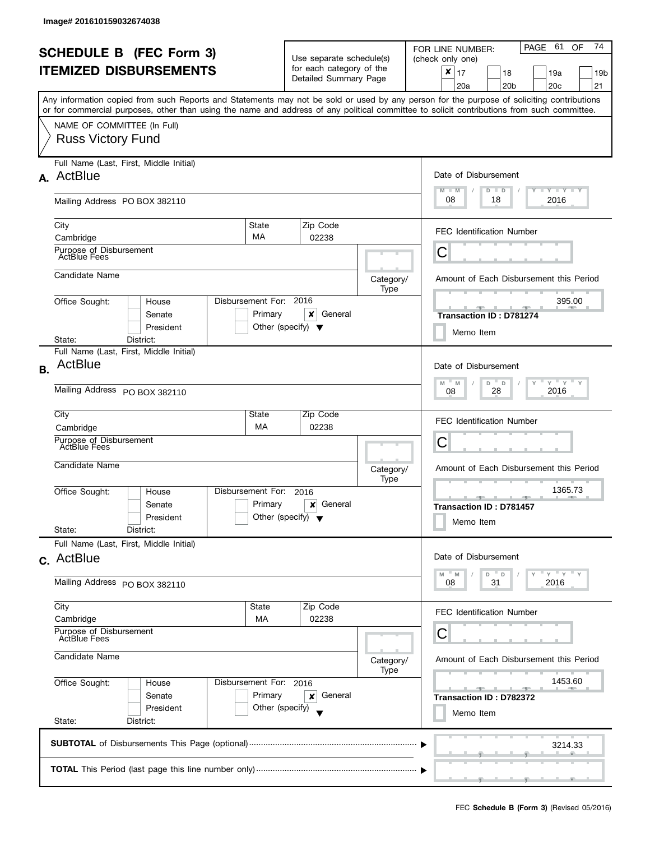| <b>SCHEDULE B (FEC Form 3)</b><br><b>ITEMIZED DISBURSEMENTS</b><br>Any information copied from such Reports and Statements may not be sold or used by any person for the purpose of soliciting contributions<br>or for commercial purposes, other than using the name and address of any political committee to solicit contributions from such committee. |                                                                                                              |                                                 | Use separate schedule(s)<br>for each category of the<br>Detailed Summary Page |                                                                                    | 74<br>PAGE 61<br>OF<br>FOR LINE NUMBER:<br>(check only one)<br>$\pmb{\times}$<br>17<br>18<br>19a<br>19b<br>20 <sub>b</sub><br>20 <sub>c</sub><br>21<br>20a |  |  |
|------------------------------------------------------------------------------------------------------------------------------------------------------------------------------------------------------------------------------------------------------------------------------------------------------------------------------------------------------------|--------------------------------------------------------------------------------------------------------------|-------------------------------------------------|-------------------------------------------------------------------------------|------------------------------------------------------------------------------------|------------------------------------------------------------------------------------------------------------------------------------------------------------|--|--|
|                                                                                                                                                                                                                                                                                                                                                            | NAME OF COMMITTEE (In Full)<br><b>Russ Victory Fund</b>                                                      |                                                 |                                                                               |                                                                                    |                                                                                                                                                            |  |  |
|                                                                                                                                                                                                                                                                                                                                                            | Full Name (Last, First, Middle Initial)<br>A. ActBlue<br>Mailing Address PO BOX 382110                       |                                                 |                                                                               |                                                                                    | Date of Disbursement<br>$M - M$<br>$T$ $Y$ $T$ $Y$ $T$ $Y$<br>$D$ $D$<br>08<br>2016<br>18                                                                  |  |  |
|                                                                                                                                                                                                                                                                                                                                                            | <b>State</b><br>City<br>MA<br>Cambridge<br>Purpose of Disbursement                                           |                                                 | Zip Code<br>02238                                                             |                                                                                    | <b>FEC Identification Number</b>                                                                                                                           |  |  |
|                                                                                                                                                                                                                                                                                                                                                            | <b>ActBlue Fees</b><br>Candidate Name                                                                        |                                                 |                                                                               | Category/                                                                          | Ĉ<br>Amount of Each Disbursement this Period                                                                                                               |  |  |
|                                                                                                                                                                                                                                                                                                                                                            | Disbursement For: 2016<br>Office Sought:<br>House<br>Senate<br>President<br>District:<br>State:              | Primary<br>Other (specify) $\blacktriangledown$ | x<br>General                                                                  | Type                                                                               | 395.00<br><b>SPACE 1979</b><br>Transaction ID: D781274<br>Memo Item                                                                                        |  |  |
| <b>B.</b>                                                                                                                                                                                                                                                                                                                                                  | Full Name (Last, First, Middle Initial)<br>ActBlue<br>Mailing Address PO BOX 382110                          |                                                 |                                                                               | Date of Disbursement<br>$Y = Y = Y$<br>$M - M$<br>$D$ $D$<br>Y<br>2016<br>28<br>08 |                                                                                                                                                            |  |  |
|                                                                                                                                                                                                                                                                                                                                                            | City<br>State<br>MA<br>Cambridge<br>Purpose of Disbursement<br><b>ActBlue Fees</b>                           |                                                 | Zip Code<br>02238                                                             |                                                                                    | <b>FEC Identification Number</b><br>С                                                                                                                      |  |  |
|                                                                                                                                                                                                                                                                                                                                                            | Candidate Name<br>Disbursement For:<br>Office Sought:<br>House<br>Senate<br>President<br>State:<br>District: | Primary<br>Other (specify) $\blacktriangledown$ | 2016<br>General<br>×                                                          | Category/<br>Type                                                                  | Amount of Each Disbursement this Period<br>1365.73<br>$-1$<br><b>Transaction ID: D781457</b><br>Memo Item                                                  |  |  |
|                                                                                                                                                                                                                                                                                                                                                            | Full Name (Last, First, Middle Initial)<br>c. ActBlue<br>Mailing Address PO BOX 382110                       |                                                 |                                                                               |                                                                                    | Date of Disbursement<br>$Y + Y + Y$<br>M<br>M<br>D<br>- D<br>31<br>2016<br>08                                                                              |  |  |
|                                                                                                                                                                                                                                                                                                                                                            | City<br>State<br>Cambridge<br>МA<br>Purpose of Disbursement<br><b>ActBlue Fees</b><br>Candidate Name         | Zip Code<br>02238                               | Category/<br>Type                                                             | FEC Identification Number<br>С<br>Amount of Each Disbursement this Period          |                                                                                                                                                            |  |  |
|                                                                                                                                                                                                                                                                                                                                                            | Office Sought:<br>Disbursement For: 2016<br>House<br>Senate<br>President<br>State:<br>District:              | Primary<br>Other (specify)                      | General<br>×                                                                  |                                                                                    | 1453.60<br>Transaction ID: D782372<br>Memo Item                                                                                                            |  |  |
|                                                                                                                                                                                                                                                                                                                                                            |                                                                                                              | 3214.33                                         |                                                                               |                                                                                    |                                                                                                                                                            |  |  |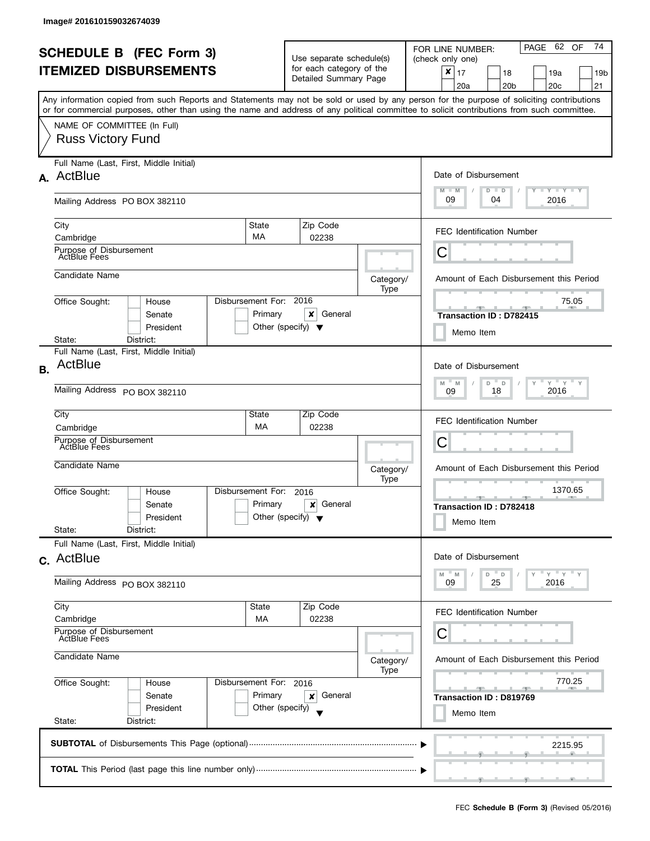| <b>SCHEDULE B (FEC Form 3)</b><br><b>ITEMIZED DISBURSEMENTS</b> |                                                                                                                                                                                                                                                                                         |                                                                 | Use separate schedule(s)<br>for each category of the<br>Detailed Summary Page |                   | PAGE 62 OF<br>74<br>FOR LINE NUMBER:<br>(check only one)<br>$\boldsymbol{x}$<br>17<br>18<br>19a<br>19b<br>20 <sub>b</sub><br>20 <sub>c</sub><br>21<br>20a |
|-----------------------------------------------------------------|-----------------------------------------------------------------------------------------------------------------------------------------------------------------------------------------------------------------------------------------------------------------------------------------|-----------------------------------------------------------------|-------------------------------------------------------------------------------|-------------------|-----------------------------------------------------------------------------------------------------------------------------------------------------------|
|                                                                 | Any information copied from such Reports and Statements may not be sold or used by any person for the purpose of soliciting contributions<br>or for commercial purposes, other than using the name and address of any political committee to solicit contributions from such committee. |                                                                 |                                                                               |                   |                                                                                                                                                           |
|                                                                 | NAME OF COMMITTEE (In Full)<br><b>Russ Victory Fund</b>                                                                                                                                                                                                                                 |                                                                 |                                                                               |                   |                                                                                                                                                           |
|                                                                 | Full Name (Last, First, Middle Initial)<br>A. ActBlue                                                                                                                                                                                                                                   |                                                                 |                                                                               |                   | Date of Disbursement<br><b>TEY LY LY</b><br>$M - M$<br>$D$ $D$                                                                                            |
|                                                                 | Mailing Address PO BOX 382110                                                                                                                                                                                                                                                           |                                                                 |                                                                               |                   | 09<br>04<br>2016                                                                                                                                          |
|                                                                 | State<br>City<br>MA<br>Cambridge                                                                                                                                                                                                                                                        |                                                                 | Zip Code<br>02238                                                             |                   | <b>FEC Identification Number</b>                                                                                                                          |
|                                                                 | Purpose of Disbursement<br><b>ActBlue Fees</b>                                                                                                                                                                                                                                          |                                                                 |                                                                               |                   | С                                                                                                                                                         |
|                                                                 | Candidate Name                                                                                                                                                                                                                                                                          |                                                                 |                                                                               | Category/<br>Type | Amount of Each Disbursement this Period                                                                                                                   |
|                                                                 | Disbursement For: 2016<br>Office Sought:<br>House<br>Senate<br>President                                                                                                                                                                                                                | Primary<br>Other (specify) $\blacktriangledown$                 | ×<br>General                                                                  |                   | 75.05<br>JL.<br>a.<br>Transaction ID: D782415<br>Memo Item                                                                                                |
|                                                                 | District:<br>State:<br>Full Name (Last, First, Middle Initial)                                                                                                                                                                                                                          |                                                                 |                                                                               |                   |                                                                                                                                                           |
| <b>B.</b>                                                       | ActBlue                                                                                                                                                                                                                                                                                 |                                                                 |                                                                               |                   | Date of Disbursement                                                                                                                                      |
|                                                                 | Mailing Address PO BOX 382110                                                                                                                                                                                                                                                           | $Y$ $Y$<br>$M - M$<br>D<br>$\mathsf D$<br>Υ<br>2016<br>18<br>09 |                                                                               |                   |                                                                                                                                                           |
|                                                                 | City<br>State<br>МA<br>Cambridge                                                                                                                                                                                                                                                        |                                                                 | Zip Code<br>02238                                                             |                   | <b>FEC Identification Number</b>                                                                                                                          |
|                                                                 | Purpose of Disbursement<br>ActBlue Fees                                                                                                                                                                                                                                                 |                                                                 |                                                                               |                   | С                                                                                                                                                         |
|                                                                 | Candidate Name                                                                                                                                                                                                                                                                          |                                                                 |                                                                               | Category/<br>Type | Amount of Each Disbursement this Period                                                                                                                   |
|                                                                 | Disbursement For:<br>Office Sought:<br>House<br>Senate<br>President                                                                                                                                                                                                                     | Primary<br>Other (specify) $\blacktriangledown$                 | 2016<br>General<br>×                                                          |                   | 1370.65<br>$-1$<br>Transaction ID: D782418<br>Memo Item                                                                                                   |
|                                                                 | State:<br>District:<br>Full Name (Last, First, Middle Initial)                                                                                                                                                                                                                          |                                                                 |                                                                               |                   |                                                                                                                                                           |
|                                                                 | c. ActBlue                                                                                                                                                                                                                                                                              |                                                                 |                                                                               |                   | Date of Disbursement<br>$Y'$ $Y'$                                                                                                                         |
|                                                                 | Mailing Address PO BOX 382110                                                                                                                                                                                                                                                           |                                                                 |                                                                               |                   | $\overline{a}$<br>M<br>- M<br>D<br>25<br>2016<br>09                                                                                                       |
|                                                                 | City<br>State<br>Cambridge<br>MA                                                                                                                                                                                                                                                        |                                                                 | Zip Code<br>02238                                                             |                   | FEC Identification Number                                                                                                                                 |
|                                                                 | Purpose of Disbursement<br>ActBlue Fees                                                                                                                                                                                                                                                 |                                                                 |                                                                               |                   | С                                                                                                                                                         |
|                                                                 | Candidate Name                                                                                                                                                                                                                                                                          |                                                                 |                                                                               | Category/<br>Type | Amount of Each Disbursement this Period                                                                                                                   |
|                                                                 | Office Sought:<br>Disbursement For: 2016<br>House<br>Senate<br>President                                                                                                                                                                                                                | Primary<br>Other (specify)                                      | General<br>×                                                                  |                   | 770.25<br>$-2$<br>Transaction ID: D819769                                                                                                                 |
|                                                                 | State:<br>District:                                                                                                                                                                                                                                                                     |                                                                 |                                                                               |                   | Memo Item                                                                                                                                                 |
|                                                                 |                                                                                                                                                                                                                                                                                         |                                                                 |                                                                               |                   | 2215.95                                                                                                                                                   |
|                                                                 |                                                                                                                                                                                                                                                                                         |                                                                 |                                                                               |                   |                                                                                                                                                           |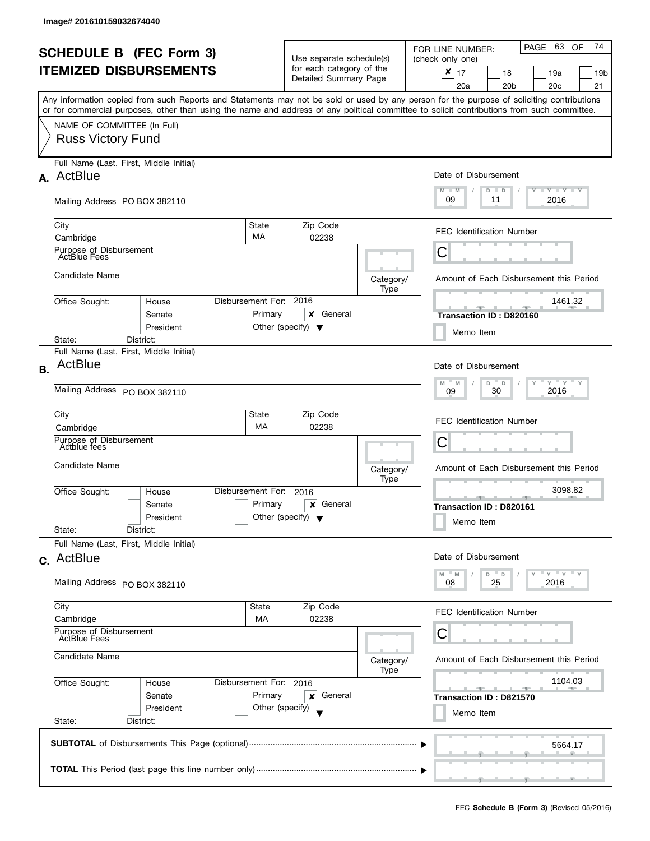| <b>SCHEDULE B (FEC Form 3)</b><br><b>ITEMIZED DISBURSEMENTS</b> |                                                                                                                                                                                                                                                                                                                        |                                                 | Use separate schedule(s)<br>for each category of the<br>Detailed Summary Page |                   | PAGE 63<br>74<br>OF<br>FOR LINE NUMBER:<br>(check only one)<br>$\boldsymbol{x}$<br>17<br>18<br>19a<br>19b<br>20 <sub>b</sub><br>20 <sub>c</sub><br>21<br>20a |  |  |
|-----------------------------------------------------------------|------------------------------------------------------------------------------------------------------------------------------------------------------------------------------------------------------------------------------------------------------------------------------------------------------------------------|-------------------------------------------------|-------------------------------------------------------------------------------|-------------------|--------------------------------------------------------------------------------------------------------------------------------------------------------------|--|--|
|                                                                 | Any information copied from such Reports and Statements may not be sold or used by any person for the purpose of soliciting contributions<br>or for commercial purposes, other than using the name and address of any political committee to solicit contributions from such committee.<br>NAME OF COMMITTEE (In Full) |                                                 |                                                                               |                   |                                                                                                                                                              |  |  |
|                                                                 | <b>Russ Victory Fund</b>                                                                                                                                                                                                                                                                                               |                                                 |                                                                               |                   |                                                                                                                                                              |  |  |
|                                                                 | Full Name (Last, First, Middle Initial)<br>A. ActBlue                                                                                                                                                                                                                                                                  |                                                 |                                                                               |                   | Date of Disbursement<br>$T - Y = Y + Y$<br>$M - M$<br>$D$ $D$                                                                                                |  |  |
|                                                                 | Mailing Address PO BOX 382110                                                                                                                                                                                                                                                                                          |                                                 |                                                                               |                   | 09<br>11<br>2016                                                                                                                                             |  |  |
|                                                                 | State<br>City<br>MA<br>Cambridge                                                                                                                                                                                                                                                                                       |                                                 | Zip Code<br>02238                                                             |                   | <b>FEC Identification Number</b>                                                                                                                             |  |  |
|                                                                 | Purpose of Disbursement<br><b>ActBlue Fees</b>                                                                                                                                                                                                                                                                         |                                                 |                                                                               |                   | С                                                                                                                                                            |  |  |
|                                                                 | Candidate Name                                                                                                                                                                                                                                                                                                         |                                                 |                                                                               | Category/<br>Type | Amount of Each Disbursement this Period                                                                                                                      |  |  |
|                                                                 | Disbursement For: 2016<br>Office Sought:<br>House<br>Senate<br>President                                                                                                                                                                                                                                               | Primary<br>Other (specify) $\blacktriangledown$ | ×<br>General                                                                  |                   | 1461.32<br>Transaction ID: D820160<br>Memo Item                                                                                                              |  |  |
|                                                                 | District:<br>State:<br>Full Name (Last, First, Middle Initial)                                                                                                                                                                                                                                                         |                                                 |                                                                               |                   |                                                                                                                                                              |  |  |
| <b>B.</b>                                                       | ActBlue                                                                                                                                                                                                                                                                                                                |                                                 |                                                                               |                   | Date of Disbursement<br>$Y$ $Y$<br>$\overline{\phantom{a}}$<br>M<br>$-M$<br>D<br>Υ                                                                           |  |  |
|                                                                 | Mailing Address PO BOX 382110                                                                                                                                                                                                                                                                                          |                                                 |                                                                               |                   |                                                                                                                                                              |  |  |
|                                                                 | City<br>State<br>МA<br>Cambridge                                                                                                                                                                                                                                                                                       |                                                 | Zip Code<br>02238                                                             |                   | <b>FEC Identification Number</b>                                                                                                                             |  |  |
|                                                                 | Purpose of Disbursement<br>Actblue fees                                                                                                                                                                                                                                                                                |                                                 |                                                                               |                   | С                                                                                                                                                            |  |  |
|                                                                 | Candidate Name                                                                                                                                                                                                                                                                                                         |                                                 |                                                                               | Category/<br>Type | Amount of Each Disbursement this Period                                                                                                                      |  |  |
|                                                                 | Disbursement For:<br>Office Sought:<br>House<br>Senate<br>President                                                                                                                                                                                                                                                    | Primary<br>Other (specify) $\blacktriangledown$ | 2016<br>General<br>×                                                          |                   | 3098.82<br>$-1$<br>Transaction ID: D820161<br>Memo Item                                                                                                      |  |  |
|                                                                 | State:<br>District:<br>Full Name (Last, First, Middle Initial)                                                                                                                                                                                                                                                         |                                                 |                                                                               |                   |                                                                                                                                                              |  |  |
|                                                                 | c. ActBlue                                                                                                                                                                                                                                                                                                             |                                                 |                                                                               |                   | Date of Disbursement<br>$Y'$ $Y'$<br>$\overline{a}$<br>M<br>- M<br>D                                                                                         |  |  |
|                                                                 | Mailing Address PO BOX 382110                                                                                                                                                                                                                                                                                          |                                                 |                                                                               |                   | 25<br>2016<br>08                                                                                                                                             |  |  |
|                                                                 | City<br>State<br>Cambridge<br>MA                                                                                                                                                                                                                                                                                       |                                                 | Zip Code<br>02238                                                             |                   | FEC Identification Number                                                                                                                                    |  |  |
|                                                                 | Purpose of Disbursement<br>ActBlue Fees                                                                                                                                                                                                                                                                                |                                                 |                                                                               |                   | С                                                                                                                                                            |  |  |
|                                                                 | Candidate Name                                                                                                                                                                                                                                                                                                         |                                                 |                                                                               | Category/<br>Type | Amount of Each Disbursement this Period                                                                                                                      |  |  |
|                                                                 | Office Sought:<br>Disbursement For: 2016<br>House<br>Senate<br>President                                                                                                                                                                                                                                               | Primary<br>Other (specify)                      | General<br>×                                                                  |                   | 1104.03<br>$-1$<br>Transaction ID: D821570                                                                                                                   |  |  |
|                                                                 | State:<br>District:                                                                                                                                                                                                                                                                                                    | Memo Item                                       |                                                                               |                   |                                                                                                                                                              |  |  |
|                                                                 |                                                                                                                                                                                                                                                                                                                        |                                                 |                                                                               |                   | 5664.17                                                                                                                                                      |  |  |
|                                                                 |                                                                                                                                                                                                                                                                                                                        |                                                 |                                                                               |                   |                                                                                                                                                              |  |  |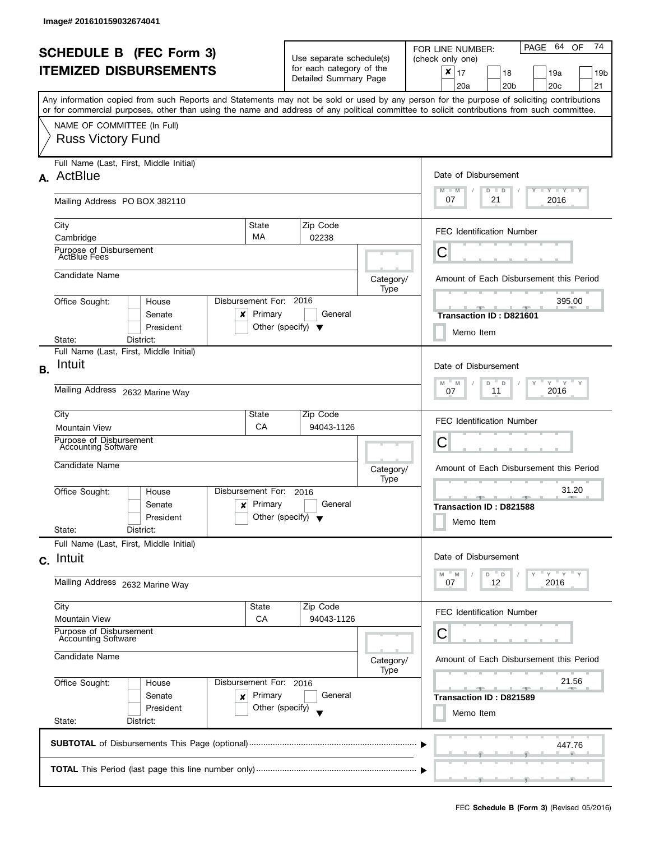|                               | <b>SCHEDULE B (FEC Form 3)</b>                                                                                                                                                                                                                                                          |                                                                                            | Use separate schedule(s) |                   | PAGE 64<br>74<br>OF<br>FOR LINE NUMBER:<br>(check only one)        |  |
|-------------------------------|-----------------------------------------------------------------------------------------------------------------------------------------------------------------------------------------------------------------------------------------------------------------------------------------|--------------------------------------------------------------------------------------------|--------------------------|-------------------|--------------------------------------------------------------------|--|
| <b>ITEMIZED DISBURSEMENTS</b> |                                                                                                                                                                                                                                                                                         |                                                                                            | for each category of the |                   | ×                                                                  |  |
|                               |                                                                                                                                                                                                                                                                                         |                                                                                            | Detailed Summary Page    |                   | 17<br>18<br>19a<br>19b<br>20 <sub>b</sub><br>20 <sub>c</sub><br>21 |  |
|                               |                                                                                                                                                                                                                                                                                         |                                                                                            |                          |                   | 20a                                                                |  |
|                               | Any information copied from such Reports and Statements may not be sold or used by any person for the purpose of soliciting contributions<br>or for commercial purposes, other than using the name and address of any political committee to solicit contributions from such committee. |                                                                                            |                          |                   |                                                                    |  |
|                               | NAME OF COMMITTEE (In Full)                                                                                                                                                                                                                                                             |                                                                                            |                          |                   |                                                                    |  |
|                               | <b>Russ Victory Fund</b>                                                                                                                                                                                                                                                                |                                                                                            |                          |                   |                                                                    |  |
|                               |                                                                                                                                                                                                                                                                                         |                                                                                            |                          |                   |                                                                    |  |
|                               | Full Name (Last, First, Middle Initial)                                                                                                                                                                                                                                                 |                                                                                            |                          |                   |                                                                    |  |
|                               | A. ActBlue                                                                                                                                                                                                                                                                              |                                                                                            |                          |                   | Date of Disbursement                                               |  |
|                               |                                                                                                                                                                                                                                                                                         |                                                                                            |                          |                   | Y TY TY TY<br>$M - M$<br>$D$ $D$                                   |  |
|                               | Mailing Address PO BOX 382110                                                                                                                                                                                                                                                           |                                                                                            |                          |                   | 07<br>21<br>2016                                                   |  |
|                               |                                                                                                                                                                                                                                                                                         |                                                                                            |                          |                   |                                                                    |  |
|                               | City                                                                                                                                                                                                                                                                                    | State<br>MA                                                                                | Zip Code                 |                   | <b>FEC Identification Number</b>                                   |  |
|                               | Cambridge<br>Purpose of Disbursement                                                                                                                                                                                                                                                    |                                                                                            | 02238                    |                   |                                                                    |  |
|                               | <b>ActBlue Fees</b>                                                                                                                                                                                                                                                                     |                                                                                            |                          |                   | С                                                                  |  |
|                               | Candidate Name                                                                                                                                                                                                                                                                          |                                                                                            |                          |                   |                                                                    |  |
|                               |                                                                                                                                                                                                                                                                                         |                                                                                            |                          | Category/<br>Type | Amount of Each Disbursement this Period                            |  |
|                               | Office Sought:<br>House                                                                                                                                                                                                                                                                 | Disbursement For: 2016                                                                     |                          |                   | 395.00                                                             |  |
|                               | Senate<br>x                                                                                                                                                                                                                                                                             | Primary                                                                                    | General                  |                   | Transaction ID: D821601                                            |  |
|                               | President                                                                                                                                                                                                                                                                               | Other (specify) $\blacktriangledown$                                                       |                          |                   | Memo Item                                                          |  |
|                               | District:<br>State:                                                                                                                                                                                                                                                                     |                                                                                            |                          |                   |                                                                    |  |
|                               | Full Name (Last, First, Middle Initial)                                                                                                                                                                                                                                                 |                                                                                            |                          |                   |                                                                    |  |
| <b>B.</b>                     | Intuit                                                                                                                                                                                                                                                                                  |                                                                                            |                          |                   | Date of Disbursement                                               |  |
|                               |                                                                                                                                                                                                                                                                                         | $\cdots$ $\gamma$ $\cdots$ $\gamma$ $\cdots$ $\gamma$<br>Y<br>M<br>- M<br>D<br>$\mathsf D$ |                          |                   |                                                                    |  |
|                               | Mailing Address 2632 Marine Way                                                                                                                                                                                                                                                         | 2016<br>11<br>07                                                                           |                          |                   |                                                                    |  |
|                               | City                                                                                                                                                                                                                                                                                    | State                                                                                      | Zip Code                 |                   |                                                                    |  |
|                               | <b>Mountain View</b>                                                                                                                                                                                                                                                                    | CA                                                                                         | 94043-1126               |                   | <b>FEC Identification Number</b>                                   |  |
|                               | Purpose of Disbursement<br><b>Accounting Software</b>                                                                                                                                                                                                                                   |                                                                                            |                          |                   | С                                                                  |  |
|                               |                                                                                                                                                                                                                                                                                         |                                                                                            |                          |                   |                                                                    |  |
|                               | Candidate Name                                                                                                                                                                                                                                                                          |                                                                                            |                          | Category/         | Amount of Each Disbursement this Period                            |  |
|                               | Disbursement For:                                                                                                                                                                                                                                                                       |                                                                                            | 2016                     | Type              | 31.20                                                              |  |
|                               | Office Sought:<br>House<br>Senate<br>x                                                                                                                                                                                                                                                  | Primary                                                                                    | General                  |                   | _______________________________                                    |  |
|                               | President                                                                                                                                                                                                                                                                               | Other (specify) $\blacktriangledown$                                                       |                          |                   | Transaction ID: D821588                                            |  |
|                               | State:<br>District:                                                                                                                                                                                                                                                                     |                                                                                            |                          |                   | Memo Item                                                          |  |
|                               | Full Name (Last, First, Middle Initial)                                                                                                                                                                                                                                                 |                                                                                            |                          |                   |                                                                    |  |
|                               | c. Intuit                                                                                                                                                                                                                                                                               |                                                                                            |                          |                   | Date of Disbursement                                               |  |
|                               |                                                                                                                                                                                                                                                                                         |                                                                                            |                          |                   | $-$ Y<br>Y<br>D<br>- D<br>M<br>M                                   |  |
|                               | Mailing Address 2632 Marine Way                                                                                                                                                                                                                                                         |                                                                                            |                          |                   | 12<br>2016<br>07                                                   |  |
|                               |                                                                                                                                                                                                                                                                                         |                                                                                            |                          |                   |                                                                    |  |
|                               | City<br><b>Mountain View</b>                                                                                                                                                                                                                                                            | State<br>CA                                                                                | Zip Code<br>94043-1126   |                   | FEC Identification Number                                          |  |
|                               | Purpose of Disbursement                                                                                                                                                                                                                                                                 |                                                                                            |                          |                   | С                                                                  |  |
|                               | <b>Accounting Software</b>                                                                                                                                                                                                                                                              |                                                                                            |                          |                   |                                                                    |  |
|                               | Candidate Name                                                                                                                                                                                                                                                                          |                                                                                            |                          | Category/         | Amount of Each Disbursement this Period                            |  |
|                               |                                                                                                                                                                                                                                                                                         |                                                                                            |                          | Type              |                                                                    |  |
|                               | Office Sought:<br>Disbursement For: 2016<br>House                                                                                                                                                                                                                                       |                                                                                            |                          |                   | 21.56<br>كالمستقرب                                                 |  |
|                               | Senate<br>×                                                                                                                                                                                                                                                                             | Primary                                                                                    | General                  |                   | Transaction ID: D821589                                            |  |
|                               | President                                                                                                                                                                                                                                                                               | Other (specify)                                                                            |                          |                   | Memo Item                                                          |  |
|                               | State:<br>District:                                                                                                                                                                                                                                                                     |                                                                                            |                          |                   |                                                                    |  |
|                               |                                                                                                                                                                                                                                                                                         |                                                                                            |                          |                   | 447.76                                                             |  |
|                               |                                                                                                                                                                                                                                                                                         |                                                                                            |                          |                   |                                                                    |  |
|                               |                                                                                                                                                                                                                                                                                         |                                                                                            |                          |                   |                                                                    |  |
|                               |                                                                                                                                                                                                                                                                                         |                                                                                            |                          |                   |                                                                    |  |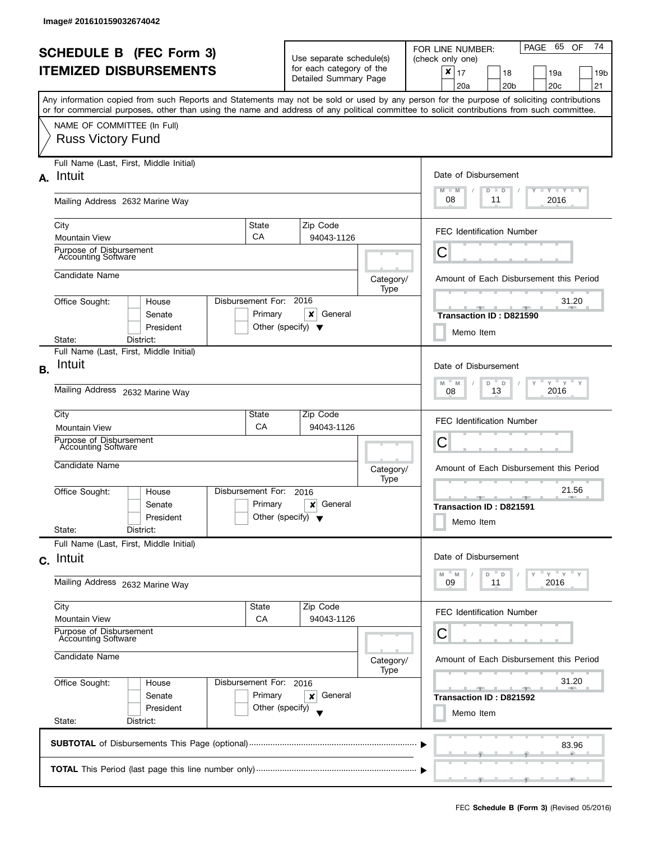|    | <b>SCHEDULE B</b> (FEC Form 3)<br><b>ITEMIZED DISBURSEMENTS</b><br>or for commercial purposes, other than using the name and address of any political committee to solicit contributions from such committee. |                                   | Use separate schedule(s)<br>for each category of the<br>Detailed Summary Page |                                                                              | 74<br>PAGE 65<br>OF<br>FOR LINE NUMBER:<br>(check only one)<br>$\pmb{\times}$<br>17<br>18<br>19a<br>19b<br>20 <sub>b</sub><br>20 <sub>c</sub><br>21<br>20a<br>Any information copied from such Reports and Statements may not be sold or used by any person for the purpose of soliciting contributions |
|----|---------------------------------------------------------------------------------------------------------------------------------------------------------------------------------------------------------------|-----------------------------------|-------------------------------------------------------------------------------|------------------------------------------------------------------------------|---------------------------------------------------------------------------------------------------------------------------------------------------------------------------------------------------------------------------------------------------------------------------------------------------------|
|    | NAME OF COMMITTEE (In Full)<br><b>Russ Victory Fund</b>                                                                                                                                                       |                                   |                                                                               |                                                                              |                                                                                                                                                                                                                                                                                                         |
| А. | Full Name (Last, First, Middle Initial)<br>Intuit                                                                                                                                                             |                                   |                                                                               | Date of Disbursement<br>$M - M$<br>$T$ $Y$ $T$ $Y$ $T$ $Y$<br>$D$ $D$        |                                                                                                                                                                                                                                                                                                         |
|    | Mailing Address 2632 Marine Way                                                                                                                                                                               |                                   |                                                                               |                                                                              | 08<br>11<br>2016                                                                                                                                                                                                                                                                                        |
|    | City<br><b>Mountain View</b>                                                                                                                                                                                  | State<br>CA                       | Zip Code<br>94043-1126                                                        |                                                                              | <b>FEC Identification Number</b>                                                                                                                                                                                                                                                                        |
|    | Purpose of Disbursement<br><b>Accounting Software</b>                                                                                                                                                         |                                   |                                                                               |                                                                              | Ĉ                                                                                                                                                                                                                                                                                                       |
|    | Candidate Name                                                                                                                                                                                                |                                   |                                                                               | Category/<br>Type                                                            | Amount of Each Disbursement this Period                                                                                                                                                                                                                                                                 |
|    | Office Sought:<br>House<br>Senate<br>President                                                                                                                                                                | Disbursement For: 2016<br>Primary | ×<br>General<br>Other (specify) $\blacktriangledown$                          |                                                                              | 31.20<br>$-1 - 1 - 25$<br>一<br>Transaction ID: D821590<br>Memo Item                                                                                                                                                                                                                                     |
|    | District:<br>State:                                                                                                                                                                                           |                                   |                                                                               |                                                                              |                                                                                                                                                                                                                                                                                                         |
| В. | Full Name (Last, First, Middle Initial)<br>Intuit                                                                                                                                                             |                                   |                                                                               | Date of Disbursement<br>$Y$ $Y$ $Y$<br>M<br>Υ<br>$\mathsf{Y}$<br>M<br>D<br>D |                                                                                                                                                                                                                                                                                                         |
|    | Mailing Address 2632 Marine Way<br>City                                                                                                                                                                       | State                             |                                                                               |                                                                              | 2016<br>13<br>08                                                                                                                                                                                                                                                                                        |
|    | <b>Mountain View</b>                                                                                                                                                                                          | CA                                | Zip Code<br>94043-1126                                                        |                                                                              | FEC Identification Number                                                                                                                                                                                                                                                                               |
|    | Purpose of Disbursement<br><b>Accounting Software</b>                                                                                                                                                         |                                   |                                                                               |                                                                              | С                                                                                                                                                                                                                                                                                                       |
|    | Candidate Name                                                                                                                                                                                                |                                   |                                                                               | Category/<br>Type                                                            | Amount of Each Disbursement this Period                                                                                                                                                                                                                                                                 |
|    | Office Sought:<br>House<br>Senate<br>President<br>State:<br>District:                                                                                                                                         | Disbursement For:<br>Primary      | 2016<br>General<br>×<br>Other (specify) $\blacktriangledown$                  |                                                                              | 21.56<br>$-1$<br>Transaction ID: D821591<br>Memo Item                                                                                                                                                                                                                                                   |
|    | Full Name (Last, First, Middle Initial)                                                                                                                                                                       |                                   |                                                                               |                                                                              |                                                                                                                                                                                                                                                                                                         |
|    | c. Intuit                                                                                                                                                                                                     |                                   |                                                                               |                                                                              | Date of Disbursement<br>"ү "ү "ү                                                                                                                                                                                                                                                                        |
|    | Mailing Address 2632 Marine Way                                                                                                                                                                               |                                   |                                                                               |                                                                              | $-M$<br>M<br>D<br>$\mathbb D$<br>09<br>11<br>2016                                                                                                                                                                                                                                                       |
|    | City<br><b>Mountain View</b>                                                                                                                                                                                  | State<br>CA                       | Zip Code<br>94043-1126                                                        |                                                                              | FEC Identification Number                                                                                                                                                                                                                                                                               |
|    | Purpose of Disbursement<br><b>Accounting Software</b>                                                                                                                                                         |                                   |                                                                               |                                                                              | С                                                                                                                                                                                                                                                                                                       |
|    | Candidate Name                                                                                                                                                                                                |                                   |                                                                               | Category/<br>Type                                                            | Amount of Each Disbursement this Period<br>31.20                                                                                                                                                                                                                                                        |
|    | Office Sought:<br>House<br>Senate                                                                                                                                                                             | Disbursement For: 2016<br>Primary | General<br>×                                                                  |                                                                              | $-1$<br>Transaction ID: D821592                                                                                                                                                                                                                                                                         |
|    | President<br>State:<br>District:                                                                                                                                                                              | Other (specify)                   |                                                                               |                                                                              | Memo Item                                                                                                                                                                                                                                                                                               |
|    |                                                                                                                                                                                                               |                                   |                                                                               |                                                                              | 83.96                                                                                                                                                                                                                                                                                                   |
|    |                                                                                                                                                                                                               |                                   |                                                                               |                                                                              |                                                                                                                                                                                                                                                                                                         |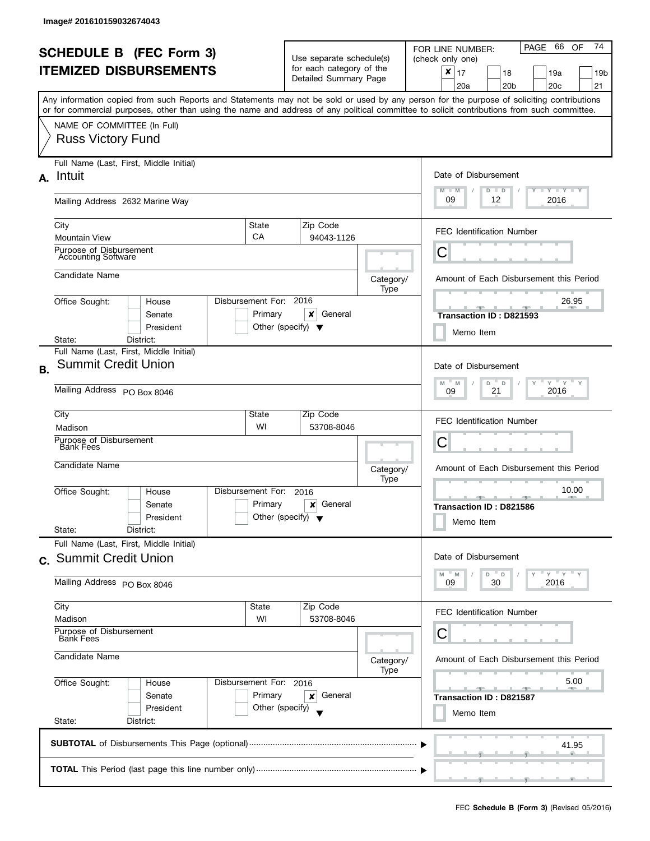| <b>SCHEDULE B (FEC Form 3)</b><br><b>ITEMIZED DISBURSEMENTS</b> |                                                                                                                                                                                                       |                                                                    | Use separate schedule(s)<br>for each category of the<br>Detailed Summary Page |                   | PAGE 66<br>74<br>OF<br>FOR LINE NUMBER:<br>(check only one)<br>$\boldsymbol{x}$<br>17<br>18<br>19a<br>19b |
|-----------------------------------------------------------------|-------------------------------------------------------------------------------------------------------------------------------------------------------------------------------------------------------|--------------------------------------------------------------------|-------------------------------------------------------------------------------|-------------------|-----------------------------------------------------------------------------------------------------------|
|                                                                 | Any information copied from such Reports and Statements may not be sold or used by any person for the purpose of soliciting contributions                                                             |                                                                    |                                                                               |                   | 20 <sub>b</sub><br>20 <sub>c</sub><br>21<br>20a                                                           |
|                                                                 | or for commercial purposes, other than using the name and address of any political committee to solicit contributions from such committee.<br>NAME OF COMMITTEE (In Full)<br><b>Russ Victory Fund</b> |                                                                    |                                                                               |                   |                                                                                                           |
| А.                                                              | Full Name (Last, First, Middle Initial)<br>Intuit                                                                                                                                                     |                                                                    |                                                                               |                   | Date of Disbursement<br>$T - Y = Y + Y$<br>$M - M$<br>$D$ $D$                                             |
|                                                                 | Mailing Address 2632 Marine Way                                                                                                                                                                       |                                                                    |                                                                               |                   | 09<br>12<br>2016                                                                                          |
|                                                                 | State<br>City<br>CA<br><b>Mountain View</b>                                                                                                                                                           |                                                                    | Zip Code<br>94043-1126                                                        |                   | <b>FEC Identification Number</b>                                                                          |
|                                                                 | Purpose of Disbursement<br>Accounting Software                                                                                                                                                        |                                                                    |                                                                               |                   | С                                                                                                         |
|                                                                 | Candidate Name                                                                                                                                                                                        |                                                                    |                                                                               | Category/<br>Type | Amount of Each Disbursement this Period                                                                   |
|                                                                 | Disbursement For: 2016<br>Office Sought:<br>House<br>Senate<br>President                                                                                                                              | Primary<br>Other (specify) $\blacktriangledown$                    | x<br>General                                                                  |                   | 26.95<br>J.<br>Transaction ID: D821593<br>Memo Item                                                       |
|                                                                 | District:<br>State:<br>Full Name (Last, First, Middle Initial)                                                                                                                                        |                                                                    |                                                                               |                   |                                                                                                           |
| <b>B.</b>                                                       | <b>Summit Credit Union</b>                                                                                                                                                                            |                                                                    |                                                                               |                   | Date of Disbursement                                                                                      |
|                                                                 | Mailing Address PO Box 8046                                                                                                                                                                           | $Y$ $Y$ $Y$<br>M<br>D<br>$\mathsf D$<br>Υ<br>M<br>21<br>2016<br>09 |                                                                               |                   |                                                                                                           |
|                                                                 | City<br>State<br>Madison                                                                                                                                                                              | WI                                                                 | Zip Code<br>53708-8046                                                        |                   | <b>FEC Identification Number</b>                                                                          |
|                                                                 | Purpose of Disbursement<br><b>Bank Fees</b>                                                                                                                                                           |                                                                    |                                                                               |                   | С                                                                                                         |
|                                                                 | Candidate Name                                                                                                                                                                                        |                                                                    |                                                                               | Category/<br>Type | Amount of Each Disbursement this Period                                                                   |
|                                                                 | Disbursement For:<br>Office Sought:<br>House<br>Senate<br>President<br>State:<br>District:                                                                                                            | Primary<br>Other (specify) $\blacktriangledown$                    | 2016<br>General<br>×                                                          |                   | 10.00<br><b>Transaction ID: D821586</b><br>Memo Item                                                      |
|                                                                 | Full Name (Last, First, Middle Initial)                                                                                                                                                               |                                                                    |                                                                               |                   |                                                                                                           |
|                                                                 | c. Summit Credit Union                                                                                                                                                                                |                                                                    |                                                                               |                   | Date of Disbursement<br>" γ " γ "<br>$^{\circ}$ D<br>" M<br>D<br>M                                        |
|                                                                 | Mailing Address PO Box 8046                                                                                                                                                                           |                                                                    |                                                                               |                   | 30<br>2016<br>09                                                                                          |
|                                                                 | City<br>Madison                                                                                                                                                                                       | State<br>WI                                                        | Zip Code<br>53708-8046                                                        |                   | <b>FEC Identification Number</b>                                                                          |
|                                                                 | Purpose of Disbursement<br>Bank Fees                                                                                                                                                                  |                                                                    |                                                                               |                   | С                                                                                                         |
| Candidate Name                                                  |                                                                                                                                                                                                       |                                                                    |                                                                               | Category/<br>Type | Amount of Each Disbursement this Period                                                                   |
|                                                                 | Office Sought:<br>Disbursement For: 2016<br>House<br>Senate<br>President                                                                                                                              | Primary<br>Other (specify)                                         | General<br>×                                                                  |                   | 5.00<br>كالمستقرقة<br>$-1$<br>Transaction ID: D821587                                                     |
|                                                                 | State:<br>District:                                                                                                                                                                                   | Memo Item                                                          |                                                                               |                   |                                                                                                           |
|                                                                 |                                                                                                                                                                                                       |                                                                    |                                                                               |                   | 41.95                                                                                                     |
|                                                                 |                                                                                                                                                                                                       |                                                                    |                                                                               |                   |                                                                                                           |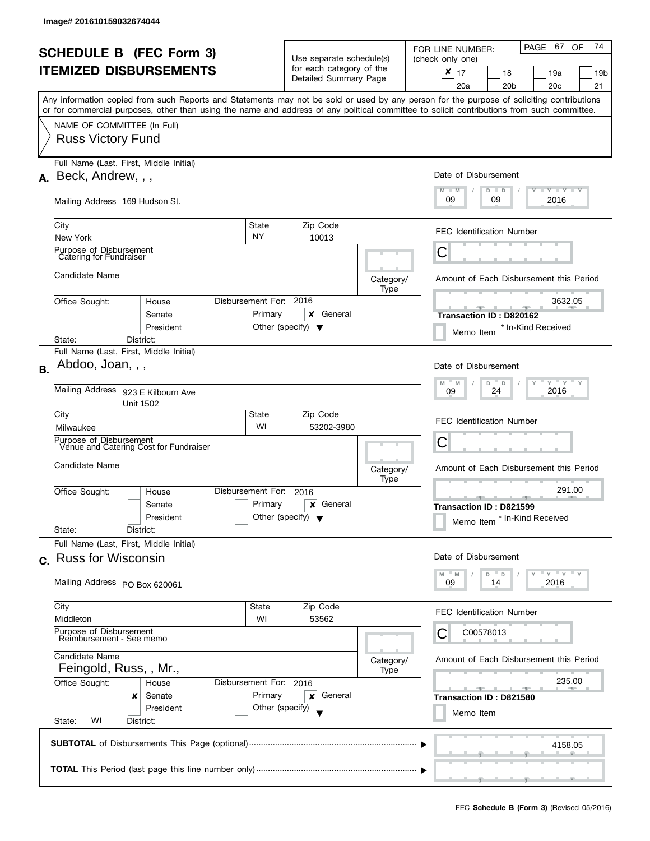|                               | <b>SCHEDULE B</b> (FEC Form 3)                                                                                                                       |                                                      |  |                                                      |                                                                                              |                        | PAGE 67<br>74<br>OF<br>FOR LINE NUMBER:                        |                                                                                                                                                                                                                                                                                         |  |
|-------------------------------|------------------------------------------------------------------------------------------------------------------------------------------------------|------------------------------------------------------|--|------------------------------------------------------|----------------------------------------------------------------------------------------------|------------------------|----------------------------------------------------------------|-----------------------------------------------------------------------------------------------------------------------------------------------------------------------------------------------------------------------------------------------------------------------------------------|--|
| <b>ITEMIZED DISBURSEMENTS</b> |                                                                                                                                                      |                                                      |  | Use separate schedule(s)<br>for each category of the |                                                                                              |                        | (check only one)<br>$\boldsymbol{x}$<br>17<br>18<br>19a<br>19b |                                                                                                                                                                                                                                                                                         |  |
|                               |                                                                                                                                                      |                                                      |  |                                                      | Detailed Summary Page                                                                        |                        |                                                                | 20 <sub>c</sub><br>21<br>20a<br>20 <sub>b</sub>                                                                                                                                                                                                                                         |  |
|                               |                                                                                                                                                      |                                                      |  |                                                      |                                                                                              |                        |                                                                | Any information copied from such Reports and Statements may not be sold or used by any person for the purpose of soliciting contributions<br>or for commercial purposes, other than using the name and address of any political committee to solicit contributions from such committee. |  |
|                               | NAME OF COMMITTEE (In Full)                                                                                                                          |                                                      |  |                                                      |                                                                                              |                        |                                                                |                                                                                                                                                                                                                                                                                         |  |
|                               | <b>Russ Victory Fund</b>                                                                                                                             |                                                      |  |                                                      |                                                                                              |                        |                                                                |                                                                                                                                                                                                                                                                                         |  |
|                               | A. Beck, Andrew, , ,                                                                                                                                 | Full Name (Last, First, Middle Initial)              |  |                                                      |                                                                                              |                        |                                                                | Date of Disbursement                                                                                                                                                                                                                                                                    |  |
|                               | Mailing Address 169 Hudson St.                                                                                                                       |                                                      |  |                                                      |                                                                                              |                        |                                                                | $\Box$ $\gamma$ $\Box$ $\gamma$ $\Box$ $\gamma$<br>$M - M$<br>$D$ $D$<br>09<br>09<br>2016                                                                                                                                                                                               |  |
|                               | City<br>New York                                                                                                                                     |                                                      |  | State<br><b>NY</b>                                   |                                                                                              | Zip Code<br>10013      |                                                                | <b>FEC Identification Number</b>                                                                                                                                                                                                                                                        |  |
|                               | Purpose of Disbursement<br>Catering for Fundraiser                                                                                                   |                                                      |  |                                                      |                                                                                              |                        |                                                                | C                                                                                                                                                                                                                                                                                       |  |
|                               | Candidate Name                                                                                                                                       |                                                      |  |                                                      |                                                                                              |                        | Category/<br>Type                                              | Amount of Each Disbursement this Period                                                                                                                                                                                                                                                 |  |
|                               | Office Sought:                                                                                                                                       | House<br>Senate                                      |  | Disbursement For:<br>Primary                         | 2016                                                                                         | x<br>General           |                                                                | 3632.05                                                                                                                                                                                                                                                                                 |  |
|                               |                                                                                                                                                      | President                                            |  | Other (specify) $\blacktriangledown$                 |                                                                                              |                        |                                                                | Transaction ID: D820162<br>* In-Kind Received<br>Memo Item                                                                                                                                                                                                                              |  |
|                               | State:                                                                                                                                               | District:<br>Full Name (Last, First, Middle Initial) |  |                                                      |                                                                                              |                        |                                                                |                                                                                                                                                                                                                                                                                         |  |
| <b>B.</b>                     | Abdoo, Joan, , ,                                                                                                                                     |                                                      |  |                                                      |                                                                                              |                        |                                                                | Date of Disbursement<br>$Y$ $Y$ $Y$                                                                                                                                                                                                                                                     |  |
|                               | Mailing Address 923 E Kilbourn Ave<br><b>Unit 1502</b>                                                                                               |                                                      |  |                                                      |                                                                                              |                        | M<br>D<br>D<br>M<br>2016<br>24<br>09                           |                                                                                                                                                                                                                                                                                         |  |
|                               | City<br>Milwaukee                                                                                                                                    |                                                      |  | State<br>WI                                          |                                                                                              | Zip Code<br>53202-3980 |                                                                | <b>FEC Identification Number</b>                                                                                                                                                                                                                                                        |  |
|                               | Purpose of Disbursement                                                                                                                              | Venue and Catering Cost for Fundraiser               |  |                                                      |                                                                                              |                        |                                                                | С                                                                                                                                                                                                                                                                                       |  |
|                               | Candidate Name                                                                                                                                       |                                                      |  |                                                      | Category/<br>Type<br>2016<br>Primary<br>General<br>×<br>Other (specify) $\blacktriangledown$ |                        |                                                                | Amount of Each Disbursement this Period                                                                                                                                                                                                                                                 |  |
|                               | Office Sought:                                                                                                                                       | House                                                |  | Disbursement For:                                    |                                                                                              |                        |                                                                | 291.00<br><u>______</u><br><b>AND A</b>                                                                                                                                                                                                                                                 |  |
|                               |                                                                                                                                                      | Senate<br>President                                  |  |                                                      |                                                                                              |                        |                                                                | Transaction ID: D821599<br>* In-Kind Received<br>Memo Item                                                                                                                                                                                                                              |  |
|                               | State:                                                                                                                                               | District:                                            |  |                                                      |                                                                                              |                        |                                                                |                                                                                                                                                                                                                                                                                         |  |
|                               | c. Russ for Wisconsin                                                                                                                                | Full Name (Last, First, Middle Initial)              |  |                                                      |                                                                                              |                        |                                                                | Date of Disbursement                                                                                                                                                                                                                                                                    |  |
|                               | Mailing Address PO Box 620061                                                                                                                        |                                                      |  |                                                      |                                                                                              |                        |                                                                | $Y = Y$<br>M<br>D<br>D<br>M<br>2016<br>09<br>14                                                                                                                                                                                                                                         |  |
|                               | City<br>Middleton                                                                                                                                    |                                                      |  | State<br>WI                                          |                                                                                              | Zip Code<br>53562      |                                                                | <b>FEC Identification Number</b>                                                                                                                                                                                                                                                        |  |
|                               | Purpose of Disbursement<br>Reimbursement - See memo<br>Candidate Name<br>Feingold, Russ, , Mr.,<br>Office Sought:<br>Disbursement For: 2016<br>House |                                                      |  |                                                      |                                                                                              |                        |                                                                | C00578013                                                                                                                                                                                                                                                                               |  |
|                               |                                                                                                                                                      |                                                      |  |                                                      |                                                                                              | Category/<br>Type      | Amount of Each Disbursement this Period                        |                                                                                                                                                                                                                                                                                         |  |
|                               |                                                                                                                                                      |                                                      |  |                                                      |                                                                                              |                        |                                                                | 235.00                                                                                                                                                                                                                                                                                  |  |
|                               |                                                                                                                                                      | Senate<br>x                                          |  | Primary                                              |                                                                                              | General<br>×           |                                                                | <u>and the second second second</u><br>Transaction ID: D821580                                                                                                                                                                                                                          |  |
|                               | President<br>Other (specify)<br>State:<br>WI<br>District:                                                                                            |                                                      |  |                                                      |                                                                                              |                        | Memo Item                                                      |                                                                                                                                                                                                                                                                                         |  |
|                               |                                                                                                                                                      |                                                      |  |                                                      |                                                                                              |                        |                                                                | 4158.05                                                                                                                                                                                                                                                                                 |  |
|                               |                                                                                                                                                      |                                                      |  |                                                      |                                                                                              |                        |                                                                |                                                                                                                                                                                                                                                                                         |  |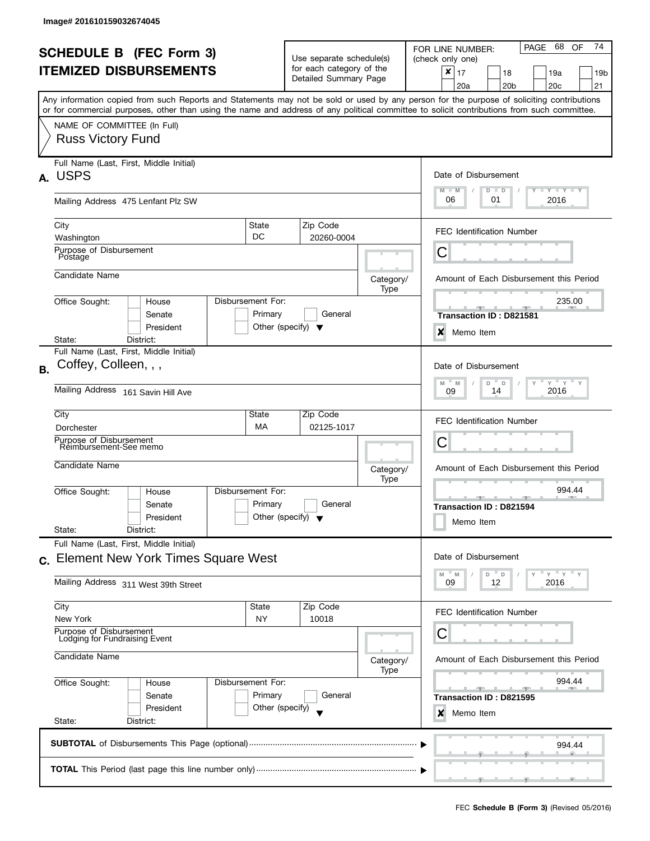|                | <b>SCHEDULE B</b> (FEC Form 3)<br><b>ITEMIZED DISBURSEMENTS</b><br>Any information copied from such Reports and Statements may not be sold or used by any person for the purpose of soliciting contributions |                                                 | Use separate schedule(s)<br>for each category of the<br>Detailed Summary Page |                   | 74<br>PAGE 68<br>OF<br>FOR LINE NUMBER:<br>(check only one)<br>$\pmb{\times}$<br>17<br>18<br>19a<br>19b<br>20 <sub>b</sub><br>20 <sub>c</sub><br>21<br>20a |
|----------------|--------------------------------------------------------------------------------------------------------------------------------------------------------------------------------------------------------------|-------------------------------------------------|-------------------------------------------------------------------------------|-------------------|------------------------------------------------------------------------------------------------------------------------------------------------------------|
|                | or for commercial purposes, other than using the name and address of any political committee to solicit contributions from such committee.<br>NAME OF COMMITTEE (In Full)<br><b>Russ Victory Fund</b>        |                                                 |                                                                               |                   |                                                                                                                                                            |
|                | Full Name (Last, First, Middle Initial)<br>A. USPS                                                                                                                                                           |                                                 |                                                                               |                   | Date of Disbursement<br>$M - M$<br>$T$ $Y$ $T$ $Y$ $T$ $Y$<br>$D$ $D$                                                                                      |
|                | Mailing Address 475 Lenfant Plz SW<br>City                                                                                                                                                                   | State                                           | Zip Code                                                                      |                   | 06<br>01<br>2016                                                                                                                                           |
|                | Washington<br>Purpose of Disbursement<br>Postage                                                                                                                                                             | DC                                              | 20260-0004                                                                    |                   | <b>FEC Identification Number</b><br>C                                                                                                                      |
|                | Candidate Name                                                                                                                                                                                               |                                                 |                                                                               | Category/<br>Type | Amount of Each Disbursement this Period                                                                                                                    |
|                | Office Sought:<br>House<br>Senate<br>President                                                                                                                                                               | Disbursement For:<br>Primary                    | General<br>Other (specify) $\blacktriangledown$                               |                   | 235.00<br><b>SPACE AND SPACE</b><br>Transaction ID: D821581<br>$\boldsymbol{\mathsf{x}}$<br>Memo Item                                                      |
|                | District:<br>State:<br>Full Name (Last, First, Middle Initial)                                                                                                                                               |                                                 |                                                                               |                   |                                                                                                                                                            |
| B <sub>1</sub> | Coffey, Colleen, , ,                                                                                                                                                                                         |                                                 |                                                                               |                   | Date of Disbursement<br>$Y$ $Y$ $Y$<br>M<br>Υ<br>M<br>D<br>D                                                                                               |
|                | Mailing Address 161 Savin Hill Ave                                                                                                                                                                           |                                                 |                                                                               |                   | 2016<br>14<br>09                                                                                                                                           |
|                | City<br>Dorchester<br>Purpose of Disbursement                                                                                                                                                                | State<br>MA                                     | Zip Code<br>02125-1017                                                        |                   | <b>FEC Identification Number</b>                                                                                                                           |
|                | Reimbursement-See memo                                                                                                                                                                                       |                                                 |                                                                               |                   | С                                                                                                                                                          |
|                | Candidate Name                                                                                                                                                                                               |                                                 |                                                                               | Category/<br>Type | Amount of Each Disbursement this Period                                                                                                                    |
|                | Office Sought:<br>House<br>Senate<br>President<br>State:<br>District:                                                                                                                                        | Disbursement For:<br>Primary                    | General<br>Other (specify) $\blacktriangledown$                               |                   | 994.44<br>$-1$<br>Transaction ID: D821594<br>Memo Item                                                                                                     |
| $\mathbf{C}$ . | Full Name (Last, First, Middle Initial)<br><b>Element New York Times Square West</b>                                                                                                                         |                                                 |                                                                               |                   | Date of Disbursement                                                                                                                                       |
|                | Mailing Address 311 West 39th Street                                                                                                                                                                         |                                                 |                                                                               |                   | $Y = Y = Y$<br>M<br>$-M$<br>D<br>$\mathsf D$<br>09<br>12<br>2016                                                                                           |
|                | City<br>New York                                                                                                                                                                                             | State<br>NY                                     | Zip Code<br>10018                                                             |                   | FEC Identification Number                                                                                                                                  |
|                | Purpose of Disbursement<br>Lodging for Fundraising Event                                                                                                                                                     |                                                 |                                                                               |                   | С                                                                                                                                                          |
| Candidate Name |                                                                                                                                                                                                              |                                                 |                                                                               | Category/<br>Type | Amount of Each Disbursement this Period                                                                                                                    |
|                | Office Sought:<br>House<br>Senate<br>President                                                                                                                                                               | Disbursement For:<br>Primary<br>Other (specify) | General                                                                       |                   | 994.44<br>Transaction ID: D821595<br>X<br>Memo Item                                                                                                        |
|                | State:<br>District:                                                                                                                                                                                          |                                                 |                                                                               |                   |                                                                                                                                                            |
|                |                                                                                                                                                                                                              |                                                 |                                                                               |                   | 994.44                                                                                                                                                     |
|                |                                                                                                                                                                                                              |                                                 |                                                                               |                   | $\overline{y}$ and the contract $\overline{y}$ and the contract of                                                                                         |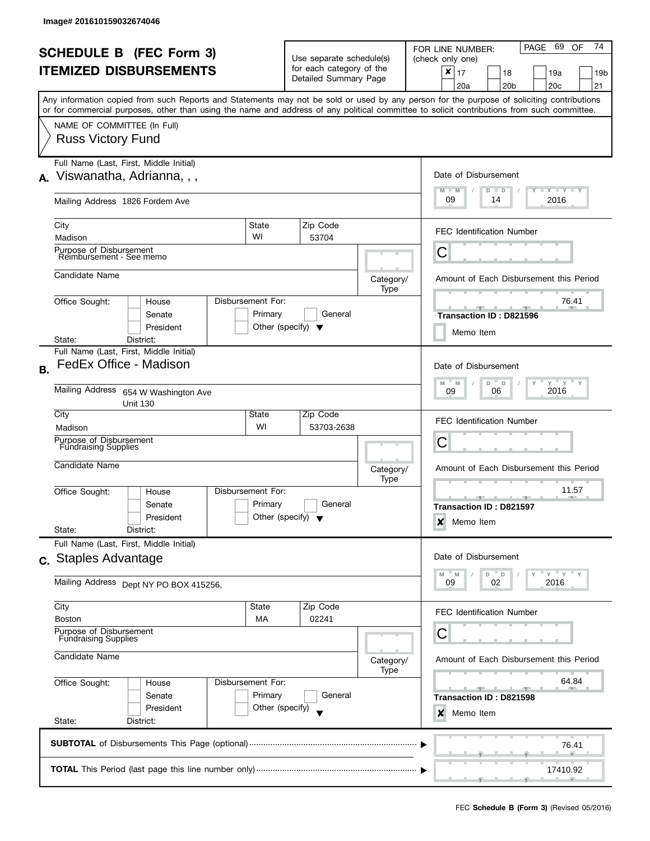| <b>SCHEDULE B (FEC Form 3)</b><br><b>ITEMIZED DISBURSEMENTS</b> |                                                                                                                                                                                                                                                                                                                                                    |                                                 | Use separate schedule(s)<br>for each category of the<br>Detailed Summary Page |                                                                                   | 74<br>69<br>PAGE<br><b>OF</b><br>FOR LINE NUMBER:<br>(check only one)<br>×<br>17<br>19a<br>18<br>19 <sub>b</sub><br>20a<br>20 <sub>b</sub><br>20c<br>21 |
|-----------------------------------------------------------------|----------------------------------------------------------------------------------------------------------------------------------------------------------------------------------------------------------------------------------------------------------------------------------------------------------------------------------------------------|-------------------------------------------------|-------------------------------------------------------------------------------|-----------------------------------------------------------------------------------|---------------------------------------------------------------------------------------------------------------------------------------------------------|
|                                                                 | Any information copied from such Reports and Statements may not be sold or used by any person for the purpose of soliciting contributions<br>or for commercial purposes, other than using the name and address of any political committee to solicit contributions from such committee.<br>NAME OF COMMITTEE (In Full)<br><b>Russ Victory Fund</b> |                                                 |                                                                               |                                                                                   |                                                                                                                                                         |
| А.                                                              | Full Name (Last, First, Middle Initial)<br>Viswanatha, Adrianna, , ,<br>Mailing Address 1826 Fordem Ave                                                                                                                                                                                                                                            |                                                 |                                                                               | Date of Disbursement<br>$M - M$<br>$T - Y = Y - Y$<br>$D$ $D$<br>09<br>2016<br>14 |                                                                                                                                                         |
|                                                                 | City<br>Madison                                                                                                                                                                                                                                                                                                                                    | State<br>WI                                     | Zip Code<br>53704                                                             |                                                                                   | <b>FEC Identification Number</b>                                                                                                                        |
|                                                                 | Purpose of Disbursement<br>Reimbursement - See memo<br>Candidate Name                                                                                                                                                                                                                                                                              |                                                 |                                                                               | Category/<br>Type                                                                 | Ĉ<br>Amount of Each Disbursement this Period                                                                                                            |
|                                                                 | Office Sought:<br>House<br>Senate<br>President<br>District:<br>State:                                                                                                                                                                                                                                                                              | Disbursement For:<br>Primary                    | General<br>Other (specify) $\blacktriangledown$                               |                                                                                   | 76.41<br><b>Transaction ID: D821596</b><br>Memo Item                                                                                                    |
| <b>B.</b>                                                       | Full Name (Last, First, Middle Initial)<br>FedEx Office - Madison<br>Mailing Address 654 W Washington Ave                                                                                                                                                                                                                                          |                                                 |                                                                               |                                                                                   | Date of Disbursement<br>$Y$ $Y$<br>$-M$<br>M<br>D<br>$\mathsf D$<br>$\mathsf{Y}$<br>2016<br>06<br>09                                                    |
|                                                                 | <b>Unit 130</b><br>City<br>Madison<br>Purpose of Disbursement<br><b>Fundraising Supplies</b>                                                                                                                                                                                                                                                       | State<br>WI                                     | Zip Code<br>53703-2638                                                        |                                                                                   | <b>FEC Identification Number</b><br>C                                                                                                                   |
|                                                                 | Candidate Name<br>Office Sought:<br>House                                                                                                                                                                                                                                                                                                          | Disbursement For:                               |                                                                               | Category/<br>Type                                                                 | Amount of Each Disbursement this Period<br>11.57                                                                                                        |
|                                                                 | Senate<br>President<br>State:<br>District:                                                                                                                                                                                                                                                                                                         | Primary                                         | General<br>Other (specify) $\blacktriangledown$                               |                                                                                   | <b>Transaction ID: D821597</b><br>×<br>Memo Item                                                                                                        |
|                                                                 | Full Name (Last, First, Middle Initial)<br>c. Staples Advantage<br>Mailing Address Dept NY PO BOX 415256,                                                                                                                                                                                                                                          |                                                 |                                                                               |                                                                                   | Date of Disbursement<br>$Y = Y$<br>M<br>D<br>M<br>D<br>02<br>2016<br>09                                                                                 |
|                                                                 | City<br><b>Boston</b><br>Purpose of Disbursement<br><b>Fundraising Supplies</b>                                                                                                                                                                                                                                                                    | State<br>МA                                     | Zip Code<br>02241                                                             |                                                                                   | FEC Identification Number<br>С                                                                                                                          |
|                                                                 | Candidate Name                                                                                                                                                                                                                                                                                                                                     |                                                 | Category/<br>Type                                                             | Amount of Each Disbursement this Period<br>64.84                                  |                                                                                                                                                         |
|                                                                 | Office Sought:<br>House<br>Senate<br>President<br>State:<br>District:                                                                                                                                                                                                                                                                              | Disbursement For:<br>Primary<br>Other (specify) | General                                                                       |                                                                                   | ு<br>Transaction ID: D821598<br>×<br>Memo Item                                                                                                          |
|                                                                 |                                                                                                                                                                                                                                                                                                                                                    |                                                 |                                                                               |                                                                                   | 76.41                                                                                                                                                   |
|                                                                 |                                                                                                                                                                                                                                                                                                                                                    | 17410.92                                        |                                                                               |                                                                                   |                                                                                                                                                         |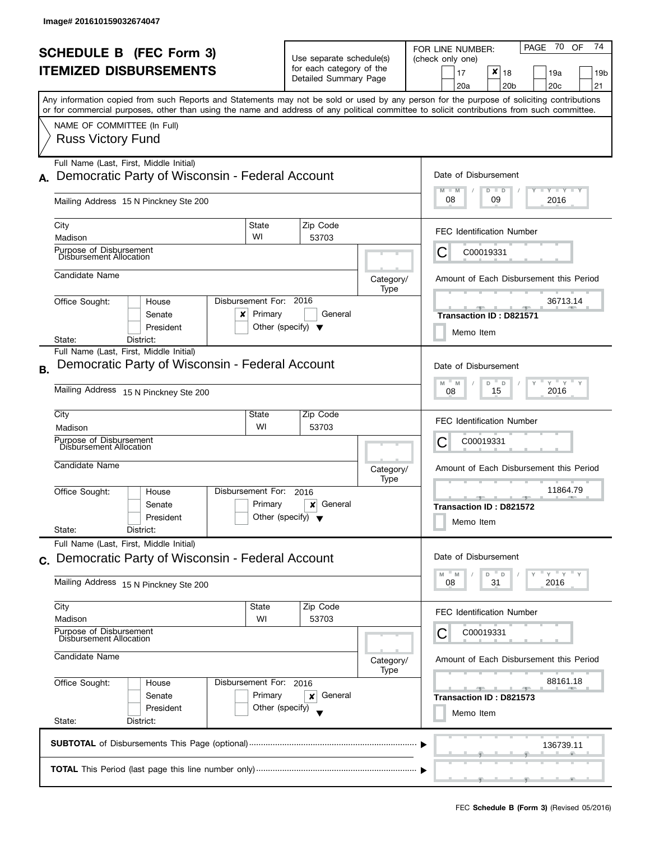ı

|    | <b>SCHEDULE B (FEC Form 3)</b>                                                                                                                                                                                                                                                          |                                   | Use separate schedule(s)                                     |                      | 74<br>PAGE 70 OF<br>FOR LINE NUMBER:<br>(check only one)                         |  |  |
|----|-----------------------------------------------------------------------------------------------------------------------------------------------------------------------------------------------------------------------------------------------------------------------------------------|-----------------------------------|--------------------------------------------------------------|----------------------|----------------------------------------------------------------------------------|--|--|
|    | <b>ITEMIZED DISBURSEMENTS</b>                                                                                                                                                                                                                                                           |                                   | for each category of the<br>Detailed Summary Page            |                      | $x _{18}$<br>17<br>19a<br>19b<br>20a<br>20 <sub>b</sub><br>20 <sub>c</sub><br>21 |  |  |
|    | Any information copied from such Reports and Statements may not be sold or used by any person for the purpose of soliciting contributions<br>or for commercial purposes, other than using the name and address of any political committee to solicit contributions from such committee. |                                   |                                                              |                      |                                                                                  |  |  |
|    | NAME OF COMMITTEE (In Full)<br><b>Russ Victory Fund</b>                                                                                                                                                                                                                                 |                                   |                                                              |                      |                                                                                  |  |  |
| А. | Full Name (Last, First, Middle Initial)<br>Democratic Party of Wisconsin - Federal Account                                                                                                                                                                                              |                                   |                                                              |                      | Date of Disbursement<br>$T - Y = T - Y$<br>M<br>$D$ $D$<br>Ÿ<br>$-M$             |  |  |
|    | Mailing Address 15 N Pinckney Ste 200                                                                                                                                                                                                                                                   |                                   |                                                              |                      | 08<br>2016<br>09                                                                 |  |  |
|    | City<br>Madison                                                                                                                                                                                                                                                                         | State<br>WI                       | Zip Code<br>53703                                            |                      | <b>FEC Identification Number</b>                                                 |  |  |
|    | Purpose of Disbursement<br>Disbursement Allocation                                                                                                                                                                                                                                      |                                   |                                                              |                      | C00019331<br>C                                                                   |  |  |
|    | Candidate Name                                                                                                                                                                                                                                                                          |                                   |                                                              | Category/<br>Type    | Amount of Each Disbursement this Period                                          |  |  |
|    | Office Sought:<br>House<br>Senate<br>×<br>President                                                                                                                                                                                                                                     | Disbursement For: 2016<br>Primary | General<br>Other (specify) $\blacktriangledown$              |                      | 36713.14<br><b>Transaction ID: D821571</b><br>Memo Item                          |  |  |
| Β. | State:<br>District:<br>Full Name (Last, First, Middle Initial)<br>Democratic Party of Wisconsin - Federal Account                                                                                                                                                                       |                                   |                                                              | Date of Disbursement |                                                                                  |  |  |
|    | Mailing Address<br>15 N Pinckney Ste 200                                                                                                                                                                                                                                                |                                   |                                                              |                      | $Y$ $Y$ $Y$<br>M<br>M<br>D<br>D<br>15<br>2016<br>08                              |  |  |
|    | City<br>Madison                                                                                                                                                                                                                                                                         | State<br>WI                       | Zip Code<br>53703                                            |                      | <b>FEC Identification Number</b>                                                 |  |  |
|    | Purpose of Disbursement<br>Disbursement Allocation                                                                                                                                                                                                                                      |                                   |                                                              |                      | С<br>C00019331                                                                   |  |  |
|    | Candidate Name                                                                                                                                                                                                                                                                          |                                   |                                                              | Category/<br>Type    | Amount of Each Disbursement this Period                                          |  |  |
|    | Office Sought:<br>House<br>Senate<br>President<br>State:<br>District:                                                                                                                                                                                                                   | Disbursement For:<br>Primary      | 2016<br>General<br>×<br>Other (specify) $\blacktriangledown$ |                      | 11864.79<br>- 90<br>Transaction ID: D821572<br>Memo Item                         |  |  |
|    | Full Name (Last, First, Middle Initial)<br>c. Democratic Party of Wisconsin - Federal Account                                                                                                                                                                                           |                                   |                                                              |                      | Date of Disbursement                                                             |  |  |
|    | Mailing Address 15 N Pinckney Ste 200                                                                                                                                                                                                                                                   |                                   |                                                              |                      | "ү "ү "ү<br>D<br>D<br>M<br>M<br>31<br>2016<br>08                                 |  |  |
|    | City<br>Madison                                                                                                                                                                                                                                                                         | State<br>WI                       | Zip Code<br>53703                                            |                      | <b>FEC Identification Number</b>                                                 |  |  |
|    | Purpose of Disbursement<br>Disbursement Allocation<br>Candidate Name                                                                                                                                                                                                                    |                                   |                                                              | Category/            | С<br>C00019331<br>Amount of Each Disbursement this Period                        |  |  |
|    | Office Sought:<br>Disbursement For: 2016<br>House                                                                                                                                                                                                                                       |                                   | Type                                                         | 88161.18             |                                                                                  |  |  |
|    | Senate<br>President<br>State:<br>District:                                                                                                                                                                                                                                              | Primary<br>Other (specify)        | General<br>×                                                 |                      | __<br>Transaction ID: D821573<br>Memo Item                                       |  |  |
|    |                                                                                                                                                                                                                                                                                         |                                   |                                                              |                      | 136739.11                                                                        |  |  |
|    |                                                                                                                                                                                                                                                                                         |                                   |                                                              |                      |                                                                                  |  |  |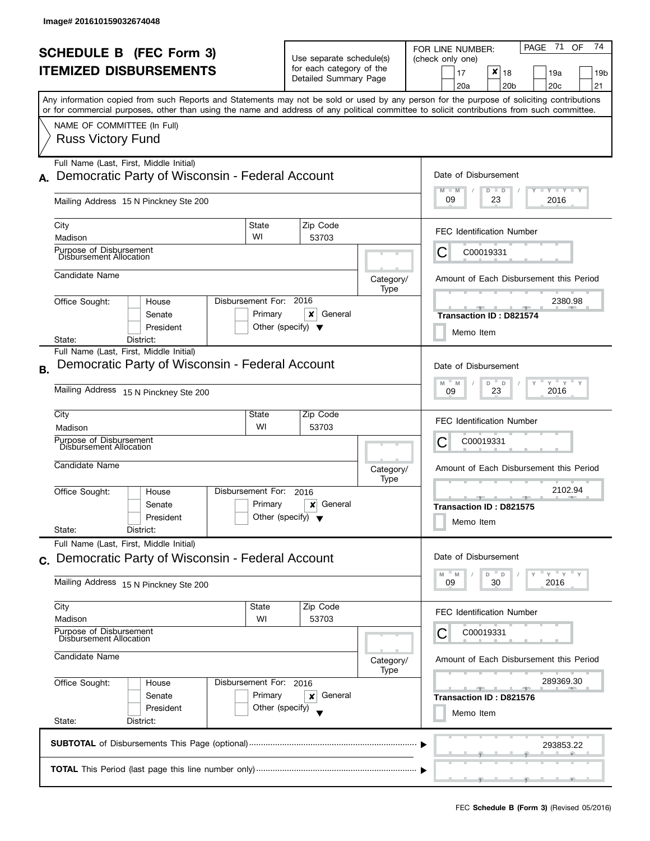| <b>SCHEDULE B</b> (FEC Form 3)<br><b>ITEMIZED DISBURSEMENTS</b> |                                                                                                                                                                                                                                                                                                                                                    |                                                      | Use separate schedule(s)<br>for each category of the<br>Detailed Summary Page |                   | 71<br>74<br>PAGE<br>OF<br>FOR LINE NUMBER:<br>(check only one)<br>$\boldsymbol{x}$<br>18<br>17<br>19a<br>19b<br>20a<br>20 <sub>b</sub><br>20 <sub>c</sub><br>21 |
|-----------------------------------------------------------------|----------------------------------------------------------------------------------------------------------------------------------------------------------------------------------------------------------------------------------------------------------------------------------------------------------------------------------------------------|------------------------------------------------------|-------------------------------------------------------------------------------|-------------------|-----------------------------------------------------------------------------------------------------------------------------------------------------------------|
|                                                                 | Any information copied from such Reports and Statements may not be sold or used by any person for the purpose of soliciting contributions<br>or for commercial purposes, other than using the name and address of any political committee to solicit contributions from such committee.<br>NAME OF COMMITTEE (In Full)<br><b>Russ Victory Fund</b> |                                                      |                                                                               |                   |                                                                                                                                                                 |
| А.                                                              | Full Name (Last, First, Middle Initial)<br>Democratic Party of Wisconsin - Federal Account<br>Mailing Address 15 N Pinckney Ste 200                                                                                                                                                                                                                |                                                      |                                                                               |                   | Date of Disbursement<br>$T - Y = T - Y = T - Y$<br>$M - M$<br>$D$ $D$<br>09<br>23<br>2016                                                                       |
|                                                                 | City<br>Madison                                                                                                                                                                                                                                                                                                                                    | State<br>WI                                          | Zip Code<br>53703                                                             |                   | <b>FEC Identification Number</b>                                                                                                                                |
|                                                                 | Purpose of Disbursement<br>Disbursement Allocation                                                                                                                                                                                                                                                                                                 |                                                      |                                                                               |                   | C00019331<br>Ĉ                                                                                                                                                  |
|                                                                 | Candidate Name                                                                                                                                                                                                                                                                                                                                     |                                                      |                                                                               | Category/<br>Type | Amount of Each Disbursement this Period                                                                                                                         |
|                                                                 | Office Sought:<br>House<br>Senate<br>President<br>State:<br>District:                                                                                                                                                                                                                                                                              | Disbursement For:<br>Primary                         | 2016<br>x<br>General<br>Other (specify) $\blacktriangledown$                  |                   | 2380.98<br><b>Transaction ID: D821574</b><br>Memo Item                                                                                                          |
| В.                                                              | Full Name (Last, First, Middle Initial)<br>Democratic Party of Wisconsin - Federal Account<br>Mailing Address 15 N Pinckney Ste 200                                                                                                                                                                                                                |                                                      |                                                                               |                   | Date of Disbursement<br>$Y$ $Y$ $Y$<br>M<br>M<br>D<br>D<br>23<br>2016<br>09                                                                                     |
|                                                                 | City<br>Madison                                                                                                                                                                                                                                                                                                                                    | <b>State</b><br>WI                                   | Zip Code<br>53703                                                             |                   | <b>FEC Identification Number</b>                                                                                                                                |
|                                                                 | Purpose of Disbursement<br>Disbursement Allocation<br>Candidate Name                                                                                                                                                                                                                                                                               |                                                      |                                                                               |                   | С<br>C00019331<br>Amount of Each Disbursement this Period                                                                                                       |
|                                                                 | Office Sought:<br>House<br>Senate<br>President<br>State:<br>District:                                                                                                                                                                                                                                                                              | Disbursement For:<br>Primary                         | 2016<br>General<br>×<br>Other (specify) $\blacktriangledown$                  | Category/<br>Type | 2102.94<br>Transaction ID: D821575<br>Memo Item                                                                                                                 |
| C.                                                              | Full Name (Last, First, Middle Initial)<br>Democratic Party of Wisconsin - Federal Account<br>Mailing Address 15 N Pinckney Ste 200                                                                                                                                                                                                                |                                                      |                                                                               |                   | Date of Disbursement<br>$Y = Y = Y$<br>D<br>D<br>M<br>M<br>30<br>09<br>2016                                                                                     |
|                                                                 | City<br>Madison                                                                                                                                                                                                                                                                                                                                    | State<br>WI                                          | Zip Code<br>53703                                                             |                   | <b>FEC Identification Number</b>                                                                                                                                |
|                                                                 | Purpose of Disbursement<br>Disbursement Allocation<br>Candidate Name                                                                                                                                                                                                                                                                               |                                                      |                                                                               | Category/<br>Type | С<br>C00019331<br>Amount of Each Disbursement this Period                                                                                                       |
|                                                                 | Office Sought:<br>House<br>Senate<br>President<br>State:<br>District:                                                                                                                                                                                                                                                                              | Disbursement For: 2016<br>Primary<br>Other (specify) | General<br>x                                                                  |                   | 289369.30<br><u> ga a ta air go air an t-</u><br>Transaction ID: D821576<br>Memo Item                                                                           |
|                                                                 |                                                                                                                                                                                                                                                                                                                                                    |                                                      |                                                                               |                   | 293853.22                                                                                                                                                       |
|                                                                 |                                                                                                                                                                                                                                                                                                                                                    |                                                      |                                                                               |                   |                                                                                                                                                                 |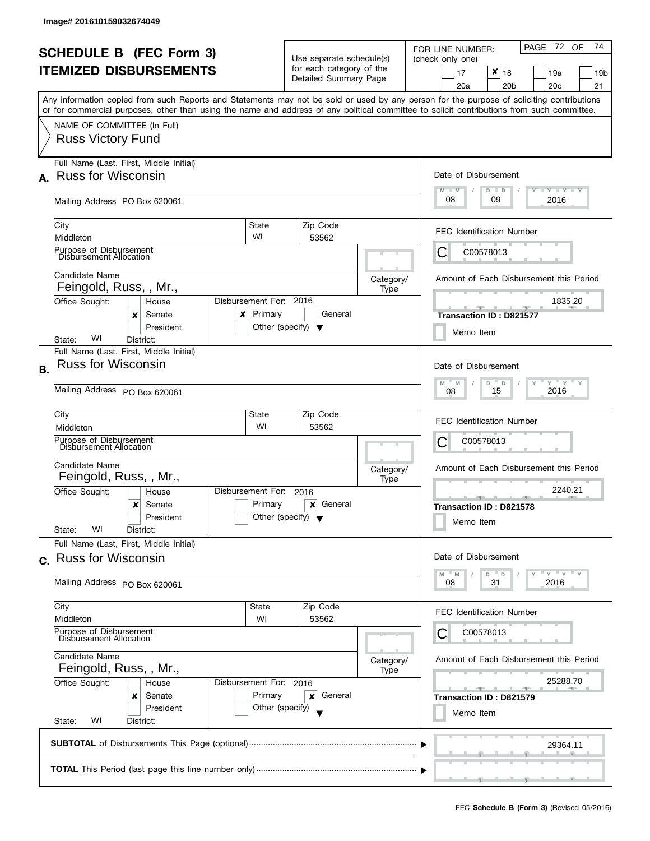| <b>SCHEDULE B</b> (FEC Form 3)<br><b>ITEMIZED DISBURSEMENTS</b> |                                                                                                                                                                                                                                                                                                                                                    |                                                      | Use separate schedule(s)<br>for each category of the<br>Detailed Summary Page |                   | PAGE 72 OF<br>74<br>FOR LINE NUMBER:<br>(check only one)<br>$\boldsymbol{x}$<br>17<br>18<br>19a<br>19b<br>20 <sub>b</sub><br>20c<br>21<br>20a |
|-----------------------------------------------------------------|----------------------------------------------------------------------------------------------------------------------------------------------------------------------------------------------------------------------------------------------------------------------------------------------------------------------------------------------------|------------------------------------------------------|-------------------------------------------------------------------------------|-------------------|-----------------------------------------------------------------------------------------------------------------------------------------------|
|                                                                 | Any information copied from such Reports and Statements may not be sold or used by any person for the purpose of soliciting contributions<br>or for commercial purposes, other than using the name and address of any political committee to solicit contributions from such committee.<br>NAME OF COMMITTEE (In Full)<br><b>Russ Victory Fund</b> |                                                      |                                                                               |                   |                                                                                                                                               |
|                                                                 | Full Name (Last, First, Middle Initial)<br>A. Russ for Wisconsin<br>Mailing Address PO Box 620061                                                                                                                                                                                                                                                  |                                                      |                                                                               |                   | Date of Disbursement<br>$T$ $Y$ $T$ $Y$ $T$ $Y$<br>$M - M$<br>$D$ $D$<br>08<br>09<br>2016                                                     |
|                                                                 | City<br>Middleton<br>Purpose of Disbursement                                                                                                                                                                                                                                                                                                       | State<br>WI                                          | Zip Code<br>53562                                                             |                   | <b>FEC Identification Number</b><br>С<br>C00578013                                                                                            |
|                                                                 | Disbursement Allocation<br>Candidate Name<br>Feingold, Russ, , Mr.,<br>Office Sought:<br>House<br>Senate<br>x<br>x<br>President<br>WI<br>State:<br>District:                                                                                                                                                                                       | Disbursement For: 2016<br>Primary                    | General<br>Other (specify) $\blacktriangledown$                               | Category/<br>Type | Amount of Each Disbursement this Period<br>1835.20<br><b>Transaction ID: D821577</b><br>Memo Item                                             |
| <b>B.</b>                                                       | Full Name (Last, First, Middle Initial)<br><b>Russ for Wisconsin</b><br>Mailing Address PO Box 620061                                                                                                                                                                                                                                              |                                                      |                                                                               |                   | Date of Disbursement<br>$Y = Y - Y$<br>M<br>Y<br>D<br>$\mathsf D$<br>M<br>2016<br>15<br>08                                                    |
|                                                                 | City<br>Middleton<br>Purpose of Disbursement<br>Disbursement Allocation<br>Candidate Name<br>Feingold, Russ, , Mr.,                                                                                                                                                                                                                                | State<br>WI                                          | Zip Code<br>53562                                                             | Category/<br>Type | <b>FEC Identification Number</b><br>С<br>C00578013<br>Amount of Each Disbursement this Period                                                 |
|                                                                 | Office Sought:<br>House<br>x<br>Senate<br>President<br>WI<br>State:<br>District:                                                                                                                                                                                                                                                                   | Disbursement For:<br>Primary                         | 2016<br>General<br>×<br>Other (specify) $\blacktriangledown$                  |                   | 2240.21<br><b>Allen</b><br><b>Transaction ID: D821578</b><br>Memo Item                                                                        |
|                                                                 | Full Name (Last, First, Middle Initial)<br>c. Russ for Wisconsin<br>Mailing Address PO Box 620061                                                                                                                                                                                                                                                  |                                                      |                                                                               |                   | Date of Disbursement<br>$Y = Y = Y$<br>M<br>D<br>D<br>M<br>31<br>2016<br>08                                                                   |
|                                                                 | City<br>Middleton<br>Purpose of Disbursement<br>Disbursement Allocation                                                                                                                                                                                                                                                                            | State<br>WI                                          | Zip Code<br>53562                                                             |                   | <b>FEC Identification Number</b><br>С<br>C00578013                                                                                            |
|                                                                 | Candidate Name<br>Feingold, Russ, , Mr.,<br>Office Sought:<br>House<br>Senate<br>x<br>President<br>WI<br>State:<br>District:                                                                                                                                                                                                                       | Disbursement For: 2016<br>Primary<br>Other (specify) | General<br>x                                                                  | Category/<br>Type | Amount of Each Disbursement this Period<br>25288.70<br>Transaction ID: D821579<br>Memo Item                                                   |
|                                                                 |                                                                                                                                                                                                                                                                                                                                                    |                                                      |                                                                               |                   | 29364.11                                                                                                                                      |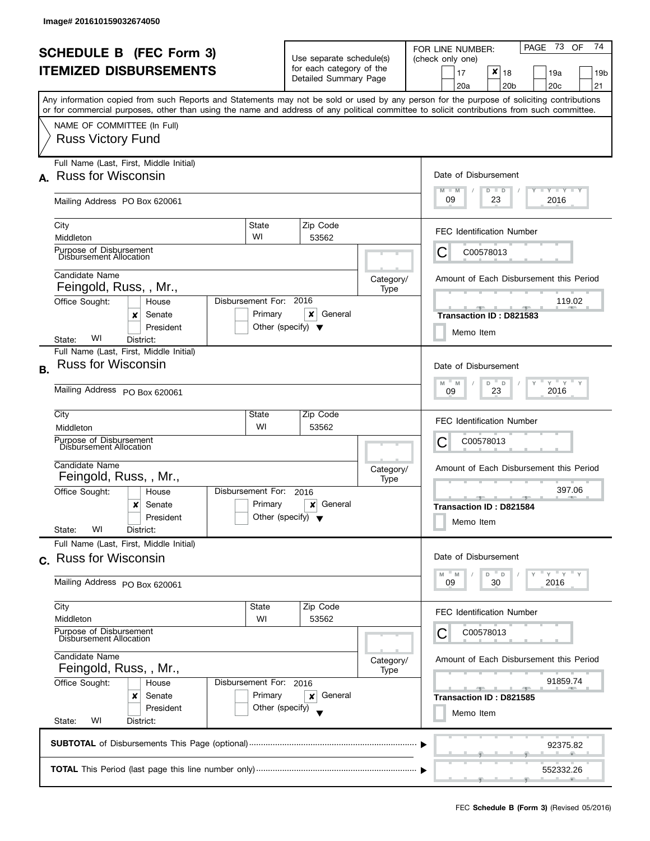| Any information copied from such Reports and Statements may not be sold or used by any person for the purpose of soliciting contributions<br>or for commercial purposes, other than using the name and address of any political committee to solicit contributions from such committee. |                                                                                  | Detailed Summary Page                                        | for each category of the                                                                    | $x _{18}$<br>17<br>19a<br>19 <sub>b</sub><br>20 <sub>b</sub><br>20c<br>21<br>20a                              |
|-----------------------------------------------------------------------------------------------------------------------------------------------------------------------------------------------------------------------------------------------------------------------------------------|----------------------------------------------------------------------------------|--------------------------------------------------------------|---------------------------------------------------------------------------------------------|---------------------------------------------------------------------------------------------------------------|
| NAME OF COMMITTEE (In Full)<br><b>Russ Victory Fund</b>                                                                                                                                                                                                                                 |                                                                                  |                                                              |                                                                                             |                                                                                                               |
| Full Name (Last, First, Middle Initial)<br><b>Russ for Wisconsin</b><br>A.<br>Mailing Address PO Box 620061                                                                                                                                                                             |                                                                                  |                                                              |                                                                                             | Date of Disbursement<br>$T$ $Y$ $T$ $Y$ $T$ $Y$<br>$M - M$<br>$D$ $D$<br>09<br>2016<br>23                     |
| City<br>Middleton                                                                                                                                                                                                                                                                       | State<br>WI                                                                      | Zip Code<br>53562                                            |                                                                                             | <b>FEC Identification Number</b>                                                                              |
| Purpose of Disbursement<br>Disbursement Allocation<br>Candidate Name<br>Feingold, Russ, , Mr.,<br>Office Sought:<br>House                                                                                                                                                               | Disbursement For: 2016                                                           |                                                              | Category/<br>Type                                                                           | C00578013<br>Amount of Each Disbursement this Period<br>119.02                                                |
| Senate<br>x<br>President<br>WI<br>State:<br>District:<br>Full Name (Last, First, Middle Initial)                                                                                                                                                                                        | Primary                                                                          | ×<br>General<br>Other (specify) $\blacktriangledown$         |                                                                                             | Transaction ID: D821583<br>Memo Item                                                                          |
| <b>Russ for Wisconsin</b><br><b>B.</b><br>Mailing Address PO Box 620061                                                                                                                                                                                                                 | Date of Disbursement<br>$Y = Y = Y$<br>D<br>Y<br>M<br>D<br>M<br>2016<br>23<br>09 |                                                              |                                                                                             |                                                                                                               |
| City<br>Middleton<br>Purpose of Disbursement<br>Disbursement Allocation<br>Candidate Name                                                                                                                                                                                               | State<br>WI                                                                      | Zip Code<br>53562                                            |                                                                                             | <b>FEC Identification Number</b><br>C00578013<br>Ĉ                                                            |
| Feingold, Russ, , Mr.,<br>Office Sought:<br>House<br>x<br>Senate<br>President<br>WI<br>State:<br>District:                                                                                                                                                                              | Disbursement For:<br>Primary                                                     | 2016<br>General<br>×<br>Other (specify) $\blacktriangledown$ | Category/<br>Type                                                                           | Amount of Each Disbursement this Period<br>397.06<br><b>ARCHITECT</b><br>Transaction ID: D821584<br>Memo Item |
| Full Name (Last, First, Middle Initial)<br>c. Russ for Wisconsin<br>Mailing Address PO Box 620061                                                                                                                                                                                       | Date of Disbursement<br>Y''Y''<br>M<br>D<br>D<br>M<br>09<br>30<br>2016           |                                                              |                                                                                             |                                                                                                               |
| City<br>Middleton<br>Purpose of Disbursement<br>Disbursement Allocation                                                                                                                                                                                                                 | State<br>WI                                                                      |                                                              | <b>FEC Identification Number</b><br>С<br>C00578013                                          |                                                                                                               |
| Candidate Name<br>Feingold, Russ, , Mr.,<br>Office Sought:<br>House<br>Senate<br>x<br>President<br>WI<br>State:<br>District:                                                                                                                                                            | Disbursement For: 2016<br>Primary<br>Other (specify)                             | Category/<br>Type                                            | Amount of Each Disbursement this Period<br>91859.74<br>Transaction ID: D821585<br>Memo Item |                                                                                                               |
|                                                                                                                                                                                                                                                                                         |                                                                                  |                                                              |                                                                                             | 92375.82<br>552332.26                                                                                         |